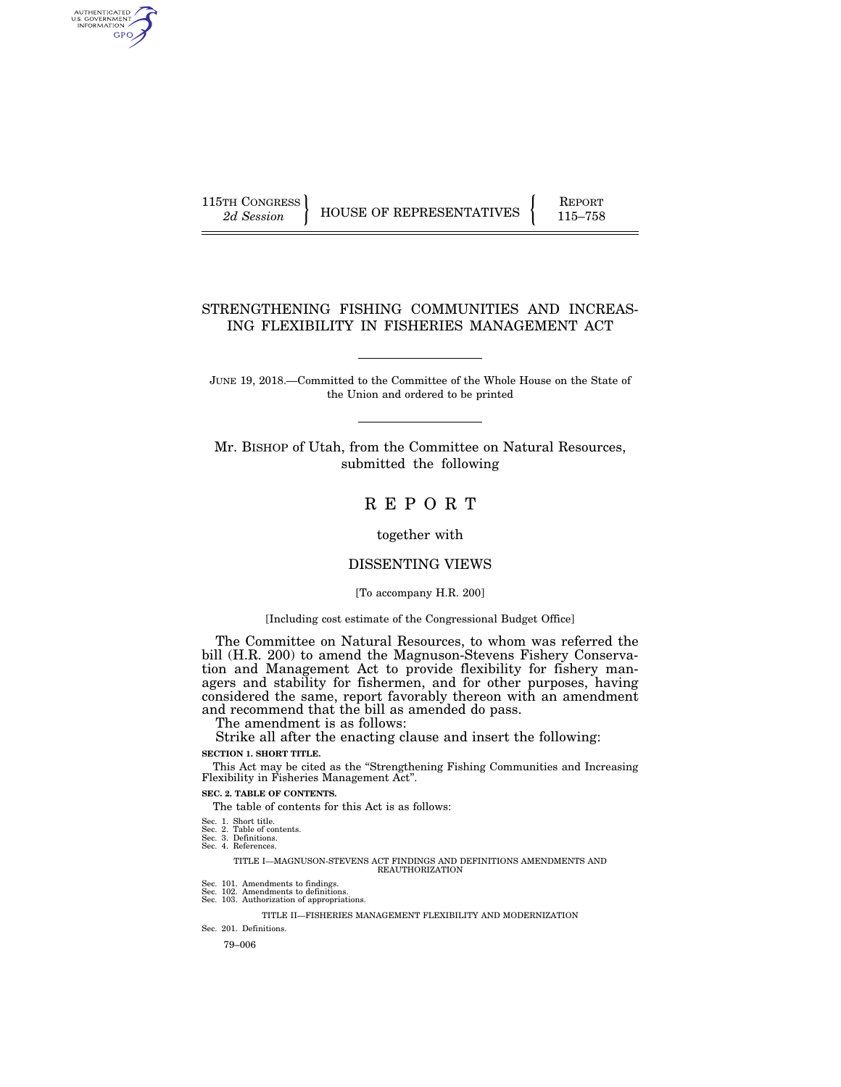AUTHENTICATED<br>U.S. GOVERNMENT<br>INFORMATION **GPO** 

115TH CONGRESS HOUSE OF REPRESENTATIVES FEPORT 115–758

# STRENGTHENING FISHING COMMUNITIES AND INCREAS-ING FLEXIBILITY IN FISHERIES MANAGEMENT ACT

JUNE 19, 2018.—Committed to the Committee of the Whole House on the State of the Union and ordered to be printed

Mr. BISHOP of Utah, from the Committee on Natural Resources, submitted the following

R E P O R T

together with

# DISSENTING VIEWS

#### [To accompany H.R. 200]

#### [Including cost estimate of the Congressional Budget Office]

The Committee on Natural Resources, to whom was referred the bill (H.R. 200) to amend the Magnuson-Stevens Fishery Conservation and Management Act to provide flexibility for fishery managers and stability for fishermen, and for other purposes, having considered the same, report favorably thereon with an amendment and recommend that the bill as amended do pass.

The amendment is as follows:

Strike all after the enacting clause and insert the following: **SECTION 1. SHORT TITLE.** 

This Act may be cited as the ''Strengthening Fishing Communities and Increasing Flexibility in Fisheries Management Act''.

### **SEC. 2. TABLE OF CONTENTS.**

The table of contents for this Act is as follows:

- 
- Sec. 1. Short title. Sec. 2. Table of contents. Sec. 3. Definitions.
- Sec. 4. References.

TITLE I—MAGNUSON-STEVENS ACT FINDINGS AND DEFINITIONS AMENDMENTS AND REAUTHORIZATION

- Sec. 101. Amendments to findings.<br>Sec. 102. Amendments to definitions.
- Sec. 102. Amendments to definitions. Sec. 103. Authorization of appropriations.
	-

TITLE II—FISHERIES MANAGEMENT FLEXIBILITY AND MODERNIZATION

Sec. 201. Definitions.

79–006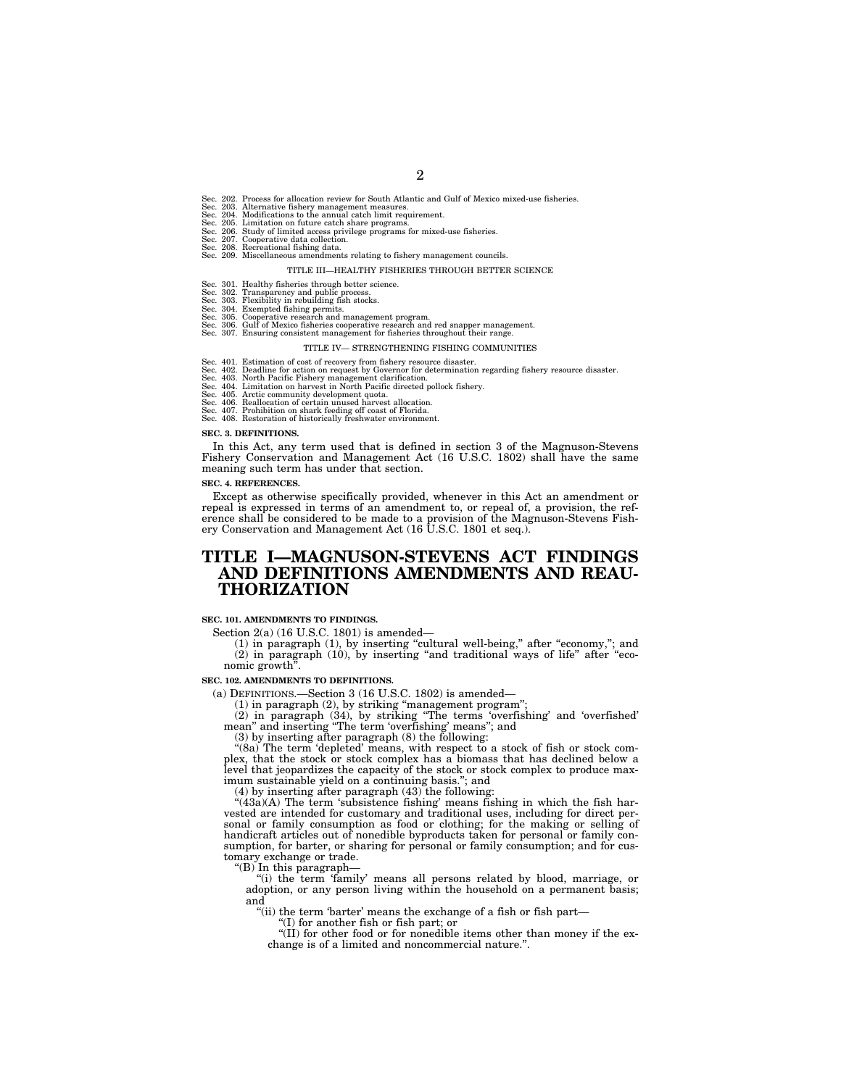- Sec. 202. Process for allocation review for South Atlantic and Gulf of Mexico mixed-use fisheries. Sec. 203. Alternative fishery management measures. Sec. 204. Modifications to the annual catch limit requirement.
- 
- 
- Sec. 205. Limitation on future catch share programs.<br>Sec. 206. Study of limited access privilege programs for mixed-use fisheries.<br>Sec. 207. Cooperative data collection.<br>Sec. 208. Recreational fishing data.<br>Sec. 209. Misce
- 
- - TITLE III—HEALTHY FISHERIES THROUGH BETTER SCIENCE

- 
- 
- 
- 
- Sec. 301. Healthy fisheries through better science.<br>Sec. 302. Transparency and public process.<br>Sec. 303. Flexibility in rebuilding fish stocks.<br>Sec. 303. Exempted fishing permits.<br>Sec. 305. Cooperative research and managem
	-

#### TITLE IV— STRENGTHENING FISHING COMMUNITIES

- 
- Sec. 401. Estimation of cost of recovery from fishery resource disaster.<br>Sec. 402. Deadline for action on request by Governor for determination regarding fishery resource disaster.<br>Sec. 403. North Pacific Fishery managemen
- 
- 
- 
- 
- 

#### **SEC. 3. DEFINITIONS.**

In this Act, any term used that is defined in section 3 of the Magnuson-Stevens Fishery Conservation and Management Act (16 U.S.C. 1802) shall have the same meaning such term has under that section.

#### **SEC. 4. REFERENCES.**

Except as otherwise specifically provided, whenever in this Act an amendment or repeal is expressed in terms of an amendment to, or repeal of, a provision, the reference shall be considered to be made to a provision of the Magnuson-Stevens Fish-ery Conservation and Management Act (16 U.S.C. 1801 et seq.).

# **TITLE I—MAGNUSON-STEVENS ACT FINDINGS AND DEFINITIONS AMENDMENTS AND REAU-THORIZATION**

#### **SEC. 101. AMENDMENTS TO FINDINGS.**

Section 2(a) (16 U.S.C. 1801) is amended—

(1) in paragraph (1), by inserting ''cultural well-being,'' after ''economy,''; and (2) in paragraph (10), by inserting ''and traditional ways of life'' after ''economic growth

#### **SEC. 102. AMENDMENTS TO DEFINITIONS.**

(a) DEFINITIONS.—Section 3 (16 U.S.C. 1802) is amended—<br>
(1) in paragraph (2), by striking "management program";<br>
(2) in paragraph (34), by striking "The terms 'overfishing' and 'overfished'<br>
mean" and inserting "The term

(3) by inserting after paragraph (8) the following: ''(8a) The term 'depleted' means, with respect to a stock of fish or stock complex, that the stock or stock complex has a biomass that has declined below a level that jeopardizes the capacity of the stock or stock complex to produce max-imum sustainable yield on a continuing basis.''; and

(4) by inserting after paragraph (43) the following: ''(43a)(A) The term 'subsistence fishing' means fishing in which the fish harvested are intended for customary and traditional uses, including for direct per-sonal or family consumption as food or clothing; for the making or selling of handicraft articles out of nonedible byproducts taken for personal or family consumption, for barter, or sharing for personal or family consumption; and for customary exchange or trade.

''(B) In this paragraph—

''(i) the term 'family' means all persons related by blood, marriage, or adoption, or any person living within the household on a permanent basis; and

"(ii) the term 'barter' means the exchange of a fish or fish part—

''(I) for another fish or fish part; or

''(II) for other food or for nonedible items other than money if the exchange is of a limited and noncommercial nature.''.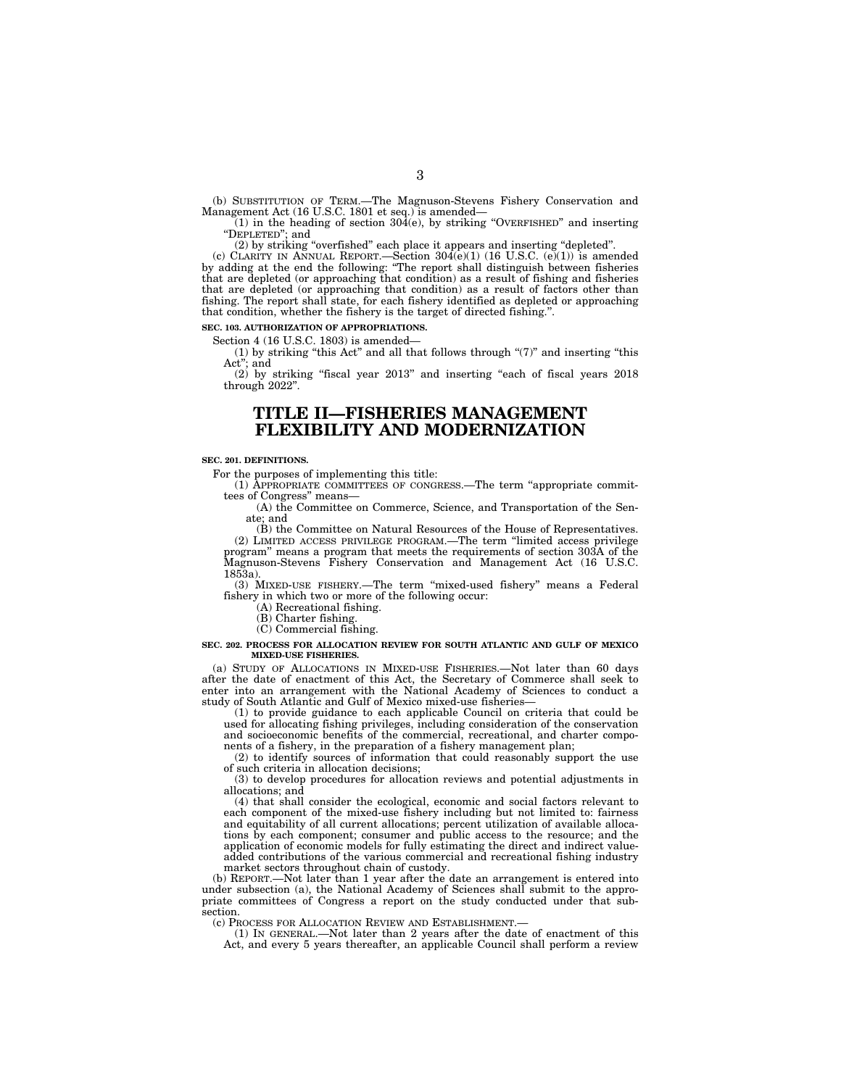(b) SUBSTITUTION OF TERM.—The Magnuson-Stevens Fishery Conservation and Management Act (16 U.S.C. 1801 et seq.) is amended—

 $(1)$  in the heading of section  $304(e)$ , by striking "OVERFISHED" and inserting "DEPLETED"; and

(2) by striking "overfished" each place it appears and inserting "depleted".

(c) CLARITY IN ANNUAL REPORT.—Section  $304(e)(1)$  (16 U.S.C.  $(e)(1)$ ) is amended by adding at the end the following: ''The report shall distinguish between fisheries that are depleted (or approaching that condition) as a result of fishing and fisheries that are depleted (or approaching that condition) as a result of factors other than fishing. The report shall state, for each fishery identified as depleted or approaching that condition, whether the fishery is the target of directed fishing.''.

#### **SEC. 103. AUTHORIZATION OF APPROPRIATIONS.**

Section 4 (16 U.S.C. 1803) is amended—

(1) by striking ''this Act'' and all that follows through ''(7)'' and inserting ''this Act''; and

(2) by striking ''fiscal year 2013'' and inserting ''each of fiscal years 2018 through 2022''.

# **TITLE II—FISHERIES MANAGEMENT FLEXIBILITY AND MODERNIZATION**

#### **SEC. 201. DEFINITIONS.**

For the purposes of implementing this title:

(1) APPROPRIATE COMMITTEES OF CONGRESS.—The term ''appropriate committees of Congress'' means—

(A) the Committee on Commerce, Science, and Transportation of the Senate; and

(B) the Committee on Natural Resources of the House of Representatives.

(2) LIMITED ACCESS PRIVILEGE PROGRAM.—The term ''limited access privilege program'' means a program that meets the requirements of section 303A of the Magnuson-Stevens Fishery Conservation and Management Act (16 U.S.C. 1853a).

(3) MIXED-USE FISHERY.—The term ''mixed-used fishery'' means a Federal fishery in which two or more of the following occur:

(A) Recreational fishing.

(B) Charter fishing.

(C) Commercial fishing.

#### **SEC. 202. PROCESS FOR ALLOCATION REVIEW FOR SOUTH ATLANTIC AND GULF OF MEXICO MIXED-USE FISHERIES.**

(a) STUDY OF ALLOCATIONS IN MIXED-USE FISHERIES.—Not later than 60 days after the date of enactment of this Act, the Secretary of Commerce shall seek to enter into an arrangement with the National Academy of Sciences to conduct a study of South Atlantic and Gulf of Mexico mixed-use fisheries—

(1) to provide guidance to each applicable Council on criteria that could be used for allocating fishing privileges, including consideration of the conservation and socioeconomic benefits of the commercial, recreational, and charter components of a fishery, in the preparation of a fishery management plan;

 $(2)$  to identify sources of information that could reasonably support the use of such criteria in allocation decisions;

(3) to develop procedures for allocation reviews and potential adjustments in allocations; and

(4) that shall consider the ecological, economic and social factors relevant to each component of the mixed-use fishery including but not limited to: fairness and equitability of all current allocations; percent utilization of available allocations by each component; consumer and public access to the resource; and the application of economic models for fully estimating the direct and indirect valueadded contributions of the various commercial and recreational fishing industry market sectors throughout chain of custody.

(b) REPORT.—Not later than 1 year after the date an arrangement is entered into under subsection (a), the National Academy of Sciences shall submit to the appropriate committees of Congress a report on the study conducted under that subsection.

(c) PROCESS FOR ALLOCATION REVIEW AND ESTABLISHMENT.—

(1) IN GENERAL.—Not later than 2 years after the date of enactment of this Act, and every 5 years thereafter, an applicable Council shall perform a review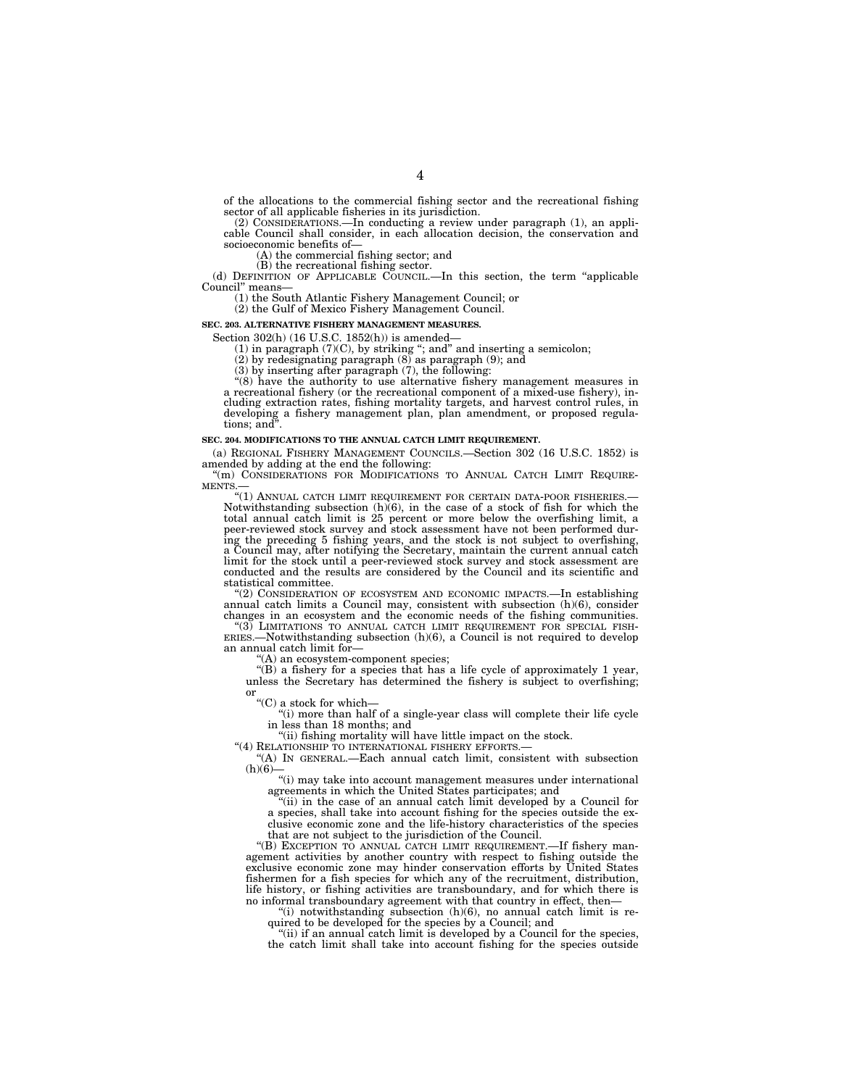of the allocations to the commercial fishing sector and the recreational fishing sector of all applicable fisheries in its jurisdiction.

(2) CONSIDERATIONS.—In conducting a review under paragraph (1), an applicable Council shall consider, in each allocation decision, the conservation and socioeconomic benefits of—

(A) the commercial fishing sector; and

(B) the recreational fishing sector.

(d) DEFINITION OF APPLICABLE COUNCIL.—In this section, the term "applicable Council'' means—

(1) the South Atlantic Fishery Management Council; or

(2) the Gulf of Mexico Fishery Management Council.

#### **SEC. 203. ALTERNATIVE FISHERY MANAGEMENT MEASURES.**

Section 302(h) (16 U.S.C. 1852(h)) is amended—

(1) in paragraph  $(7)(C)$ , by striking "; and" and inserting a semicolon;

 $(2)$  by redesignating paragraph  $(8)$  as paragraph  $(9)$ ; and

(3) by inserting after paragraph (7), the following: ''(8) have the authority to use alternative fishery management measures in a recreational fishery (or the recreational component of a mixed-use fishery), including extraction rates, fishing mortality targets, and harvest control rules, in developing a fishery management plan, plan amendment, or proposed regula-tions; and''.

#### **SEC. 204. MODIFICATIONS TO THE ANNUAL CATCH LIMIT REQUIREMENT.**

(a) REGIONAL FISHERY MANAGEMENT COUNCILS.—Section 302 (16 U.S.C. 1852) is amended by adding at the end the following:

"(m) CONSIDERATIONS FOR MODIFICATIONS TO ANNUAL CATCH LIMIT REQUIRE-<br>MENTS.— "(1) ANNUAL CATCH LIMIT REQUIREMENT FOR CERTAIN DATA-POOR FISHERIES.—

Notwithstanding subsection  $(h)(6)$ , in the case of a stock of fish for which the total annual catch limit is 25 percent or more below the overfishing limit, a peer-reviewed stock survey and stock assessment have not been performed during the preceding 5 fishing years, and the stock is not subject to overfishing, a Council may, after notifying the Secretary, maintain the current annual catch limit for the stock until a peer-reviewed stock survey and stock assessment are conducted and the results are considered by the Council and its scientific and statistical committee.

''(2) CONSIDERATION OF ECOSYSTEM AND ECONOMIC IMPACTS.—In establishing annual catch limits a Council may, consistent with subsection (h)(6), consider

changes in an ecosystem and the economic needs of the fishing communities.<br>"(3) LIMITATIONS TO ANNUAL CATCH LIMIT REQUIREMENT FOR SPECIAL FISH- $ERIES.$ —Notwithstanding subsection  $(h)(6)$ , a Council is not required to develop an annual catch limit for—

 $(A)$  an ecosystem-component species;

''(B) a fishery for a species that has a life cycle of approximately 1 year, unless the Secretary has determined the fishery is subject to overfishing; or

"(C) a stock for which-

''(i) more than half of a single-year class will complete their life cycle in less than 18 months; and

"(ii) fishing mortality will have little impact on the stock.

"(4) RELATIONSHIP TO INTERNATIONAL FISHERY EFFORTS.-

''(A) IN GENERAL.—Each annual catch limit, consistent with subsection  $(h)(6)$ 

''(i) may take into account management measures under international agreements in which the United States participates; and

"(ii) in the case of an annual catch limit developed by a Council for a species, shall take into account fishing for the species outside the exclusive economic zone and the life-history characteristics of the species that are not subject to the jurisdiction of the Council.

''(B) EXCEPTION TO ANNUAL CATCH LIMIT REQUIREMENT.—If fishery management activities by another country with respect to fishing outside the exclusive economic zone may hinder conservation efforts by United States fishermen for a fish species for which any of the recruitment, distribution, life history, or fishing activities are transboundary, and for which there is no informal transboundary agreement with that country in effect, then—

 $f(i)$  notwithstanding subsection  $(h)(6)$ , no annual catch limit is required to be developed for the species by a Council; and

"(ii) if an annual catch limit is developed by a Council for the species, the catch limit shall take into account fishing for the species outside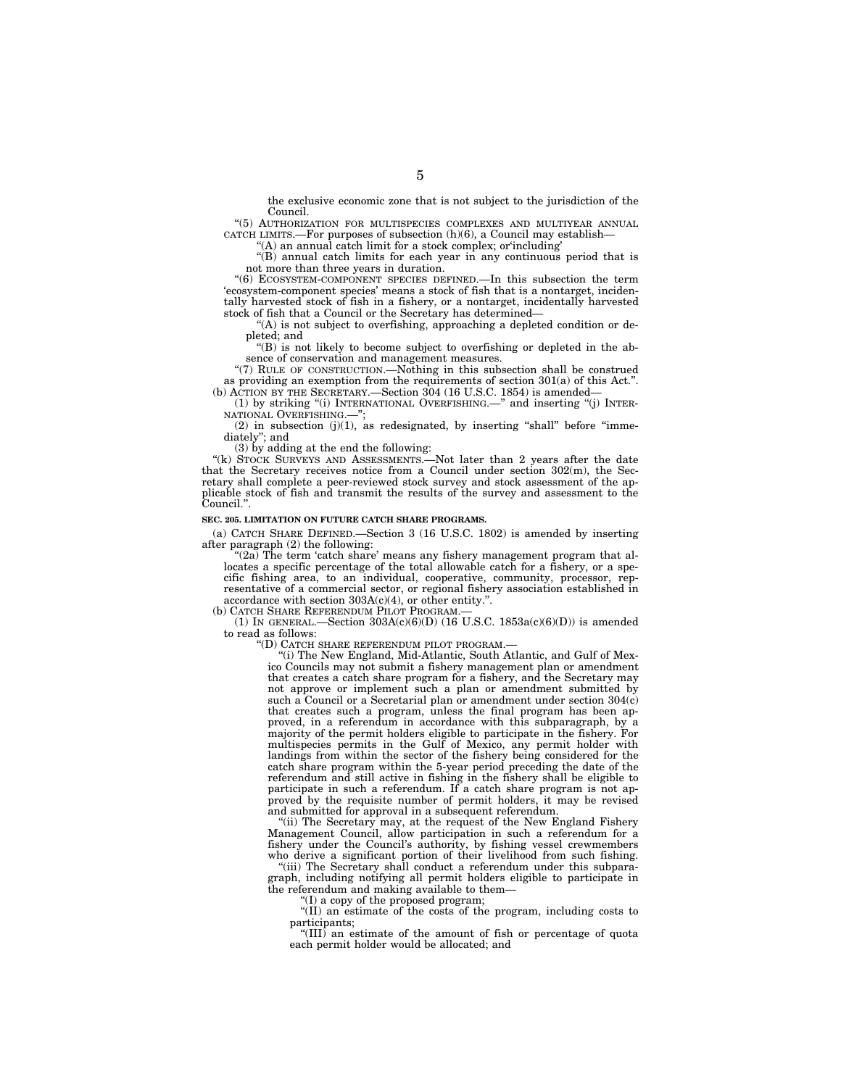the exclusive economic zone that is not subject to the jurisdiction of the Council.

''(5) AUTHORIZATION FOR MULTISPECIES COMPLEXES AND MULTIYEAR ANNUAL CATCH LIMITS.—For purposes of subsection (h)(6), a Council may establish—

''(A) an annual catch limit for a stock complex; or'including'

''(B) annual catch limits for each year in any continuous period that is not more than three years in duration.

''(6) ECOSYSTEM-COMPONENT SPECIES DEFINED.—In this subsection the term 'ecosystem-component species' means a stock of fish that is a nontarget, incidentally harvested stock of fish in a fishery, or a nontarget, incidentally harvested stock of fish that a Council or the Secretary has determined—

''(A) is not subject to overfishing, approaching a depleted condition or depleted; and

" $(B)$  is not likely to become subject to overfishing or depleted in the absence of conservation and management measures.

''(7) RULE OF CONSTRUCTION.—Nothing in this subsection shall be construed as providing an exemption from the requirements of section 301(a) of this Act.''. (b) ACTION BY THE SECRETARY.—Section 304 (16 U.S.C. 1854) is amended—

(1) by striking ''(i) INTERNATIONAL OVERFISHING.—'' and inserting ''(j) INTER-NATIONAL OVERFISHING.—'';

 $(2)$  in subsection  $(j)(1)$ , as redesignated, by inserting "shall" before "immediately''; and

(3) by adding at the end the following:

"(k) STOCK SURVEYS AND ASSESSMENTS.—Not later than 2 years after the date that the Secretary receives notice from a Council under section  $302(m)$ , the Secretary shall complete a peer-reviewed stock survey and stock assessment of the applicable stock of fish and transmit the results of the survey and assessment to the Council.''.

#### **SEC. 205. LIMITATION ON FUTURE CATCH SHARE PROGRAMS.**

(a) CATCH SHARE DEFINED.—Section 3 (16 U.S.C. 1802) is amended by inserting after paragraph (2) the following:

" $(2a)$  The term 'catch share' means any fishery management program that allocates a specific percentage of the total allowable catch for a fishery, or a specific fishing area, to an individual, cooperative, community, processor, representative of a commercial sector, or regional fishery association established in accordance with section 303A(c)(4), or other entity.''.

(b) CATCH SHARE REFERENDUM PILOT PROGRAM.

(1) IN GENERAL.—Section  $303A(c)(6)(D)$  (16 U.S.C. 1853a(c)(6)(D)) is amended to read as follows:

''(D) CATCH SHARE REFERENDUM PILOT PROGRAM.—

''(i) The New England, Mid-Atlantic, South Atlantic, and Gulf of Mexico Councils may not submit a fishery management plan or amendment that creates a catch share program for a fishery, and the Secretary may not approve or implement such a plan or amendment submitted by such a Council or a Secretarial plan or amendment under section  $304(c)$ that creates such a program, unless the final program has been approved, in a referendum in accordance with this subparagraph, by a majority of the permit holders eligible to participate in the fishery. For multispecies permits in the Gulf of Mexico, any permit holder with landings from within the sector of the fishery being considered for the catch share program within the 5-year period preceding the date of the referendum and still active in fishing in the fishery shall be eligible to participate in such a referendum. If a catch share program is not approved by the requisite number of permit holders, it may be revised and submitted for approval in a subsequent referendum.

"(ii) The Secretary may, at the request of the New England Fishery Management Council, allow participation in such a referendum for a fishery under the Council's authority, by fishing vessel crewmembers who derive a significant portion of their livelihood from such fishing.

"(iii) The Secretary shall conduct a referendum under this subparagraph, including notifying all permit holders eligible to participate in the referendum and making available to them—

''(I) a copy of the proposed program;

''(II) an estimate of the costs of the program, including costs to participants;

''(III) an estimate of the amount of fish or percentage of quota each permit holder would be allocated; and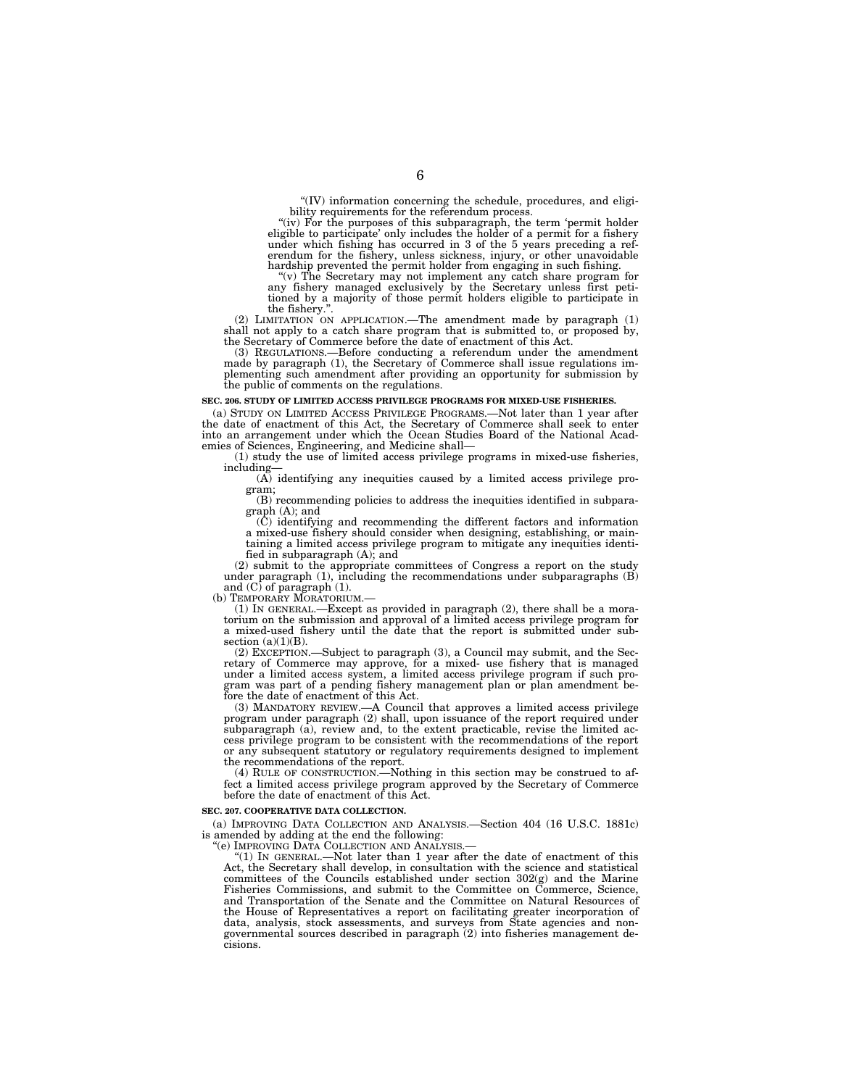''(IV) information concerning the schedule, procedures, and eligibility requirements for the referendum process.

''(iv) For the purposes of this subparagraph, the term 'permit holder eligible to participate' only includes the holder of a permit for a fishery under which fishing has occurred in 3 of the 5 years preceding a referendum for the fishery, unless sickness, injury, or other unavoidable hardship prevented the permit holder from engaging in such fishing.

(v) The Secretary may not implement any catch share program for any fishery managed exclusively by the Secretary unless first peti-tioned by a majority of those permit holders eligible to participate in the fishery.''.

(2) LIMITATION ON APPLICATION.—The amendment made by paragraph (1) shall not apply to a catch share program that is submitted to, or proposed by, the Secretary of Commerce before the date of enactment of this Act.

(3) REGULATIONS.—Before conducting a referendum under the amendment made by paragraph (1), the Secretary of Commerce shall issue regulations implementing such amendment after providing an opportunity for submission by the public of comments on the regulations.

#### **SEC. 206. STUDY OF LIMITED ACCESS PRIVILEGE PROGRAMS FOR MIXED-USE FISHERIES.**

(a) STUDY ON LIMITED ACCESS PRIVILEGE PROGRAMS.—Not later than 1 year after the date of enactment of this Act, the Secretary of Commerce shall seek to enter into an arrangement under which the Ocean Studies Board of the National Acad-emies of Sciences, Engineering, and Medicine shall—

(1) study the use of limited access privilege programs in mixed-use fisheries, including—

(A) identifying any inequities caused by a limited access privilege program;

(B) recommending policies to address the inequities identified in subparagraph (A); and

(C) identifying and recommending the different factors and information a mixed-use fishery should consider when designing, establishing, or maintaining a limited access privilege program to mitigate any inequities identified in subparagraph (A); and

(2) submit to the appropriate committees of Congress a report on the study under paragraph (1), including the recommendations under subparagraphs (B) and  $(C)$  of paragraph  $(1)$ .<br>(b) TEMPORARY MORATORIUM.-

(1) IN GENERAL.—Except as provided in paragraph (2), there shall be a moratorium on the submission and approval of a limited access privilege program for a mixed-used fishery until the date that the report is submitted under subsection (a)(1)(B).

(2) EXCEPTION.—Subject to paragraph (3), a Council may submit, and the Secretary of Commerce may approve, for a mixed- use fishery that is managed under a limited access system, a limited access privilege program if such program was part of a pending fishery management plan or plan amendment before the date of enactment of this Act.

(3) MANDATORY REVIEW.—A Council that approves a limited access privilege program under paragraph (2) shall, upon issuance of the report required under subparagraph (a), review and, to the extent practicable, revise the limited access privilege program to be consistent with the recommendations of the report or any subsequent statutory or regulatory requirements designed to implement the recommendations of the report.

(4) RULE OF CONSTRUCTION.—Nothing in this section may be construed to affect a limited access privilege program approved by the Secretary of Commerce before the date of enactment of this Act.

#### **SEC. 207. COOPERATIVE DATA COLLECTION.**

(a) IMPROVING DATA COLLECTION AND ANALYSIS.—Section 404 (16 U.S.C. 1881c) is amended by adding at the end the following:

'(e) IMPROVING DATA COLLECTION AND ANALYSIS.-

''(1) IN GENERAL.—Not later than 1 year after the date of enactment of this Act, the Secretary shall develop, in consultation with the science and statistical committees of the Councils established under section  $302(g)$  and the Marine Fisheries Commissions, and submit to the Committee on Commerce, Science, and Transportation of the Senate and the Committee on Natural Resources of the House of Representatives a report on facilitating greater incorporation of data, analysis, stock assessments, and surveys from State agencies and nongovernmental sources described in paragraph (2) into fisheries management decisions.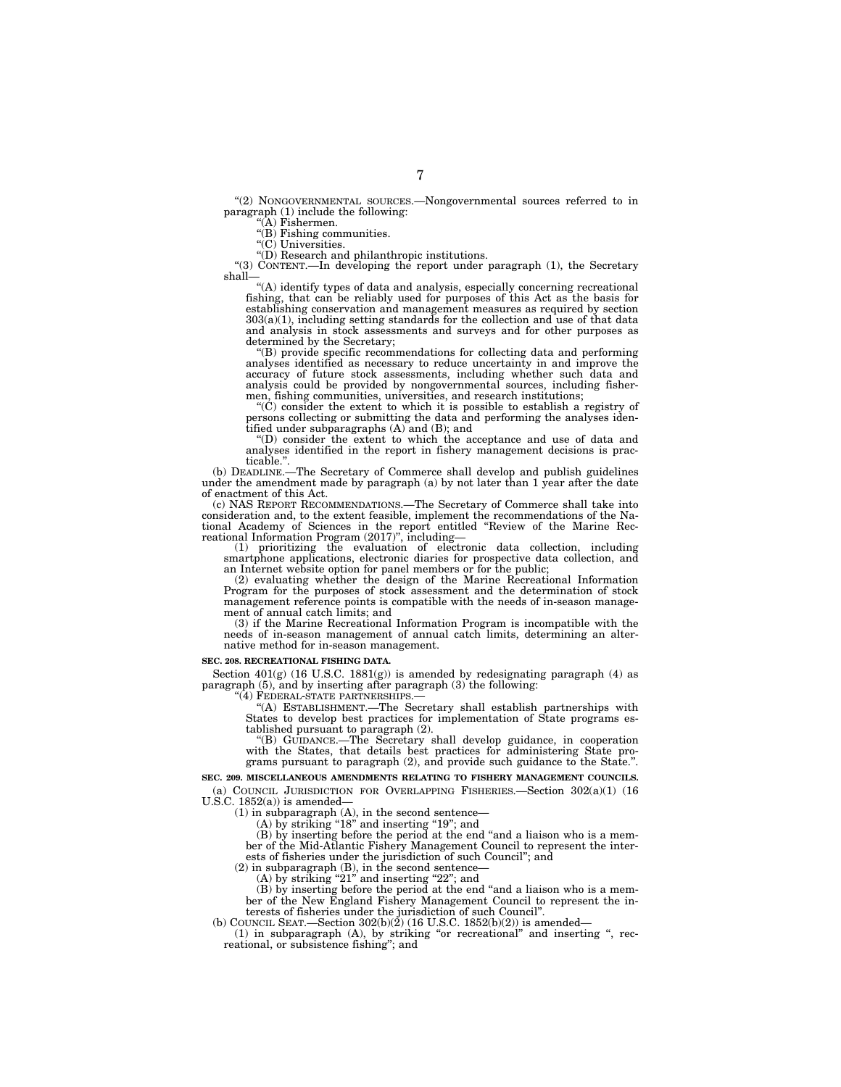''(2) NONGOVERNMENTAL SOURCES.—Nongovernmental sources referred to in paragraph (1) include the following:

'(A) Fishermen.

''(B) Fishing communities.

 $\rm ^{\prime}(C)$  Universities.

 $\mathrm{``(D)}$  Research and philanthropic institutions.

''(3) CONTENT.—In developing the report under paragraph (1), the Secretary shall—

''(A) identify types of data and analysis, especially concerning recreational fishing, that can be reliably used for purposes of this Act as the basis for establishing conservation and management measures as required by section 303(a)(1), including setting standards for the collection and use of that data and analysis in stock assessments and surveys and for other purposes as determined by the Secretary;

''(B) provide specific recommendations for collecting data and performing analyses identified as necessary to reduce uncertainty in and improve the accuracy of future stock assessments, including whether such data and analysis could be provided by nongovernmental sources, including fishermen, fishing communities, universities, and research institutions;

''(C) consider the extent to which it is possible to establish a registry of persons collecting or submitting the data and performing the analyses iden-

tified under subparagraphs (A) and (B); and ''(D) consider the extent to which the acceptance and use of data and analyses identified in the report in fishery management decisions is practicable.''.

(b) DEADLINE.—The Secretary of Commerce shall develop and publish guidelines under the amendment made by paragraph (a) by not later than 1 year after the date of enactment of this Act.

(c) NAS REPORT RECOMMENDATIONS.—The Secretary of Commerce shall take into consideration and, to the extent feasible, implement the recommendations of the National Academy of Sciences in the report entitled ''Review of the Marine Rec-reational Information Program (2017)'', including—

(1) prioritizing the evaluation of electronic data collection, including smartphone applications, electronic diaries for prospective data collection, and an Internet website option for panel members or for the public;

(2) evaluating whether the design of the Marine Recreational Information Program for the purposes of stock assessment and the determination of stock management reference points is compatible with the needs of in-season management of annual catch limits; and

(3) if the Marine Recreational Information Program is incompatible with the needs of in-season management of annual catch limits, determining an alternative method for in-season management.

#### **SEC. 208. RECREATIONAL FISHING DATA.**

Section  $401(g)$  (16 U.S.C. 1881(g)) is amended by redesignating paragraph (4) as paragraph (5), and by inserting after paragraph (3) the following:

''(4) FEDERAL-STATE PARTNERSHIPS.—

''(A) ESTABLISHMENT.—The Secretary shall establish partnerships with States to develop best practices for implementation of State programs established pursuant to paragraph (2).

''(B) GUIDANCE.—The Secretary shall develop guidance, in cooperation with the States, that details best practices for administering State programs pursuant to paragraph (2), and provide such guidance to the State.''.

**SEC. 209. MISCELLANEOUS AMENDMENTS RELATING TO FISHERY MANAGEMENT COUNCILS.**  (a) COUNCIL JURISDICTION FOR OVERLAPPING FISHERIES.—Section 302(a)(1) (16 U.S.C.  $1852(a)$ ) is amended-

(1) in subparagraph (A), in the second sentence—

 $(A)$  by striking "18" and inserting "19"; and

(B) by inserting before the period at the end ''and a liaison who is a member of the Mid-Atlantic Fishery Management Council to represent the interests of fisheries under the jurisdiction of such Council''; and

(2) in subparagraph (B), in the second sentence—

 $(A)$  by striking "21" and inserting "22"; and

(B) by inserting before the period at the end "and a liaison who is a member of the New England Fishery Management Council to represent the interests of fisheries under the jurisdiction of such Council''.

(b) COUNCIL SEAT.—Section  $302(b)(2)$  (16 U.S.C. 1852(b)(2)) is amended—

(1) in subparagraph (A), by striking "or recreational" and inserting ", recreational, or subsistence fishing''; and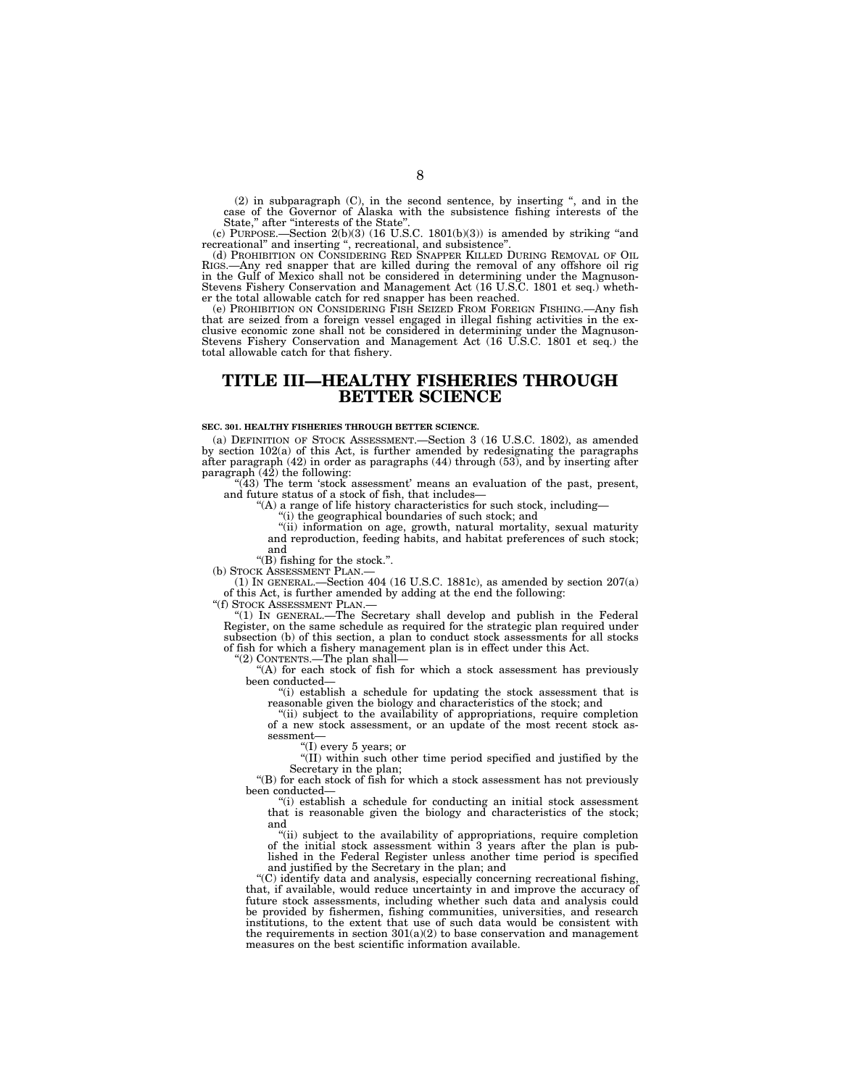(2) in subparagraph (C), in the second sentence, by inserting '', and in the case of the Governor of Alaska with the subsistence fishing interests of the State," after "interests of the State"

(c) PURPOSE.—Section  $2(b)(3)$  (16 U.S.C. 1801(b)(3)) is amended by striking "and recreational" and inserting ", recreational, and subsistence".<br>(d) PROHIBITION ON CONSIDERING RED SNAPPER KILLED DURING REMOVAL OF OIL RIGS. in the Gulf of Mexico shall not be considered in determining under the Magnuson-Stevens Fishery Conservation and Management Act (16 U.S.C. 1801 et seq.) whether the total allowable catch for red snapper has been reached.

(e) PROHIBITION ON CONSIDERING FISH SEIZED FROM FOREIGN FISHING.—Any fish that are seized from a foreign vessel engaged in illegal fishing activities in the exclusive economic zone shall not be considered in determining under the Magnuson-Stevens Fishery Conservation and Management Act (16 U.S.C. 1801 et seq.) the total allowable catch for that fishery.

# **TITLE III—HEALTHY FISHERIES THROUGH BETTER SCIENCE**

#### **SEC. 301. HEALTHY FISHERIES THROUGH BETTER SCIENCE.**

(a) DEFINITION OF STOCK ASSESSMENT.—Section 3 (16 U.S.C. 1802), as amended by section 102(a) of this Act, is further amended by redesignating the paragraphs after paragraph (42) in order as paragraphs (44) through (53), and by inserting after paragraph (42) the following:

"(43) The term 'stock assessment' means an evaluation of the past, present, and future status of a stock of fish, that includes—

''(A) a range of life history characteristics for such stock, including—

''(i) the geographical boundaries of such stock; and

''(ii) information on age, growth, natural mortality, sexual maturity and reproduction, feeding habits, and habitat preferences of such stock; and

''(B) fishing for the stock.''.

(b) STOCK ASSESSMENT PLAN.—

(1) IN GENERAL.—Section 404 (16 U.S.C. 1881c), as amended by section 207(a) of this Act, is further amended by adding at the end the following:

''(f) STOCK ASSESSMENT PLAN.—

''(1) IN GENERAL.—The Secretary shall develop and publish in the Federal Register, on the same schedule as required for the strategic plan required under subsection (b) of this section, a plan to conduct stock assessments for all stocks of fish for which a fishery management plan is in effect under this Act.

''(2) CONTENTS.—The plan shall—

''(A) for each stock of fish for which a stock assessment has previously been conducted—

''(i) establish a schedule for updating the stock assessment that is reasonable given the biology and characteristics of the stock; and

"(ii) subject to the availability of appropriations, require completion of a new stock assessment, or an update of the most recent stock assessment—

 $f(I)$  every 5 years; or

 $\sqrt{\text{II}}$ ) within such other time period specified and justified by the Secretary in the plan;

''(B) for each stock of fish for which a stock assessment has not previously been conducted—

''(i) establish a schedule for conducting an initial stock assessment that is reasonable given the biology and characteristics of the stock; and

''(ii) subject to the availability of appropriations, require completion of the initial stock assessment within 3 years after the plan is published in the Federal Register unless another time period is specified and justified by the Secretary in the plan; and

''(C) identify data and analysis, especially concerning recreational fishing, that, if available, would reduce uncertainty in and improve the accuracy of future stock assessments, including whether such data and analysis could be provided by fishermen, fishing communities, universities, and research institutions, to the extent that use of such data would be consistent with the requirements in section  $301(a)(2)$  to base conservation and management measures on the best scientific information available.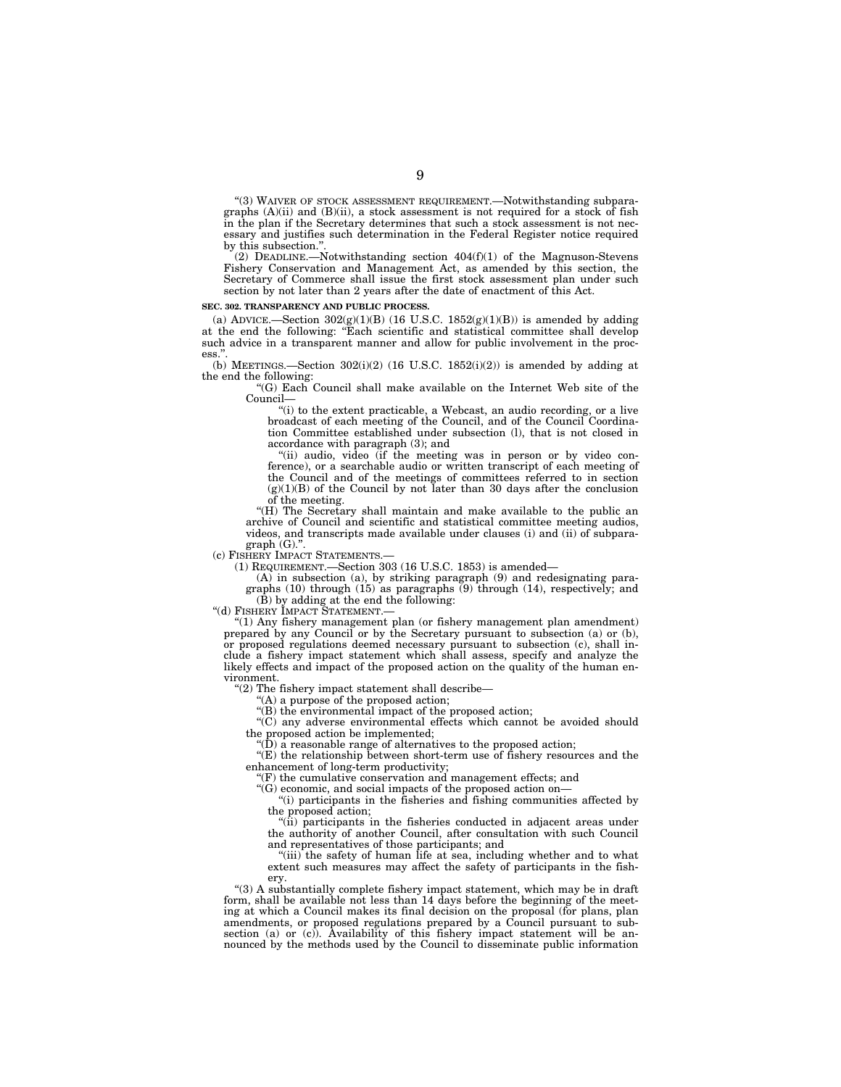''(3) WAIVER OF STOCK ASSESSMENT REQUIREMENT.—Notwithstanding subparagraphs  $(A)(ii)$  and  $(B)(ii)$ , a stock assessment is not required for a stock of fish in the plan if the Secretary determines that such a stock assessment is not necessary and justifies such determination in the Federal Register notice required by this subsection."

(2) DEADLINE.—Notwithstanding section 404(f)(1) of the Magnuson-Stevens Fishery Conservation and Management Act, as amended by this section, the Secretary of Commerce shall issue the first stock assessment plan under such section by not later than 2 years after the date of enactment of this Act.

#### **SEC. 302. TRANSPARENCY AND PUBLIC PROCESS.**

(a) ADVICE.—Section  $302(g)(1)(B)$  (16 U.S.C. 1852(g)(1)(B)) is amended by adding at the end the following: ''Each scientific and statistical committee shall develop such advice in a transparent manner and allow for public involvement in the process.

(b) MEETINGS.—Section  $302(i)(2)$  (16 U.S.C. 1852(i)(2)) is amended by adding at the end the following:

''(G) Each Council shall make available on the Internet Web site of the Council—

''(i) to the extent practicable, a Webcast, an audio recording, or a live broadcast of each meeting of the Council, and of the Council Coordination Committee established under subsection (l), that is not closed in accordance with paragraph (3); and

''(ii) audio, video (if the meeting was in person or by video conference), or a searchable audio or written transcript of each meeting of the Council and of the meetings of committees referred to in section  $(g)(1)(B)$  of the Council by not later than 30 days after the conclusion of the meeting.

"(H) The Secretary shall maintain and make available to the public an archive of Council and scientific and statistical committee meeting audios, videos, and transcripts made available under clauses (i) and (ii) of subpara $graph(G).$ "

(c) FISHERY IMPACT STATEMENTS.—

(1) REQUIREMENT.—Section 303 (16 U.S.C. 1853) is amended—

(A) in subsection (a), by striking paragraph (9) and redesignating paragraphs (10) through (15) as paragraphs (9) through (14), respectively; and

(B) by adding at the end the following:

"(d) FISHERY IMPACT STATEMENT.

''(1) Any fishery management plan (or fishery management plan amendment) prepared by any Council or by the Secretary pursuant to subsection (a) or (b), or proposed regulations deemed necessary pursuant to subsection (c), shall include a fishery impact statement which shall assess, specify and analyze the likely effects and impact of the proposed action on the quality of the human environment.

''(2) The fishery impact statement shall describe—

"(A) a purpose of the proposed action;

''(B) the environmental impact of the proposed action;

''(C) any adverse environmental effects which cannot be avoided should the proposed action be implemented;

" $(D)$  a reasonable range of alternatives to the proposed action;

"(E) the relationship between short-term use of fishery resources and the enhancement of long-term productivity;

 $F(F)$  the cumulative conservation and management effects; and

''(G) economic, and social impacts of the proposed action on—

''(i) participants in the fisheries and fishing communities affected by the proposed action;

"(ii) participants in the fisheries conducted in adjacent areas under the authority of another Council, after consultation with such Council and representatives of those participants; and

''(iii) the safety of human life at sea, including whether and to what extent such measures may affect the safety of participants in the fishery.

''(3) A substantially complete fishery impact statement, which may be in draft form, shall be available not less than 14 days before the beginning of the meeting at which a Council makes its final decision on the proposal (for plans, plan amendments, or proposed regulations prepared by a Council pursuant to subsection (a) or (c)). Availability of this fishery impact statement will be announced by the methods used by the Council to disseminate public information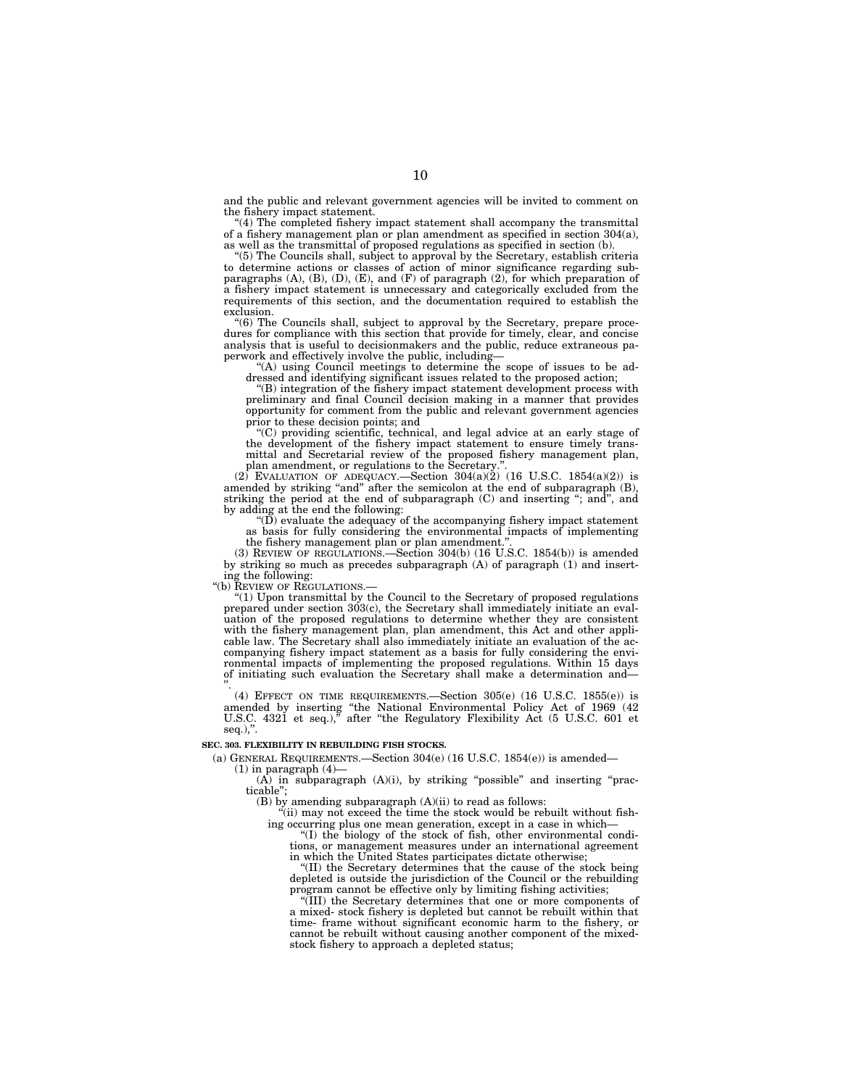and the public and relevant government agencies will be invited to comment on the fishery impact statement.

''(4) The completed fishery impact statement shall accompany the transmittal of a fishery management plan or plan amendment as specified in section 304(a), as well as the transmittal of proposed regulations as specified in section (b).

''(5) The Councils shall, subject to approval by the Secretary, establish criteria to determine actions or classes of action of minor significance regarding subparagraphs  $(A)$ ,  $(B)$ ,  $(D)$ ,  $(E)$ , and  $(F)$  of paragraph  $(2)$ , for which preparation of a fishery impact statement is unnecessary and categorically excluded from the requirements of this section, and the documentation required to establish the exclusion.

''(6) The Councils shall, subject to approval by the Secretary, prepare procedures for compliance with this section that provide for timely, clear, and concise analysis that is useful to decisionmakers and the public, reduce extraneous paperwork and effectively involve the public, including—

''(A) using Council meetings to determine the scope of issues to be addressed and identifying significant issues related to the proposed action;

''(B) integration of the fishery impact statement development process with preliminary and final Council decision making in a manner that provides opportunity for comment from the public and relevant government agencies prior to these decision points; and

''(C) providing scientific, technical, and legal advice at an early stage of the development of the fishery impact statement to ensure timely transmittal and Secretarial review of the proposed fishery management plan, plan amendment, or regulations to the Secretary.'

(2) EVALUATION OF ADEQUACY.—Section  $304(a)(2)$  (16 U.S.C. 1854 $(a)(2)$ ) is amended by striking "and" after the semicolon at the end of subparagraph (B), striking the period at the end of subparagraph (C) and inserting "; and", and by adding at the end the following:

 $\mathcal{L}(\mathbf{D})$  evaluate the adequacy of the accompanying fishery impact statement as basis for fully considering the environmental impacts of implementing

the fishery management plan or plan amendment.''. (3) REVIEW OF REGULATIONS.—Section 304(b) (16 U.S.C. 1854(b)) is amended by striking so much as precedes subparagraph  $(A)$  of paragraph  $(1)$  and inserting the following:

''(b) REVIEW OF REGULATIONS.—

''(1) Upon transmittal by the Council to the Secretary of proposed regulations prepared under section 303(c), the Secretary shall immediately initiate an evaluation of the proposed regulations to determine whether they are consistent with the fishery management plan, plan amendment, this Act and other applicable law. The Secretary shall also immediately initiate an evaluation of the accompanying fishery impact statement as a basis for fully considering the environmental impacts of implementing the proposed regulations. Within 15 days of initiating such evaluation the Secretary shall make a determination and— ''.

(4) EFFECT ON TIME REQUIREMENTS.—Section  $305(e)$  (16 U.S.C. 1855 $(e)$ ) is amended by inserting ''the National Environmental Policy Act of 1969 (42 U.S.C. 4321 et seq.)," after "the Regulatory Flexibility Act (5 U.S.C. 601 et seq.),''.

**SEC. 303. FLEXIBILITY IN REBUILDING FISH STOCKS.** 

(a) GENERAL REQUIREMENTS.—Section  $304(e)$  (16 U.S.C. 1854 $(e)$ ) is amended—  $(1)$  in paragraph  $(4)$ —

 $(A)$  in subparagraph  $(A)(i)$ , by striking "possible" and inserting "practicable'';

(B) by amending subparagraph (A)(ii) to read as follows:

(ii) may not exceed the time the stock would be rebuilt without fishing occurring plus one mean generation, except in a case in which—

''(I) the biology of the stock of fish, other environmental conditions, or management measures under an international agreement in which the United States participates dictate otherwise;

''(II) the Secretary determines that the cause of the stock being depleted is outside the jurisdiction of the Council or the rebuilding program cannot be effective only by limiting fishing activities;

''(III) the Secretary determines that one or more components of a mixed- stock fishery is depleted but cannot be rebuilt within that time- frame without significant economic harm to the fishery, or cannot be rebuilt without causing another component of the mixedstock fishery to approach a depleted status;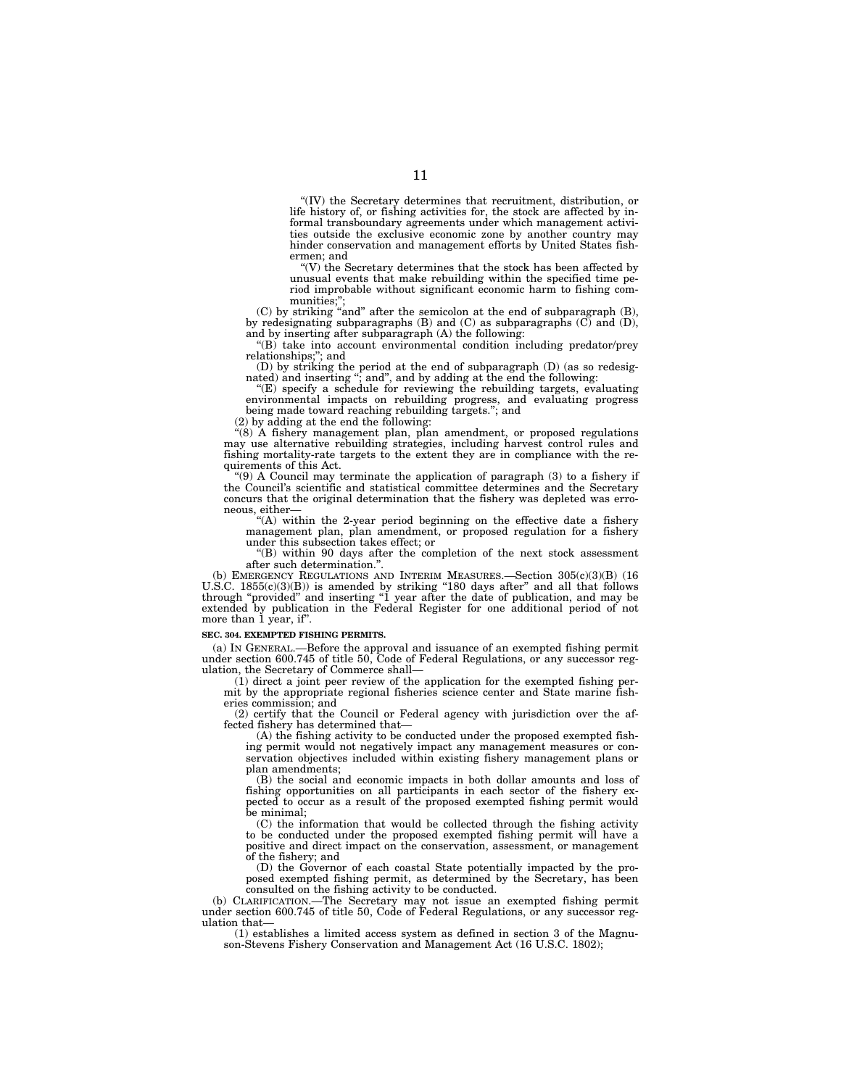"(IV) the Secretary determines that recruitment, distribution, or life history of, or fishing activities for, the stock are affected by informal transboundary agreements under which management activities outside the exclusive economic zone by another country may hinder conservation and management efforts by United States fishermen; and

''(V) the Secretary determines that the stock has been affected by unusual events that make rebuilding within the specified time period improbable without significant economic harm to fishing communities;'';

(C) by striking ''and'' after the semicolon at the end of subparagraph (B), by redesignating subparagraphs (B) and (C) as subparagraphs (C) and  $(D)$ , and by inserting after subparagraph (A) the following:

''(B) take into account environmental condition including predator/prey relationships;''; and

(D) by striking the period at the end of subparagraph (D) (as so redesignated) and inserting ''; and'', and by adding at the end the following:

''(E) specify a schedule for reviewing the rebuilding targets, evaluating environmental impacts on rebuilding progress, and evaluating progress being made toward reaching rebuilding targets.''; and

(2) by adding at the end the following:

''(8) A fishery management plan, plan amendment, or proposed regulations may use alternative rebuilding strategies, including harvest control rules and fishing mortality-rate targets to the extent they are in compliance with the requirements of this Act.

''(9) A Council may terminate the application of paragraph (3) to a fishery if the Council's scientific and statistical committee determines and the Secretary concurs that the original determination that the fishery was depleted was erroneous, either—

''(A) within the 2-year period beginning on the effective date a fishery management plan, plan amendment, or proposed regulation for a fishery under this subsection takes effect; or

''(B) within 90 days after the completion of the next stock assessment after such determination.''.

(b) EMERGENCY REGULATIONS AND INTERIM MEASURES.—Section  $305(c)(3)(B)$  (16 U.S.C.  $1855(c)(3)(B)$  is amended by striking "180 days after" and all that follows through ''provided'' and inserting ''1 year after the date of publication, and may be extended by publication in the Federal Register for one additional period of not more than 1 year, if''.

#### **SEC. 304. EXEMPTED FISHING PERMITS.**

(a) IN GENERAL.—Before the approval and issuance of an exempted fishing permit under section 600.745 of title 50, Code of Federal Regulations, or any successor regulation, the Secretary of Commerce shall—

 $(1)$  direct a joint peer review of the application for the exempted fishing permit by the appropriate regional fisheries science center and State marine fisheries commission; and

(2) certify that the Council or Federal agency with jurisdiction over the affected fishery has determined that—

(A) the fishing activity to be conducted under the proposed exempted fishing permit would not negatively impact any management measures or conservation objectives included within existing fishery management plans or plan amendments;

(B) the social and economic impacts in both dollar amounts and loss of fishing opportunities on all participants in each sector of the fishery expected to occur as a result of the proposed exempted fishing permit would be minimal;

(C) the information that would be collected through the fishing activity to be conducted under the proposed exempted fishing permit will have a positive and direct impact on the conservation, assessment, or management of the fishery; and

(D) the Governor of each coastal State potentially impacted by the proposed exempted fishing permit, as determined by the Secretary, has been consulted on the fishing activity to be conducted.

(b) CLARIFICATION.—The Secretary may not issue an exempted fishing permit under section 600.745 of title 50, Code of Federal Regulations, or any successor regulation that—

(1) establishes a limited access system as defined in section 3 of the Magnuson-Stevens Fishery Conservation and Management Act (16 U.S.C. 1802);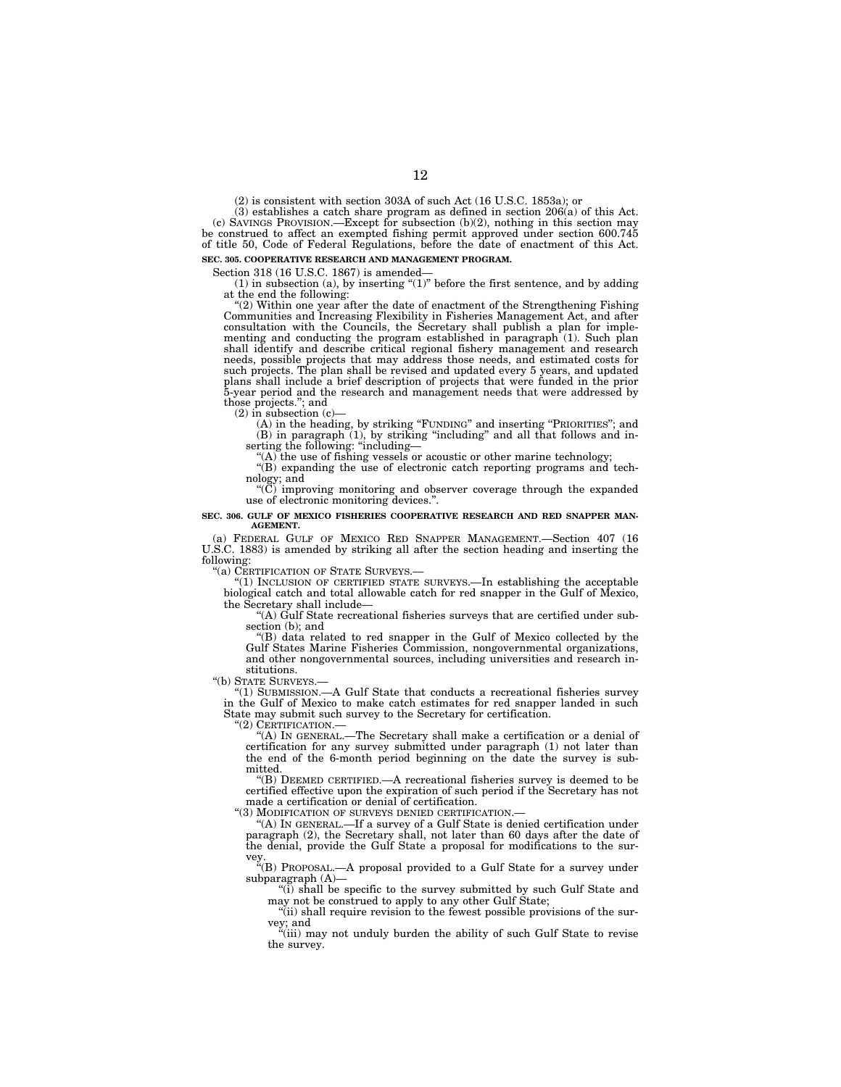(2) is consistent with section 303A of such Act (16 U.S.C. 1853a); or

(3) establishes a catch share program as defined in section 206(a) of this Act. (c) SAVINGS PROVISION.—Except for subsection (b)(2), nothing in this section may be construed to affect an exempted fishing permit approved under section 600.745 of title 50, Code of Federal Regulations, before the date of enactment of this Act.

### **SEC. 305. COOPERATIVE RESEARCH AND MANAGEMENT PROGRAM.**

Section 318 (16 U.S.C. 1867) is amended—

 $(1)$  in subsection  $(a)$ , by inserting " $(1)$ " before the first sentence, and by adding at the end the following:

''(2) Within one year after the date of enactment of the Strengthening Fishing Communities and Increasing Flexibility in Fisheries Management Act, and after consultation with the Councils, the Secretary shall publish a plan for imple-menting and conducting the program established in paragraph (1). Such plan shall identify and describe critical regional fishery management and research needs, possible projects that may address those needs, and estimated costs for such projects. The plan shall be revised and updated every 5 years, and updated plans shall include a brief description of projects that were funded in the prior 5-year period and the research and management needs that were addressed by those projects.''; and

 $(2)$  in subsection  $(c)$ -

(A) in the heading, by striking ''FUNDING'' and inserting ''PRIORITIES''; and (B) in paragraph (1), by striking ''including'' and all that follows and in-serting the following: ''including—

"(A) the use of fishing vessels or acoustic or other marine technology"

''(B) expanding the use of electronic catch reporting programs and tech-

nology; and <br>"(C) improving monitoring and observer coverage through the expanded use of electronic monitoring devices.''.

#### **SEC. 306. GULF OF MEXICO FISHERIES COOPERATIVE RESEARCH AND RED SNAPPER MAN-AGEMENT.**

(a) FEDERAL GULF OF MEXICO RED SNAPPER MANAGEMENT.—Section 407 (16 U.S.C. 1883) is amended by striking all after the section heading and inserting the following:

''(a) CERTIFICATION OF STATE SURVEYS.—

''(1) INCLUSION OF CERTIFIED STATE SURVEYS.—In establishing the acceptable biological catch and total allowable catch for red snapper in the Gulf of Mexico, the Secretary shall include—

''(A) Gulf State recreational fisheries surveys that are certified under subsection (b); and

''(B) data related to red snapper in the Gulf of Mexico collected by the Gulf States Marine Fisheries Commission, nongovernmental organizations, and other nongovernmental sources, including universities and research institutions.

''(b) STATE SURVEYS.—

''(1) SUBMISSION.—A Gulf State that conducts a recreational fisheries survey in the Gulf of Mexico to make catch estimates for red snapper landed in such State may submit such survey to the Secretary for certification.

''(2) CERTIFICATION.—

''(A) IN GENERAL.—The Secretary shall make a certification or a denial of certification for any survey submitted under paragraph (1) not later than the end of the 6-month period beginning on the date the survey is submitted.

''(B) DEEMED CERTIFIED.—A recreational fisheries survey is deemed to be certified effective upon the expiration of such period if the Secretary has not made a certification or denial of certification.

"(3) MODIFICATION OF SURVEYS DENIED CERTIFICATION.-

''(A) IN GENERAL.—If a survey of a Gulf State is denied certification under paragraph (2), the Secretary shall, not later than 60 days after the date of the denial, provide the Gulf State a proposal for modifications to the survey.

''(B) PROPOSAL.—A proposal provided to a Gulf State for a survey under subparagraph (A)—

''(i) shall be specific to the survey submitted by such Gulf State and may not be construed to apply to any other Gulf State;<br>"(ii) shall require revision to the fewest possible provisions of the sur-

vey; and

''(iii) may not unduly burden the ability of such Gulf State to revise the survey.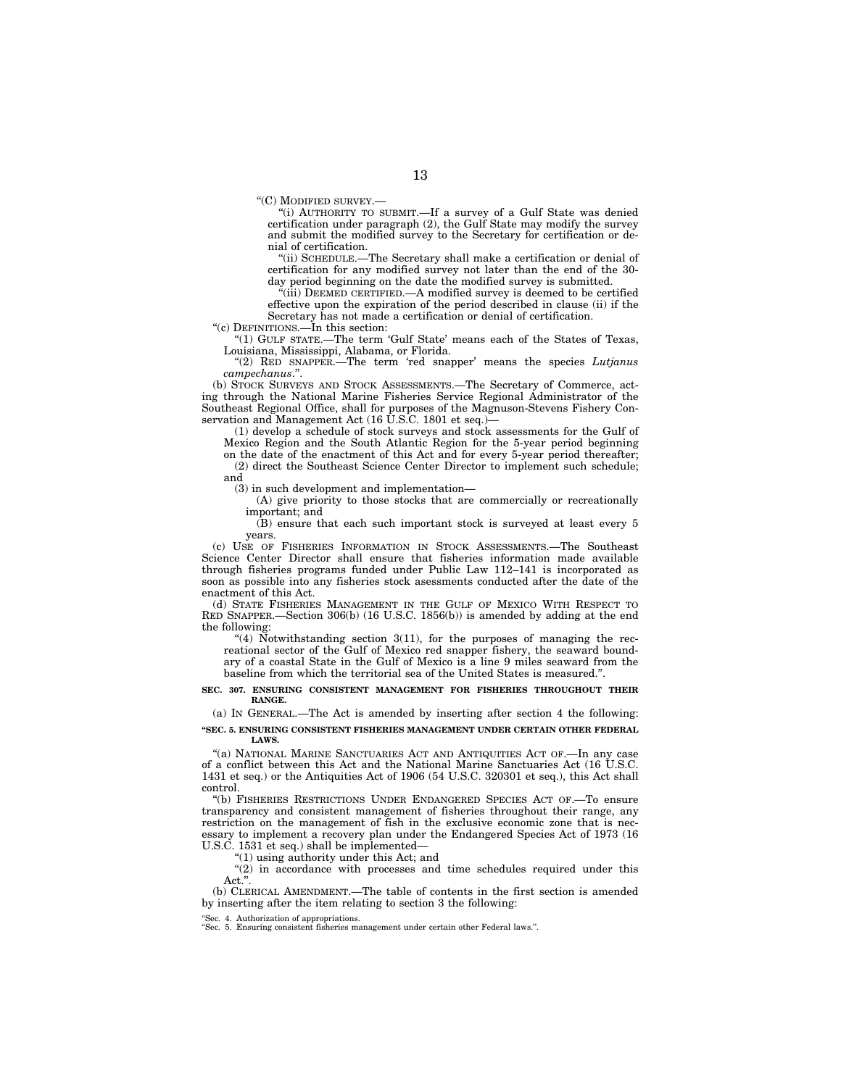''(C) MODIFIED SURVEY.—

''(i) AUTHORITY TO SUBMIT.—If a survey of a Gulf State was denied certification under paragraph (2), the Gulf State may modify the survey and submit the modified survey to the Secretary for certification or denial of certification.

''(ii) SCHEDULE.—The Secretary shall make a certification or denial of certification for any modified survey not later than the end of the 30 day period beginning on the date the modified survey is submitted.

 $\cdot$ <sup>"(iii)</sup> DEEMED CERTIFIED.—A modified survey is deemed to be certified effective upon the expiration of the period described in clause (ii) if the Secretary has not made a certification or denial of certification.

''(c) DEFINITIONS.—In this section:

''(1) GULF STATE.—The term 'Gulf State' means each of the States of Texas, Louisiana, Mississippi, Alabama, or Florida.

''(2) RED SNAPPER.—The term 'red snapper' means the species *Lutjanus campechanus*.''.

(b) STOCK SURVEYS AND STOCK ASSESSMENTS.—The Secretary of Commerce, acting through the National Marine Fisheries Service Regional Administrator of the Southeast Regional Office, shall for purposes of the Magnuson-Stevens Fishery Conservation and Management Act (16 U.S.C. 1801 et seq.)-

(1) develop a schedule of stock surveys and stock assessments for the Gulf of Mexico Region and the South Atlantic Region for the 5-year period beginning on the date of the enactment of this Act and for every 5-year period thereafter;

(2) direct the Southeast Science Center Director to implement such schedule; and

(3) in such development and implementation—

(A) give priority to those stocks that are commercially or recreationally important; and

(B) ensure that each such important stock is surveyed at least every 5 years.

(c) USE OF FISHERIES INFORMATION IN STOCK ASSESSMENTS.—The Southeast Science Center Director shall ensure that fisheries information made available through fisheries programs funded under Public Law 112–141 is incorporated as soon as possible into any fisheries stock asessments conducted after the date of the enactment of this Act.

(d) STATE FISHERIES MANAGEMENT IN THE GULF OF MEXICO WITH RESPECT TO RED SNAPPER.—Section 306(b) (16 U.S.C. 1856(b)) is amended by adding at the end the following:

"(4) Notwithstanding section 3(11), for the purposes of managing the recreational sector of the Gulf of Mexico red snapper fishery, the seaward boundary of a coastal State in the Gulf of Mexico is a line 9 miles seaward from the baseline from which the territorial sea of the United States is measured.''.

#### **SEC. 307. ENSURING CONSISTENT MANAGEMENT FOR FISHERIES THROUGHOUT THEIR RANGE.**

(a) IN GENERAL.—The Act is amended by inserting after section 4 the following: **''SEC. 5. ENSURING CONSISTENT FISHERIES MANAGEMENT UNDER CERTAIN OTHER FEDERAL LAWS.** 

''(a) NATIONAL MARINE SANCTUARIES ACT AND ANTIQUITIES ACT OF.—In any case of a conflict between this Act and the National Marine Sanctuaries Act (16 U.S.C. 1431 et seq.) or the Antiquities Act of 1906 (54 U.S.C. 320301 et seq.), this Act shall control.

''(b) FISHERIES RESTRICTIONS UNDER ENDANGERED SPECIES ACT OF.—To ensure transparency and consistent management of fisheries throughout their range, any restriction on the management of fish in the exclusive economic zone that is necessary to implement a recovery plan under the Endangered Species Act of 1973 (16 U.S.C. 1531 et seq.) shall be implemented—

''(1) using authority under this Act; and

"(2) in accordance with processes and time schedules required under this Act.''.

(b) CLERICAL AMENDMENT.—The table of contents in the first section is amended by inserting after the item relating to section 3 the following:

''Sec. 4. Authorization of appropriations.

''Sec. 5. Ensuring consistent fisheries management under certain other Federal laws.''.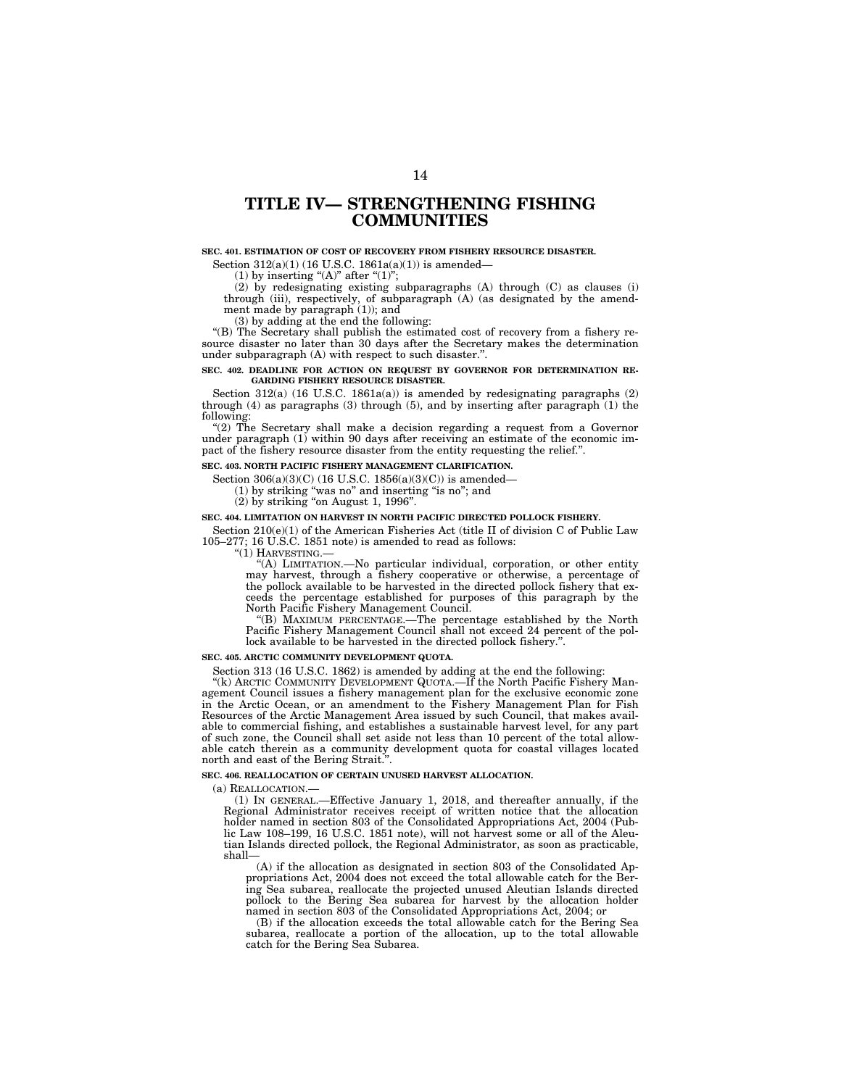# **TITLE IV— STRENGTHENING FISHING COMMUNITIES**

#### **SEC. 401. ESTIMATION OF COST OF RECOVERY FROM FISHERY RESOURCE DISASTER.**

Section  $312(a)(1)$  (16 U.S.C. 1861a $(a)(1)$ ) is amended-

(1) by inserting " $(A)$ " after " $(1)$ ";

(2) by redesignating existing subparagraphs (A) through (C) as clauses (i) through (iii), respectively, of subparagraph (A) (as designated by the amendment made by paragraph (1)); and

(3) by adding at the end the following:

''(B) The Secretary shall publish the estimated cost of recovery from a fishery resource disaster no later than 30 days after the Secretary makes the determination under subparagraph (A) with respect to such disaster.''.

#### **SEC. 402. DEADLINE FOR ACTION ON REQUEST BY GOVERNOR FOR DETERMINATION RE-GARDING FISHERY RESOURCE DISASTER.**

Section 312(a) (16 U.S.C. 1861a(a)) is amended by redesignating paragraphs (2) through (4) as paragraphs (3) through (5), and by inserting after paragraph  $(1)$  the following:

''(2) The Secretary shall make a decision regarding a request from a Governor under paragraph (1) within 90 days after receiving an estimate of the economic impact of the fishery resource disaster from the entity requesting the relief.''.

#### **SEC. 403. NORTH PACIFIC FISHERY MANAGEMENT CLARIFICATION.**

Section 306(a)(3)(C) (16 U.S.C. 1856(a)(3)(C)) is amended—

(1) by striking ''was no'' and inserting ''is no''; and

(2) by striking ''on August 1, 1996''.

#### **SEC. 404. LIMITATION ON HARVEST IN NORTH PACIFIC DIRECTED POLLOCK FISHERY.**

Section 210(e)(1) of the American Fisheries Act (title II of division C of Public Law 105–277; 16 U.S.C. 1851 note) is amended to read as follows:

"(1) HARVESTING.-

''(A) LIMITATION.—No particular individual, corporation, or other entity may harvest, through a fishery cooperative or otherwise, a percentage of the pollock available to be harvested in the directed pollock fishery that exceeds the percentage established for purposes of this paragraph by the North Pacific Fishery Management Council.

''(B) MAXIMUM PERCENTAGE.—The percentage established by the North Pacific Fishery Management Council shall not exceed 24 percent of the pollock available to be harvested in the directed pollock fishery.".

#### **SEC. 405. ARCTIC COMMUNITY DEVELOPMENT QUOTA.**

Section 313 (16 U.S.C. 1862) is amended by adding at the end the following:

''(k) ARCTIC COMMUNITY DEVELOPMENT QUOTA.—If the North Pacific Fishery Management Council issues a fishery management plan for the exclusive economic zone in the Arctic Ocean, or an amendment to the Fishery Management Plan for Fish Resources of the Arctic Management Area issued by such Council, that makes available to commercial fishing, and establishes a sustainable harvest level, for any part of such zone, the Council shall set aside not less than 10 percent of the total allowable catch therein as a community development quota for coastal villages located north and east of the Bering Strait."

#### **SEC. 406. REALLOCATION OF CERTAIN UNUSED HARVEST ALLOCATION.**

(a) REALLOCATION.—

(1) IN GENERAL.—Effective January 1, 2018, and thereafter annually, if the Regional Administrator receives receipt of written notice that the allocation holder named in section 803 of the Consolidated Appropriations Act, 2004 (Public Law 108–199, 16 U.S.C. 1851 note), will not harvest some or all of the Aleutian Islands directed pollock, the Regional Administrator, as soon as practicable, shall—

(A) if the allocation as designated in section 803 of the Consolidated Appropriations Act, 2004 does not exceed the total allowable catch for the Bering Sea subarea, reallocate the projected unused Aleutian Islands directed pollock to the Bering Sea subarea for harvest by the allocation holder named in section 803 of the Consolidated Appropriations Act, 2004; or

(B) if the allocation exceeds the total allowable catch for the Bering Sea subarea, reallocate a portion of the allocation, up to the total allowable catch for the Bering Sea Subarea.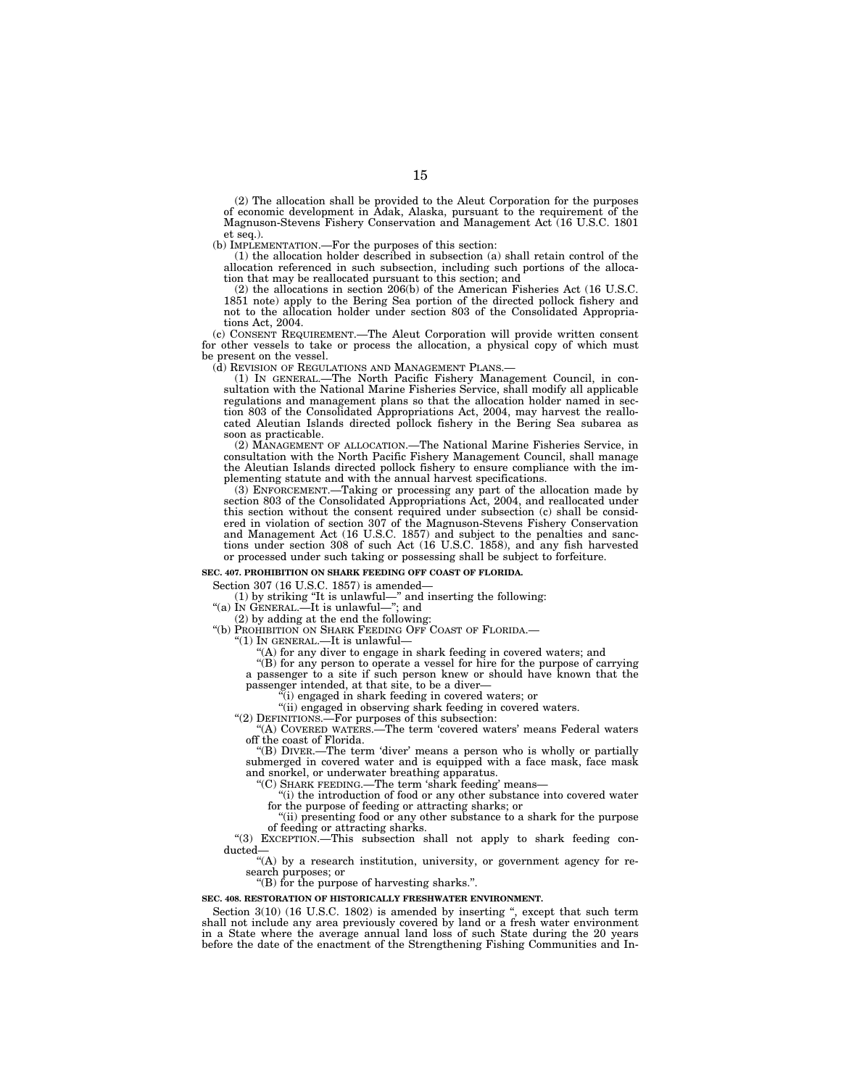(2) The allocation shall be provided to the Aleut Corporation for the purposes of economic development in Adak, Alaska, pursuant to the requirement of the Magnuson-Stevens Fishery Conservation and Management Act (16 U.S.C. 1801 et seq.).

(b) IMPLEMENTATION.—For the purposes of this section:

(1) the allocation holder described in subsection (a) shall retain control of the allocation referenced in such subsection, including such portions of the allocation that may be reallocated pursuant to this section; and

(2) the allocations in section 206(b) of the American Fisheries Act (16 U.S.C. 1851 note) apply to the Bering Sea portion of the directed pollock fishery and not to the allocation holder under section 803 of the Consolidated Appropriations Act, 2004.

(c) CONSENT REQUIREMENT.—The Aleut Corporation will provide written consent for other vessels to take or process the allocation, a physical copy of which must be present on the vessel.

(d) REVISION OF REGULATIONS AND MANAGEMENT PLANS.—

(1) IN GENERAL.—The North Pacific Fishery Management Council, in consultation with the National Marine Fisheries Service, shall modify all applicable regulations and management plans so that the allocation holder named in section 803 of the Consolidated Appropriations Act, 2004, may harvest the reallocated Aleutian Islands directed pollock fishery in the Bering Sea subarea as soon as practicable.

(2) MANAGEMENT OF ALLOCATION.—The National Marine Fisheries Service, in consultation with the North Pacific Fishery Management Council, shall manage the Aleutian Islands directed pollock fishery to ensure compliance with the implementing statute and with the annual harvest specifications.

(3) ENFORCEMENT.—Taking or processing any part of the allocation made by section 803 of the Consolidated Appropriations Act, 2004, and reallocated under this section without the consent required under subsection (c) shall be considered in violation of section 307 of the Magnuson-Stevens Fishery Conservation and Management Act (16 U.S.C. 1857) and subject to the penalties and sanctions under section 308 of such Act (16 U.S.C. 1858), and any fish harvested or processed under such taking or possessing shall be subject to forfeiture.

#### **SEC. 407. PROHIBITION ON SHARK FEEDING OFF COAST OF FLORIDA.**

Section 307 (16 U.S.C. 1857) is amended—

(1) by striking ''It is unlawful—'' and inserting the following:

''(a) IN GENERAL.—It is unlawful—''; and

(2) by adding at the end the following:

''(b) PROHIBITION ON SHARK FEEDING OFF COAST OF FLORIDA.—

''(1) IN GENERAL.—It is unlawful—

(A) for any diver to engage in shark feeding in covered waters; and

''(B) for any person to operate a vessel for hire for the purpose of carrying a passenger to a site if such person knew or should have known that the passenger intended, at that site, to be a diver—

(i) engaged in shark feeding in covered waters; or

''(ii) engaged in observing shark feeding in covered waters. ''(2) DEFINITIONS.—For purposes of this subsection:

''(A) COVERED WATERS.—The term 'covered waters' means Federal waters off the coast of Florida.

''(B) DIVER.—The term 'diver' means a person who is wholly or partially submerged in covered water and is equipped with a face mask, face mask and snorkel, or underwater breathing apparatus.

''(C) SHARK FEEDING.—The term 'shark feeding' means—

''(i) the introduction of food or any other substance into covered water for the purpose of feeding or attracting sharks; or

''(ii) presenting food or any other substance to a shark for the purpose of feeding or attracting sharks.

''(3) EXCEPTION.—This subsection shall not apply to shark feeding conducted—

''(A) by a research institution, university, or government agency for research purposes; or

''(B) for the purpose of harvesting sharks.''.

#### **SEC. 408. RESTORATION OF HISTORICALLY FRESHWATER ENVIRONMENT.**

Section 3(10) (16 U.S.C. 1802) is amended by inserting ", except that such term shall not include any area previously covered by land or a fresh water environment in a State where the average annual land loss of such State during the 20 years before the date of the enactment of the Strengthening Fishing Communities and In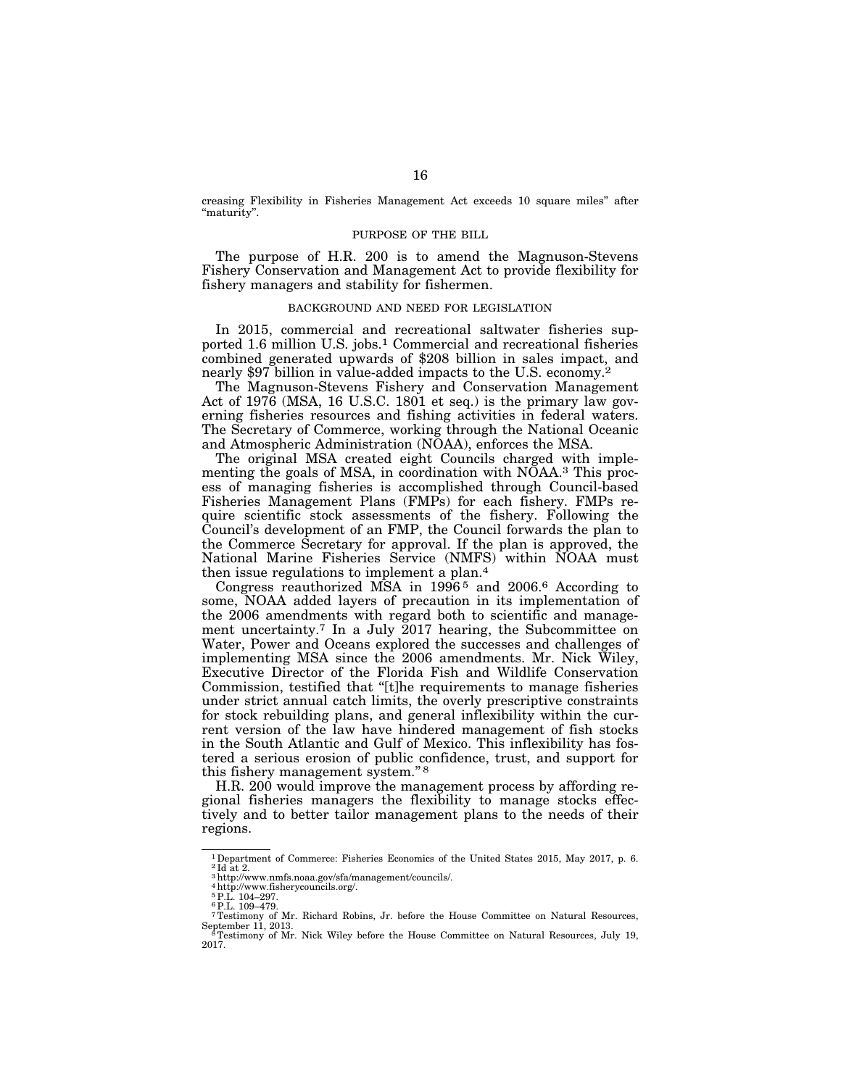creasing Flexibility in Fisheries Management Act exceeds 10 square miles'' after "maturity".

#### PURPOSE OF THE BILL

The purpose of H.R. 200 is to amend the Magnuson-Stevens Fishery Conservation and Management Act to provide flexibility for fishery managers and stability for fishermen.

#### BACKGROUND AND NEED FOR LEGISLATION

In 2015, commercial and recreational saltwater fisheries supported 1.6 million U.S. jobs.<sup>1</sup> Commercial and recreational fisheries combined generated upwards of \$208 billion in sales impact, and nearly \$97 billion in value-added impacts to the U.S. economy.2

The Magnuson-Stevens Fishery and Conservation Management Act of 1976 (MSA, 16 U.S.C. 1801 et seq.) is the primary law governing fisheries resources and fishing activities in federal waters. The Secretary of Commerce, working through the National Oceanic and Atmospheric Administration (NOAA), enforces the MSA.

The original MSA created eight Councils charged with implementing the goals of MSA, in coordination with NOAA.3 This process of managing fisheries is accomplished through Council-based Fisheries Management Plans (FMPs) for each fishery. FMPs require scientific stock assessments of the fishery. Following the Council's development of an FMP, the Council forwards the plan to the Commerce Secretary for approval. If the plan is approved, the National Marine Fisheries Service (NMFS) within NOAA must then issue regulations to implement a plan.4

Congress reauthorized MSA in 1996<sup>5</sup> and 2006.<sup>6</sup> According to some, NOAA added layers of precaution in its implementation of the 2006 amendments with regard both to scientific and management uncertainty.<sup>7</sup> In a July  $\overline{2}017$  hearing, the Subcommittee on Water, Power and Oceans explored the successes and challenges of implementing MSA since the 2006 amendments. Mr. Nick Wiley, Executive Director of the Florida Fish and Wildlife Conservation Commission, testified that ''[t]he requirements to manage fisheries under strict annual catch limits, the overly prescriptive constraints for stock rebuilding plans, and general inflexibility within the current version of the law have hindered management of fish stocks in the South Atlantic and Gulf of Mexico. This inflexibility has fostered a serious erosion of public confidence, trust, and support for this fishery management system.'' 8

H.R. 200 would improve the management process by affording regional fisheries managers the flexibility to manage stocks effectively and to better tailor management plans to the needs of their regions.

<sup>1</sup>Department of Commerce: Fisheries Economics of the United States 2015, May 2017, p. 6. 2 Id at 2.

<sup>3</sup>http://www.nmfs.noaa.gov/sfa/management/councils/.

<sup>4</sup>http://www.fisherycouncils.org/.

<sup>5</sup>P.L. 104–297. 6P.L. 109–479.

<sup>7</sup>Testimony of Mr. Richard Robins, Jr. before the House Committee on Natural Resources, September 11, 2013.<br><sup>8</sup>Testimony of Mr. Nick Wiley before the House Committee on Natural Resources, July 19,

 $2017$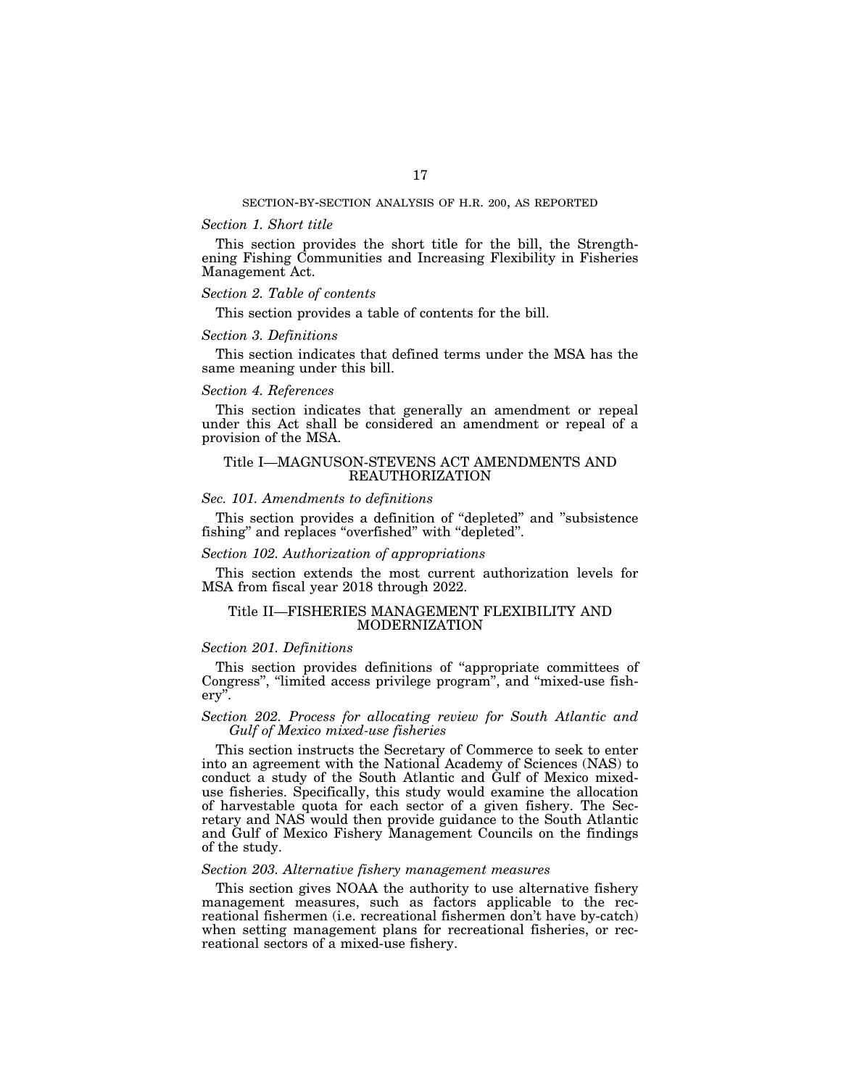#### *Section 1. Short title*

This section provides the short title for the bill, the Strengthening Fishing Communities and Increasing Flexibility in Fisheries Management Act.

### *Section 2. Table of contents*

This section provides a table of contents for the bill.

#### *Section 3. Definitions*

This section indicates that defined terms under the MSA has the same meaning under this bill.

### *Section 4. References*

This section indicates that generally an amendment or repeal under this Act shall be considered an amendment or repeal of a provision of the MSA.

## Title I—MAGNUSON-STEVENS ACT AMENDMENTS AND REAUTHORIZATION

### *Sec. 101. Amendments to definitions*

This section provides a definition of ''depleted'' and ''subsistence fishing" and replaces "overfished" with "depleted".

#### *Section 102. Authorization of appropriations*

This section extends the most current authorization levels for MSA from fiscal year 2018 through 2022.

### Title II—FISHERIES MANAGEMENT FLEXIBILITY AND MODERNIZATION

## *Section 201. Definitions*

This section provides definitions of ''appropriate committees of Congress", "limited access privilege program", and "mixed-use fishery''.

### *Section 202. Process for allocating review for South Atlantic and Gulf of Mexico mixed-use fisheries*

This section instructs the Secretary of Commerce to seek to enter into an agreement with the National Academy of Sciences (NAS) to conduct a study of the South Atlantic and Gulf of Mexico mixeduse fisheries. Specifically, this study would examine the allocation of harvestable quota for each sector of a given fishery. The Secretary and NAS would then provide guidance to the South Atlantic and Gulf of Mexico Fishery Management Councils on the findings of the study.

### *Section 203. Alternative fishery management measures*

This section gives NOAA the authority to use alternative fishery management measures, such as factors applicable to the recreational fishermen (i.e. recreational fishermen don't have by-catch) when setting management plans for recreational fisheries, or recreational sectors of a mixed-use fishery.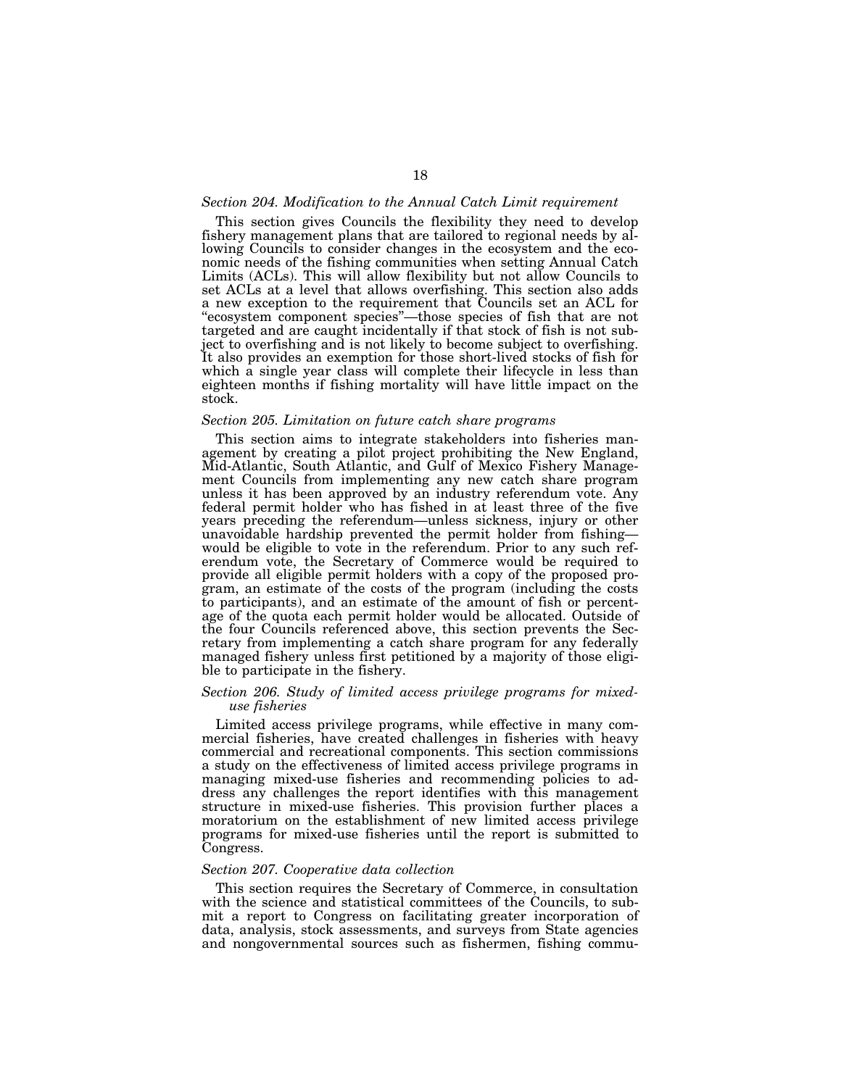#### *Section 204. Modification to the Annual Catch Limit requirement*

This section gives Councils the flexibility they need to develop fishery management plans that are tailored to regional needs by allowing Councils to consider changes in the ecosystem and the economic needs of the fishing communities when setting Annual Catch Limits (ACLs). This will allow flexibility but not allow Councils to set ACLs at a level that allows overfishing. This section also adds a new exception to the requirement that Councils set an ACL for ''ecosystem component species''—those species of fish that are not targeted and are caught incidentally if that stock of fish is not subject to overfishing and is not likely to become subject to overfishing. It also provides an exemption for those short-lived stocks of fish for which a single year class will complete their lifecycle in less than eighteen months if fishing mortality will have little impact on the stock.

### *Section 205. Limitation on future catch share programs*

This section aims to integrate stakeholders into fisheries management by creating a pilot project prohibiting the New England, Mid-Atlantic, South Atlantic, and Gulf of Mexico Fishery Management Councils from implementing any new catch share program unless it has been approved by an industry referendum vote. Any federal permit holder who has fished in at least three of the five years preceding the referendum—unless sickness, injury or other unavoidable hardship prevented the permit holder from fishing would be eligible to vote in the referendum. Prior to any such referendum vote, the Secretary of Commerce would be required to provide all eligible permit holders with a copy of the proposed program, an estimate of the costs of the program (including the costs to participants), and an estimate of the amount of fish or percentage of the quota each permit holder would be allocated. Outside of the four Councils referenced above, this section prevents the Secretary from implementing a catch share program for any federally managed fishery unless first petitioned by a majority of those eligible to participate in the fishery.

# *Section 206. Study of limited access privilege programs for mixeduse fisheries*

Limited access privilege programs, while effective in many commercial fisheries, have created challenges in fisheries with heavy commercial and recreational components. This section commissions a study on the effectiveness of limited access privilege programs in managing mixed-use fisheries and recommending policies to address any challenges the report identifies with this management structure in mixed-use fisheries. This provision further places a moratorium on the establishment of new limited access privilege programs for mixed-use fisheries until the report is submitted to Congress.

#### *Section 207. Cooperative data collection*

This section requires the Secretary of Commerce, in consultation with the science and statistical committees of the Councils, to submit a report to Congress on facilitating greater incorporation of data, analysis, stock assessments, and surveys from State agencies and nongovernmental sources such as fishermen, fishing commu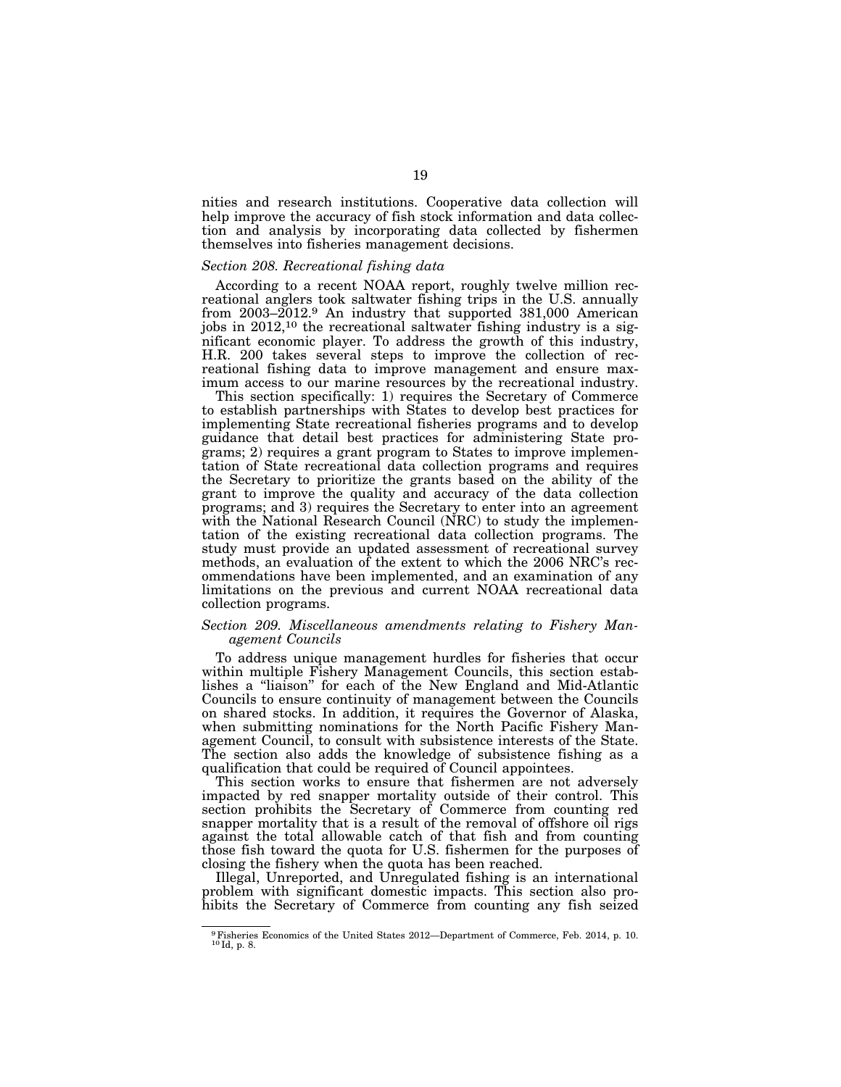nities and research institutions. Cooperative data collection will help improve the accuracy of fish stock information and data collection and analysis by incorporating data collected by fishermen themselves into fisheries management decisions.

#### *Section 208. Recreational fishing data*

According to a recent NOAA report, roughly twelve million recreational anglers took saltwater fishing trips in the U.S. annually from 2003–2012.<sup>9</sup> An industry that supported 381,000 American jobs in 2012,10 the recreational saltwater fishing industry is a significant economic player. To address the growth of this industry, H.R. 200 takes several steps to improve the collection of recreational fishing data to improve management and ensure maximum access to our marine resources by the recreational industry.

This section specifically: 1) requires the Secretary of Commerce to establish partnerships with States to develop best practices for implementing State recreational fisheries programs and to develop guidance that detail best practices for administering State programs; 2) requires a grant program to States to improve implementation of State recreational data collection programs and requires the Secretary to prioritize the grants based on the ability of the grant to improve the quality and accuracy of the data collection programs; and 3) requires the Secretary to enter into an agreement with the National Research Council (NRC) to study the implementation of the existing recreational data collection programs. The study must provide an updated assessment of recreational survey methods, an evaluation of the extent to which the 2006 NRC's recommendations have been implemented, and an examination of any limitations on the previous and current NOAA recreational data collection programs.

### *Section 209. Miscellaneous amendments relating to Fishery Management Councils*

To address unique management hurdles for fisheries that occur within multiple Fishery Management Councils, this section establishes a ''liaison'' for each of the New England and Mid-Atlantic Councils to ensure continuity of management between the Councils on shared stocks. In addition, it requires the Governor of Alaska, when submitting nominations for the North Pacific Fishery Management Council, to consult with subsistence interests of the State. The section also adds the knowledge of subsistence fishing as a qualification that could be required of Council appointees.

This section works to ensure that fishermen are not adversely impacted by red snapper mortality outside of their control. This section prohibits the Secretary of Commerce from counting red snapper mortality that is a result of the removal of offshore oil rigs against the total allowable catch of that fish and from counting those fish toward the quota for U.S. fishermen for the purposes of closing the fishery when the quota has been reached.

Illegal, Unreported, and Unregulated fishing is an international problem with significant domestic impacts. This section also prohibits the Secretary of Commerce from counting any fish seized

<sup>9</sup>Fisheries Economics of the United States 2012—Department of Commerce, Feb. 2014, p. 10. 10 Id, p. 8.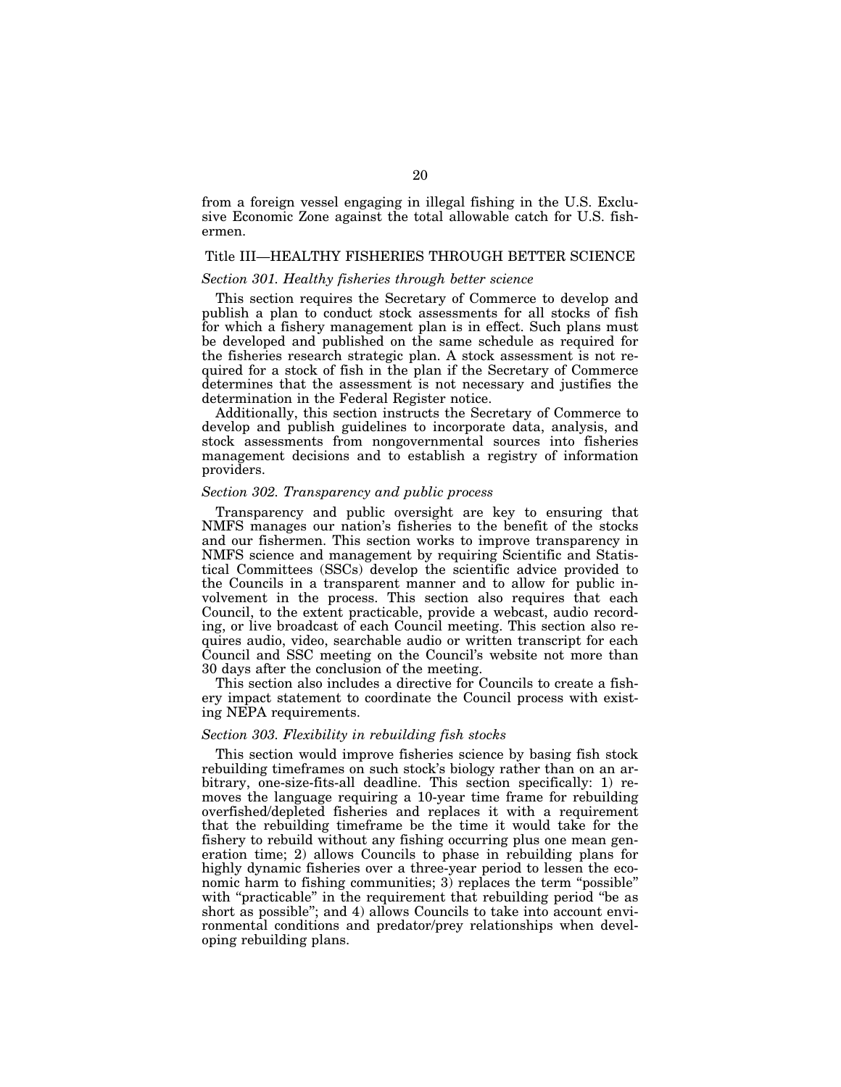from a foreign vessel engaging in illegal fishing in the U.S. Exclusive Economic Zone against the total allowable catch for U.S. fishermen.

# Title III—HEALTHY FISHERIES THROUGH BETTER SCIENCE

### *Section 301. Healthy fisheries through better science*

This section requires the Secretary of Commerce to develop and publish a plan to conduct stock assessments for all stocks of fish for which a fishery management plan is in effect. Such plans must be developed and published on the same schedule as required for the fisheries research strategic plan. A stock assessment is not required for a stock of fish in the plan if the Secretary of Commerce determines that the assessment is not necessary and justifies the determination in the Federal Register notice.

Additionally, this section instructs the Secretary of Commerce to develop and publish guidelines to incorporate data, analysis, and stock assessments from nongovernmental sources into fisheries management decisions and to establish a registry of information providers.

#### *Section 302. Transparency and public process*

Transparency and public oversight are key to ensuring that NMFS manages our nation's fisheries to the benefit of the stocks and our fishermen. This section works to improve transparency in NMFS science and management by requiring Scientific and Statistical Committees (SSCs) develop the scientific advice provided to the Councils in a transparent manner and to allow for public involvement in the process. This section also requires that each Council, to the extent practicable, provide a webcast, audio recording, or live broadcast of each Council meeting. This section also requires audio, video, searchable audio or written transcript for each Council and SSC meeting on the Council's website not more than 30 days after the conclusion of the meeting.

This section also includes a directive for Councils to create a fishery impact statement to coordinate the Council process with existing NEPA requirements.

#### *Section 303. Flexibility in rebuilding fish stocks*

This section would improve fisheries science by basing fish stock rebuilding timeframes on such stock's biology rather than on an arbitrary, one-size-fits-all deadline. This section specifically: 1) removes the language requiring a 10-year time frame for rebuilding overfished/depleted fisheries and replaces it with a requirement that the rebuilding timeframe be the time it would take for the fishery to rebuild without any fishing occurring plus one mean generation time; 2) allows Councils to phase in rebuilding plans for highly dynamic fisheries over a three-year period to lessen the economic harm to fishing communities; 3) replaces the term "possible" with "practicable" in the requirement that rebuilding period "be as short as possible''; and 4) allows Councils to take into account environmental conditions and predator/prey relationships when developing rebuilding plans.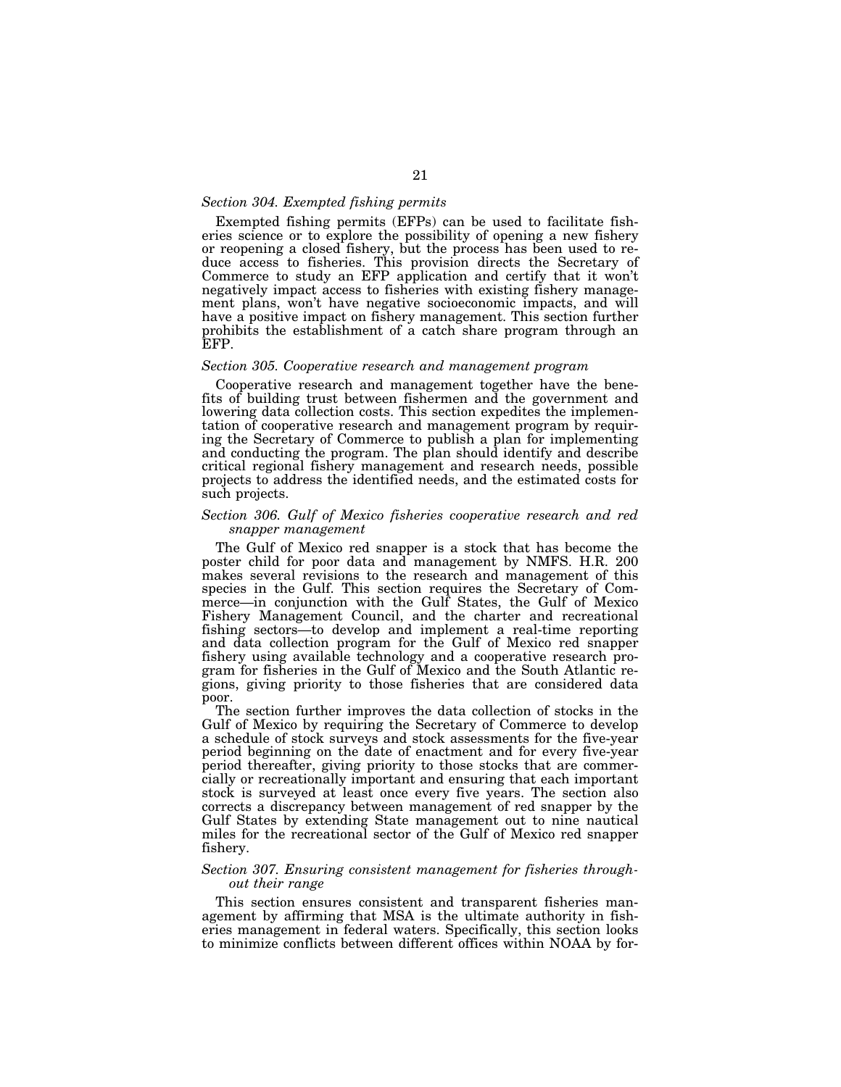### *Section 304. Exempted fishing permits*

Exempted fishing permits (EFPs) can be used to facilitate fisheries science or to explore the possibility of opening a new fishery or reopening a closed fishery, but the process has been used to reduce access to fisheries. This provision directs the Secretary of Commerce to study an EFP application and certify that it won't negatively impact access to fisheries with existing fishery management plans, won't have negative socioeconomic impacts, and will have a positive impact on fishery management. This section further prohibits the establishment of a catch share program through an EFP.

#### *Section 305. Cooperative research and management program*

Cooperative research and management together have the benefits of building trust between fishermen and the government and lowering data collection costs. This section expedites the implementation of cooperative research and management program by requiring the Secretary of Commerce to publish a plan for implementing and conducting the program. The plan should identify and describe critical regional fishery management and research needs, possible projects to address the identified needs, and the estimated costs for such projects.

### *Section 306. Gulf of Mexico fisheries cooperative research and red snapper management*

The Gulf of Mexico red snapper is a stock that has become the poster child for poor data and management by NMFS. H.R. 200 makes several revisions to the research and management of this species in the Gulf. This section requires the Secretary of Commerce—in conjunction with the Gulf States, the Gulf of Mexico Fishery Management Council, and the charter and recreational fishing sectors—to develop and implement a real-time reporting and data collection program for the Gulf of Mexico red snapper fishery using available technology and a cooperative research program for fisheries in the Gulf of Mexico and the South Atlantic regions, giving priority to those fisheries that are considered data poor.

The section further improves the data collection of stocks in the Gulf of Mexico by requiring the Secretary of Commerce to develop a schedule of stock surveys and stock assessments for the five-year period beginning on the date of enactment and for every five-year period thereafter, giving priority to those stocks that are commercially or recreationally important and ensuring that each important stock is surveyed at least once every five years. The section also corrects a discrepancy between management of red snapper by the Gulf States by extending State management out to nine nautical miles for the recreational sector of the Gulf of Mexico red snapper fishery.

### *Section 307. Ensuring consistent management for fisheries throughout their range*

This section ensures consistent and transparent fisheries management by affirming that MSA is the ultimate authority in fisheries management in federal waters. Specifically, this section looks to minimize conflicts between different offices within NOAA by for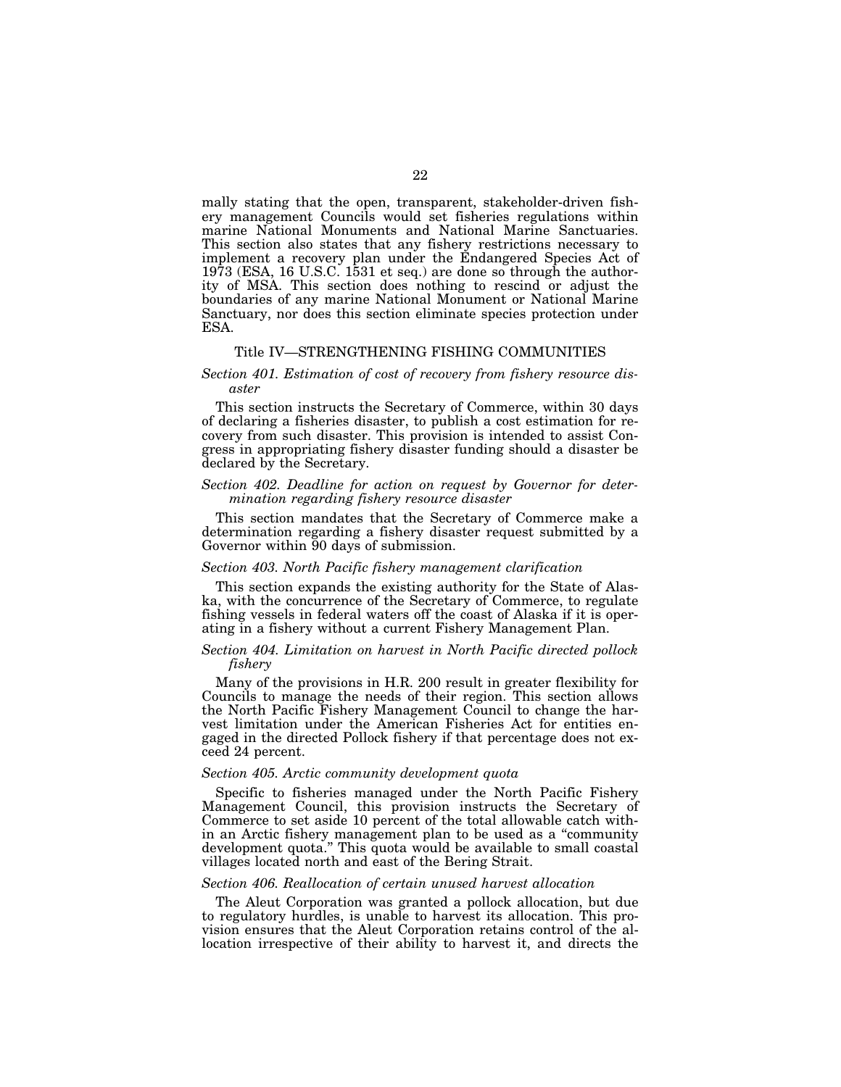mally stating that the open, transparent, stakeholder-driven fishery management Councils would set fisheries regulations within marine National Monuments and National Marine Sanctuaries. This section also states that any fishery restrictions necessary to implement a recovery plan under the Endangered Species Act of 1973 (ESA, 16 U.S.C. 1531 et seq.) are done so through the authority of MSA. This section does nothing to rescind or adjust the boundaries of any marine National Monument or National Marine Sanctuary, nor does this section eliminate species protection under ESA.

#### Title IV—STRENGTHENING FISHING COMMUNITIES

#### *Section 401. Estimation of cost of recovery from fishery resource disaster*

This section instructs the Secretary of Commerce, within 30 days of declaring a fisheries disaster, to publish a cost estimation for recovery from such disaster. This provision is intended to assist Congress in appropriating fishery disaster funding should a disaster be declared by the Secretary.

### *Section 402. Deadline for action on request by Governor for determination regarding fishery resource disaster*

This section mandates that the Secretary of Commerce make a determination regarding a fishery disaster request submitted by a Governor within 90 days of submission.

#### *Section 403. North Pacific fishery management clarification*

This section expands the existing authority for the State of Alaska, with the concurrence of the Secretary of Commerce, to regulate fishing vessels in federal waters off the coast of Alaska if it is operating in a fishery without a current Fishery Management Plan.

### *Section 404. Limitation on harvest in North Pacific directed pollock fishery*

Many of the provisions in H.R. 200 result in greater flexibility for Councils to manage the needs of their region. This section allows the North Pacific Fishery Management Council to change the harvest limitation under the American Fisheries Act for entities engaged in the directed Pollock fishery if that percentage does not exceed 24 percent.

#### *Section 405. Arctic community development quota*

Specific to fisheries managed under the North Pacific Fishery Management Council, this provision instructs the Secretary of Commerce to set aside 10 percent of the total allowable catch within an Arctic fishery management plan to be used as a ''community development quota.'' This quota would be available to small coastal villages located north and east of the Bering Strait.

### *Section 406. Reallocation of certain unused harvest allocation*

The Aleut Corporation was granted a pollock allocation, but due to regulatory hurdles, is unable to harvest its allocation. This provision ensures that the Aleut Corporation retains control of the allocation irrespective of their ability to harvest it, and directs the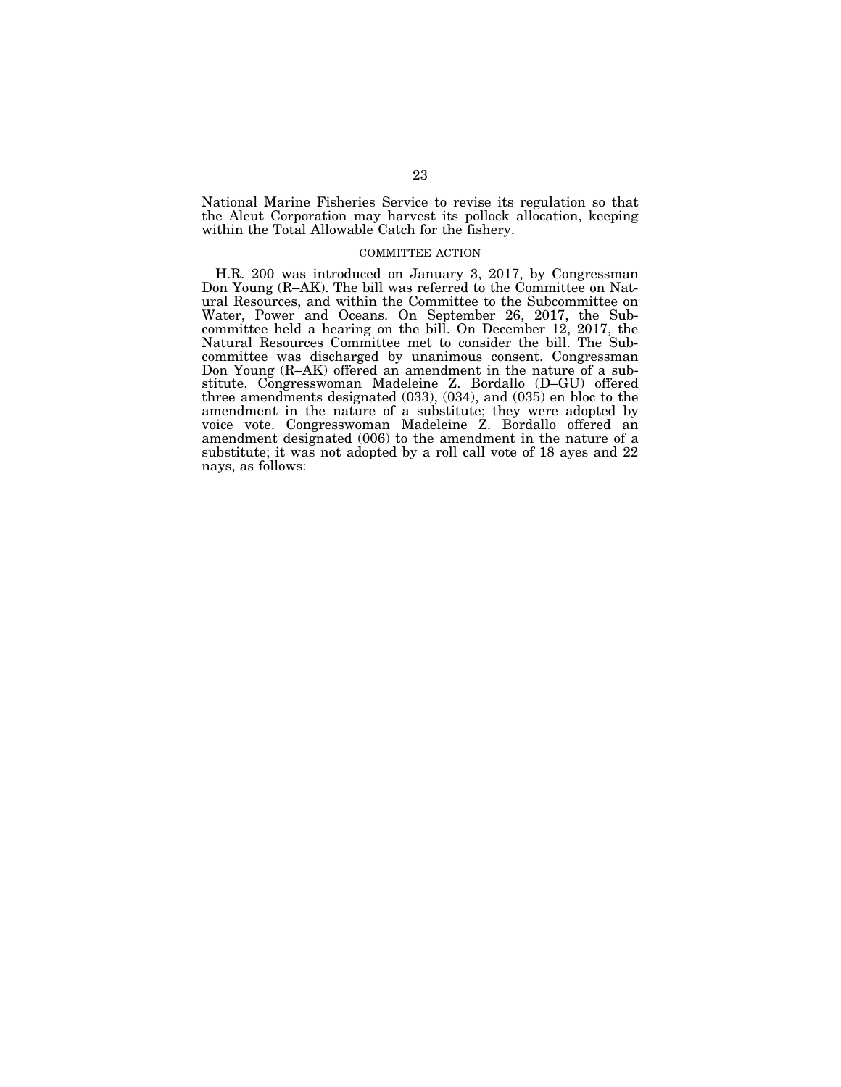National Marine Fisheries Service to revise its regulation so that the Aleut Corporation may harvest its pollock allocation, keeping within the Total Allowable Catch for the fishery.

### COMMITTEE ACTION

H.R. 200 was introduced on January 3, 2017, by Congressman Don Young (R–AK). The bill was referred to the Committee on Natural Resources, and within the Committee to the Subcommittee on Water, Power and Oceans. On September 26, 2017, the Subcommittee held a hearing on the bill. On December 12, 2017, the Natural Resources Committee met to consider the bill. The Subcommittee was discharged by unanimous consent. Congressman Don Young (R–AK) offered an amendment in the nature of a substitute. Congresswoman Madeleine Z. Bordallo (D–GU) offered three amendments designated (033), (034), and (035) en bloc to the amendment in the nature of a substitute; they were adopted by voice vote. Congresswoman Madeleine Z. Bordallo offered an amendment designated (006) to the amendment in the nature of a substitute; it was not adopted by a roll call vote of 18 ayes and 22 nays, as follows: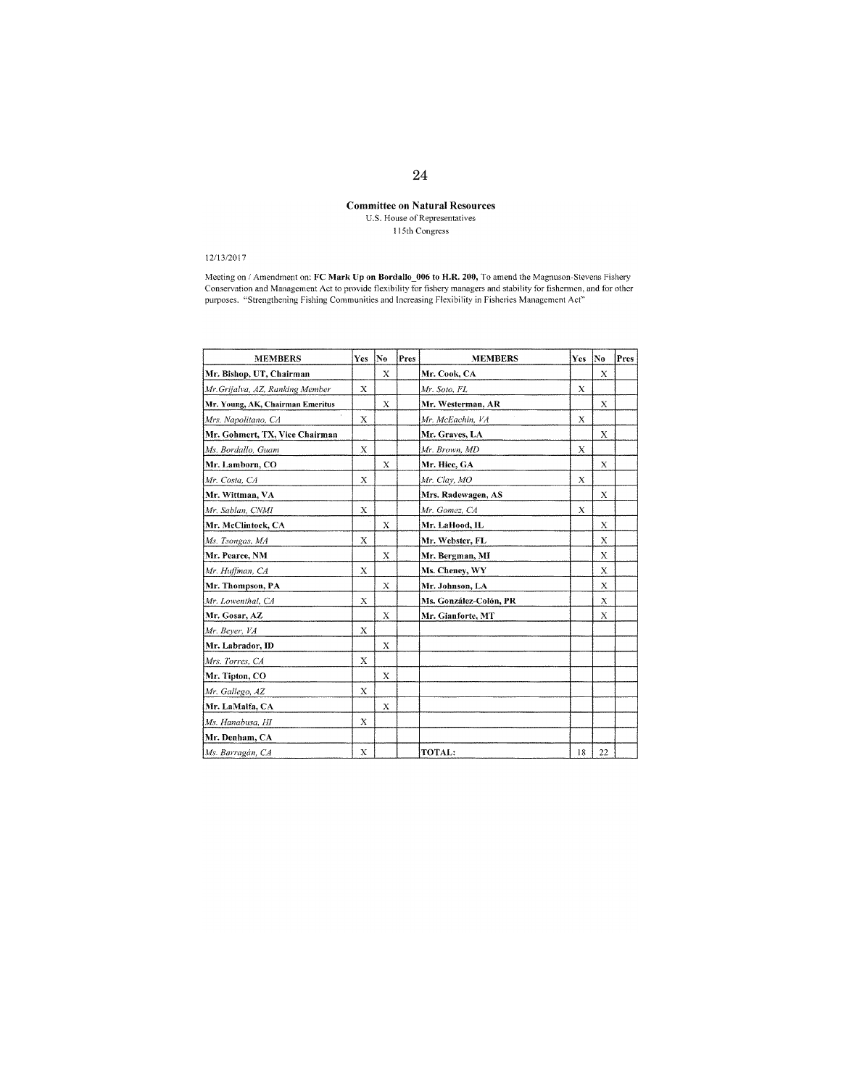### Committee on Natural Resources U.S. House of Representatives

l 15th Congress

### !2/!3i2017

Meeting on / Amendment on: FC Mark Up on Bordallo\_006 to H.R. 200, To amend the Magnuson-Stevens Fishery Conservation and Management Act to provide flexibility for fishery managers and stability for fishcnnen, and for other purposes. "'Strengthening Fishing Communities and Increasing Flexibility in Fisheries Management Act''

| <b>MEMBERS</b>                      | Yes         | No          | Pres | <b>MEMBERS</b>         | Yes | N <sub>0</sub> | Pres |
|-------------------------------------|-------------|-------------|------|------------------------|-----|----------------|------|
| Mr. Bishop, UT, Chairman            |             | X           |      | Mr. Cook, CA           |     | X              |      |
| Mr.Grijalva, AZ, Ranking Member     | $\mathbf x$ |             |      | Mr. Soto, FL           | X   |                |      |
| Mr. Young, AK, Chairman Emeritus    |             | $\mathbf x$ |      | Mr. Westerman, AR      |     | $\mathbf{x}$   |      |
| $\mathbf{r}$<br>Mrs. Napolitano, CA | X           |             |      | Mr. McEachin, VA       | X   |                |      |
| Mr. Gohmert, TX, Vice Chairman      |             |             |      | Mr. Graves, LA         |     | $\mathbf x$    |      |
| Ms. Bordallo, Guam                  | X           |             |      | Mr. Brown, MD          | X   |                |      |
| Mr. Lamborn, CO                     |             | X           |      | Mr. Hice, GA           |     | $\bf{X}$       |      |
| Mr. Costa, CA                       | X           |             |      | Mr. Clay, MO           | X   |                |      |
| Mr. Wittman, VA                     |             |             |      | Mrs. Radewagen, AS     |     | X              |      |
| Mr. Sablan, CNMI                    | $\mathbf x$ |             |      | Mr. Gomez, CA          | X   |                |      |
| Mr. McClintock, CA                  |             | X           |      | Mr. LaHood, IL         |     | X              |      |
| Ms. Tsongas, MA                     | X           |             |      | Mr. Webster, FL        |     | Х              |      |
| Mr. Pearce, NM                      |             | $\bf{x}$    |      | Mr. Bergman, MI        |     | X              |      |
| Mr. Huffman, CA                     | X           |             |      | Ms. Cheney, WY         |     | X              |      |
| Mr. Thompson, PA                    |             | X           |      | Mr. Johnson, LA        |     | X              |      |
| Mr. Lowenthal, CA                   | X           |             |      | Ms. González-Colón, PR |     | X              |      |
| Mr. Gosar, AZ                       |             | X           |      | Mr. Gianforte, MT      |     | X              |      |
| Mr. Beyer, VA                       | X           |             |      |                        |     |                |      |
| Mr. Labrador, ID                    |             | X           |      |                        |     |                |      |
| Mrs. Torres, CA                     | Х           |             |      |                        |     |                |      |
| Mr. Tipton, CO                      |             | X           |      |                        |     |                |      |
| Mr. Gallego, AZ                     | $\mathbf x$ |             |      |                        |     |                |      |
| Mr. LaMalfa, CA                     |             | X           |      |                        |     |                |      |
| Ms. Hanabusa, HI                    | X           |             |      |                        |     |                |      |
| Mr. Denham, CA                      |             |             |      |                        |     |                |      |
| Ms. Barragán, CA                    | X           |             |      | <b>TOTAL:</b>          | 18  | 22             |      |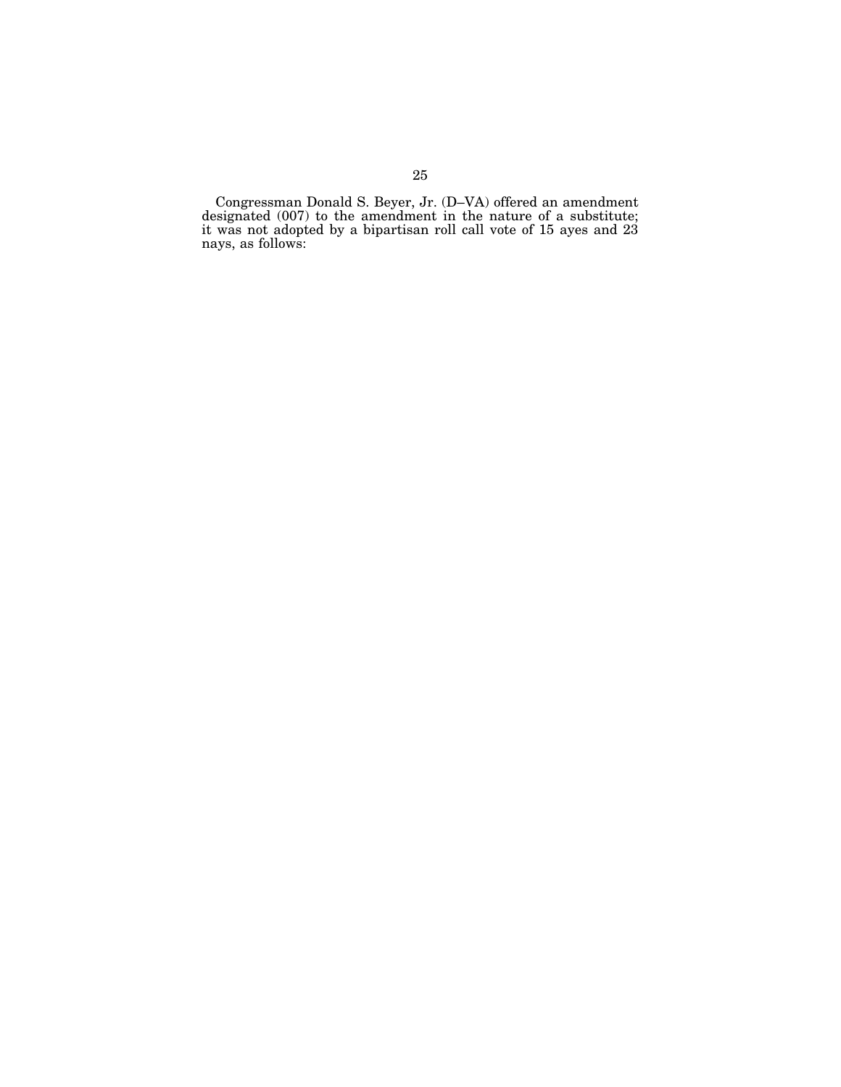Congressman Donald S. Beyer, Jr. (D–VA) offered an amendment designated (007) to the amendment in the nature of a substitute; it was not adopted by a bipartisan roll call vote of 15 ayes and 23 nays, as follows: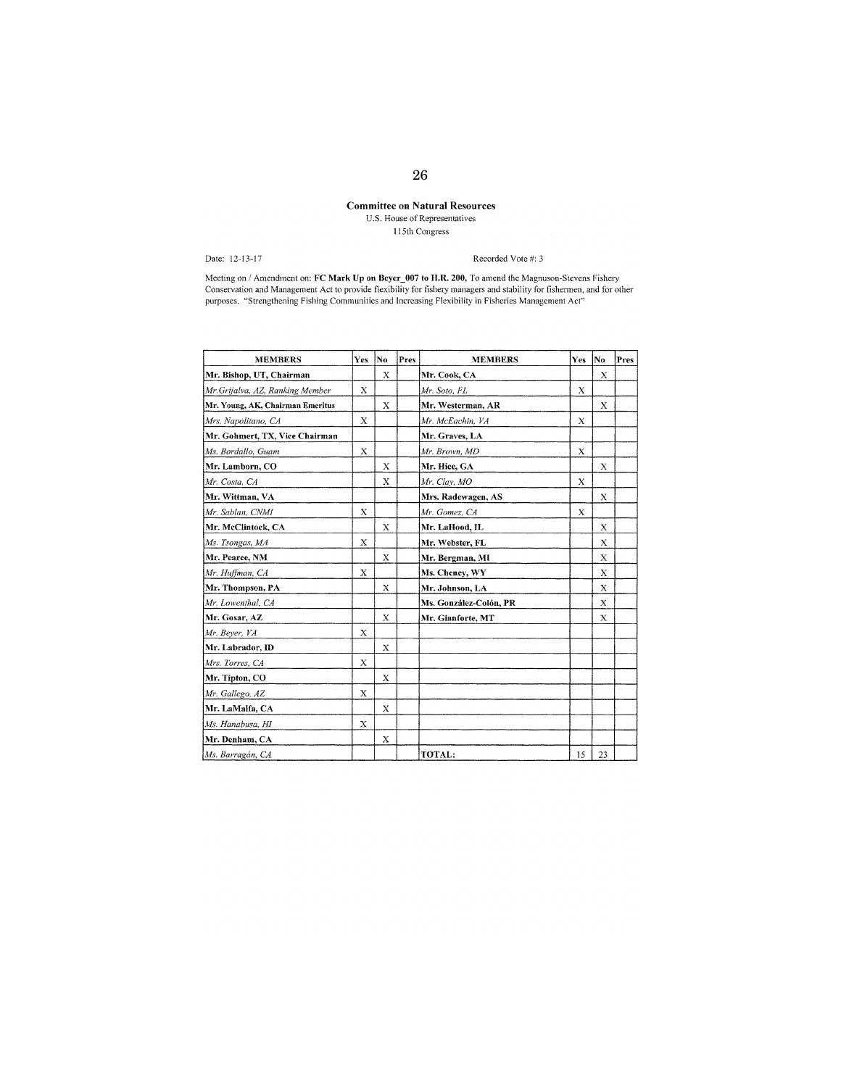### Committee on Natural Resources U.S. House of Representatives

!15th Congress

Date: 12-13-17

### Recorded Vote#: 3

Meeting on / Amendment on: FC Mark Up on Beyer\_007 to H.R. 200, To amend the Magnuson-Stevens Fishery Conservation and Management Act to provide flexibility for fishery managers and stability for fishermen, and for other purposes. "Strengthening Fishing Communities and Increasing Flexibility in Fisheries Management Act"

| <b>MEMBERS</b>                   | <b>Yes</b> | No          | Pres | <b>MEMBERS</b>         | Yes | No | Pres |
|----------------------------------|------------|-------------|------|------------------------|-----|----|------|
| Mr. Bishop, UT, Chairman         |            | X           |      | Mr. Cook, CA           |     | х  |      |
| Mr.Grijalva, AZ, Ranking Member  | X          |             |      | Mr. Soto, FL           | X   |    |      |
| Mr. Young, AK, Chairman Emeritus |            | X           |      | Mr. Westerman, AR      |     | X  |      |
| Mrs. Napolitano, CA              | X          |             |      | Mr. McEachin, VA       | X   |    |      |
| Mr. Gohmert, TX, Vice Chairman   |            |             |      | Mr. Graves, LA         |     |    |      |
| Ms. Bordallo, Guam               | X          |             |      | Mr. Brown, MD          | X   |    |      |
| Mr. Lamborn, CO                  |            | $\mathbf x$ |      | Mr. Hice, GA           |     | X  |      |
| Mr. Costa, CA                    |            | X           |      | Mr. Clay, MO           | X   |    |      |
| Mr. Wittman, VA                  |            |             |      | Mrs. Radewagen, AS     |     | X  |      |
| Mr. Sablan, CNMI                 | X          |             |      | Mr. Gomez. CA          | X   |    |      |
| Mr. McClintock, CA               |            | X           |      | Mr. LaHood, IL         |     | Х  |      |
| Ms. Tsongas, MA                  | X          |             |      | Mr. Webster, FL        |     | X  |      |
| Mr. Pearce, NM                   |            | X           |      | Mr. Bergman, MI        |     | X  |      |
| Mr. Huffman, CA                  | X          |             |      | Ms. Cheney, WY         |     | X  |      |
| Mr. Thompson, PA                 |            | X           |      | Mr. Johnson, LA        |     | X  |      |
| Mr. Lowenthal, CA                |            |             |      | Ms. González-Colón, PR |     | X  |      |
| Mr. Gosar, AZ                    |            | $\bf{X}$    |      | Mr. Gianforte, MT      |     | X  |      |
| Mr. Beyer, VA                    | X          |             |      |                        |     |    |      |
| Mr. Labrador, ID                 |            | X           |      |                        |     |    |      |
| Mrs. Torres, CA                  | X          |             |      |                        |     |    |      |
| Mr. Tipton, CO                   |            | X           |      |                        |     |    |      |
| Mr. Gallego, AZ                  | X          |             |      |                        |     |    |      |
| Mr. LaMalfa, CA                  |            | $\mathbf X$ |      |                        |     |    |      |
| Ms. Hanabusa, HI                 | X          |             |      |                        |     |    |      |
| Mr. Denham, CA                   |            | X           |      |                        |     |    |      |
| Ms. Barragán, CA                 |            |             |      | TOTAL:                 | 15  | 23 |      |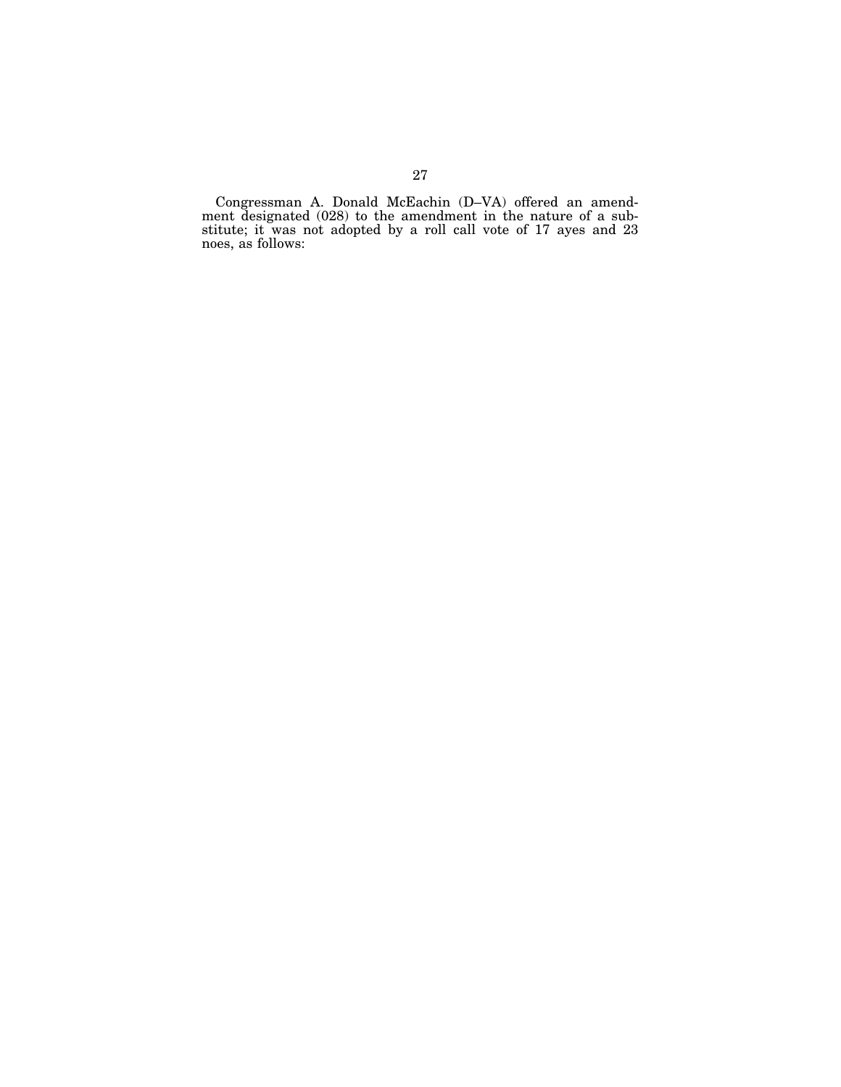Congressman A. Donald McEachin (D–VA) offered an amendment designated (028) to the amendment in the nature of a substitute; it was not adopted by a roll call vote of 17 ayes and 23 noes, as follows: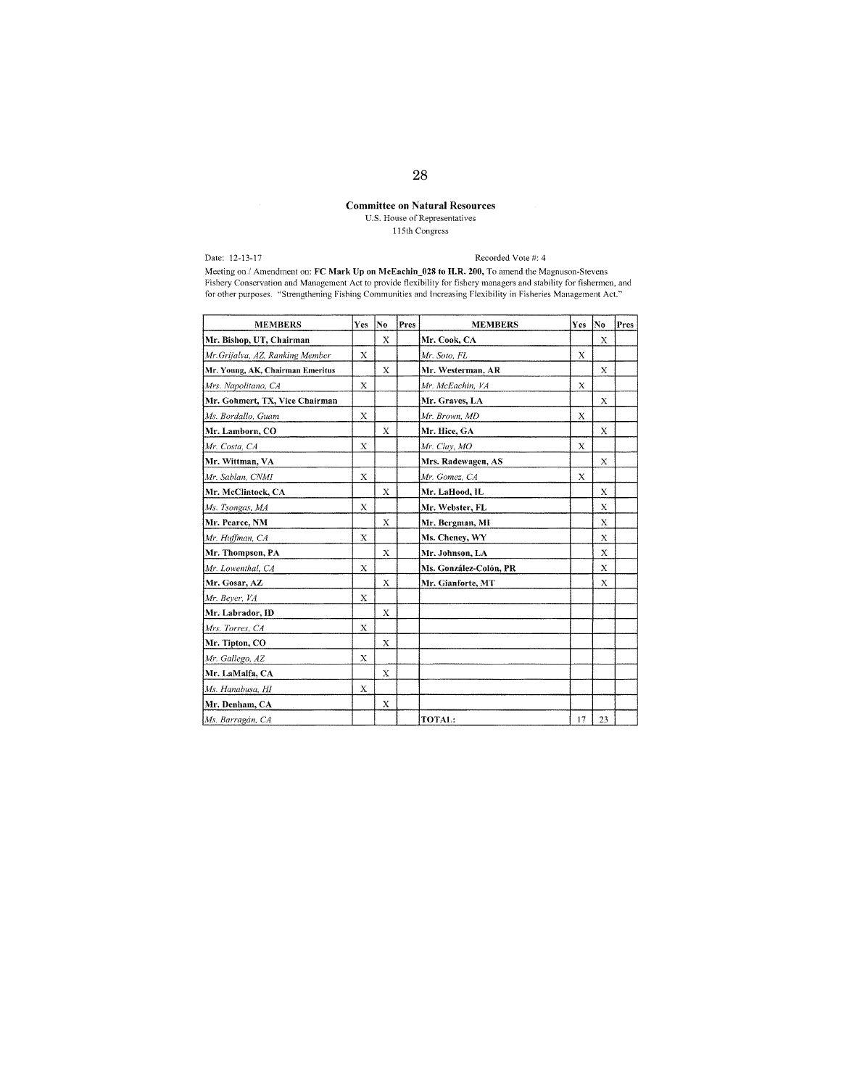# Committee on Natural Resources

U.S. House of Representatives 115th Congress

Recorded Vote #: 4

Meeting on / Amendment on: FC Mark Up on McEachin\_028 to H.R. 200, To amend the Magnuson-Stevens Fishery Conservation and Management Act to provide flexibility for fishery managers and stability for fishermen, and<br>for other purposes. "Strengthening Fishing Communities and Increasing Flexibility in Fisheries Management

Date: 12-13-17

| <b>MEMBERS</b>                   | <b>Yes</b> | No                        | Pres | <b>MEMBERS</b>         | Yes          | No          | Pres |
|----------------------------------|------------|---------------------------|------|------------------------|--------------|-------------|------|
| Mr. Bishop, UT, Chairman         |            | X                         |      | Mr. Cook, CA           |              | Х           |      |
| Mr.Grijalva, AZ, Ranking Member  | X          |                           |      | Mr. Soto, FL           | X            |             |      |
| Mr. Young, AK, Chairman Emeritus |            | X                         |      | Mr. Westerman, AR      |              | X           |      |
| Mrs. Napolitano, CA              | X          |                           |      | Mr. McEachin, VA       | $\mathbf x$  |             |      |
| Mr. Gohmert, TX, Vice Chairman   |            |                           |      | Mr. Graves, LA         |              | X           |      |
| Ms. Bordallo, Guam               | X          |                           |      | Mr. Brown, MD          | $\mathbf{X}$ |             |      |
| Mr. Lamborn, CO                  |            | X                         |      | Mr. Hice, GA           |              | X           |      |
| Mr. Costa, CA                    | X          |                           |      | Mr. Clay, MO           | X            |             |      |
| Mr. Wittman, VA                  |            |                           |      | Mrs. Radewagen, AS     |              | $\mathbf x$ |      |
| Mr. Sablan, CNMI                 | X          |                           |      | Mr. Gomez, CA          | $\mathbf{x}$ |             |      |
| Mr. McClintock, CA               |            | X                         |      | Mr. LaHood, IL         |              | Х           |      |
| Ms. Tsongas, MA                  | X          |                           |      | Mr. Webster, FL        |              | X           |      |
| Mr. Pearce, NM                   |            | $\boldsymbol{\mathsf{X}}$ |      | Mr. Bergman, MI        |              | Х           |      |
| Mr. Huffman, CA                  | Х          |                           |      | Ms. Cheney, WY         |              | X           |      |
| Mr. Thompson, PA                 |            | X                         |      | Mr. Johnson, LA        |              | X           |      |
| Mr. Lowenthal, CA                | X          |                           |      | Ms. González-Colón, PR |              | X           |      |
| Mr. Gosar, AZ                    |            | $\bf{X}$                  |      | Mr. Gianforte, MT      |              | X           |      |
| Mr. Beyer, VA                    | X          |                           |      |                        |              |             |      |
| Mr. Labrador, ID                 |            | X                         |      |                        |              |             |      |
| Mrs. Torres, CA                  | $\bf{X}$   |                           |      |                        |              |             |      |
| Mr. Tipton, CO                   |            | X                         |      |                        |              |             |      |
| Mr. Gallego, AZ                  | X          |                           |      |                        |              |             |      |
| Mr. LaMalfa, CA                  |            | $\bf{X}$                  |      |                        |              |             |      |
| Ms. Hanabusa, HI                 | X          |                           |      |                        |              |             |      |
| Mr. Denham, CA                   |            | X                         |      |                        |              |             |      |
| Ms. Barragán, CA                 |            |                           |      | TOTAL:                 | 17           | 23          |      |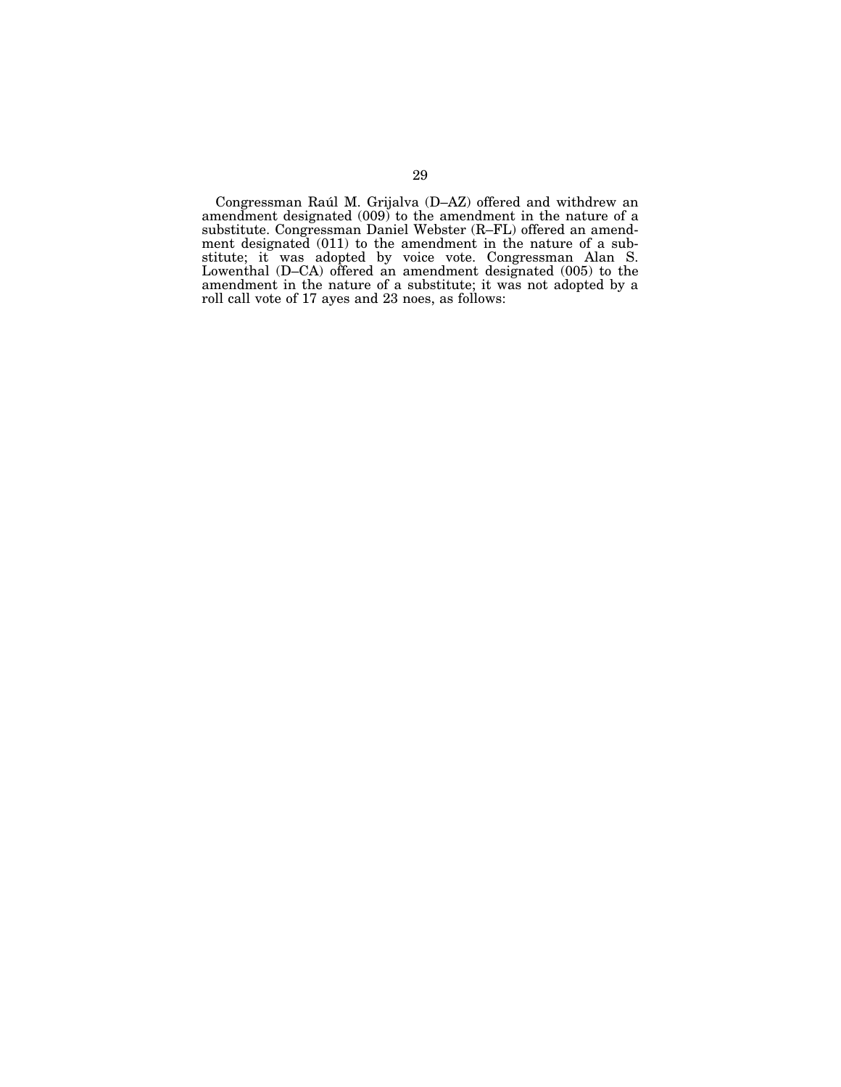Congressman Raúl M. Grijalva (D-AZ) offered and withdrew an amendment designated (009) to the amendment in the nature of a substitute. Congressman Daniel Webster (R–FL) offered an amendment designated (011) to the amendment in the nature of a substitute; it was adopted by voice vote. Congressman Alan S. Lowenthal (D–CA) offered an amendment designated (005) to the amendment in the nature of a substitute; it was not adopted by a roll call vote of 17 ayes and 23 noes, as follows: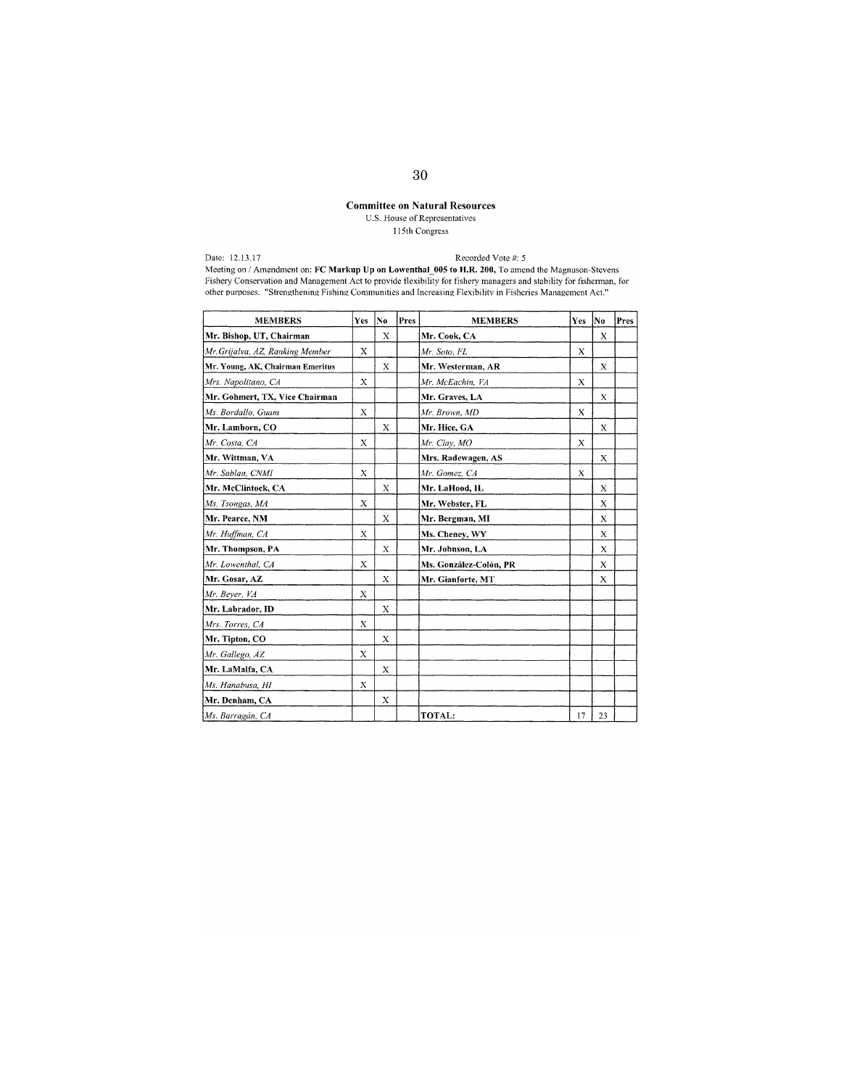# Committee on Natural Resources

U.S. House of Representatives 115th Congress

Date: 12.13.17 Recorded Vote #: 5 Meeting on I Amendment on: FC Markup Up on Lowenthai\_OOS to II.R. 200, To amend the Magnuson-Stevens Fishery Conservation and Management Act to provide flexibility for fishery managers and stability for fisherman, for other purposes. "Strengthening Fishing Communities and Increasing Flexibility in Fisheries Management Act."

| <b>MEMBERS</b>                   | Yes                       | No.         | Pres | <b>MEMBERS</b><br>Mr. Cook, CA |    | lNo | Pres |
|----------------------------------|---------------------------|-------------|------|--------------------------------|----|-----|------|
| Mr. Bishop, UT, Chairman         |                           | X           |      |                                |    | X   |      |
| Mr.Grijalva, AZ, Ranking Member  | X                         |             |      | Mr. Soto, FL                   | X  |     |      |
| Mr. Young, AK, Chairman Emeritus |                           | X           |      | Mr. Westerman, AR              |    | X   |      |
| Mrs. Napolitano, CA              | Х                         |             |      | Mr. McEachin, VA               | X  |     |      |
| Mr. Gohmert, TX, Vice Chairman   |                           |             |      | Mr. Graves, LA                 |    | X   |      |
| Ms. Bordallo, Guam               | X                         |             |      | Mr. Brown, MD                  | X  |     |      |
| Mr. Lamborn, CO                  |                           | X           |      | Mr. Hice, GA                   |    | X   |      |
| Mr. Costa, CA                    | X                         |             |      | Mr. Clay, MO                   | X  |     |      |
| Mr. Wittman, VA                  |                           |             |      | Mrs. Radewagen, AS             |    | X   |      |
| Mr. Sablan, CNMI                 | $\boldsymbol{\mathsf{x}}$ |             |      | Mr. Gomez, CA                  | X  |     |      |
| Mr. McClintock, CA               |                           | X           |      | Mr. LaHood, IL                 |    | X   |      |
| Ms. Tsongas, MA                  | $\mathbf x$               |             |      | Mr. Webster, FL                |    | X   |      |
| Mr. Pearce, NM                   |                           | X           |      | Mr. Bergman, MI                |    | X   |      |
| Mr. Huffman, CA                  | X                         |             |      | Ms. Cheney, WY                 |    | X   |      |
| Mr. Thompson, PA                 |                           | X           |      | Mr. Johnson, LA                |    | X   |      |
| Mr. Lowenthal, CA                | X                         |             |      | Ms. González-Colón, PR         |    | X   |      |
| Mr. Gosar, AZ                    |                           | $\mathbf x$ |      | Mr. Gianforte, MT              |    | X   |      |
| Mr. Beyer, VA                    | X                         |             |      |                                |    |     |      |
| Mr. Labrador, ID                 |                           | X           |      |                                |    |     |      |
| Mrs. Torres, CA                  | X                         |             |      |                                |    |     |      |
| Mr. Tipton, CO                   |                           | $\mathbf x$ |      |                                |    |     |      |
| Mr. Gallego, AZ                  | X                         |             |      |                                |    |     |      |
| Mr. LaMalfa, CA                  |                           | X           |      |                                |    |     |      |
| Ms. Hanabusa, HI                 | X                         |             |      |                                |    |     |      |
| Mr. Denham, CA                   |                           | X           |      |                                |    |     |      |
| Ms. Barragán, CA                 |                           |             |      | TOTAL:                         | 17 | 23  |      |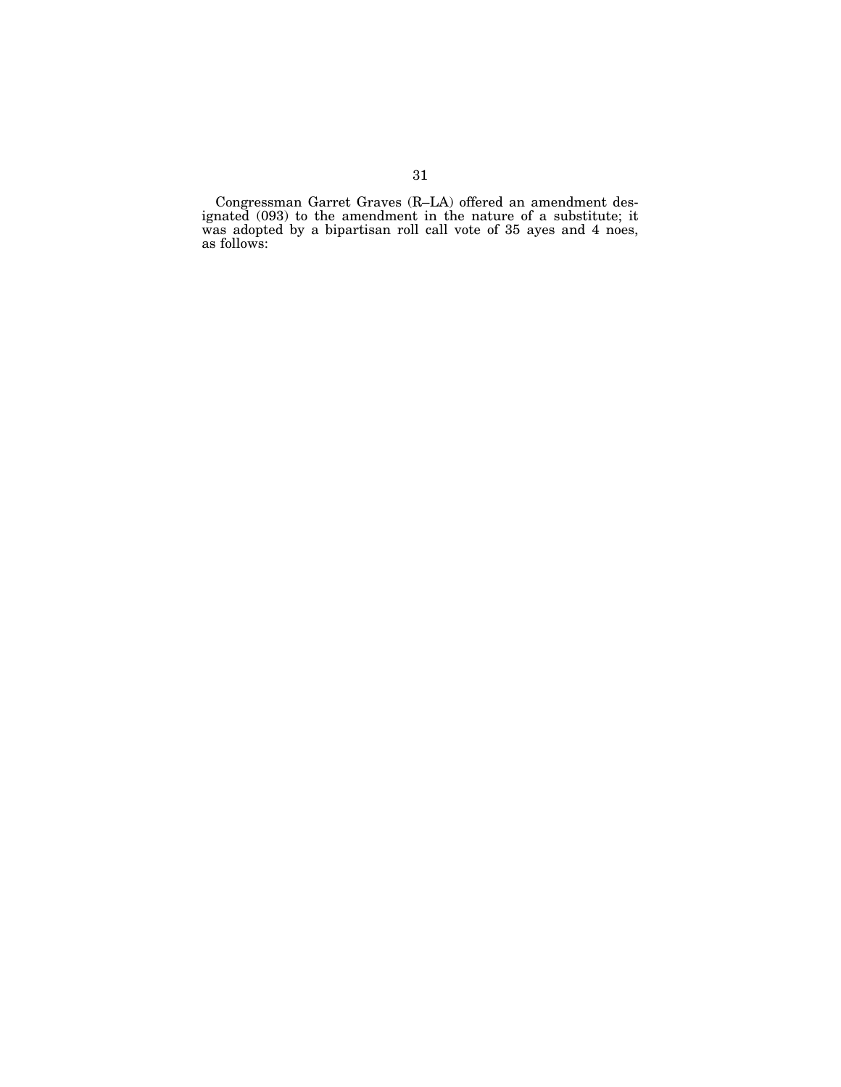Congressman Garret Graves (R–LA) offered an amendment designated (093) to the amendment in the nature of a substitute; it was adopted by a bipartisan roll call vote of 35 ayes and 4 noes, as follows: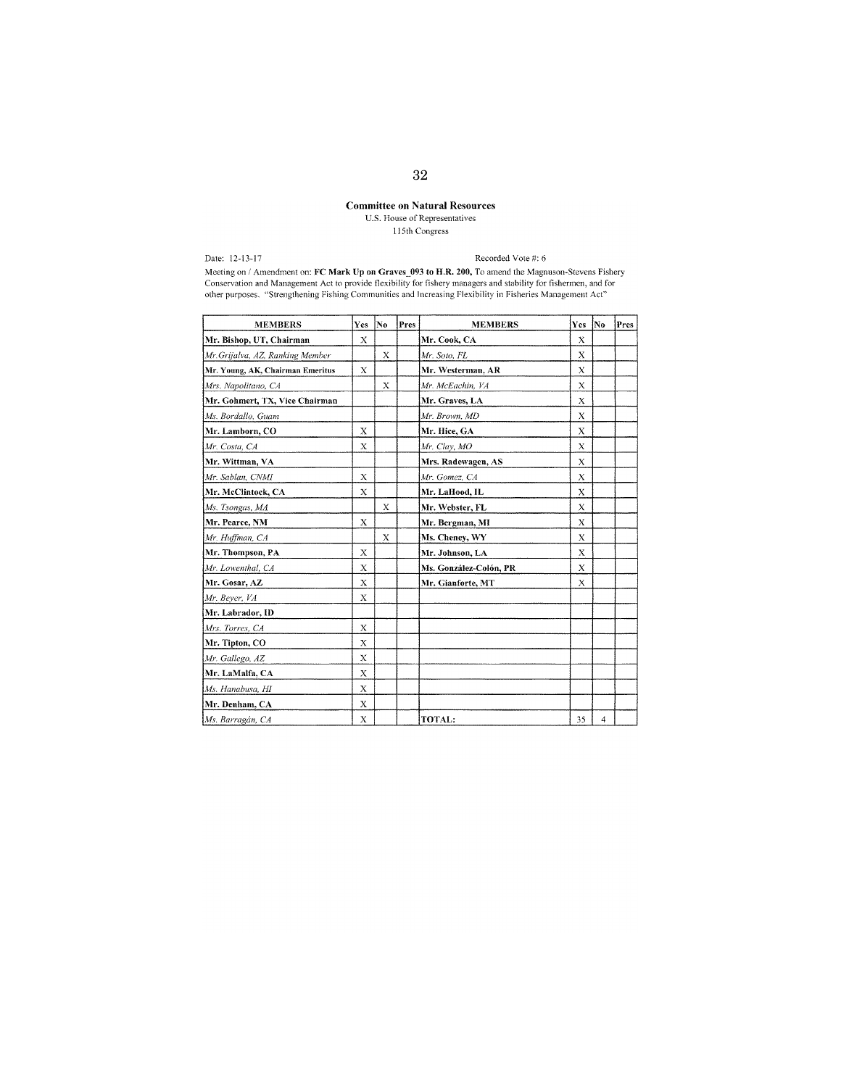# Committee on Natural Resources

U.S. House of Representatives !15th Congress

Recorded Vote #: 6

Date: 12-13-17 Meeting on / Amendment on: **FC Mark Up on Graves\_093 to H.R. 200,** To amend the Magnuson-Stevens Fishery<br>Conservation and Management Act to provide flexibility for fishery managers and stability for fishermen, and for other purposes. ''Strengthening Fishing Communities and lncreasing Flexibility in Fisheries Management Act"

| <b>MEMBERS</b>                   | Pres<br>Yes<br>No<br><b>MEMBERS</b> |             | Yes                    | [No          | Pres |  |
|----------------------------------|-------------------------------------|-------------|------------------------|--------------|------|--|
| Mr. Bishop, UT, Chairman         | X                                   |             | Mr. Cook, CA           | X            |      |  |
| Mr. Grijalva, AZ, Ranking Member |                                     | $\bf{X}$    | Mr. Soto, FL           | X            |      |  |
| Mr. Young, AK, Chairman Emeritus | X                                   |             | Mr. Westerman, AR      | $\mathbf{x}$ |      |  |
| Mrs. Napolitano, CA              |                                     | X           | Mr. McEachin, VA       | X            |      |  |
| Mr. Gohmert, TX, Vice Chairman   |                                     |             | Mr. Graves, LA         | X            |      |  |
| Ms. Bordallo, Guam               |                                     |             | Mr. Brown, MD          | $\mathbf x$  |      |  |
| Mr. Lamborn, CO                  | X                                   |             | Mr. Hice, GA           | X            |      |  |
| Mr. Costa, CA                    | X                                   |             | Mr. Clay, MO           | $\mathbf x$  |      |  |
| Mr. Wittman, VA                  |                                     |             | Mrs. Radewagen, AS     | X            |      |  |
| Mr. Sablan, CNMI                 | $\mathbf x$                         |             | Mr. Gomez, CA          | X            |      |  |
| Mr. McClintock, CA               | X                                   |             | Mr. LaHood, IL         | $\mathbf x$  |      |  |
| Ms. Tsongas, MA                  |                                     | $\mathbf x$ | Mr. Webster, FL        | $\bf{X}$     |      |  |
| Mr. Pearce, NM                   | X                                   |             | Mr. Bergman, MI        | X            |      |  |
| Mr. Huffman, CA                  |                                     | X           | Ms. Cheney, WY         | X            |      |  |
| Mr. Thompson, PA                 | X                                   |             | Mr. Johnson, LA        | X            |      |  |
| Mr. Lowenthal, CA                | X                                   |             | Ms. González-Colón, PR | X            |      |  |
| Mr. Gosar, AZ                    | $\mathbf x$                         |             | Mr. Gianforte, MT      | $\mathbf x$  |      |  |
| Mr. Beyer, VA                    | X                                   |             |                        |              |      |  |
| Mr. Labrador, ID                 |                                     |             |                        |              |      |  |
| Mrs. Torres, CA                  | X                                   |             |                        |              |      |  |
| Mr. Tipton, CO                   | $\bf{X}$                            |             |                        |              |      |  |
| Mr. Gallego, AZ                  | X                                   |             |                        |              |      |  |
| Mr. LaMalfa, CA                  | X                                   |             |                        |              |      |  |
| Ms. Hanabusa, HI                 | X                                   |             |                        |              |      |  |
| Mr. Denham, CA                   | X                                   |             |                        |              |      |  |
| Ms. Barragán, CA                 | X                                   |             | TOTAL:                 | 35           | 4    |  |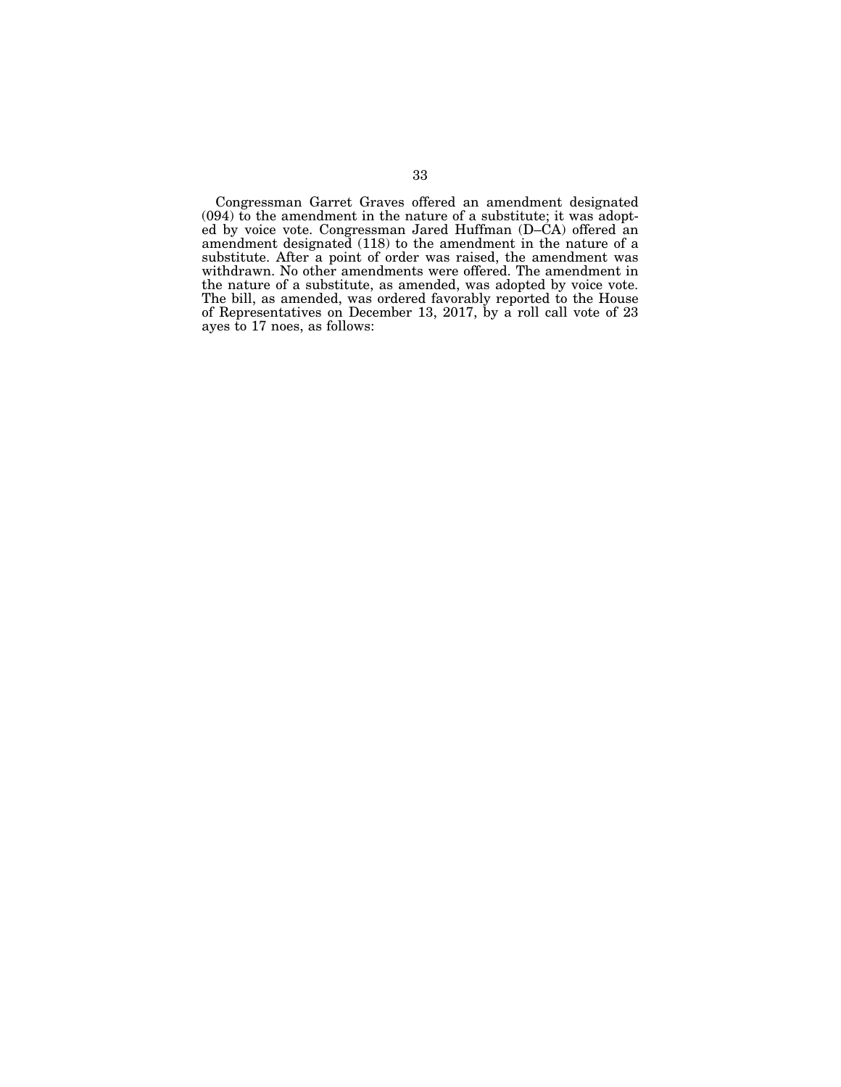Congressman Garret Graves offered an amendment designated (094) to the amendment in the nature of a substitute; it was adopted by voice vote. Congressman Jared Huffman (D–CA) offered an amendment designated (118) to the amendment in the nature of a substitute. After a point of order was raised, the amendment was withdrawn. No other amendments were offered. The amendment in the nature of a substitute, as amended, was adopted by voice vote. The bill, as amended, was ordered favorably reported to the House of Representatives on December 13, 2017, by a roll call vote of 23 ayes to 17 noes, as follows: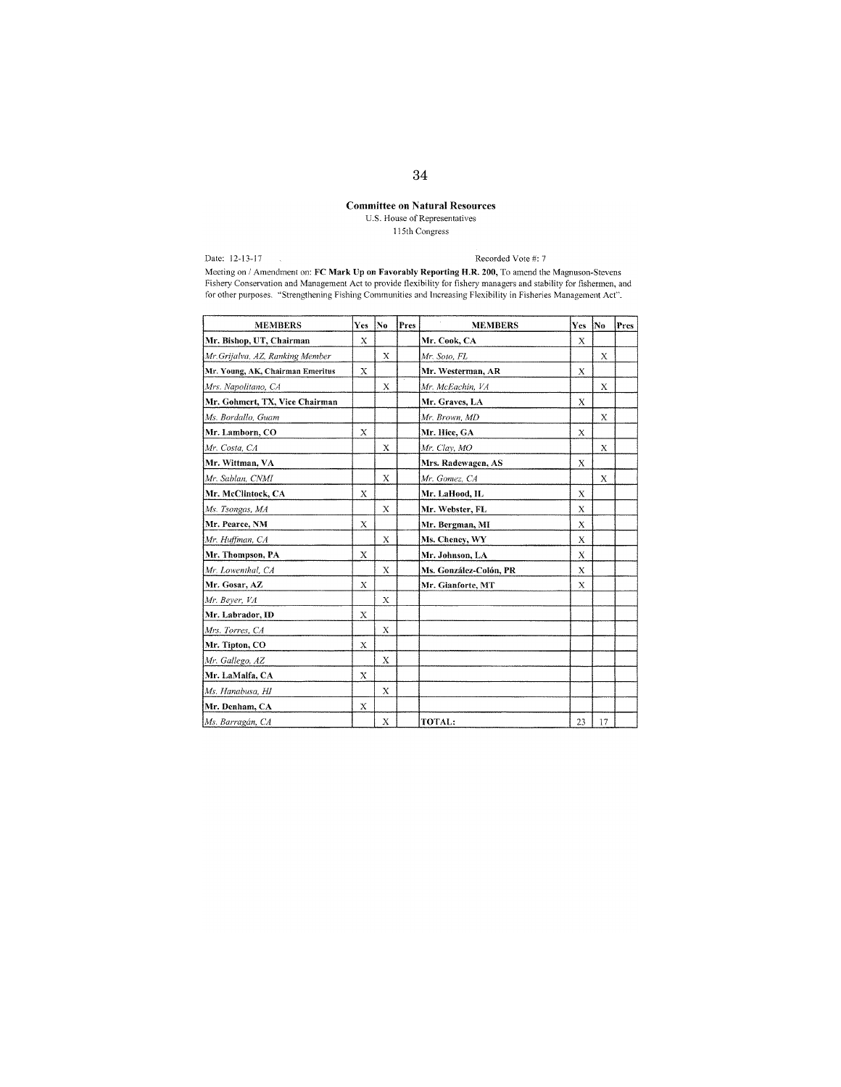# Committee on Natural Resources

U.S. House of Representatives 115 th Congress

Date: 12-13-17 Recorded Vote #: 7 Meeting on / Amendment on: FC Mark Up on Favorably Reporting H.R. 200, To amend the Magnuson-Stevens Fishery Conservation and Management Act to provide flexibility for fishery managers and stability for fishermen, and for other purposes. ·'Strengthening Fishing Communities and Increasing Flexibility in Fisheries Management Act".

| <b>MEMBERS</b>                   |   | No           | Pres | <b>MEMBERS</b>         | Yes         | No                        | Pres |
|----------------------------------|---|--------------|------|------------------------|-------------|---------------------------|------|
| Mr. Bishop, UT, Chairman         | X |              |      | Mr. Cook, CA           | X           |                           |      |
| Mr.Grijalva, AZ, Ranking Member  |   | X            |      | Mr. Soto, FL           |             | X                         |      |
| Mr. Young, AK, Chairman Emeritus | X |              |      | Mr. Westerman, AR      | X           |                           |      |
| Mrs. Napolitano, CA              |   | X            |      | Mr. McEachin, VA       |             | X                         |      |
| Mr. Gohmert, TX, Vice Chairman   |   |              |      | Mr. Graves, LA         | $\mathbf x$ |                           |      |
| Ms. Bordallo, Guam               |   |              |      | Mr. Brown, MD          |             | X                         |      |
| Mr. Lamborn, CO                  | X |              |      | Mr. Hice, GA           | X           |                           |      |
| Mr. Costa, CA                    |   | X            |      | Mr. Clay, MO           |             | $\boldsymbol{\mathsf{X}}$ |      |
| Mr. Wittman, VA                  |   |              |      | Mrs. Radewagen, AS     | $\bf{X}$    |                           |      |
| Mr. Sablan, CNMI                 |   | $\mathbf{x}$ |      | Mr. Gomez, CA          |             | $\mathbf x$               |      |
| Mr. McClintock, CA               | X |              |      | Mr. LaHood, IL         | X           |                           |      |
| Ms. Tsongas, MA                  |   | $\mathbf x$  |      | Mr. Webster, FL        | X           |                           |      |
| Mr. Pearce, NM                   | X |              |      | Mr. Bergman, MI        | $\bf{X}$    |                           |      |
| Mr. Huffman, CA                  |   | $\mathbf x$  |      | Ms. Cheney, WY         | $\mathbf x$ |                           |      |
| Mr. Thompson, PA                 | X |              |      | Mr. Johnson, LA        | $\bf{X}$    |                           |      |
| Mr. Lowenthal, CA                |   | X            |      | Ms. González-Colón, PR | X           |                           |      |
| Mr. Gosar, AZ                    | X |              |      | Mr. Gianforte, MT      | X           |                           |      |
| Mr. Beyer, VA                    |   | X            |      |                        |             |                           |      |
| Mr. Labrador, ID                 | X |              |      |                        |             |                           |      |
| Mrs. Torres, CA                  |   | X            |      |                        |             |                           |      |
| Mr. Tipton, CO                   | X |              |      |                        |             |                           |      |
| Mr. Gallego, AZ                  |   | X            |      |                        |             |                           |      |
| Mr. LaMalfa, CA                  | X |              |      |                        |             |                           |      |
| Ms. Hanabusa, HI                 |   | X            |      |                        |             |                           |      |
| Mr. Denham, CA                   | X |              |      |                        |             |                           |      |
| Ms. Barragán, CA                 |   | X            |      | TOTAL:                 | 23          | 17                        |      |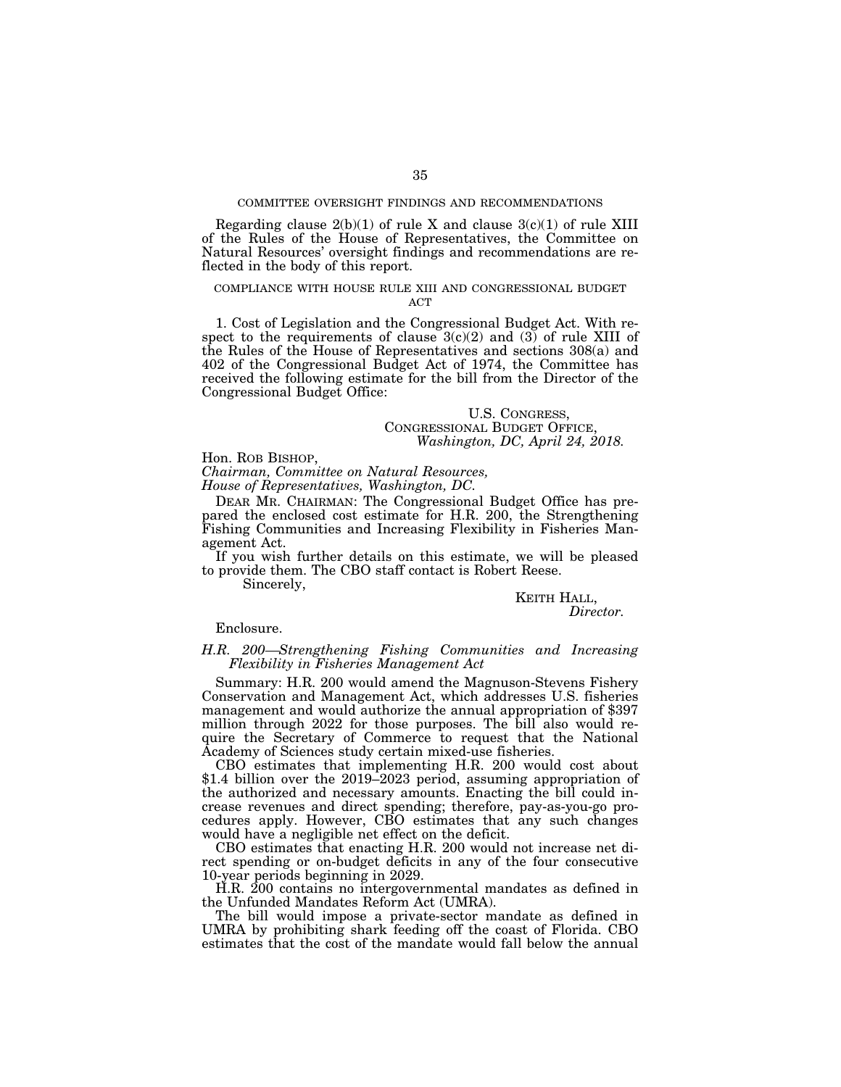Regarding clause  $2(b)(1)$  of rule X and clause  $3(c)(1)$  of rule XIII of the Rules of the House of Representatives, the Committee on Natural Resources' oversight findings and recommendations are reflected in the body of this report.

#### COMPLIANCE WITH HOUSE RULE XIII AND CONGRESSIONAL BUDGET **ACT**

1. Cost of Legislation and the Congressional Budget Act. With respect to the requirements of clause  $3(c)(2)$  and  $(3)$  of rule XIII of the Rules of the House of Representatives and sections 308(a) and 402 of the Congressional Budget Act of 1974, the Committee has received the following estimate for the bill from the Director of the Congressional Budget Office:

### U.S. CONGRESS, CONGRESSIONAL BUDGET OFFICE, *Washington, DC, April 24, 2018.*

Hon. ROB BISHOP,

*Chairman, Committee on Natural Resources,* 

*House of Representatives, Washington, DC.* 

DEAR MR. CHAIRMAN: The Congressional Budget Office has prepared the enclosed cost estimate for H.R. 200, the Strengthening Fishing Communities and Increasing Flexibility in Fisheries Management Act.

If you wish further details on this estimate, we will be pleased to provide them. The CBO staff contact is Robert Reese.

Sincerely,

KEITH HALL, *Director.* 

Enclosure.

### *H.R. 200—Strengthening Fishing Communities and Increasing Flexibility in Fisheries Management Act*

Summary: H.R. 200 would amend the Magnuson-Stevens Fishery Conservation and Management Act, which addresses U.S. fisheries management and would authorize the annual appropriation of \$397 million through 2022 for those purposes. The bill also would require the Secretary of Commerce to request that the National Academy of Sciences study certain mixed-use fisheries.

CBO estimates that implementing H.R. 200 would cost about \$1.4 billion over the 2019–2023 period, assuming appropriation of the authorized and necessary amounts. Enacting the bill could increase revenues and direct spending; therefore, pay-as-you-go procedures apply. However, CBO estimates that any such changes would have a negligible net effect on the deficit.

CBO estimates that enacting H.R. 200 would not increase net direct spending or on-budget deficits in any of the four consecutive 10-year periods beginning in 2029.

H.R. 200 contains no intergovernmental mandates as defined in the Unfunded Mandates Reform Act (UMRA).

The bill would impose a private-sector mandate as defined in UMRA by prohibiting shark feeding off the coast of Florida. CBO estimates that the cost of the mandate would fall below the annual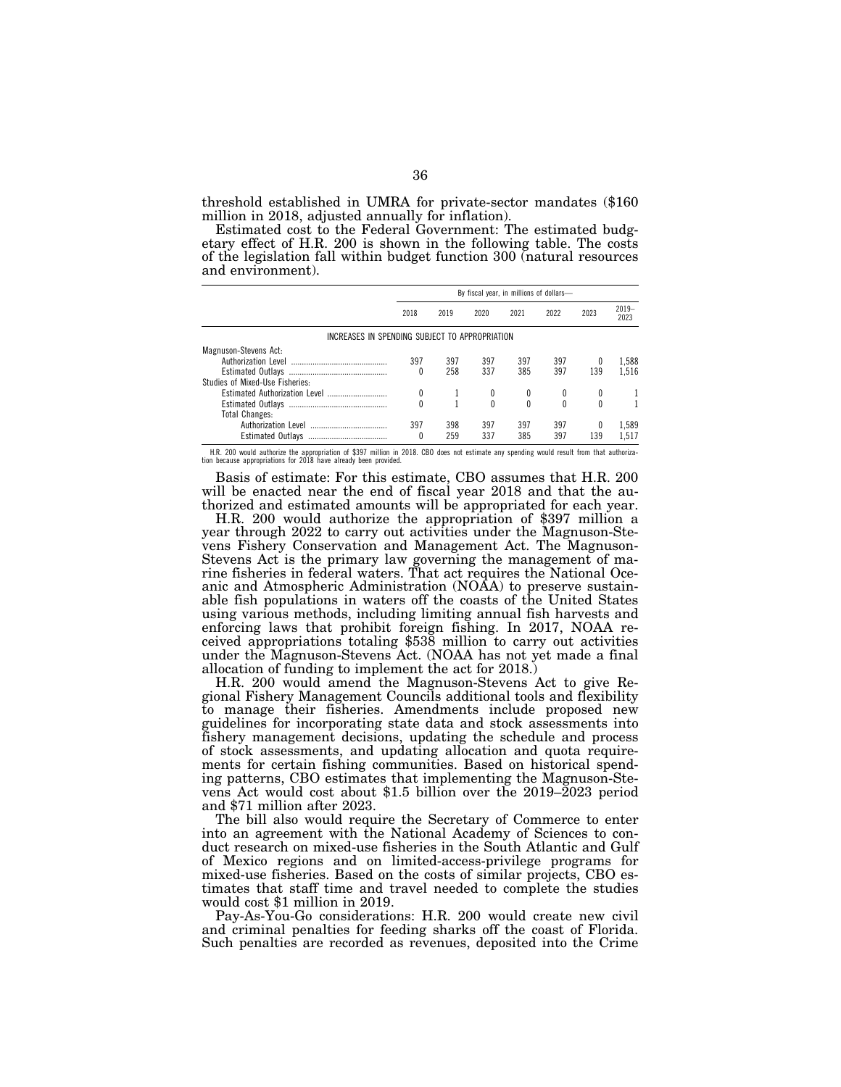threshold established in UMRA for private-sector mandates (\$160 million in 2018, adjusted annually for inflation).

Estimated cost to the Federal Government: The estimated budgetary effect of H.R. 200 is shown in the following table. The costs of the legislation fall within budget function 300 (natural resources and environment).

|                                                | By fiscal year, in millions of dollars- |      |      |      |      |              |                 |  |  |
|------------------------------------------------|-----------------------------------------|------|------|------|------|--------------|-----------------|--|--|
|                                                | 2018                                    | 2019 | 2020 | 2021 | 2022 | 2023         | $2019-$<br>2023 |  |  |
| INCREASES IN SPENDING SUBJECT TO APPROPRIATION |                                         |      |      |      |      |              |                 |  |  |
| Magnuson-Stevens Act:                          |                                         |      |      |      |      |              |                 |  |  |
| Authorization Level                            | 397                                     | 397  | 397  | 397  | 397  | $\mathbf{0}$ | 1.588           |  |  |
|                                                | $\theta$                                | 258  | 337  | 385  | 397  | 139          | 1.516           |  |  |
| Studies of Mixed-Use Fisheries:                |                                         |      |      |      |      |              |                 |  |  |
|                                                | 0                                       |      | 0    |      |      |              |                 |  |  |
|                                                |                                         |      |      |      |      |              |                 |  |  |
| Total Changes:                                 |                                         |      |      |      |      |              |                 |  |  |
|                                                | 397                                     | 398  | 397  | 397  | 397  | $\mathbf{0}$ | 1.589           |  |  |
| <b>Estimated Outlavs</b><br>                   | 0                                       | 259  | 337  | 385  | 397  | 139          | 1.517           |  |  |

H.R. 200 would authorize the appropriation of \$397 million in 2018. CBO does not estimate any spending would result from that authoriza-<br>tion because appropriations for 2018 have already been provided.

Basis of estimate: For this estimate, CBO assumes that H.R. 200 will be enacted near the end of fiscal year 2018 and that the authorized and estimated amounts will be appropriated for each year. H.R. 200 would authorize the appropriation of \$397 million a

year through 2022 to carry out activities under the Magnuson-Stevens Fishery Conservation and Management Act. The Magnuson-Stevens Act is the primary law governing the management of marine fisheries in federal waters. That act requires the National Oceanic and Atmospheric Administration (NOAA) to preserve sustainable fish populations in waters off the coasts of the United States using various methods, including limiting annual fish harvests and enforcing laws that prohibit foreign fishing. In 2017, NOAA received appropriations totaling \$538 million to carry out activities under the Magnuson-Stevens Act. (NOAA has not yet made a final allocation of funding to implement the act for 2018.)

H.R. 200 would amend the Magnuson-Stevens Act to give Regional Fishery Management Councils additional tools and flexibility to manage their fisheries. Amendments include proposed new guidelines for incorporating state data and stock assessments into fishery management decisions, updating the schedule and process of stock assessments, and updating allocation and quota requirements for certain fishing communities. Based on historical spending patterns, CBO estimates that implementing the Magnuson-Stevens Act would cost about \$1.5 billion over the 2019–2023 period and \$71 million after 2023.

The bill also would require the Secretary of Commerce to enter into an agreement with the National Academy of Sciences to conduct research on mixed-use fisheries in the South Atlantic and Gulf of Mexico regions and on limited-access-privilege programs for mixed-use fisheries. Based on the costs of similar projects, CBO estimates that staff time and travel needed to complete the studies would cost \$1 million in 2019.

Pay-As-You-Go considerations: H.R. 200 would create new civil and criminal penalties for feeding sharks off the coast of Florida. Such penalties are recorded as revenues, deposited into the Crime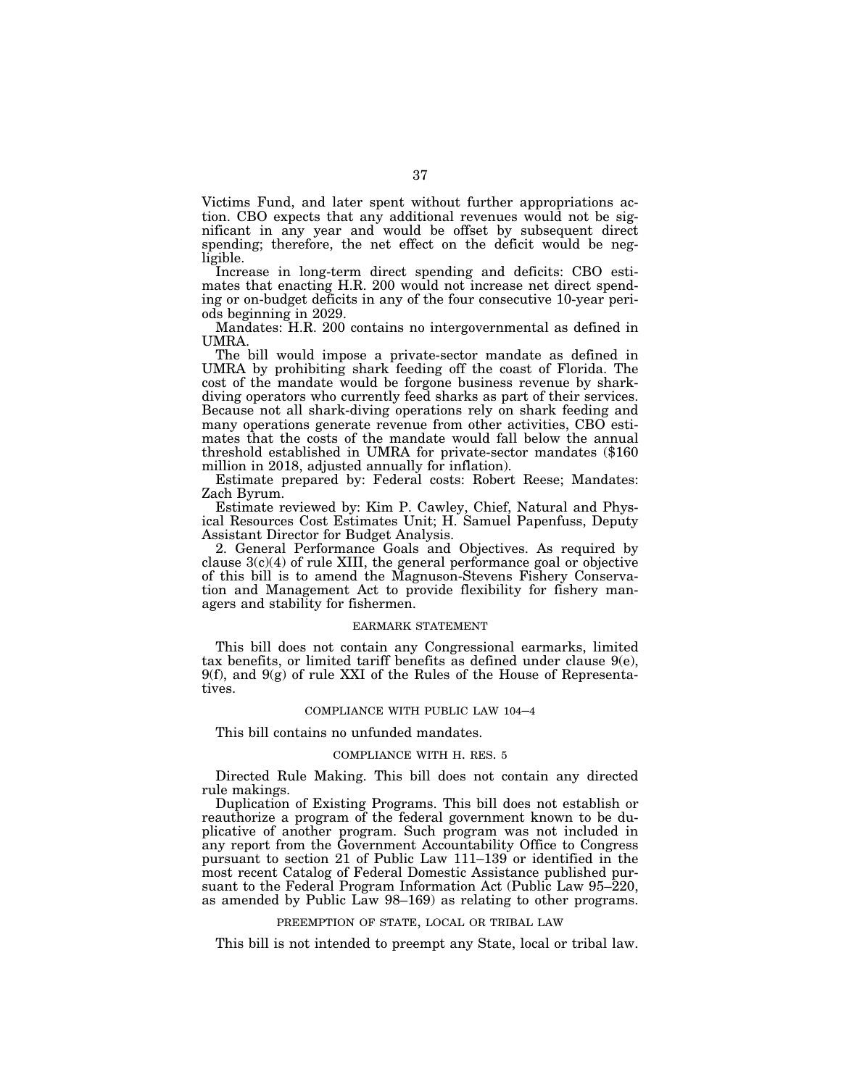Victims Fund, and later spent without further appropriations action. CBO expects that any additional revenues would not be significant in any year and would be offset by subsequent direct spending; therefore, the net effect on the deficit would be negligible.

Increase in long-term direct spending and deficits: CBO estimates that enacting H.R. 200 would not increase net direct spending or on-budget deficits in any of the four consecutive 10-year periods beginning in 2029.

Mandates: H.R. 200 contains no intergovernmental as defined in UMRA.

The bill would impose a private-sector mandate as defined in UMRA by prohibiting shark feeding off the coast of Florida. The cost of the mandate would be forgone business revenue by sharkdiving operators who currently feed sharks as part of their services. Because not all shark-diving operations rely on shark feeding and many operations generate revenue from other activities, CBO estimates that the costs of the mandate would fall below the annual threshold established in UMRA for private-sector mandates (\$160 million in 2018, adjusted annually for inflation).

Estimate prepared by: Federal costs: Robert Reese; Mandates: Zach Byrum.

Estimate reviewed by: Kim P. Cawley, Chief, Natural and Physical Resources Cost Estimates Unit; H. Samuel Papenfuss, Deputy Assistant Director for Budget Analysis.

2. General Performance Goals and Objectives. As required by clause 3(c)(4) of rule XIII, the general performance goal or objective of this bill is to amend the Magnuson-Stevens Fishery Conservation and Management Act to provide flexibility for fishery managers and stability for fishermen.

#### EARMARK STATEMENT

This bill does not contain any Congressional earmarks, limited tax benefits, or limited tariff benefits as defined under clause 9(e),  $9(f)$ , and  $9(g)$  of rule XXI of the Rules of the House of Representatives.

## COMPLIANCE WITH PUBLIC LAW 104–4

This bill contains no unfunded mandates.

# COMPLIANCE WITH H. RES. 5

Directed Rule Making. This bill does not contain any directed rule makings.

Duplication of Existing Programs. This bill does not establish or reauthorize a program of the federal government known to be duplicative of another program. Such program was not included in any report from the Government Accountability Office to Congress pursuant to section 21 of Public Law 111–139 or identified in the most recent Catalog of Federal Domestic Assistance published pursuant to the Federal Program Information Act (Public Law 95–220, as amended by Public Law 98–169) as relating to other programs.

#### PREEMPTION OF STATE, LOCAL OR TRIBAL LAW

This bill is not intended to preempt any State, local or tribal law.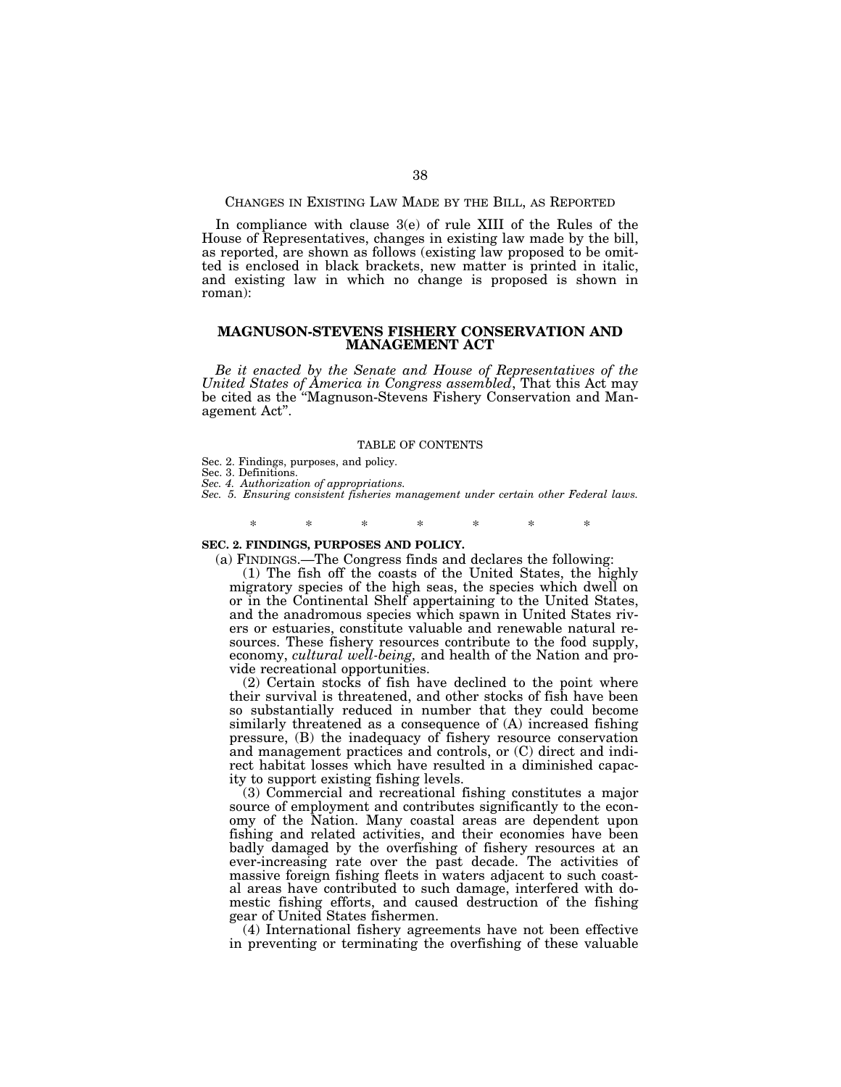## CHANGES IN EXISTING LAW MADE BY THE BILL, AS REPORTED

In compliance with clause 3(e) of rule XIII of the Rules of the House of Representatives, changes in existing law made by the bill, as reported, are shown as follows (existing law proposed to be omitted is enclosed in black brackets, new matter is printed in italic, and existing law in which no change is proposed is shown in roman):

# **MAGNUSON-STEVENS FISHERY CONSERVATION AND MANAGEMENT ACT**

*Be it enacted by the Senate and House of Representatives of the United States of America in Congress assembled*, That this Act may be cited as the "Magnuson-Stevens Fishery Conservation and Management Act''.

#### TABLE OF CONTENTS

Sec. 2. Findings, purposes, and policy.

Sec. 3. Definitions. *Sec. 4. Authorization of appropriations.* 

*Sec. 5. Ensuring consistent fisheries management under certain other Federal laws.* 

# \* \* \* \* \* \* \*

# **SEC. 2. FINDINGS, PURPOSES AND POLICY.**

(a) FINDINGS.—The Congress finds and declares the following:

(1) The fish off the coasts of the United States, the highly migratory species of the high seas, the species which dwell on or in the Continental Shelf appertaining to the United States, and the anadromous species which spawn in United States rivers or estuaries, constitute valuable and renewable natural resources. These fishery resources contribute to the food supply, economy, *cultural well-being,* and health of the Nation and provide recreational opportunities.

(2) Certain stocks of fish have declined to the point where their survival is threatened, and other stocks of fish have been so substantially reduced in number that they could become similarly threatened as a consequence of (A) increased fishing pressure, (B) the inadequacy of fishery resource conservation and management practices and controls, or (C) direct and indirect habitat losses which have resulted in a diminished capacity to support existing fishing levels.

(3) Commercial and recreational fishing constitutes a major source of employment and contributes significantly to the economy of the Nation. Many coastal areas are dependent upon fishing and related activities, and their economies have been badly damaged by the overfishing of fishery resources at an ever-increasing rate over the past decade. The activities of massive foreign fishing fleets in waters adjacent to such coastal areas have contributed to such damage, interfered with domestic fishing efforts, and caused destruction of the fishing gear of United States fishermen.

(4) International fishery agreements have not been effective in preventing or terminating the overfishing of these valuable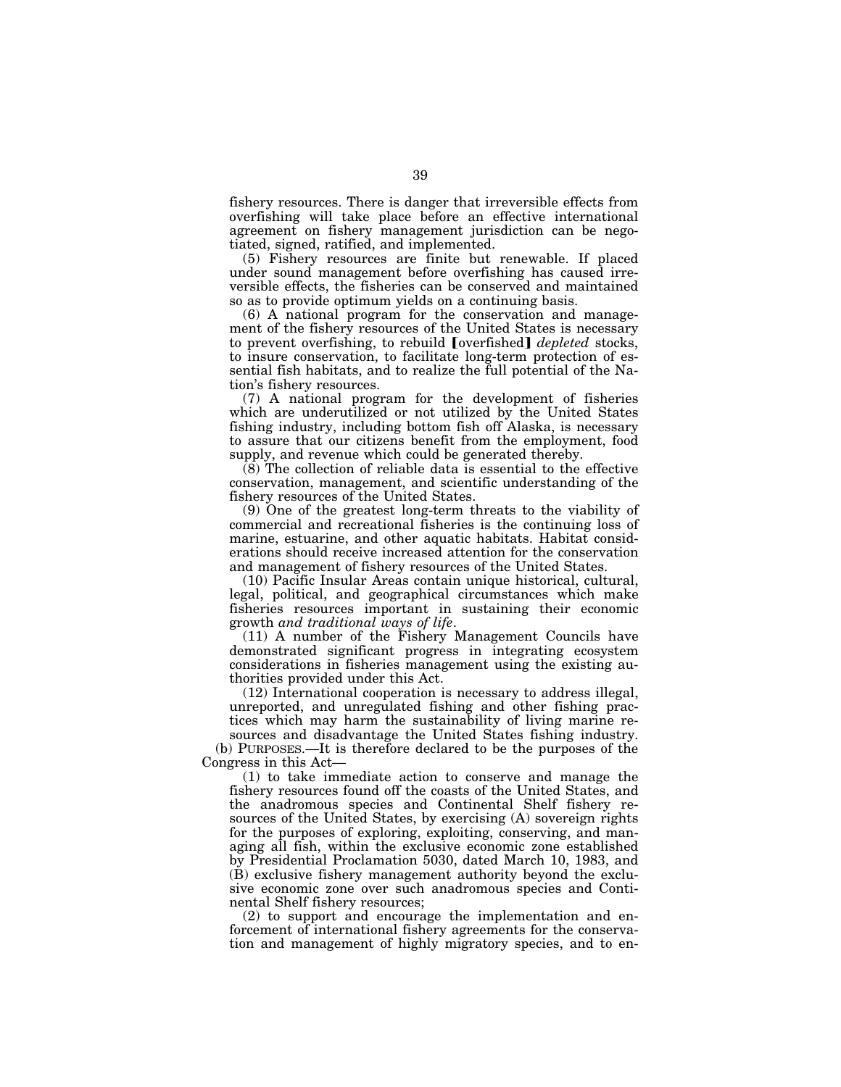fishery resources. There is danger that irreversible effects from overfishing will take place before an effective international agreement on fishery management jurisdiction can be negotiated, signed, ratified, and implemented.

(5) Fishery resources are finite but renewable. If placed under sound management before overfishing has caused irreversible effects, the fisheries can be conserved and maintained so as to provide optimum yields on a continuing basis.

(6) A national program for the conservation and management of the fishery resources of the United States is necessary to prevent overfishing, to rebuild [overfished] *depleted* stocks, to insure conservation, to facilitate long-term protection of essential fish habitats, and to realize the full potential of the Nation's fishery resources.

(7) A national program for the development of fisheries which are underutilized or not utilized by the United States fishing industry, including bottom fish off Alaska, is necessary to assure that our citizens benefit from the employment, food supply, and revenue which could be generated thereby.

(8) The collection of reliable data is essential to the effective conservation, management, and scientific understanding of the fishery resources of the United States.

(9) One of the greatest long-term threats to the viability of commercial and recreational fisheries is the continuing loss of marine, estuarine, and other aquatic habitats. Habitat considerations should receive increased attention for the conservation and management of fishery resources of the United States.

(10) Pacific Insular Areas contain unique historical, cultural, legal, political, and geographical circumstances which make fisheries resources important in sustaining their economic growth *and traditional ways of life*.

(11) A number of the Fishery Management Councils have demonstrated significant progress in integrating ecosystem considerations in fisheries management using the existing authorities provided under this Act.

(12) International cooperation is necessary to address illegal, unreported, and unregulated fishing and other fishing practices which may harm the sustainability of living marine resources and disadvantage the United States fishing industry.

(b) PURPOSES.—It is therefore declared to be the purposes of the Congress in this Act—

(1) to take immediate action to conserve and manage the fishery resources found off the coasts of the United States, and the anadromous species and Continental Shelf fishery resources of the United States, by exercising (A) sovereign rights for the purposes of exploring, exploiting, conserving, and managing all fish, within the exclusive economic zone established by Presidential Proclamation 5030, dated March 10, 1983, and (B) exclusive fishery management authority beyond the exclusive economic zone over such anadromous species and Continental Shelf fishery resources;

(2) to support and encourage the implementation and enforcement of international fishery agreements for the conservation and management of highly migratory species, and to en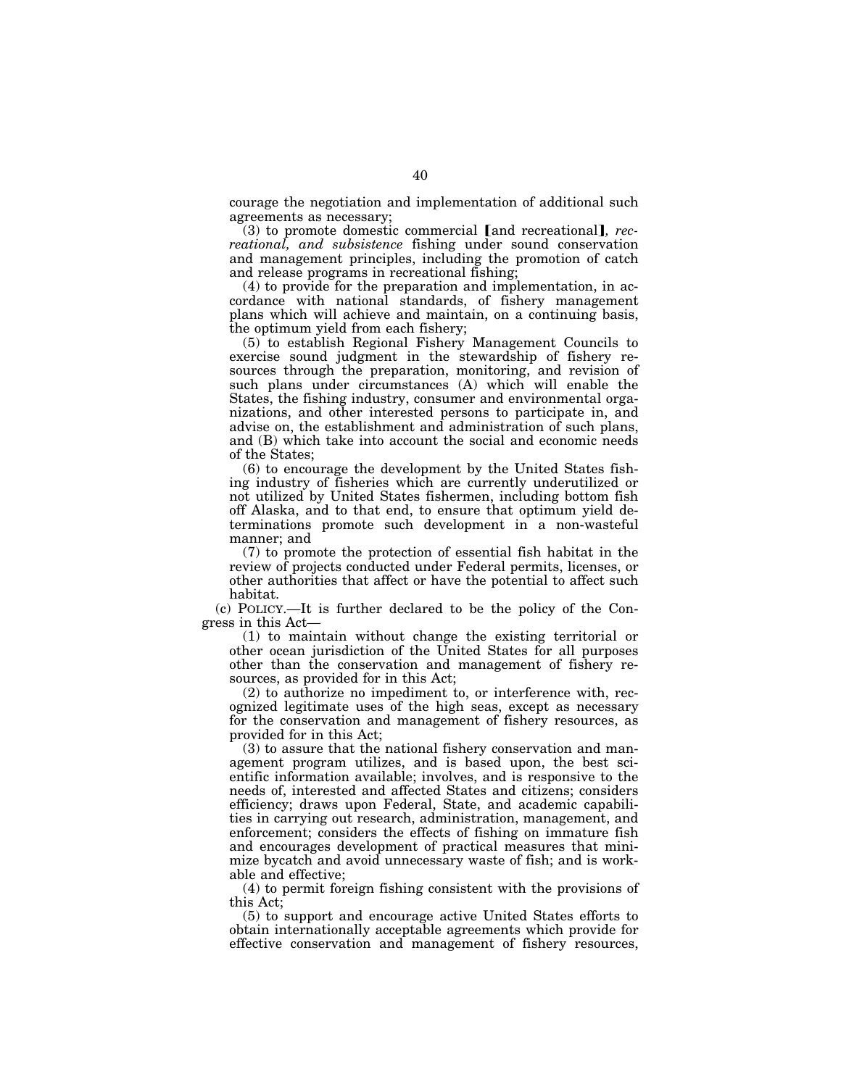courage the negotiation and implementation of additional such agreements as necessary;

(3) to promote domestic commercial [and recreational], *recreational, and subsistence* fishing under sound conservation and management principles, including the promotion of catch and release programs in recreational fishing;

(4) to provide for the preparation and implementation, in accordance with national standards, of fishery management plans which will achieve and maintain, on a continuing basis, the optimum yield from each fishery;

(5) to establish Regional Fishery Management Councils to exercise sound judgment in the stewardship of fishery resources through the preparation, monitoring, and revision of such plans under circumstances (A) which will enable the States, the fishing industry, consumer and environmental organizations, and other interested persons to participate in, and advise on, the establishment and administration of such plans, and (B) which take into account the social and economic needs of the States;

(6) to encourage the development by the United States fishing industry of fisheries which are currently underutilized or not utilized by United States fishermen, including bottom fish off Alaska, and to that end, to ensure that optimum yield determinations promote such development in a non-wasteful manner; and

(7) to promote the protection of essential fish habitat in the review of projects conducted under Federal permits, licenses, or other authorities that affect or have the potential to affect such habitat.

(c) POLICY.—It is further declared to be the policy of the Congress in this Act—

(1) to maintain without change the existing territorial or other ocean jurisdiction of the United States for all purposes other than the conservation and management of fishery resources, as provided for in this Act;

(2) to authorize no impediment to, or interference with, recognized legitimate uses of the high seas, except as necessary for the conservation and management of fishery resources, as provided for in this Act;

(3) to assure that the national fishery conservation and management program utilizes, and is based upon, the best scientific information available; involves, and is responsive to the needs of, interested and affected States and citizens; considers efficiency; draws upon Federal, State, and academic capabilities in carrying out research, administration, management, and enforcement; considers the effects of fishing on immature fish and encourages development of practical measures that minimize bycatch and avoid unnecessary waste of fish; and is workable and effective;

(4) to permit foreign fishing consistent with the provisions of this Act;

(5) to support and encourage active United States efforts to obtain internationally acceptable agreements which provide for effective conservation and management of fishery resources,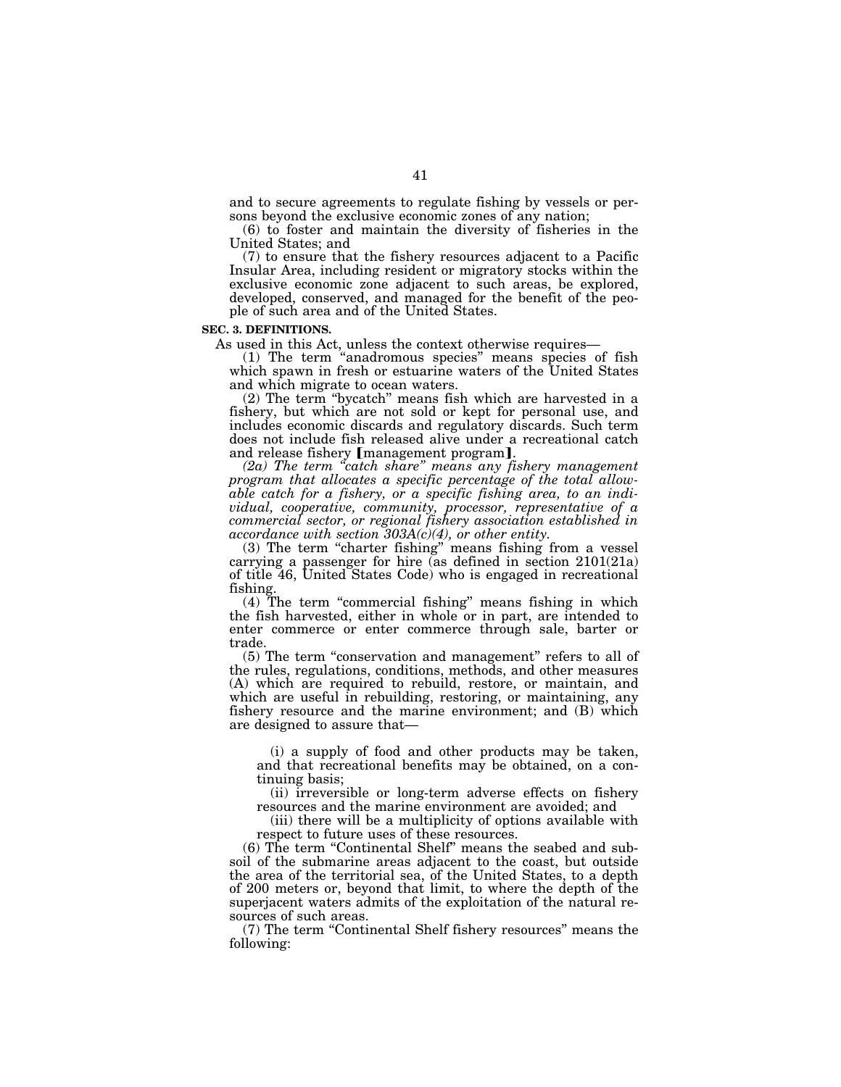and to secure agreements to regulate fishing by vessels or persons beyond the exclusive economic zones of any nation;

(6) to foster and maintain the diversity of fisheries in the United States; and

(7) to ensure that the fishery resources adjacent to a Pacific Insular Area, including resident or migratory stocks within the exclusive economic zone adjacent to such areas, be explored, developed, conserved, and managed for the benefit of the people of such area and of the United States.

#### **SEC. 3. DEFINITIONS.**

As used in this Act, unless the context otherwise requires—

(1) The term ''anadromous species'' means species of fish which spawn in fresh or estuarine waters of the United States and which migrate to ocean waters.

(2) The term ''bycatch'' means fish which are harvested in a fishery, but which are not sold or kept for personal use, and includes economic discards and regulatory discards. Such term does not include fish released alive under a recreational catch<br>and release fishery [management program].

(2a) The term "catch share" means any fishery management *program that allocates a specific percentage of the total allowable catch for a fishery, or a specific fishing area, to an individual, cooperative, community, processor, representative of a commercial sector, or regional fishery association established in accordance with section 303A(c)(4), or other entity.* 

(3) The term "charter fishing" means fishing from a vessel carrying a passenger for hire (as defined in section 2101(21a) of title 46, United States Code) who is engaged in recreational fishing.

(4) The term ''commercial fishing'' means fishing in which the fish harvested, either in whole or in part, are intended to enter commerce or enter commerce through sale, barter or trade.

(5) The term ''conservation and management'' refers to all of the rules, regulations, conditions, methods, and other measures (A) which are required to rebuild, restore, or maintain, and which are useful in rebuilding, restoring, or maintaining, any fishery resource and the marine environment; and (B) which are designed to assure that—

(i) a supply of food and other products may be taken, and that recreational benefits may be obtained, on a continuing basis;

(ii) irreversible or long-term adverse effects on fishery resources and the marine environment are avoided; and

(iii) there will be a multiplicity of options available with respect to future uses of these resources.

(6) The term ''Continental Shelf'' means the seabed and subsoil of the submarine areas adjacent to the coast, but outside the area of the territorial sea, of the United States, to a depth of 200 meters or, beyond that limit, to where the depth of the superjacent waters admits of the exploitation of the natural resources of such areas.

(7) The term ''Continental Shelf fishery resources'' means the following: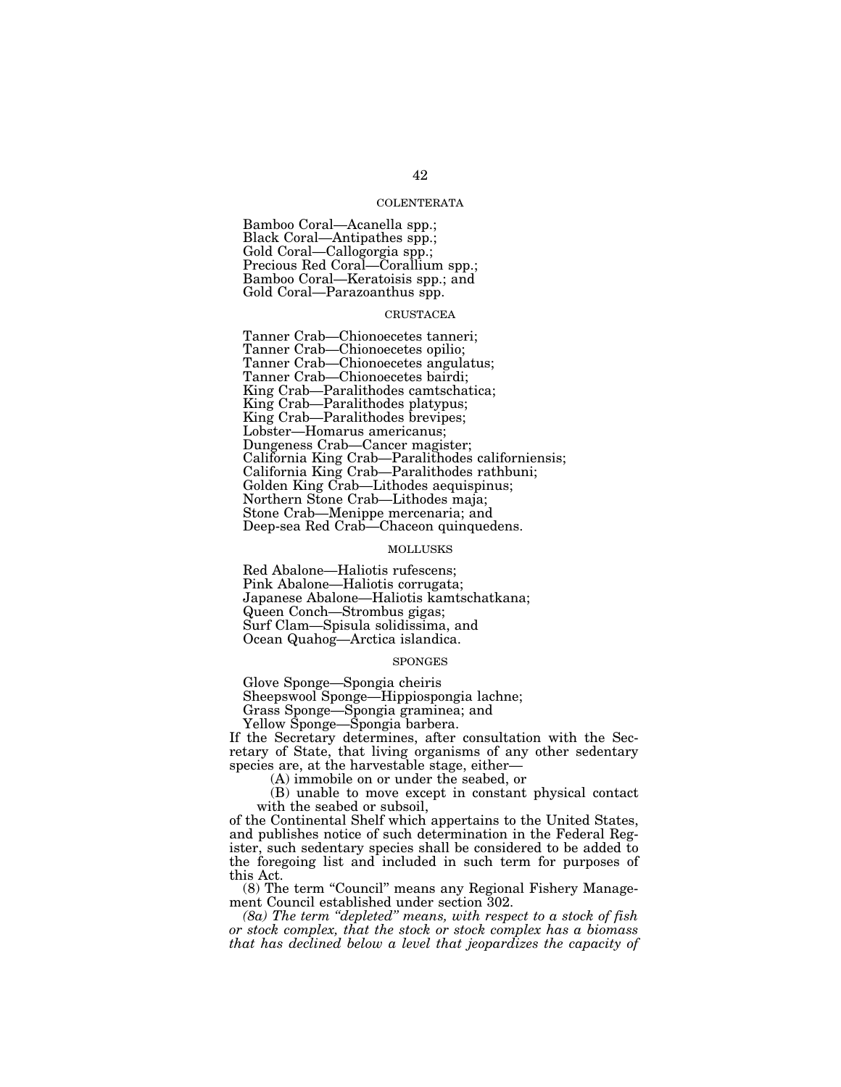## COLENTERATA

Bamboo Coral—Acanella spp.; Black Coral—Antipathes spp.; Gold Coral—Callogorgia spp.; Precious Red Coral—Corallium spp.; Bamboo Coral—Keratoisis spp.; and Gold Coral—Parazoanthus spp.

# CRUSTACEA

Tanner Crab—Chionoecetes tanneri; Tanner Crab—Chionoecetes opilio; Tanner Crab—Chionoecetes angulatus; Tanner Crab—Chionoecetes bairdi; King Crab—Paralithodes camtschatica; King Crab—Paralithodes platypus; King Crab—Paralithodes brevipes; Lobster—Homarus americanus; Dungeness Crab—Cancer magister; California King Crab—Paralithodes californiensis; California King Crab—Paralithodes rathbuni; Golden King Crab—Lithodes aequispinus; Northern Stone Crab—Lithodes maja; Stone Crab—Menippe mercenaria; and Deep-sea Red Crab—Chaceon quinquedens.

#### MOLLUSKS

Red Abalone—Haliotis rufescens; Pink Abalone—Haliotis corrugata; Japanese Abalone—Haliotis kamtschatkana; Queen Conch—Strombus gigas; Surf Clam—Spisula solidissima, and Ocean Quahog—Arctica islandica.

#### **SPONGES**

Glove Sponge—Spongia cheiris

Sheepswool Sponge—Hippiospongia lachne;

Grass Sponge—Spongia graminea; and

Yellow Sponge—Spongia barbera.

If the Secretary determines, after consultation with the Secretary of State, that living organisms of any other sedentary species are, at the harvestable stage, either—

(A) immobile on or under the seabed, or

(B) unable to move except in constant physical contact with the seabed or subsoil,

of the Continental Shelf which appertains to the United States, and publishes notice of such determination in the Federal Register, such sedentary species shall be considered to be added to the foregoing list and included in such term for purposes of this Act.

(8) The term ''Council'' means any Regional Fishery Management Council established under section 302.

*(8a) The term ''depleted'' means, with respect to a stock of fish or stock complex, that the stock or stock complex has a biomass that has declined below a level that jeopardizes the capacity of*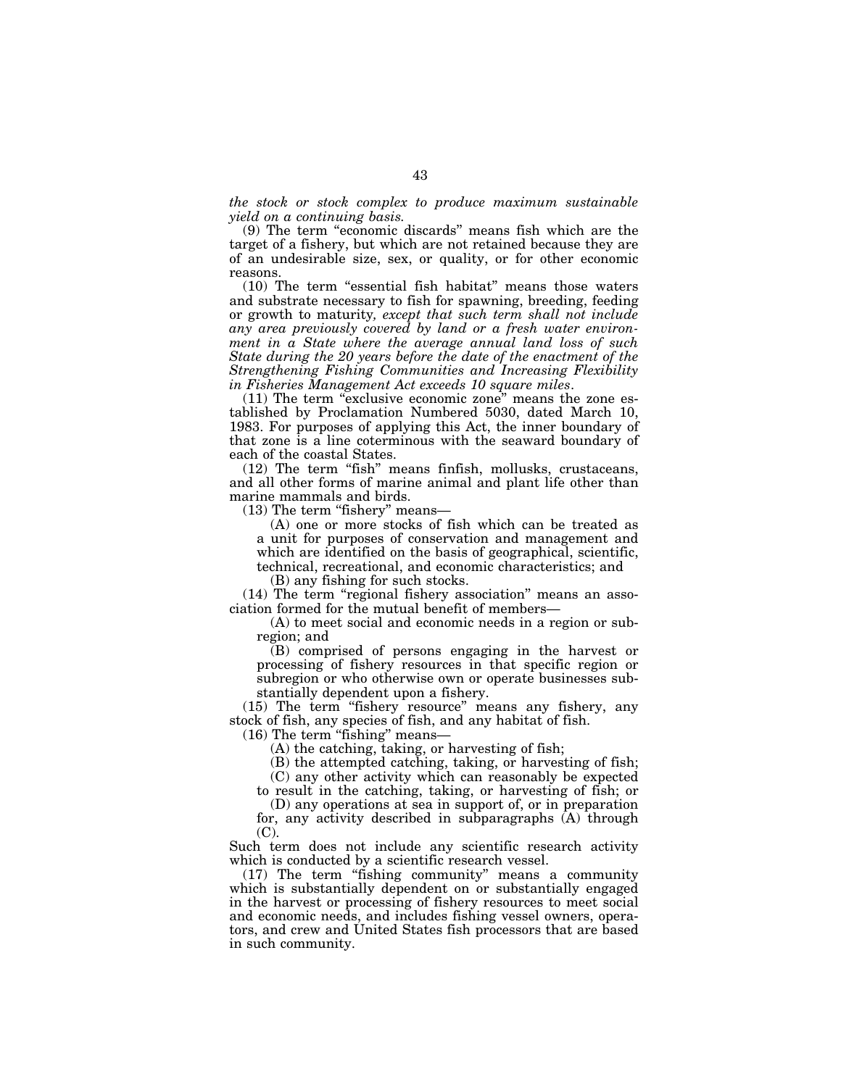*the stock or stock complex to produce maximum sustainable yield on a continuing basis.* 

(9) The term ''economic discards'' means fish which are the target of a fishery, but which are not retained because they are of an undesirable size, sex, or quality, or for other economic reasons.

(10) The term ''essential fish habitat'' means those waters and substrate necessary to fish for spawning, breeding, feeding or growth to maturity*, except that such term shall not include any area previously covered by land or a fresh water environment in a State where the average annual land loss of such State during the 20 years before the date of the enactment of the Strengthening Fishing Communities and Increasing Flexibility in Fisheries Management Act exceeds 10 square miles*.

 $(11)$  The term "exclusive economic zone" means the zone established by Proclamation Numbered 5030, dated March 10, 1983. For purposes of applying this Act, the inner boundary of that zone is a line coterminous with the seaward boundary of each of the coastal States.

(12) The term ''fish'' means finfish, mollusks, crustaceans, and all other forms of marine animal and plant life other than marine mammals and birds.

(13) The term "fishery" means-

(A) one or more stocks of fish which can be treated as a unit for purposes of conservation and management and which are identified on the basis of geographical, scientific, technical, recreational, and economic characteristics; and

(B) any fishing for such stocks.

(14) The term ''regional fishery association'' means an association formed for the mutual benefit of members—

(A) to meet social and economic needs in a region or subregion; and

(B) comprised of persons engaging in the harvest or processing of fishery resources in that specific region or subregion or who otherwise own or operate businesses substantially dependent upon a fishery.

(15) The term ''fishery resource'' means any fishery, any stock of fish, any species of fish, and any habitat of fish.

 $(16)$  The term "fishing" means-

(A) the catching, taking, or harvesting of fish;

(B) the attempted catching, taking, or harvesting of fish; (C) any other activity which can reasonably be expected

to result in the catching, taking, or harvesting of fish; or (D) any operations at sea in support of, or in preparation

for, any activity described in subparagraphs (A) through (C).

Such term does not include any scientific research activity which is conducted by a scientific research vessel.

(17) The term ''fishing community'' means a community which is substantially dependent on or substantially engaged in the harvest or processing of fishery resources to meet social and economic needs, and includes fishing vessel owners, operators, and crew and United States fish processors that are based in such community.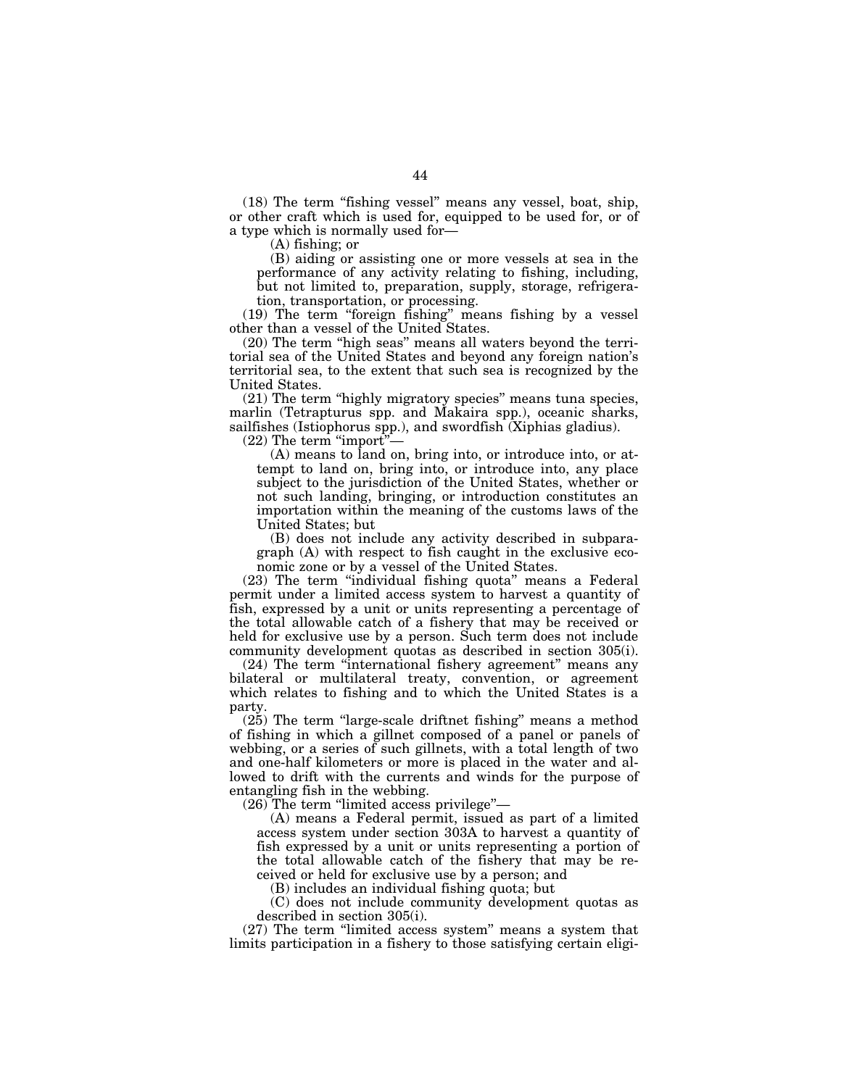(18) The term ''fishing vessel'' means any vessel, boat, ship, or other craft which is used for, equipped to be used for, or of a type which is normally used for—

(A) fishing; or

(B) aiding or assisting one or more vessels at sea in the performance of any activity relating to fishing, including, but not limited to, preparation, supply, storage, refrigeration, transportation, or processing.

(19) The term ''foreign fishing'' means fishing by a vessel other than a vessel of the United States.

(20) The term ''high seas'' means all waters beyond the territorial sea of the United States and beyond any foreign nation's territorial sea, to the extent that such sea is recognized by the United States.

(21) The term ''highly migratory species'' means tuna species, marlin (Tetrapturus spp. and Makaira spp.), oceanic sharks, sailfishes (Istiophorus spp.), and swordfish (Xiphias gladius).

 $(22)$  The term "import"—

(A) means to land on, bring into, or introduce into, or attempt to land on, bring into, or introduce into, any place subject to the jurisdiction of the United States, whether or not such landing, bringing, or introduction constitutes an importation within the meaning of the customs laws of the United States; but

(B) does not include any activity described in subparagraph (A) with respect to fish caught in the exclusive economic zone or by a vessel of the United States.

(23) The term ''individual fishing quota'' means a Federal permit under a limited access system to harvest a quantity of fish, expressed by a unit or units representing a percentage of the total allowable catch of a fishery that may be received or held for exclusive use by a person. Such term does not include community development quotas as described in section 305(i).

(24) The term "international fishery agreement" means any bilateral or multilateral treaty, convention, or agreement which relates to fishing and to which the United States is a party.

(25) The term ''large-scale driftnet fishing'' means a method of fishing in which a gillnet composed of a panel or panels of webbing, or a series of such gillnets, with a total length of two and one-half kilometers or more is placed in the water and allowed to drift with the currents and winds for the purpose of entangling fish in the webbing.

(26) The term ''limited access privilege''—

(A) means a Federal permit, issued as part of a limited access system under section 303A to harvest a quantity of fish expressed by a unit or units representing a portion of the total allowable catch of the fishery that may be received or held for exclusive use by a person; and

(B) includes an individual fishing quota; but

(C) does not include community development quotas as described in section 305(i).

(27) The term ''limited access system'' means a system that limits participation in a fishery to those satisfying certain eligi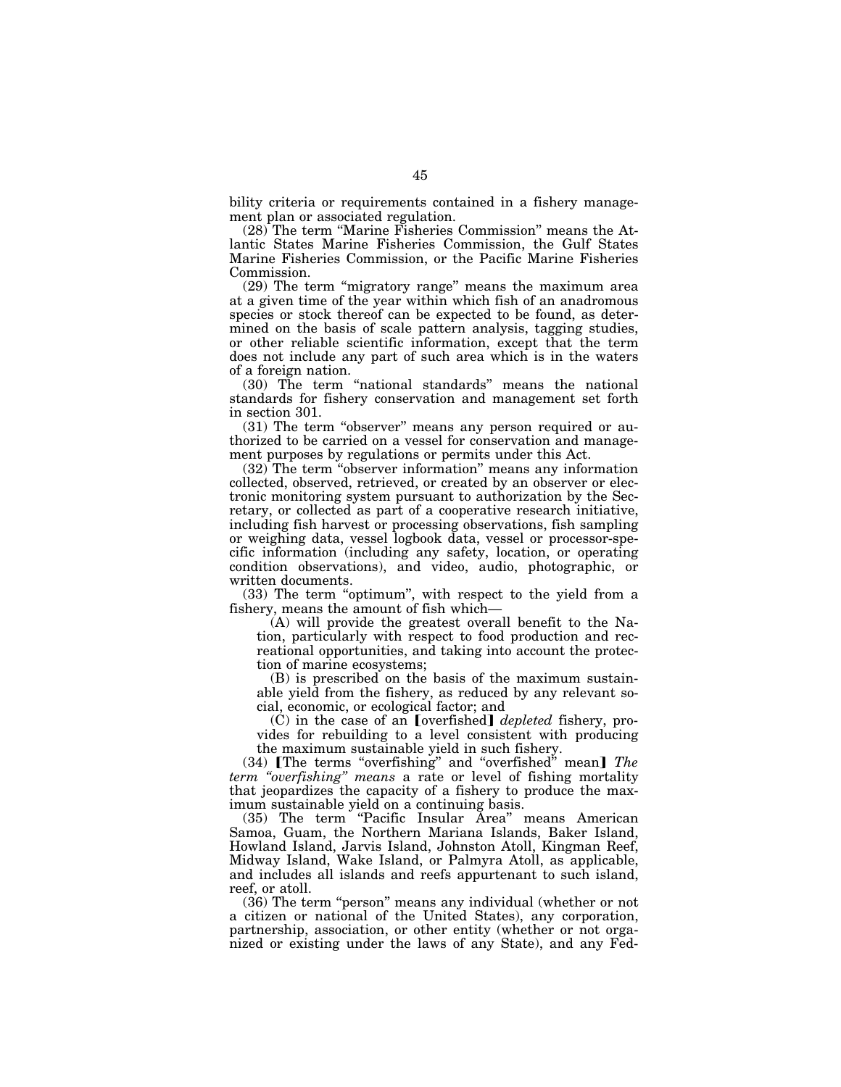bility criteria or requirements contained in a fishery management plan or associated regulation.

(28) The term ''Marine Fisheries Commission'' means the Atlantic States Marine Fisheries Commission, the Gulf States Marine Fisheries Commission, or the Pacific Marine Fisheries Commission.

(29) The term ''migratory range'' means the maximum area at a given time of the year within which fish of an anadromous species or stock thereof can be expected to be found, as determined on the basis of scale pattern analysis, tagging studies, or other reliable scientific information, except that the term does not include any part of such area which is in the waters of a foreign nation.

(30) The term ''national standards'' means the national standards for fishery conservation and management set forth in section 301.

(31) The term "observer" means any person required or authorized to be carried on a vessel for conservation and management purposes by regulations or permits under this Act.

(32) The term ''observer information'' means any information collected, observed, retrieved, or created by an observer or electronic monitoring system pursuant to authorization by the Secretary, or collected as part of a cooperative research initiative, including fish harvest or processing observations, fish sampling or weighing data, vessel logbook data, vessel or processor-specific information (including any safety, location, or operating condition observations), and video, audio, photographic, or written documents.

(33) The term ''optimum'', with respect to the yield from a fishery, means the amount of fish which—

(A) will provide the greatest overall benefit to the Nation, particularly with respect to food production and recreational opportunities, and taking into account the protection of marine ecosystems;

(B) is prescribed on the basis of the maximum sustainable yield from the fishery, as reduced by any relevant social, economic, or ecological factor; and

(C) in the case of an [overfished] *depleted* fishery, provides for rebuilding to a level consistent with producing the maximum sustainable yield in such fishery.

 $(34)$  [The terms "overfishing" and "overfished" mean] The *term ''overfishing'' means* a rate or level of fishing mortality that jeopardizes the capacity of a fishery to produce the maximum sustainable yield on a continuing basis.

(35) The term ''Pacific Insular Area'' means American Samoa, Guam, the Northern Mariana Islands, Baker Island, Howland Island, Jarvis Island, Johnston Atoll, Kingman Reef, Midway Island, Wake Island, or Palmyra Atoll, as applicable, and includes all islands and reefs appurtenant to such island, reef, or atoll.

(36) The term ''person'' means any individual (whether or not a citizen or national of the United States), any corporation, partnership, association, or other entity (whether or not organized or existing under the laws of any State), and any Fed-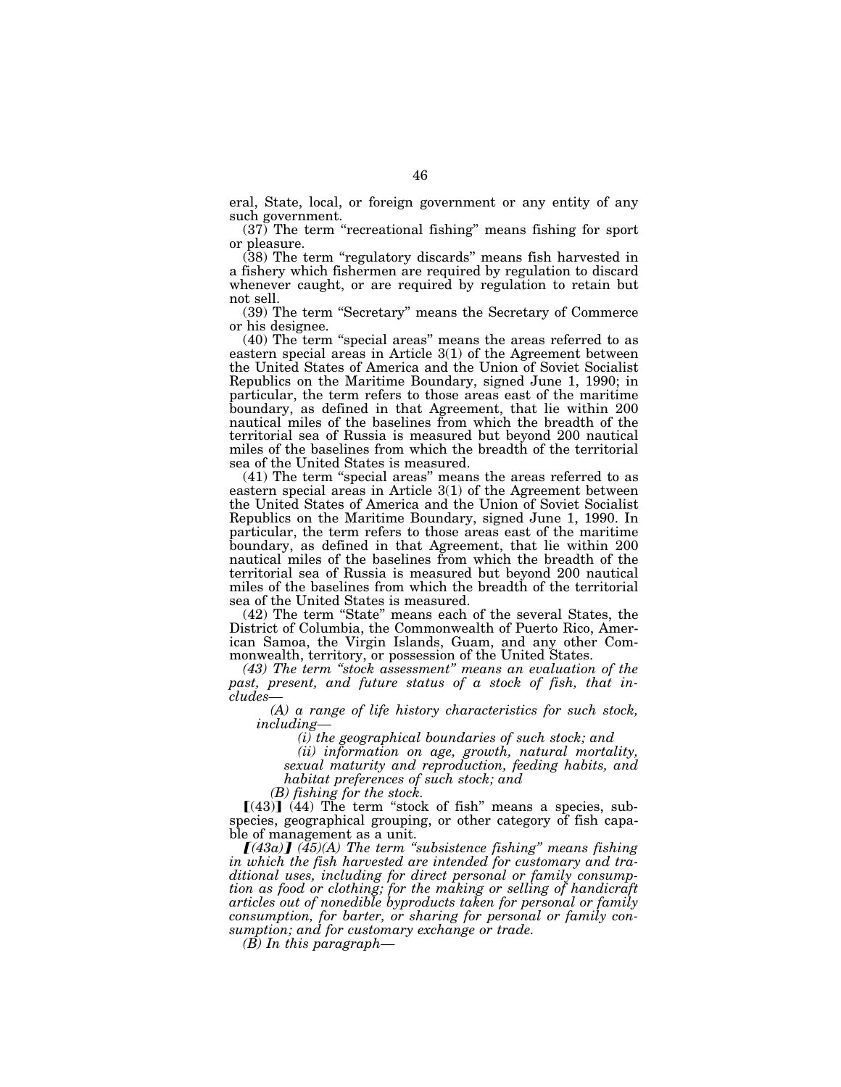eral, State, local, or foreign government or any entity of any such government.

(37) The term ''recreational fishing'' means fishing for sport or pleasure.

(38) The term ''regulatory discards'' means fish harvested in a fishery which fishermen are required by regulation to discard whenever caught, or are required by regulation to retain but not sell.

(39) The term ''Secretary'' means the Secretary of Commerce or his designee.

(40) The term ''special areas'' means the areas referred to as eastern special areas in Article 3(1) of the Agreement between the United States of America and the Union of Soviet Socialist Republics on the Maritime Boundary, signed June 1, 1990; in particular, the term refers to those areas east of the maritime boundary, as defined in that Agreement, that lie within 200 nautical miles of the baselines from which the breadth of the territorial sea of Russia is measured but beyond 200 nautical miles of the baselines from which the breadth of the territorial sea of the United States is measured.

(41) The term ''special areas'' means the areas referred to as eastern special areas in Article 3(1) of the Agreement between the United States of America and the Union of Soviet Socialist Republics on the Maritime Boundary, signed June 1, 1990. In particular, the term refers to those areas east of the maritime boundary, as defined in that Agreement, that lie within 200 nautical miles of the baselines from which the breadth of the territorial sea of Russia is measured but beyond 200 nautical miles of the baselines from which the breadth of the territorial sea of the United States is measured.

(42) The term ''State'' means each of the several States, the District of Columbia, the Commonwealth of Puerto Rico, American Samoa, the Virgin Islands, Guam, and any other Commonwealth, territory, or possession of the United States.

*(43) The term ''stock assessment'' means an evaluation of the past, present, and future status of a stock of fish, that includes—* 

*(A) a range of life history characteristics for such stock, including—* 

*(i) the geographical boundaries of such stock; and* 

*(ii) information on age, growth, natural mortality, sexual maturity and reproduction, feeding habits, and habitat preferences of such stock; and* 

*(B) fishing for the stock.* 

 $[(43)]$  (44) The term "stock of fish" means a species, subspecies, geographical grouping, or other category of fish capa-

ble of management as a unit.<br>
Ⅰ(43a)Ⅰ (45)(A) The term "subsistence fishing" means fishing *in which the fish harvested are intended for customary and traditional uses, including for direct personal or family consumption as food or clothing; for the making or selling of handicraft articles out of nonedible byproducts taken for personal or family consumption, for barter, or sharing for personal or family consumption; and for customary exchange or trade.* 

*(B) In this paragraph—*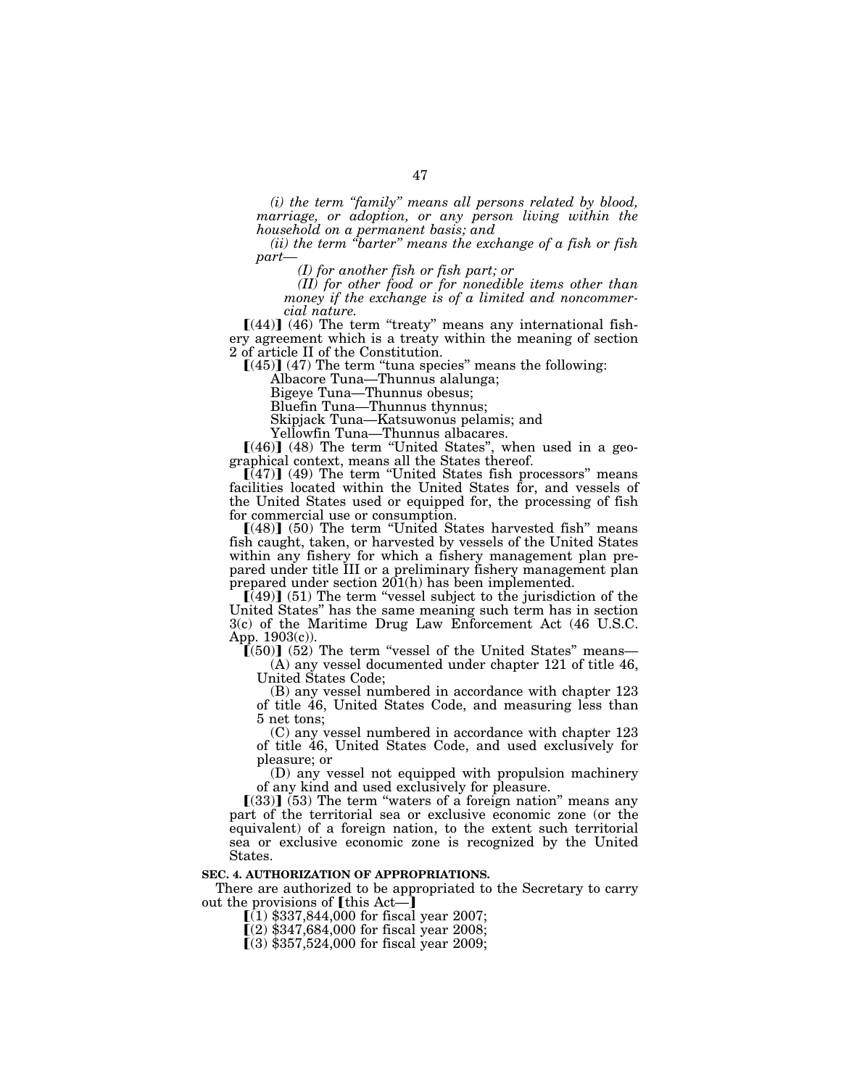*(i) the term ''family'' means all persons related by blood, marriage, or adoption, or any person living within the household on a permanent basis; and* 

*(ii) the term ''barter'' means the exchange of a fish or fish part—* 

*(I) for another fish or fish part; or* 

*(II) for other food or for nonedible items other than money if the exchange is of a limited and noncommercial nature.* 

 $[(44)]$  (46) The term "treaty" means any international fishery agreement which is a treaty within the meaning of section 2 of article II of the Constitution.

 $[(45)]$  (47) The term "tuna species" means the following:

Albacore Tuna—Thunnus alalunga;

Bigeye Tuna—Thunnus obesus;

Bluefin Tuna—Thunnus thynnus;

Skipjack Tuna—Katsuwonus pelamis; and

Yellowfin Tuna—Thunnus albacares.

 $[(46)]$  (48) The term "United States", when used in a geographical context, means all the States thereof.

 $\left[ (47) \right]$  (49) The term "United States fish processors" means facilities located within the United States for, and vessels of the United States used or equipped for, the processing of fish for commercial use or consumption.

 $[(48)]$  (50) The term "United States harvested fish" means fish caught, taken, or harvested by vessels of the United States within any fishery for which a fishery management plan prepared under title III or a preliminary fishery management plan prepared under section 201(h) has been implemented.

 $(49)$  (51) The term "vessel subject to the jurisdiction of the United States'' has the same meaning such term has in section 3(c) of the Maritime Drug Law Enforcement Act (46 U.S.C. App. 1903(c)).

 $\left[ (50) \right]$  (52) The term "vessel of the United States" means—

(A) any vessel documented under chapter 121 of title 46, United States Code;

(B) any vessel numbered in accordance with chapter 123 of title 46, United States Code, and measuring less than 5 net tons;

(C) any vessel numbered in accordance with chapter 123 of title 46, United States Code, and used exclusively for pleasure; or

(D) any vessel not equipped with propulsion machinery of any kind and used exclusively for pleasure.

 $(33)$  (53) The term "waters of a foreign nation" means any part of the territorial sea or exclusive economic zone (or the equivalent) of a foreign nation, to the extent such territorial sea or exclusive economic zone is recognized by the United States.

# **SEC. 4. AUTHORIZATION OF APPROPRIATIONS.**

There are authorized to be appropriated to the Secretary to carry out the provisions of  $[$ this Act— $]$ 

 $(1)$  \$337,844,000 for fiscal year 2007;

 $(2)$  \$347,684,000 for fiscal year 2008;

 $(3)$  \$357,524,000 for fiscal year 2009;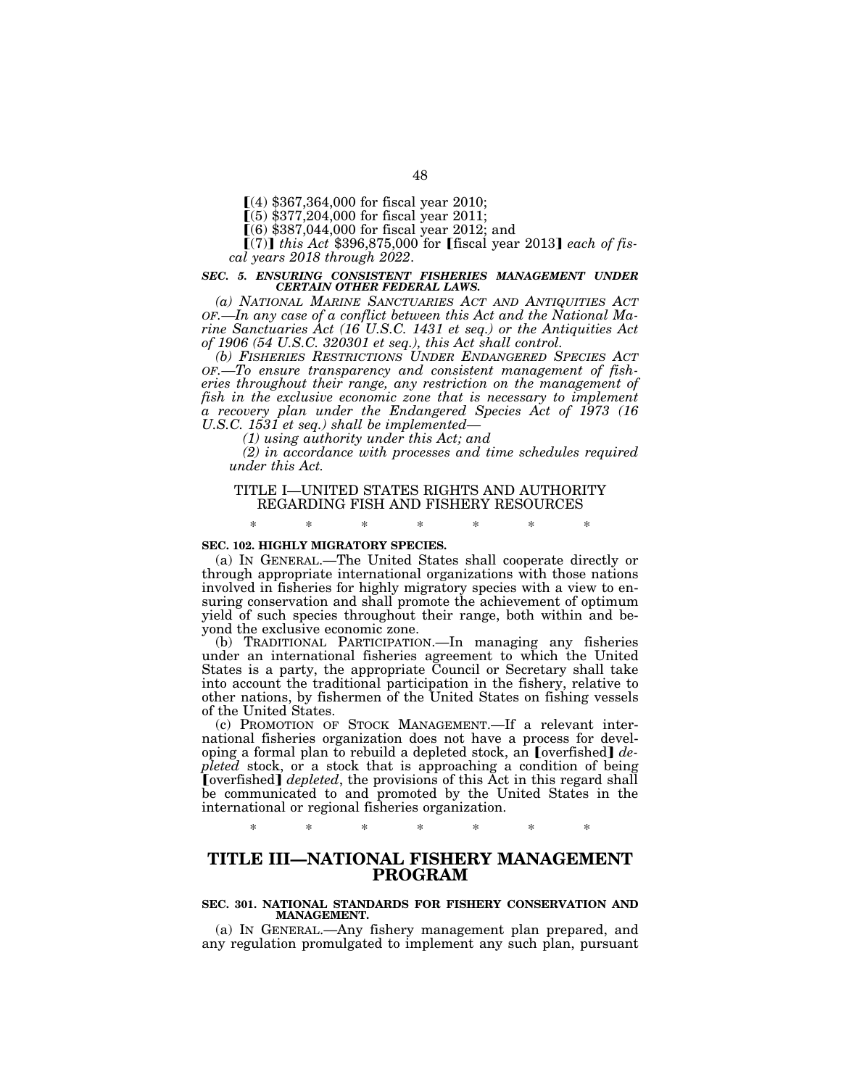$(4)$  \$367,364,000 for fiscal year 2010;

 $(5)$  \$377,204,000 for fiscal year 2011;

 $(6)$  \$387,044,000 for fiscal year 2012; and

 $\overline{C(7)}$  *this Act* \$396,875,000 for [fiscal year 2013] *each of fiscal years 2018 through 2022*.

#### *SEC. 5. ENSURING CONSISTENT FISHERIES MANAGEMENT UNDER CERTAIN OTHER FEDERAL LAWS.*

*(a) NATIONAL MARINE SANCTUARIES ACT AND ANTIQUITIES ACT OF.—In any case of a conflict between this Act and the National Marine Sanctuaries Act (16 U.S.C. 1431 et seq.) or the Antiquities Act of 1906 (54 U.S.C. 320301 et seq.), this Act shall control.* 

*(b) FISHERIES RESTRICTIONS UNDER ENDANGERED SPECIES ACT OF.—To ensure transparency and consistent management of fisheries throughout their range, any restriction on the management of fish in the exclusive economic zone that is necessary to implement a recovery plan under the Endangered Species Act of 1973 (16 U.S.C. 1531 et seq.) shall be implemented—* 

*(1) using authority under this Act; and* 

*(2) in accordance with processes and time schedules required under this Act.* 

# TITLE I—UNITED STATES RIGHTS AND AUTHORITY REGARDING FISH AND FISHERY RESOURCES

\* \* \* \* \* \* \*

#### **SEC. 102. HIGHLY MIGRATORY SPECIES.**

(a) IN GENERAL.—The United States shall cooperate directly or through appropriate international organizations with those nations involved in fisheries for highly migratory species with a view to ensuring conservation and shall promote the achievement of optimum yield of such species throughout their range, both within and beyond the exclusive economic zone.

(b) TRADITIONAL PARTICIPATION.—In managing any fisheries under an international fisheries agreement to which the United States is a party, the appropriate Council or Secretary shall take into account the traditional participation in the fishery, relative to other nations, by fishermen of the United States on fishing vessels of the United States.

(c) PROMOTION OF STOCK MANAGEMENT.—If a relevant international fisheries organization does not have a process for developing a formal plan to rebuild a depleted stock, an [overfished] *depleted* stock, or a stock that is approaching a condition of being **[overfished]** *depleted*, the provisions of this Act in this regard shall be communicated to and promoted by the United States in the international or regional fisheries organization.

\* \* \* \* \* \* \*

# **TITLE III—NATIONAL FISHERY MANAGEMENT PROGRAM**

#### **SEC. 301. NATIONAL STANDARDS FOR FISHERY CONSERVATION AND MANAGEMENT.**

(a) IN GENERAL.—Any fishery management plan prepared, and any regulation promulgated to implement any such plan, pursuant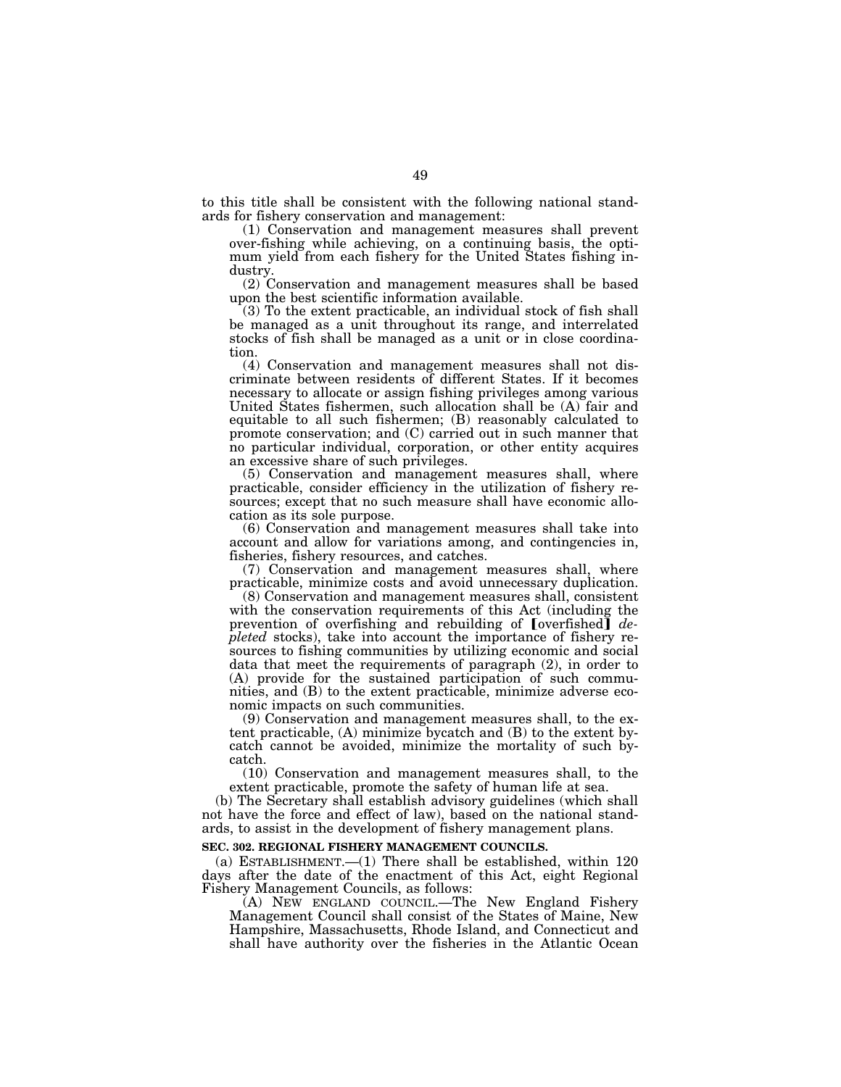to this title shall be consistent with the following national standards for fishery conservation and management:

(1) Conservation and management measures shall prevent over-fishing while achieving, on a continuing basis, the optimum yield from each fishery for the United States fishing industry.

(2) Conservation and management measures shall be based upon the best scientific information available.

(3) To the extent practicable, an individual stock of fish shall be managed as a unit throughout its range, and interrelated stocks of fish shall be managed as a unit or in close coordination.

(4) Conservation and management measures shall not discriminate between residents of different States. If it becomes necessary to allocate or assign fishing privileges among various United States fishermen, such allocation shall be (A) fair and equitable to all such fishermen; (B) reasonably calculated to promote conservation; and (C) carried out in such manner that no particular individual, corporation, or other entity acquires an excessive share of such privileges.

(5) Conservation and management measures shall, where practicable, consider efficiency in the utilization of fishery resources; except that no such measure shall have economic allocation as its sole purpose.

(6) Conservation and management measures shall take into account and allow for variations among, and contingencies in, fisheries, fishery resources, and catches.

(7) Conservation and management measures shall, where practicable, minimize costs and avoid unnecessary duplication.

(8) Conservation and management measures shall, consistent with the conservation requirements of this Act (including the prevention of overfishing and rebuilding of [overfished] *depleted* stocks), take into account the importance of fishery resources to fishing communities by utilizing economic and social data that meet the requirements of paragraph (2), in order to (A) provide for the sustained participation of such communities, and (B) to the extent practicable, minimize adverse economic impacts on such communities.

(9) Conservation and management measures shall, to the extent practicable, (A) minimize bycatch and (B) to the extent bycatch cannot be avoided, minimize the mortality of such bycatch.

(10) Conservation and management measures shall, to the extent practicable, promote the safety of human life at sea.

(b) The Secretary shall establish advisory guidelines (which shall not have the force and effect of law), based on the national standards, to assist in the development of fishery management plans.

#### **SEC. 302. REGIONAL FISHERY MANAGEMENT COUNCILS.**

(a) ESTABLISHMENT.—(1) There shall be established, within 120 days after the date of the enactment of this Act, eight Regional Fishery Management Councils, as follows:

(A) NEW ENGLAND COUNCIL.—The New England Fishery Management Council shall consist of the States of Maine, New Hampshire, Massachusetts, Rhode Island, and Connecticut and shall have authority over the fisheries in the Atlantic Ocean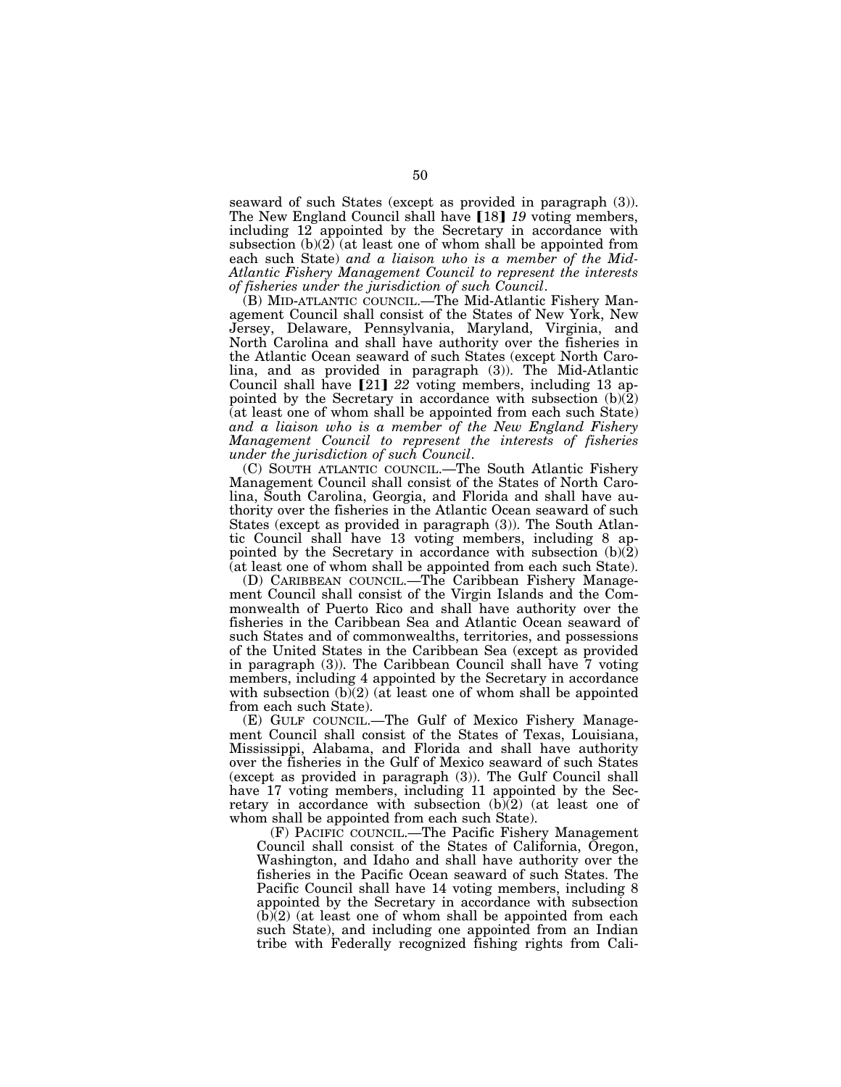seaward of such States (except as provided in paragraph (3)). The New England Council shall have [18] 19 voting members, including 12 appointed by the Secretary in accordance with subsection  $(b)(2)$  (at least one of whom shall be appointed from each such State) *and a liaison who is a member of the Mid-Atlantic Fishery Management Council to represent the interests of fisheries under the jurisdiction of such Council*.

(B) MID-ATLANTIC COUNCIL.—The Mid-Atlantic Fishery Management Council shall consist of the States of New York, New Jersey, Delaware, Pennsylvania, Maryland, Virginia, and North Carolina and shall have authority over the fisheries in the Atlantic Ocean seaward of such States (except North Carolina, and as provided in paragraph (3)). The Mid-Atlantic<br>Council shall have [21] 22 voting members, including 13 appointed by the Secretary in accordance with subsection  $(b)(2)$ (at least one of whom shall be appointed from each such State) *and a liaison who is a member of the New England Fishery Management Council to represent the interests of fisheries under the jurisdiction of such Council*.

(C) SOUTH ATLANTIC COUNCIL.—The South Atlantic Fishery Management Council shall consist of the States of North Carolina, South Carolina, Georgia, and Florida and shall have authority over the fisheries in the Atlantic Ocean seaward of such States (except as provided in paragraph (3)). The South Atlantic Council shall have 13 voting members, including 8 appointed by the Secretary in accordance with subsection (b)(2) (at least one of whom shall be appointed from each such State).

(D) CARIBBEAN COUNCIL.—The Caribbean Fishery Management Council shall consist of the Virgin Islands and the Commonwealth of Puerto Rico and shall have authority over the fisheries in the Caribbean Sea and Atlantic Ocean seaward of such States and of commonwealths, territories, and possessions of the United States in the Caribbean Sea (except as provided in paragraph  $(3)$ ). The Caribbean Council shall have  $7$  voting members, including 4 appointed by the Secretary in accordance with subsection  $(b)(2)$  (at least one of whom shall be appointed from each such State).

(E) GULF COUNCIL.—The Gulf of Mexico Fishery Management Council shall consist of the States of Texas, Louisiana, Mississippi, Alabama, and Florida and shall have authority over the fisheries in the Gulf of Mexico seaward of such States (except as provided in paragraph (3)). The Gulf Council shall have 17 voting members, including 11 appointed by the Secretary in accordance with subsection  $(b)$  $(2)$  (at least one of whom shall be appointed from each such State).

(F) PACIFIC COUNCIL.—The Pacific Fishery Management Council shall consist of the States of California, Oregon, Washington, and Idaho and shall have authority over the fisheries in the Pacific Ocean seaward of such States. The Pacific Council shall have 14 voting members, including 8 appointed by the Secretary in accordance with subsection  $(b)(2)$  (at least one of whom shall be appointed from each such State), and including one appointed from an Indian tribe with Federally recognized fishing rights from Cali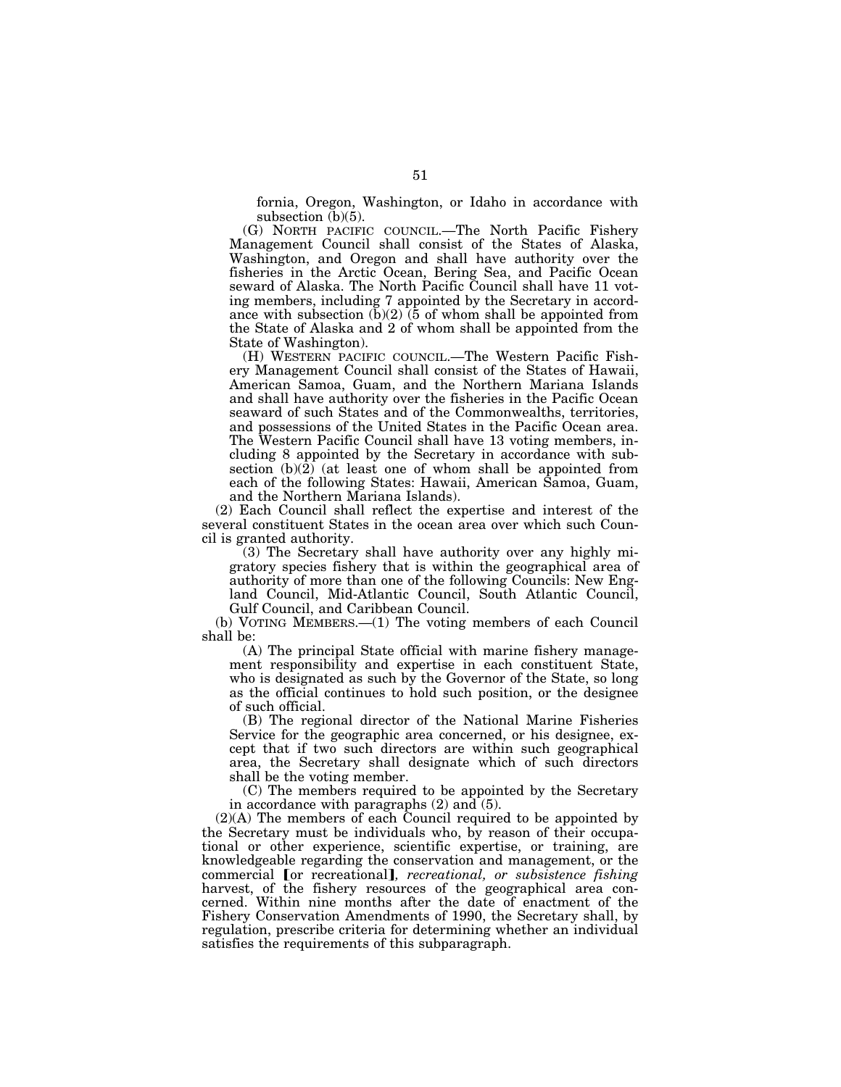fornia, Oregon, Washington, or Idaho in accordance with subsection  $(b)(5)$ .

(G) NORTH PACIFIC COUNCIL.—The North Pacific Fishery Management Council shall consist of the States of Alaska, Washington, and Oregon and shall have authority over the fisheries in the Arctic Ocean, Bering Sea, and Pacific Ocean seward of Alaska. The North Pacific Council shall have 11 voting members, including 7 appointed by the Secretary in accordance with subsection  $(b)(2)$  (5 of whom shall be appointed from the State of Alaska and 2 of whom shall be appointed from the State of Washington).

(H) WESTERN PACIFIC COUNCIL.—The Western Pacific Fishery Management Council shall consist of the States of Hawaii, American Samoa, Guam, and the Northern Mariana Islands and shall have authority over the fisheries in the Pacific Ocean seaward of such States and of the Commonwealths, territories, and possessions of the United States in the Pacific Ocean area. The Western Pacific Council shall have 13 voting members, including 8 appointed by the Secretary in accordance with subsection  $(b)(\tilde{2})$  (at least one of whom shall be appointed from each of the following States: Hawaii, American Samoa, Guam, and the Northern Mariana Islands).

(2) Each Council shall reflect the expertise and interest of the several constituent States in the ocean area over which such Council is granted authority.

(3) The Secretary shall have authority over any highly migratory species fishery that is within the geographical area of authority of more than one of the following Councils: New England Council, Mid-Atlantic Council, South Atlantic Council, Gulf Council, and Caribbean Council.

(b) VOTING MEMBERS.—(1) The voting members of each Council shall be:

(A) The principal State official with marine fishery management responsibility and expertise in each constituent State, who is designated as such by the Governor of the State, so long as the official continues to hold such position, or the designee of such official.

(B) The regional director of the National Marine Fisheries Service for the geographic area concerned, or his designee, except that if two such directors are within such geographical area, the Secretary shall designate which of such directors shall be the voting member.

(C) The members required to be appointed by the Secretary in accordance with paragraphs (2) and (5).

(2)(A) The members of each Council required to be appointed by the Secretary must be individuals who, by reason of their occupational or other experience, scientific expertise, or training, are knowledgeable regarding the conservation and management, or the commercial [or recreational], *recreational*, or subsistence fishing harvest, of the fishery resources of the geographical area concerned. Within nine months after the date of enactment of the Fishery Conservation Amendments of 1990, the Secretary shall, by regulation, prescribe criteria for determining whether an individual satisfies the requirements of this subparagraph.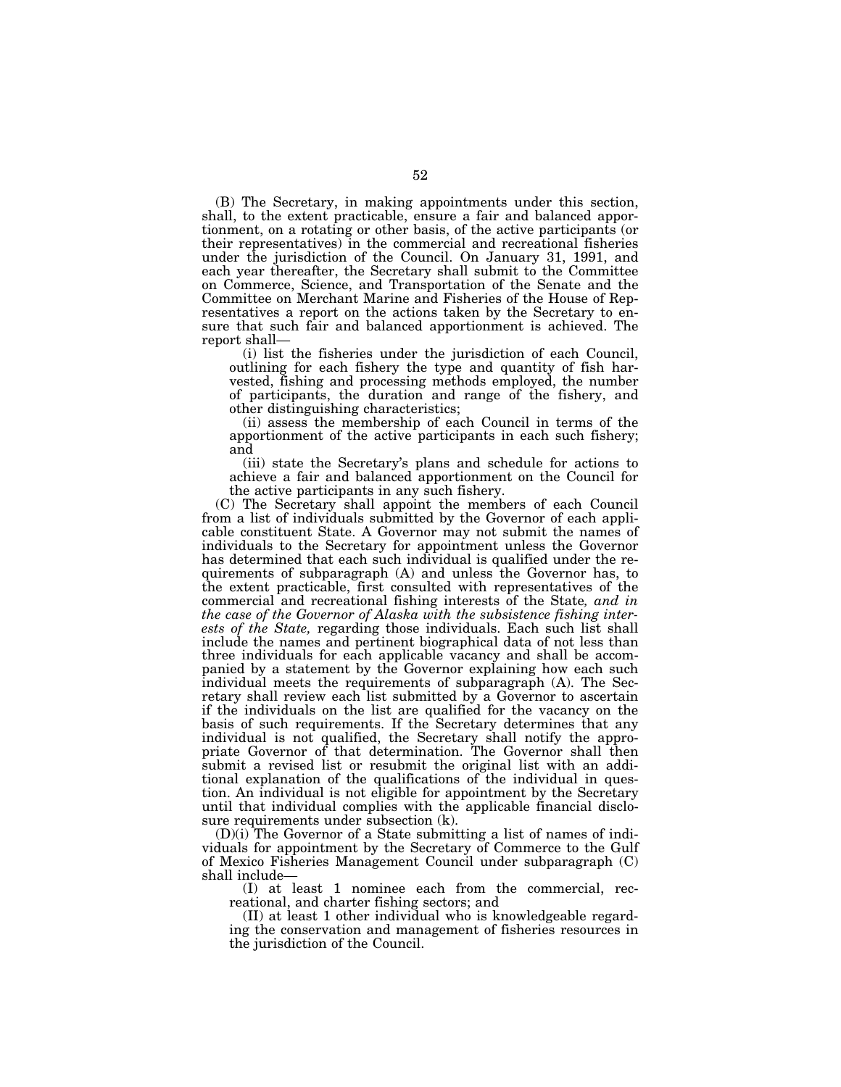(B) The Secretary, in making appointments under this section, shall, to the extent practicable, ensure a fair and balanced apportionment, on a rotating or other basis, of the active participants (or their representatives) in the commercial and recreational fisheries under the jurisdiction of the Council. On January 31, 1991, and each year thereafter, the Secretary shall submit to the Committee on Commerce, Science, and Transportation of the Senate and the Committee on Merchant Marine and Fisheries of the House of Representatives a report on the actions taken by the Secretary to ensure that such fair and balanced apportionment is achieved. The report shall—

(i) list the fisheries under the jurisdiction of each Council, outlining for each fishery the type and quantity of fish harvested, fishing and processing methods employed, the number of participants, the duration and range of the fishery, and other distinguishing characteristics;

(ii) assess the membership of each Council in terms of the apportionment of the active participants in each such fishery; and

(iii) state the Secretary's plans and schedule for actions to achieve a fair and balanced apportionment on the Council for the active participants in any such fishery.

(C) The Secretary shall appoint the members of each Council from a list of individuals submitted by the Governor of each applicable constituent State. A Governor may not submit the names of individuals to the Secretary for appointment unless the Governor has determined that each such individual is qualified under the requirements of subparagraph (A) and unless the Governor has, to the extent practicable, first consulted with representatives of the commercial and recreational fishing interests of the State*, and in the case of the Governor of Alaska with the subsistence fishing interests of the State,* regarding those individuals. Each such list shall include the names and pertinent biographical data of not less than three individuals for each applicable vacancy and shall be accompanied by a statement by the Governor explaining how each such individual meets the requirements of subparagraph (A). The Secretary shall review each list submitted by a Governor to ascertain if the individuals on the list are qualified for the vacancy on the basis of such requirements. If the Secretary determines that any individual is not qualified, the Secretary shall notify the appropriate Governor of that determination. The Governor shall then submit a revised list or resubmit the original list with an additional explanation of the qualifications of the individual in question. An individual is not eligible for appointment by the Secretary until that individual complies with the applicable financial disclosure requirements under subsection (k).

(D)(i) The Governor of a State submitting a list of names of individuals for appointment by the Secretary of Commerce to the Gulf of Mexico Fisheries Management Council under subparagraph (C) shall include—

(I) at least 1 nominee each from the commercial, recreational, and charter fishing sectors; and

(II) at least 1 other individual who is knowledgeable regarding the conservation and management of fisheries resources in the jurisdiction of the Council.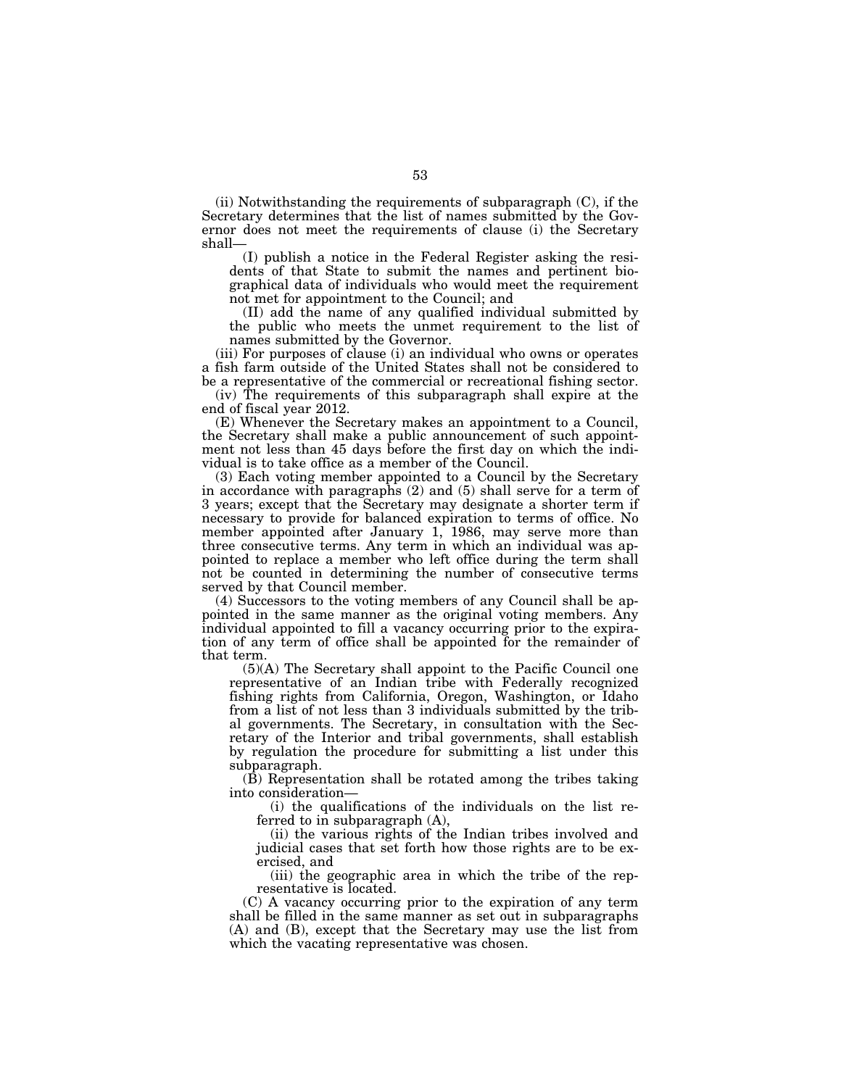$(i)$  Notwithstanding the requirements of subparagraph  $(C)$ , if the Secretary determines that the list of names submitted by the Governor does not meet the requirements of clause (i) the Secretary shall—

(I) publish a notice in the Federal Register asking the residents of that State to submit the names and pertinent biographical data of individuals who would meet the requirement not met for appointment to the Council; and

(II) add the name of any qualified individual submitted by the public who meets the unmet requirement to the list of names submitted by the Governor.

(iii) For purposes of clause (i) an individual who owns or operates a fish farm outside of the United States shall not be considered to be a representative of the commercial or recreational fishing sector.

(iv) The requirements of this subparagraph shall expire at the end of fiscal year 2012.

(E) Whenever the Secretary makes an appointment to a Council, the Secretary shall make a public announcement of such appointment not less than 45 days before the first day on which the individual is to take office as a member of the Council.

(3) Each voting member appointed to a Council by the Secretary in accordance with paragraphs (2) and (5) shall serve for a term of 3 years; except that the Secretary may designate a shorter term if necessary to provide for balanced expiration to terms of office. No member appointed after January 1, 1986, may serve more than three consecutive terms. Any term in which an individual was appointed to replace a member who left office during the term shall not be counted in determining the number of consecutive terms served by that Council member.

(4) Successors to the voting members of any Council shall be appointed in the same manner as the original voting members. Any individual appointed to fill a vacancy occurring prior to the expiration of any term of office shall be appointed for the remainder of that term.

(5)(A) The Secretary shall appoint to the Pacific Council one representative of an Indian tribe with Federally recognized fishing rights from California, Oregon, Washington, or Idaho from a list of not less than 3 individuals submitted by the tribal governments. The Secretary, in consultation with the Secretary of the Interior and tribal governments, shall establish by regulation the procedure for submitting a list under this subparagraph.

(B) Representation shall be rotated among the tribes taking into consideration—

(i) the qualifications of the individuals on the list referred to in subparagraph (A),

(ii) the various rights of the Indian tribes involved and judicial cases that set forth how those rights are to be exercised, and

(iii) the geographic area in which the tribe of the representative is located.

(C) A vacancy occurring prior to the expiration of any term shall be filled in the same manner as set out in subparagraphs (A) and (B), except that the Secretary may use the list from which the vacating representative was chosen.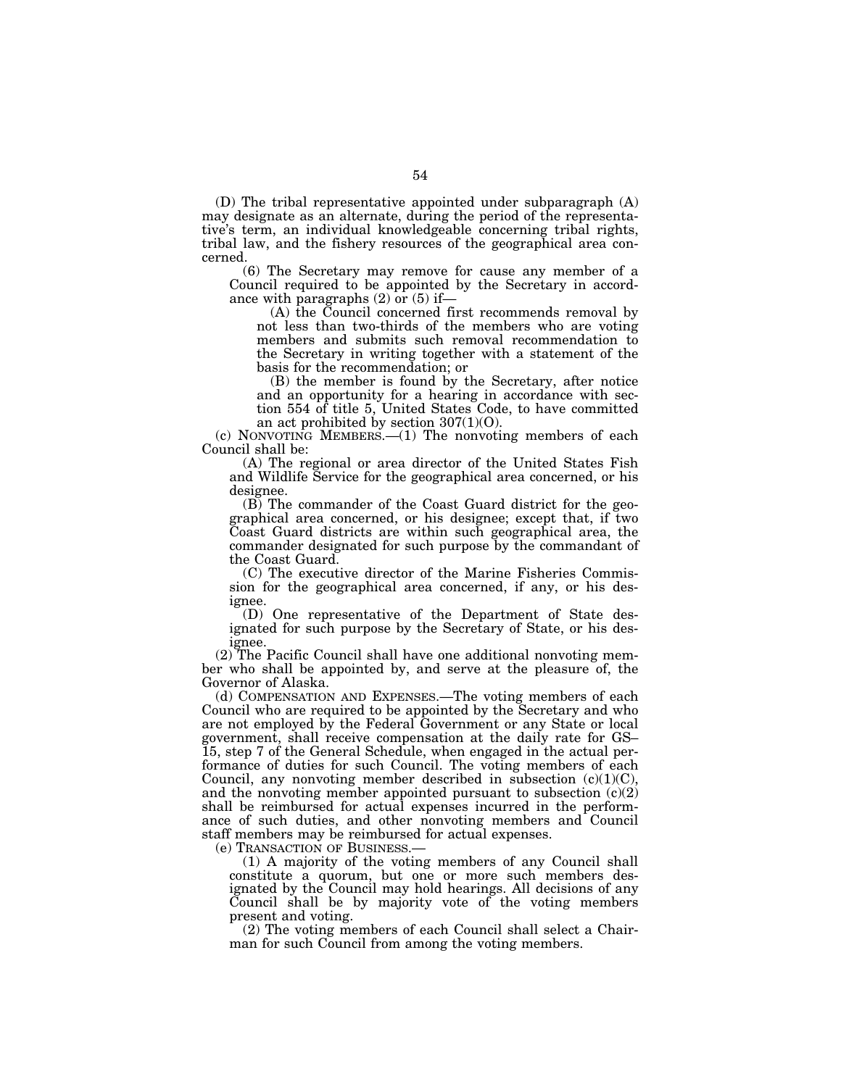(D) The tribal representative appointed under subparagraph (A) may designate as an alternate, during the period of the representative's term, an individual knowledgeable concerning tribal rights, tribal law, and the fishery resources of the geographical area concerned.

(6) The Secretary may remove for cause any member of a Council required to be appointed by the Secretary in accordance with paragraphs (2) or (5) if—

(A) the Council concerned first recommends removal by not less than two-thirds of the members who are voting members and submits such removal recommendation to the Secretary in writing together with a statement of the basis for the recommendation; or

(B) the member is found by the Secretary, after notice and an opportunity for a hearing in accordance with section 554 of title 5, United States Code, to have committed an act prohibited by section 307(1)(O).

(c) NONVOTING MEMBERS.—(1) The nonvoting members of each Council shall be:

(A) The regional or area director of the United States Fish and Wildlife Service for the geographical area concerned, or his designee.

(B) The commander of the Coast Guard district for the geographical area concerned, or his designee; except that, if two Coast Guard districts are within such geographical area, the commander designated for such purpose by the commandant of the Coast Guard.

(C) The executive director of the Marine Fisheries Commission for the geographical area concerned, if any, or his designee.

(D) One representative of the Department of State designated for such purpose by the Secretary of State, or his designee.

(2) The Pacific Council shall have one additional nonvoting member who shall be appointed by, and serve at the pleasure of, the Governor of Alaska.

(d) COMPENSATION AND EXPENSES.—The voting members of each Council who are required to be appointed by the Secretary and who are not employed by the Federal Government or any State or local government, shall receive compensation at the daily rate for GS– 15, step 7 of the General Schedule, when engaged in the actual performance of duties for such Council. The voting members of each Council, any nonvoting member described in subsection  $(c)(1)(C)$ , and the nonvoting member appointed pursuant to subsection  $(c)(2)$ shall be reimbursed for actual expenses incurred in the performance of such duties, and other nonvoting members and Council staff members may be reimbursed for actual expenses.

(e) TRANSACTION OF BUSINESS.—

(1) A majority of the voting members of any Council shall constitute a quorum, but one or more such members designated by the Council may hold hearings. All decisions of any Council shall be by majority vote of the voting members present and voting.

(2) The voting members of each Council shall select a Chairman for such Council from among the voting members.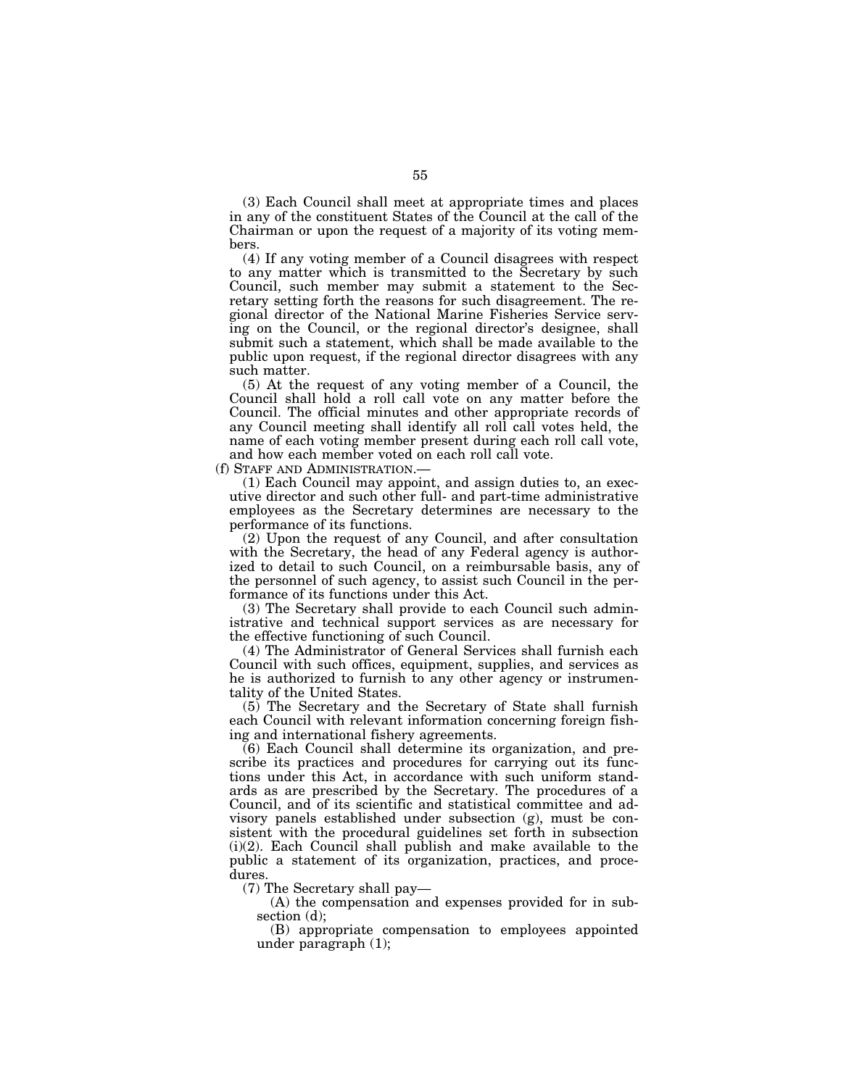(3) Each Council shall meet at appropriate times and places in any of the constituent States of the Council at the call of the Chairman or upon the request of a majority of its voting members.

(4) If any voting member of a Council disagrees with respect to any matter which is transmitted to the Secretary by such Council, such member may submit a statement to the Secretary setting forth the reasons for such disagreement. The regional director of the National Marine Fisheries Service serving on the Council, or the regional director's designee, shall submit such a statement, which shall be made available to the public upon request, if the regional director disagrees with any such matter.

(5) At the request of any voting member of a Council, the Council shall hold a roll call vote on any matter before the Council. The official minutes and other appropriate records of any Council meeting shall identify all roll call votes held, the name of each voting member present during each roll call vote, and how each member voted on each roll call vote.

(f) STAFF AND ADMINISTRATION.—

(1) Each Council may appoint, and assign duties to, an executive director and such other full- and part-time administrative employees as the Secretary determines are necessary to the performance of its functions.

(2) Upon the request of any Council, and after consultation with the Secretary, the head of any Federal agency is authorized to detail to such Council, on a reimbursable basis, any of the personnel of such agency, to assist such Council in the performance of its functions under this Act.

(3) The Secretary shall provide to each Council such administrative and technical support services as are necessary for the effective functioning of such Council.

(4) The Administrator of General Services shall furnish each Council with such offices, equipment, supplies, and services as he is authorized to furnish to any other agency or instrumentality of the United States.

(5) The Secretary and the Secretary of State shall furnish each Council with relevant information concerning foreign fishing and international fishery agreements.

(6) Each Council shall determine its organization, and prescribe its practices and procedures for carrying out its functions under this Act, in accordance with such uniform standards as are prescribed by the Secretary. The procedures of a Council, and of its scientific and statistical committee and advisory panels established under subsection (g), must be consistent with the procedural guidelines set forth in subsection (i)(2). Each Council shall publish and make available to the public a statement of its organization, practices, and procedures.

(7) The Secretary shall pay—

(A) the compensation and expenses provided for in subsection (d);

(B) appropriate compensation to employees appointed under paragraph (1);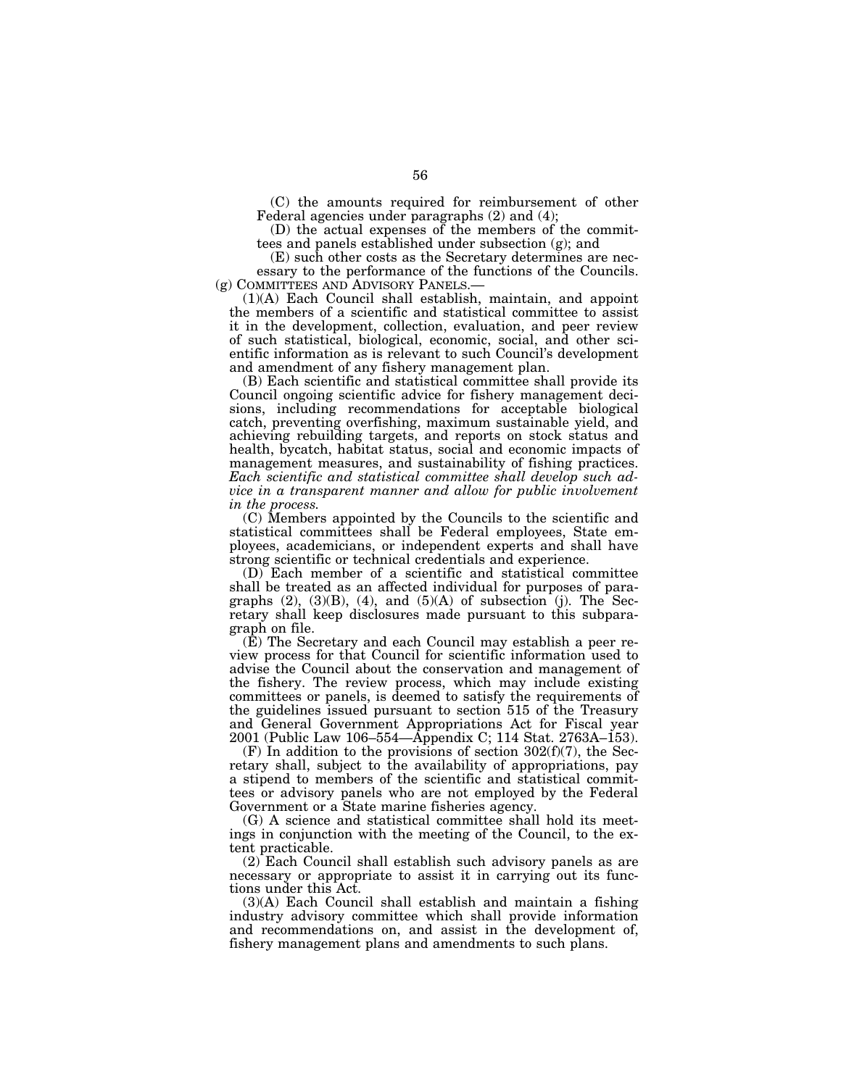(C) the amounts required for reimbursement of other Federal agencies under paragraphs (2) and (4);

(D) the actual expenses of the members of the committees and panels established under subsection (g); and

(E) such other costs as the Secretary determines are nec-

essary to the performance of the functions of the Councils.<br>(g) COMMITTEES AND ADVISORY PANELS.—

 $(1)(A)$  Each Council shall establish, maintain, and appoint the members of a scientific and statistical committee to assist it in the development, collection, evaluation, and peer review of such statistical, biological, economic, social, and other scientific information as is relevant to such Council's development and amendment of any fishery management plan.

(B) Each scientific and statistical committee shall provide its Council ongoing scientific advice for fishery management decisions, including recommendations for acceptable biological catch, preventing overfishing, maximum sustainable yield, and achieving rebuilding targets, and reports on stock status and health, bycatch, habitat status, social and economic impacts of management measures, and sustainability of fishing practices. *Each scientific and statistical committee shall develop such advice in a transparent manner and allow for public involvement in the process.* 

(C) Members appointed by the Councils to the scientific and statistical committees shall be Federal employees, State employees, academicians, or independent experts and shall have strong scientific or technical credentials and experience.

(D) Each member of a scientific and statistical committee shall be treated as an affected individual for purposes of paragraphs  $(2)$ ,  $(3)(B)$ ,  $(4)$ , and  $(5)(A)$  of subsection (j). The Secretary shall keep disclosures made pursuant to this subparagraph on file.

(E) The Secretary and each Council may establish a peer review process for that Council for scientific information used to advise the Council about the conservation and management of the fishery. The review process, which may include existing committees or panels, is deemed to satisfy the requirements of the guidelines issued pursuant to section 515 of the Treasury and General Government Appropriations Act for Fiscal year 2001 (Public Law 106–554—Appendix C; 114 Stat. 2763A–153).

 $(F)$  In addition to the provisions of section 302(f)(7), the Secretary shall, subject to the availability of appropriations, pay a stipend to members of the scientific and statistical committees or advisory panels who are not employed by the Federal Government or a State marine fisheries agency.

(G) A science and statistical committee shall hold its meetings in conjunction with the meeting of the Council, to the extent practicable.

(2) Each Council shall establish such advisory panels as are necessary or appropriate to assist it in carrying out its functions under this Act.

(3)(A) Each Council shall establish and maintain a fishing industry advisory committee which shall provide information and recommendations on, and assist in the development of, fishery management plans and amendments to such plans.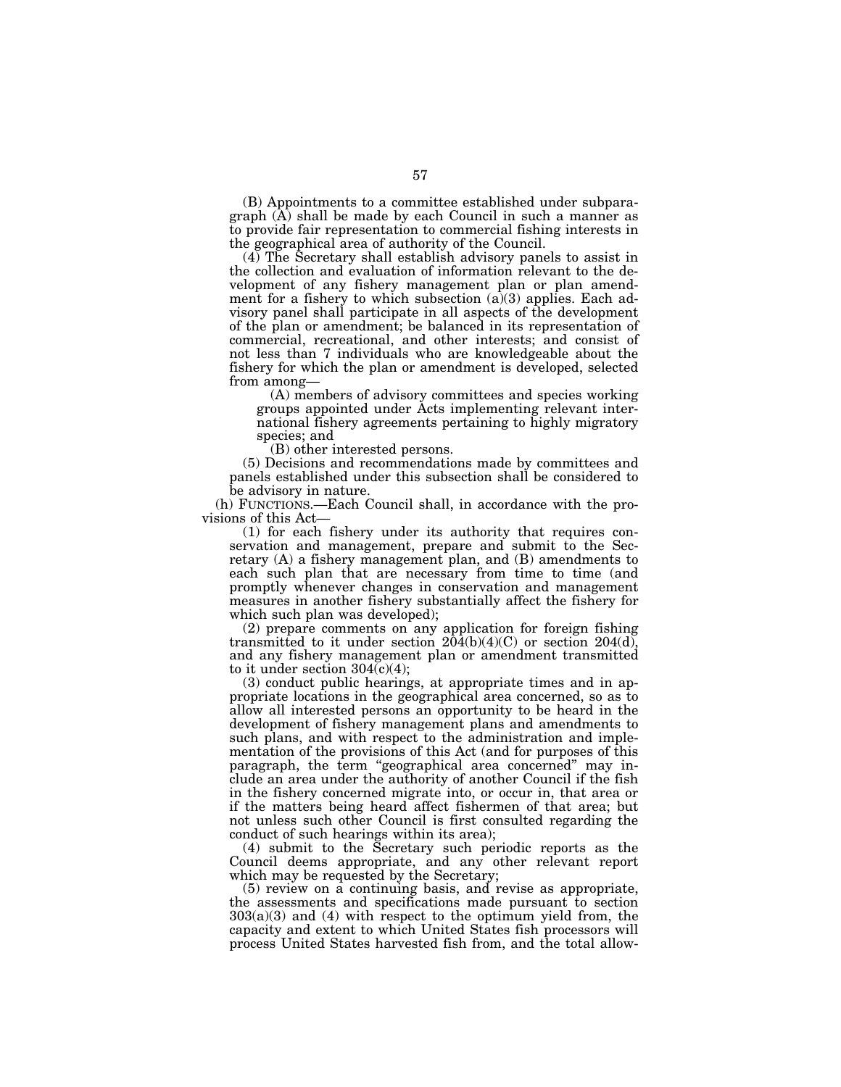(B) Appointments to a committee established under subparagraph (A) shall be made by each Council in such a manner as to provide fair representation to commercial fishing interests in the geographical area of authority of the Council.

(4) The Secretary shall establish advisory panels to assist in the collection and evaluation of information relevant to the development of any fishery management plan or plan amendment for a fishery to which subsection  $(a)(3)$  applies. Each advisory panel shall participate in all aspects of the development of the plan or amendment; be balanced in its representation of commercial, recreational, and other interests; and consist of not less than 7 individuals who are knowledgeable about the fishery for which the plan or amendment is developed, selected from among—

(A) members of advisory committees and species working groups appointed under Acts implementing relevant international fishery agreements pertaining to highly migratory species; and

(B) other interested persons.

(5) Decisions and recommendations made by committees and panels established under this subsection shall be considered to be advisory in nature.

(h) FUNCTIONS.—Each Council shall, in accordance with the provisions of this Act—

(1) for each fishery under its authority that requires conservation and management, prepare and submit to the Secretary (A) a fishery management plan, and (B) amendments to each such plan that are necessary from time to time (and promptly whenever changes in conservation and management measures in another fishery substantially affect the fishery for which such plan was developed);

(2) prepare comments on any application for foreign fishing transmitted to it under section  $204(b)(4)(C)$  or section  $204(d)$ , and any fishery management plan or amendment transmitted to it under section  $304(c)(4)$ ;

(3) conduct public hearings, at appropriate times and in appropriate locations in the geographical area concerned, so as to allow all interested persons an opportunity to be heard in the development of fishery management plans and amendments to such plans, and with respect to the administration and implementation of the provisions of this Act (and for purposes of this paragraph, the term "geographical area concerned" may include an area under the authority of another Council if the fish in the fishery concerned migrate into, or occur in, that area or if the matters being heard affect fishermen of that area; but not unless such other Council is first consulted regarding the conduct of such hearings within its area);

(4) submit to the Secretary such periodic reports as the Council deems appropriate, and any other relevant report which may be requested by the Secretary;

(5) review on a continuing basis, and revise as appropriate, the assessments and specifications made pursuant to section  $303(a)(3)$  and (4) with respect to the optimum yield from, the capacity and extent to which United States fish processors will process United States harvested fish from, and the total allow-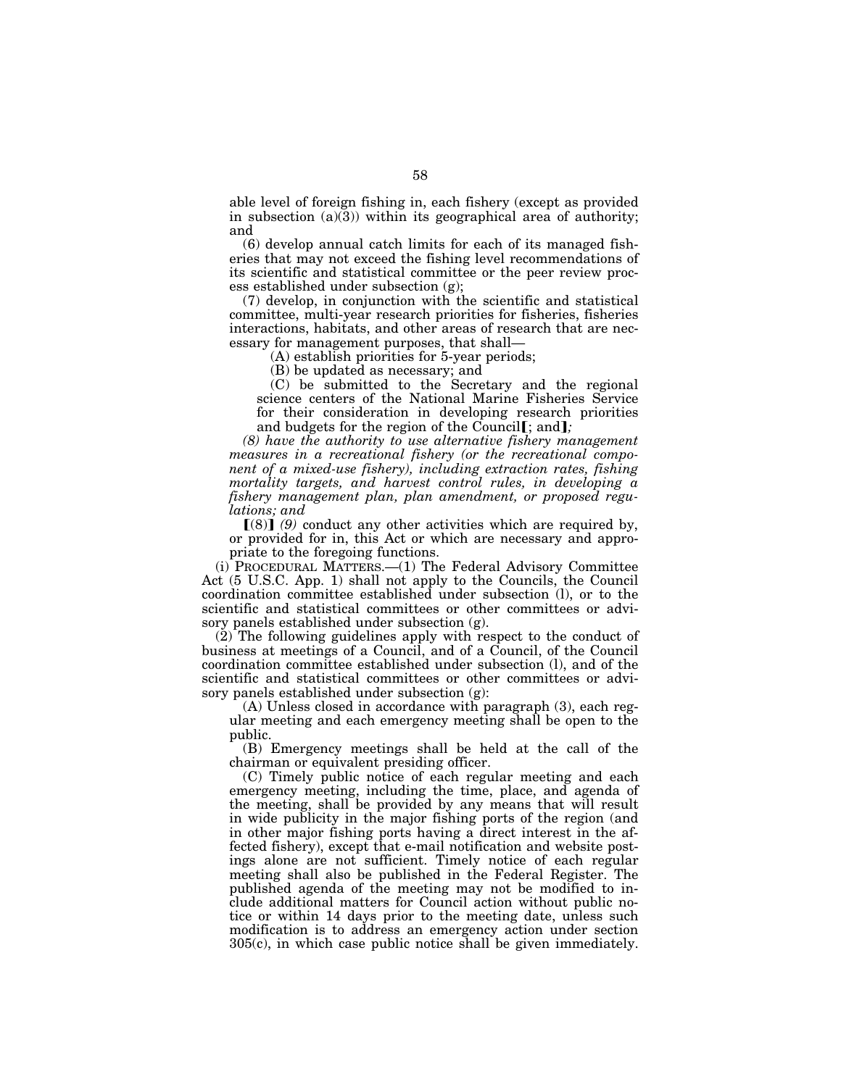able level of foreign fishing in, each fishery (except as provided in subsection  $(a)(3)$ ) within its geographical area of authority; and

(6) develop annual catch limits for each of its managed fisheries that may not exceed the fishing level recommendations of its scientific and statistical committee or the peer review process established under subsection (g);

(7) develop, in conjunction with the scientific and statistical committee, multi-year research priorities for fisheries, fisheries interactions, habitats, and other areas of research that are necessary for management purposes, that shall—

(A) establish priorities for 5-year periods;

(B) be updated as necessary; and

(C) be submitted to the Secretary and the regional science centers of the National Marine Fisheries Service for their consideration in developing research priorities and budgets for the region of the Council [; and ];

*(8) have the authority to use alternative fishery management measures in a recreational fishery (or the recreational component of a mixed-use fishery), including extraction rates, fishing mortality targets, and harvest control rules, in developing a fishery management plan, plan amendment, or proposed regulations; and* 

 $(8)$  (9) conduct any other activities which are required by, or provided for in, this Act or which are necessary and appropriate to the foregoing functions.

(i) PROCEDURAL MATTERS.—(1) The Federal Advisory Committee Act (5 U.S.C. App. 1) shall not apply to the Councils, the Council coordination committee established under subsection (l), or to the scientific and statistical committees or other committees or advisory panels established under subsection (g).

(2) The following guidelines apply with respect to the conduct of business at meetings of a Council, and of a Council, of the Council coordination committee established under subsection (l), and of the scientific and statistical committees or other committees or advisory panels established under subsection (g):

(A) Unless closed in accordance with paragraph (3), each regular meeting and each emergency meeting shall be open to the public.

(B) Emergency meetings shall be held at the call of the chairman or equivalent presiding officer.

(C) Timely public notice of each regular meeting and each emergency meeting, including the time, place, and agenda of the meeting, shall be provided by any means that will result in wide publicity in the major fishing ports of the region (and in other major fishing ports having a direct interest in the affected fishery), except that e-mail notification and website postings alone are not sufficient. Timely notice of each regular meeting shall also be published in the Federal Register. The published agenda of the meeting may not be modified to include additional matters for Council action without public notice or within 14 days prior to the meeting date, unless such modification is to address an emergency action under section 305(c), in which case public notice shall be given immediately.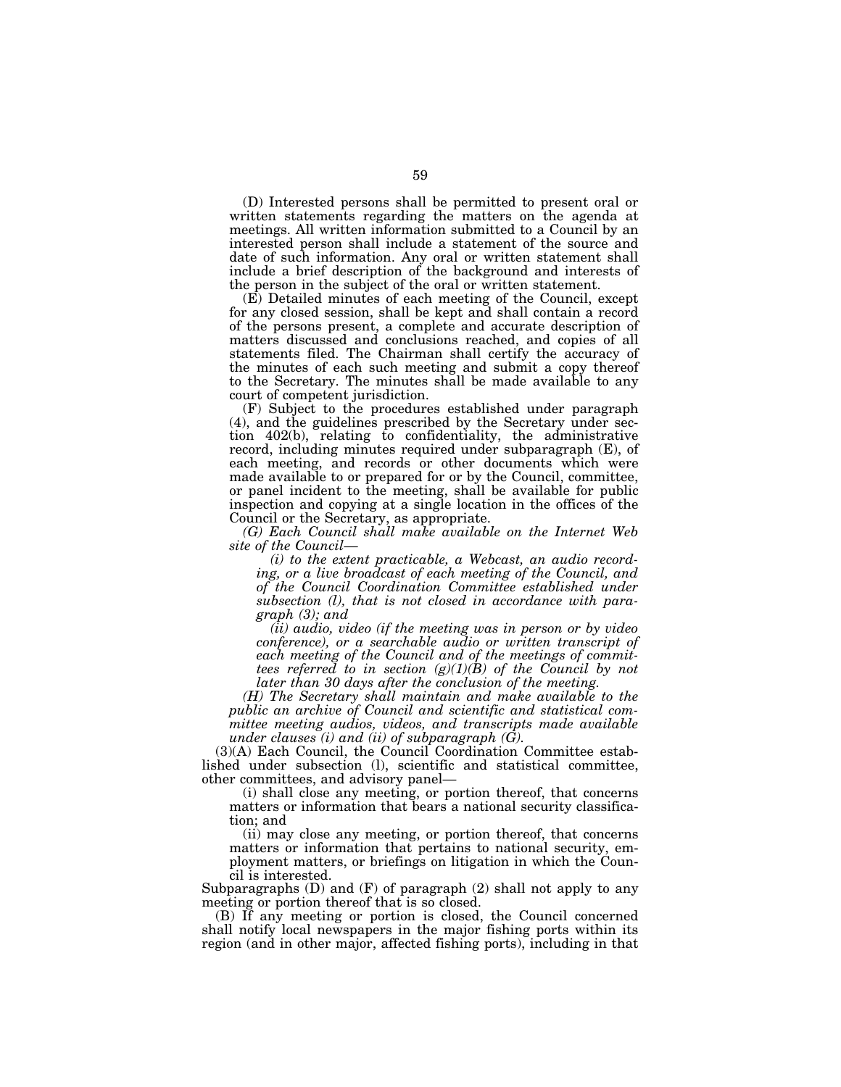(D) Interested persons shall be permitted to present oral or written statements regarding the matters on the agenda at meetings. All written information submitted to a Council by an interested person shall include a statement of the source and date of such information. Any oral or written statement shall include a brief description of the background and interests of the person in the subject of the oral or written statement.

(E) Detailed minutes of each meeting of the Council, except for any closed session, shall be kept and shall contain a record of the persons present, a complete and accurate description of matters discussed and conclusions reached, and copies of all statements filed. The Chairman shall certify the accuracy of the minutes of each such meeting and submit a copy thereof to the Secretary. The minutes shall be made available to any court of competent jurisdiction.

(F) Subject to the procedures established under paragraph (4), and the guidelines prescribed by the Secretary under section 402(b), relating to confidentiality, the administrative record, including minutes required under subparagraph (E), of each meeting, and records or other documents which were made available to or prepared for or by the Council, committee, or panel incident to the meeting, shall be available for public inspection and copying at a single location in the offices of the Council or the Secretary, as appropriate.

*(G) Each Council shall make available on the Internet Web site of the Council—* 

*(i) to the extent practicable, a Webcast, an audio recording, or a live broadcast of each meeting of the Council, and of the Council Coordination Committee established under subsection (l), that is not closed in accordance with paragraph (3); and* 

*(ii) audio, video (if the meeting was in person or by video conference), or a searchable audio or written transcript of each meeting of the Council and of the meetings of committees referred to in section (g)(1)(B) of the Council by not later than 30 days after the conclusion of the meeting.* 

*(H) The Secretary shall maintain and make available to the public an archive of Council and scientific and statistical committee meeting audios, videos, and transcripts made available under clauses (i) and (ii) of subparagraph (G).* 

(3)(A) Each Council, the Council Coordination Committee established under subsection (l), scientific and statistical committee, other committees, and advisory panel—

(i) shall close any meeting, or portion thereof, that concerns matters or information that bears a national security classification; and

(ii) may close any meeting, or portion thereof, that concerns matters or information that pertains to national security, employment matters, or briefings on litigation in which the Council is interested.

Subparagraphs  $(D)$  and  $(F)$  of paragraph  $(2)$  shall not apply to any meeting or portion thereof that is so closed.

(B) If any meeting or portion is closed, the Council concerned shall notify local newspapers in the major fishing ports within its region (and in other major, affected fishing ports), including in that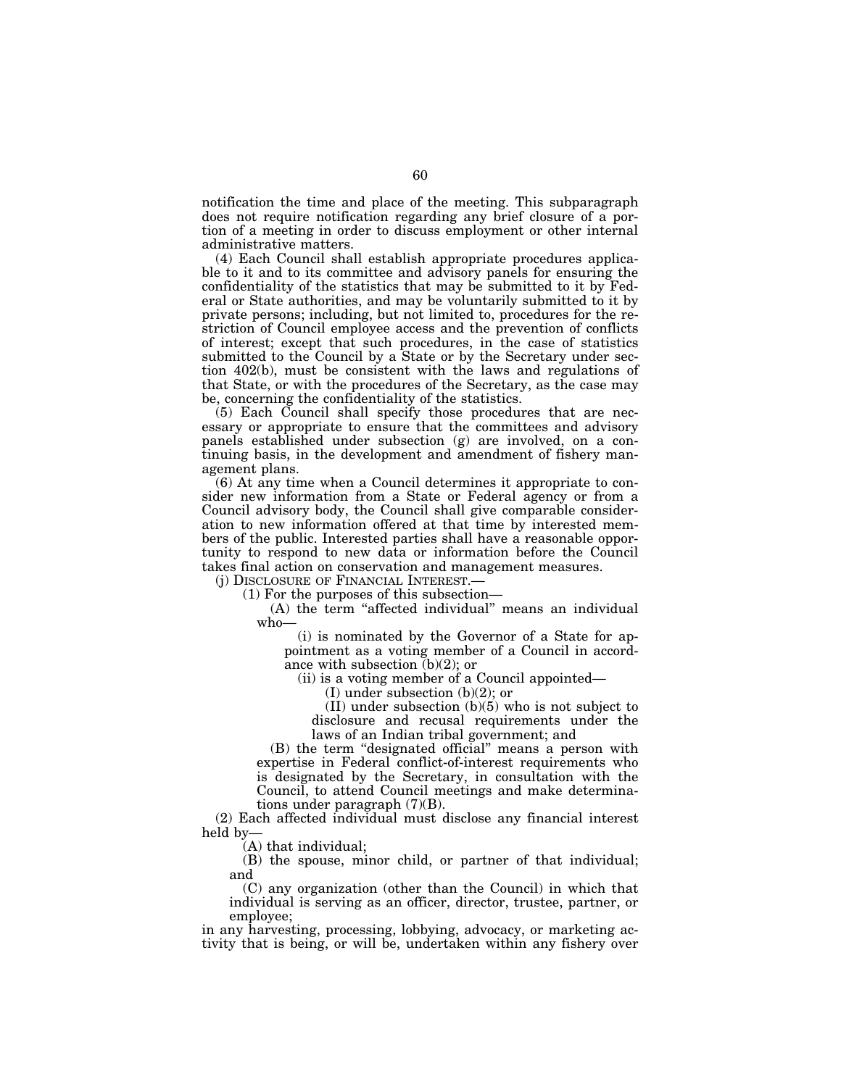notification the time and place of the meeting. This subparagraph does not require notification regarding any brief closure of a portion of a meeting in order to discuss employment or other internal administrative matters.

(4) Each Council shall establish appropriate procedures applicable to it and to its committee and advisory panels for ensuring the confidentiality of the statistics that may be submitted to it by Federal or State authorities, and may be voluntarily submitted to it by private persons; including, but not limited to, procedures for the restriction of Council employee access and the prevention of conflicts of interest; except that such procedures, in the case of statistics submitted to the Council by a State or by the Secretary under section 402(b), must be consistent with the laws and regulations of that State, or with the procedures of the Secretary, as the case may be, concerning the confidentiality of the statistics.

(5) Each Council shall specify those procedures that are necessary or appropriate to ensure that the committees and advisory panels established under subsection (g) are involved, on a continuing basis, in the development and amendment of fishery management plans.

(6) At any time when a Council determines it appropriate to consider new information from a State or Federal agency or from a Council advisory body, the Council shall give comparable consideration to new information offered at that time by interested members of the public. Interested parties shall have a reasonable opportunity to respond to new data or information before the Council takes final action on conservation and management measures.

(j) DISCLOSURE OF FINANCIAL INTEREST.—

(1) For the purposes of this subsection—

(A) the term "affected individual" means an individual who—

(i) is nominated by the Governor of a State for appointment as a voting member of a Council in accordance with subsection  $(b)(2)$ ; or

(ii) is a voting member of a Council appointed—

(I) under subsection (b)(2); or

(II) under subsection (b)(5) who is not subject to disclosure and recusal requirements under the laws of an Indian tribal government; and

(B) the term ''designated official'' means a person with expertise in Federal conflict-of-interest requirements who is designated by the Secretary, in consultation with the Council, to attend Council meetings and make determinations under paragraph (7)(B).

(2) Each affected individual must disclose any financial interest held by—

(A) that individual;

(B) the spouse, minor child, or partner of that individual; and

(C) any organization (other than the Council) in which that individual is serving as an officer, director, trustee, partner, or employee;

in any harvesting, processing, lobbying, advocacy, or marketing activity that is being, or will be, undertaken within any fishery over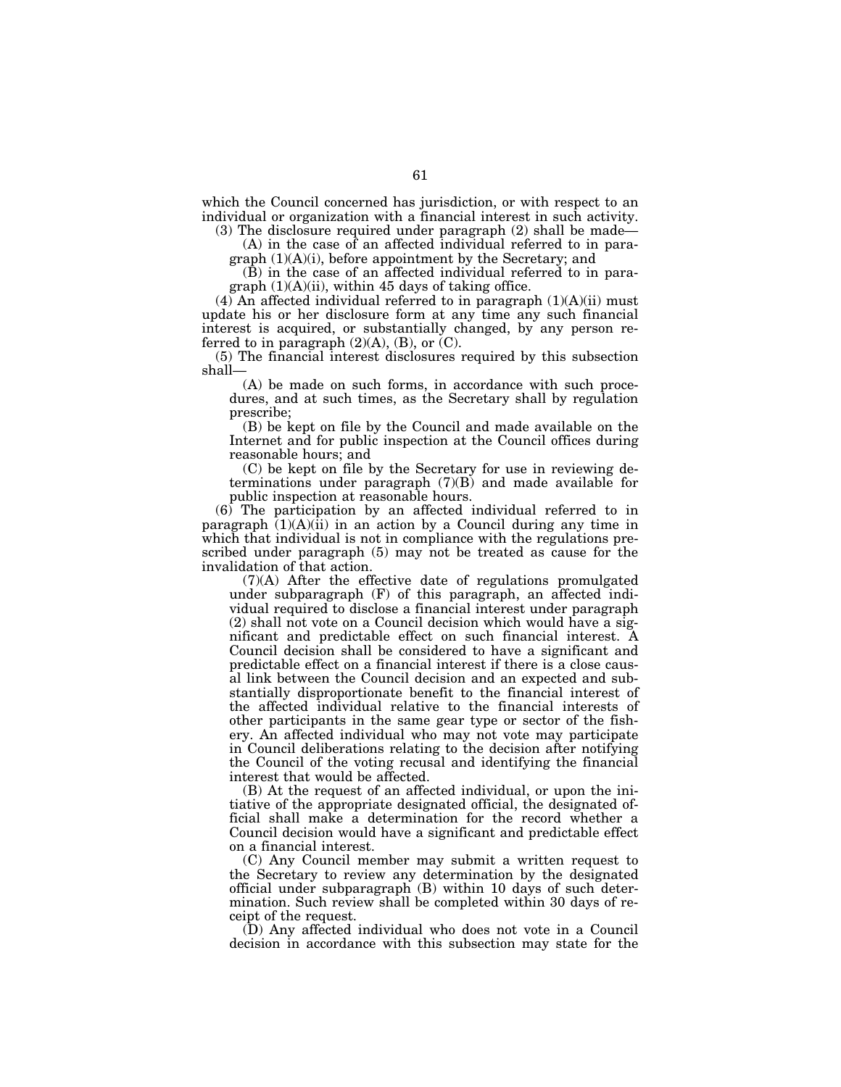which the Council concerned has jurisdiction, or with respect to an individual or organization with a financial interest in such activity.

(3) The disclosure required under paragraph (2) shall be made— (A) in the case of an affected individual referred to in para-

graph (1)(A)(i), before appointment by the Secretary; and

(B) in the case of an affected individual referred to in paragraph  $(1)(A)(ii)$ , within 45 days of taking office.

 $(4)$  An affected individual referred to in paragraph  $(1)(A)(ii)$  must update his or her disclosure form at any time any such financial interest is acquired, or substantially changed, by any person referred to in paragraph  $(2)(A)$ ,  $(B)$ , or  $(C)$ .

(5) The financial interest disclosures required by this subsection shall—

(A) be made on such forms, in accordance with such procedures, and at such times, as the Secretary shall by regulation prescribe;

(B) be kept on file by the Council and made available on the Internet and for public inspection at the Council offices during reasonable hours; and

(C) be kept on file by the Secretary for use in reviewing determinations under paragraph (7)(B) and made available for public inspection at reasonable hours.

(6) The participation by an affected individual referred to in paragraph  $(1)(A)(ii)$  in an action by a Council during any time in which that individual is not in compliance with the regulations prescribed under paragraph (5) may not be treated as cause for the invalidation of that action.

(7)(A) After the effective date of regulations promulgated under subparagraph (F) of this paragraph, an affected individual required to disclose a financial interest under paragraph (2) shall not vote on a Council decision which would have a significant and predictable effect on such financial interest. A Council decision shall be considered to have a significant and predictable effect on a financial interest if there is a close causal link between the Council decision and an expected and substantially disproportionate benefit to the financial interest of the affected individual relative to the financial interests of other participants in the same gear type or sector of the fishery. An affected individual who may not vote may participate in Council deliberations relating to the decision after notifying the Council of the voting recusal and identifying the financial interest that would be affected.

(B) At the request of an affected individual, or upon the initiative of the appropriate designated official, the designated official shall make a determination for the record whether a Council decision would have a significant and predictable effect on a financial interest.

(C) Any Council member may submit a written request to the Secretary to review any determination by the designated official under subparagraph (B) within 10 days of such determination. Such review shall be completed within 30 days of receipt of the request.

(D) Any affected individual who does not vote in a Council decision in accordance with this subsection may state for the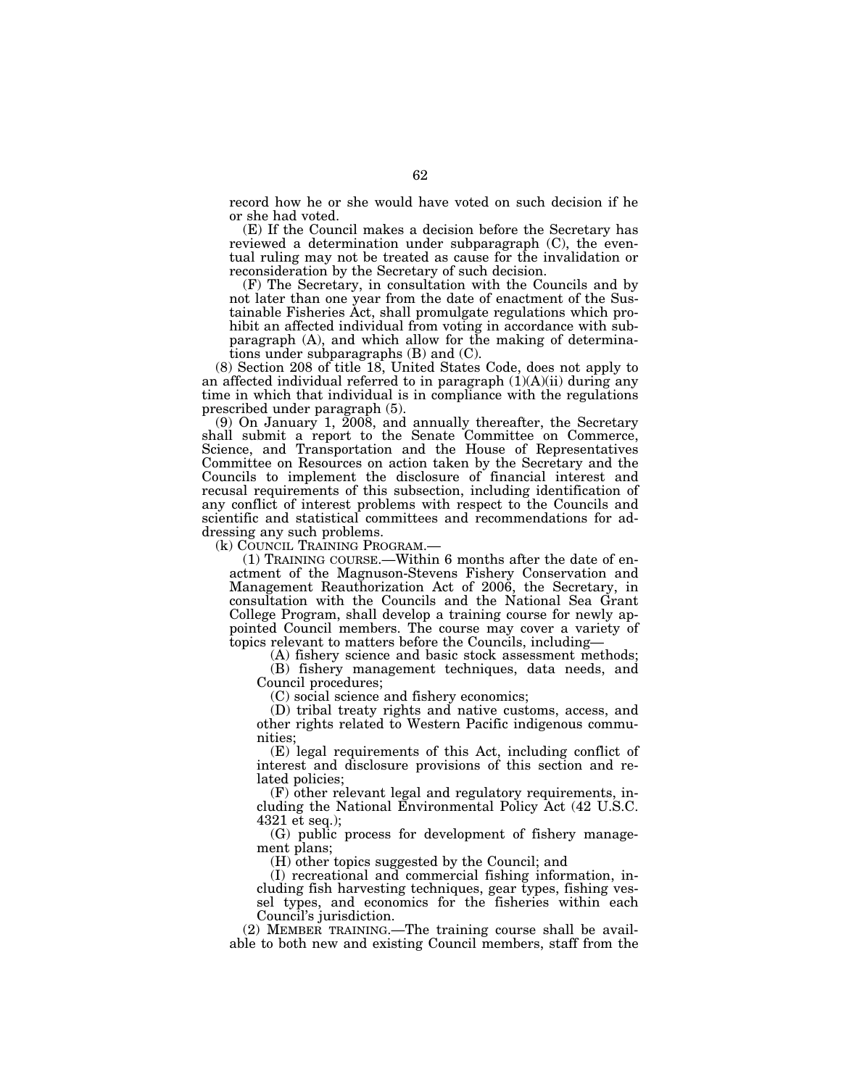record how he or she would have voted on such decision if he or she had voted.

(E) If the Council makes a decision before the Secretary has reviewed a determination under subparagraph (C), the eventual ruling may not be treated as cause for the invalidation or reconsideration by the Secretary of such decision.

(F) The Secretary, in consultation with the Councils and by not later than one year from the date of enactment of the Sustainable Fisheries Act, shall promulgate regulations which prohibit an affected individual from voting in accordance with subparagraph (A), and which allow for the making of determinations under subparagraphs (B) and (C).

(8) Section 208 of title 18, United States Code, does not apply to an affected individual referred to in paragraph  $(1)(A)(ii)$  during any time in which that individual is in compliance with the regulations prescribed under paragraph (5).

(9) On January 1, 2008, and annually thereafter, the Secretary shall submit a report to the Senate Committee on Commerce, Science, and Transportation and the House of Representatives Committee on Resources on action taken by the Secretary and the Councils to implement the disclosure of financial interest and recusal requirements of this subsection, including identification of any conflict of interest problems with respect to the Councils and scientific and statistical committees and recommendations for addressing any such problems.

(k) COUNCIL TRAINING PROGRAM.— (1) TRAINING COURSE.—Within 6 months after the date of enactment of the Magnuson-Stevens Fishery Conservation and Management Reauthorization Act of 2006, the Secretary, in consultation with the Councils and the National Sea Grant College Program, shall develop a training course for newly appointed Council members. The course may cover a variety of topics relevant to matters before the Councils, including—

(A) fishery science and basic stock assessment methods;

(B) fishery management techniques, data needs, and Council procedures;

(C) social science and fishery economics;

(D) tribal treaty rights and native customs, access, and other rights related to Western Pacific indigenous communities;

(E) legal requirements of this Act, including conflict of interest and disclosure provisions of this section and related policies;

(F) other relevant legal and regulatory requirements, including the National Environmental Policy Act (42 U.S.C. 4321 et seq.);

(G) public process for development of fishery management plans;

(H) other topics suggested by the Council; and

(I) recreational and commercial fishing information, including fish harvesting techniques, gear types, fishing vessel types, and economics for the fisheries within each Council's jurisdiction.

(2) MEMBER TRAINING.—The training course shall be available to both new and existing Council members, staff from the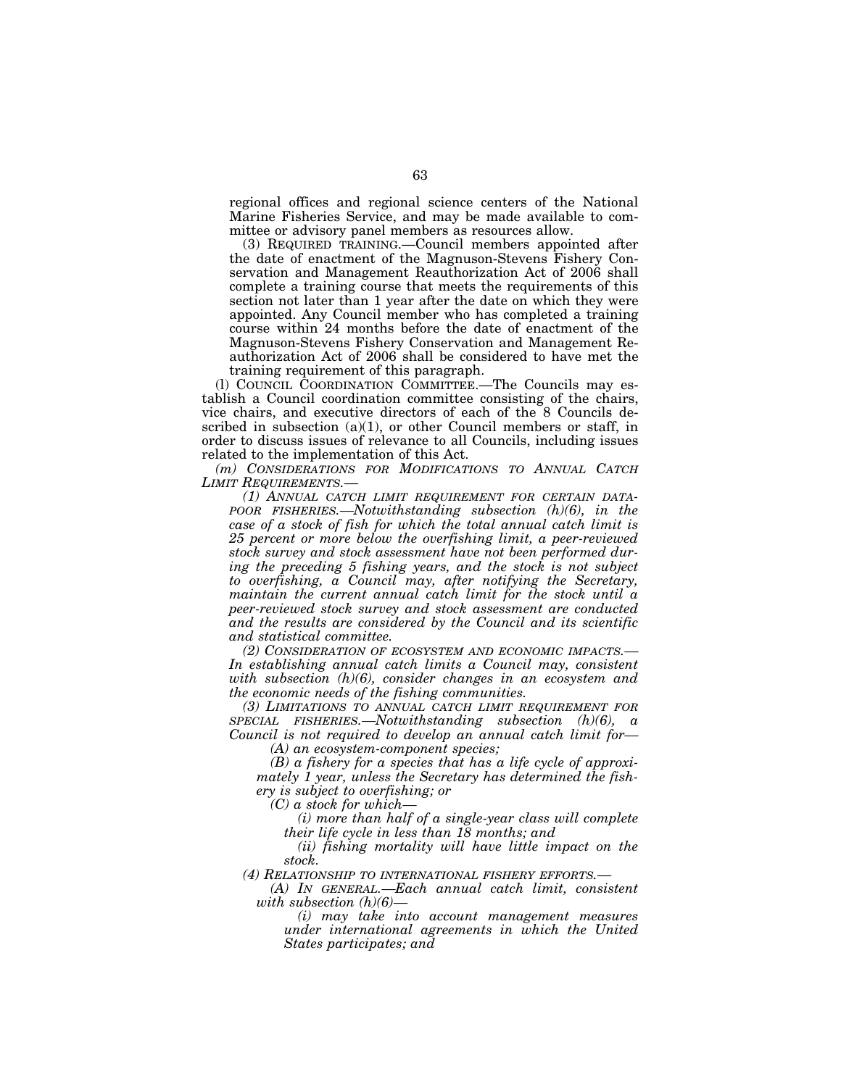regional offices and regional science centers of the National Marine Fisheries Service, and may be made available to committee or advisory panel members as resources allow.

(3) REQUIRED TRAINING.—Council members appointed after the date of enactment of the Magnuson-Stevens Fishery Conservation and Management Reauthorization Act of 2006 shall complete a training course that meets the requirements of this section not later than 1 year after the date on which they were appointed. Any Council member who has completed a training course within 24 months before the date of enactment of the Magnuson-Stevens Fishery Conservation and Management Reauthorization Act of 2006 shall be considered to have met the training requirement of this paragraph.

(l) COUNCIL COORDINATION COMMITTEE.—The Councils may establish a Council coordination committee consisting of the chairs, vice chairs, and executive directors of each of the 8 Councils described in subsection  $(a)(1)$ , or other Council members or staff, in order to discuss issues of relevance to all Councils, including issues related to the implementation of this Act.

*(m) CONSIDERATIONS FOR MODIFICATIONS TO ANNUAL CATCH LIMIT REQUIREMENTS.—* 

*(1) ANNUAL CATCH LIMIT REQUIREMENT FOR CERTAIN DATA-POOR FISHERIES.—Notwithstanding subsection (h)(6), in the case of a stock of fish for which the total annual catch limit is 25 percent or more below the overfishing limit, a peer-reviewed stock survey and stock assessment have not been performed during the preceding 5 fishing years, and the stock is not subject to overfishing, a Council may, after notifying the Secretary, maintain the current annual catch limit for the stock until a peer-reviewed stock survey and stock assessment are conducted and the results are considered by the Council and its scientific and statistical committee.* 

*(2) CONSIDERATION OF ECOSYSTEM AND ECONOMIC IMPACTS.— In establishing annual catch limits a Council may, consistent with subsection (h)(6), consider changes in an ecosystem and the economic needs of the fishing communities.* 

*(3) LIMITATIONS TO ANNUAL CATCH LIMIT REQUIREMENT FOR SPECIAL FISHERIES.—Notwithstanding subsection (h)(6), a Council is not required to develop an annual catch limit for—* 

*(A) an ecosystem-component species;* 

*(B) a fishery for a species that has a life cycle of approximately 1 year, unless the Secretary has determined the fishery is subject to overfishing; or* 

*(C) a stock for which—* 

*(i) more than half of a single-year class will complete their life cycle in less than 18 months; and* 

*(ii) fishing mortality will have little impact on the stock.* 

*(4) RELATIONSHIP TO INTERNATIONAL FISHERY EFFORTS.—* 

*(A) IN GENERAL.—Each annual catch limit, consistent with subsection (h)(6)—* 

*(i) may take into account management measures under international agreements in which the United States participates; and*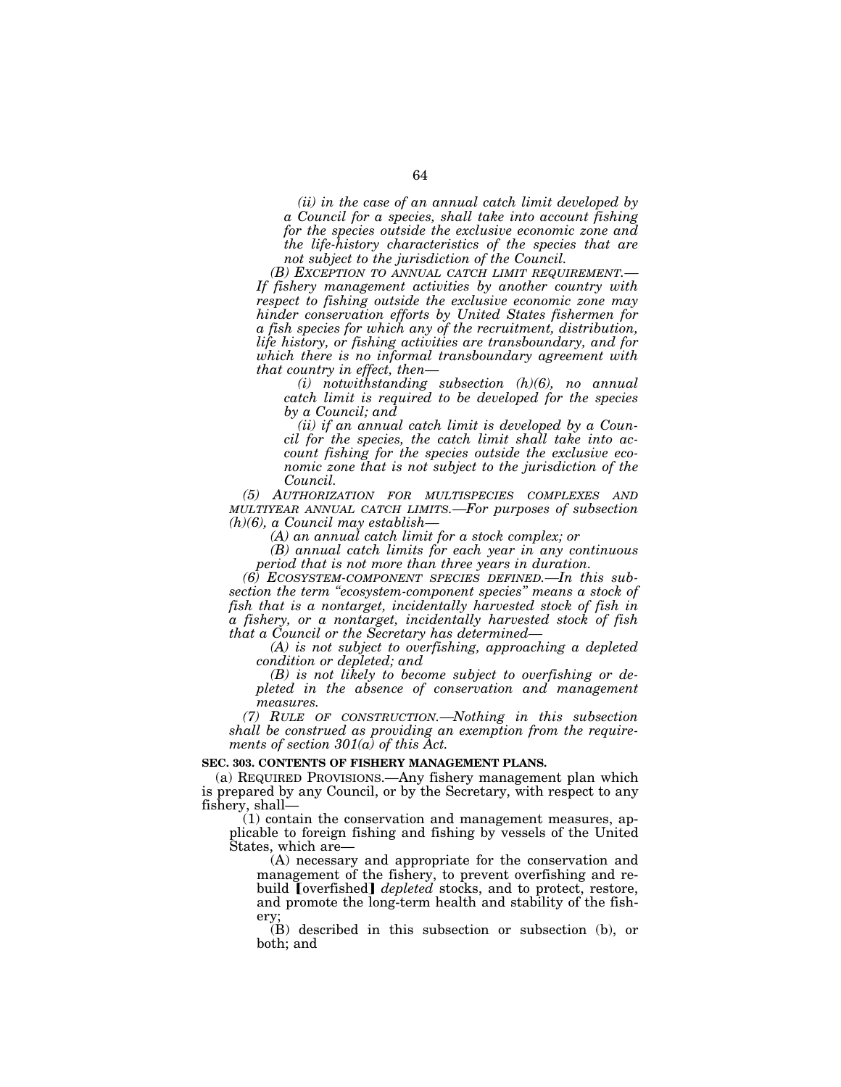*(ii) in the case of an annual catch limit developed by a Council for a species, shall take into account fishing for the species outside the exclusive economic zone and the life-history characteristics of the species that are not subject to the jurisdiction of the Council.* 

*(B) EXCEPTION TO ANNUAL CATCH LIMIT REQUIREMENT.— If fishery management activities by another country with respect to fishing outside the exclusive economic zone may hinder conservation efforts by United States fishermen for a fish species for which any of the recruitment, distribution, life history, or fishing activities are transboundary, and for which there is no informal transboundary agreement with that country in effect, then—* 

*(i) notwithstanding subsection (h)(6), no annual catch limit is required to be developed for the species by a Council; and* 

*(ii) if an annual catch limit is developed by a Council for the species, the catch limit shall take into account fishing for the species outside the exclusive economic zone that is not subject to the jurisdiction of the Council.* 

*(5) AUTHORIZATION FOR MULTISPECIES COMPLEXES AND MULTIYEAR ANNUAL CATCH LIMITS.—For purposes of subsection (h)(6), a Council may establish—* 

*(A) an annual catch limit for a stock complex; or* 

*(B) annual catch limits for each year in any continuous period that is not more than three years in duration.* 

*(6) ECOSYSTEM-COMPONENT SPECIES DEFINED.—In this subsection the term ''ecosystem-component species'' means a stock of fish that is a nontarget, incidentally harvested stock of fish in a fishery, or a nontarget, incidentally harvested stock of fish that a Council or the Secretary has determined—* 

*(A) is not subject to overfishing, approaching a depleted condition or depleted; and* 

*(B) is not likely to become subject to overfishing or depleted in the absence of conservation and management measures.* 

*(7) RULE OF CONSTRUCTION.—Nothing in this subsection shall be construed as providing an exemption from the requirements of section 301(a) of this Act.* 

#### **SEC. 303. CONTENTS OF FISHERY MANAGEMENT PLANS.**

(a) REQUIRED PROVISIONS.—Any fishery management plan which is prepared by any Council, or by the Secretary, with respect to any fishery, shall—

(1) contain the conservation and management measures, applicable to foreign fishing and fishing by vessels of the United States, which are—

(A) necessary and appropriate for the conservation and management of the fishery, to prevent overfishing and re-<br>build **[**overfished] *depleted* stocks, and to protect, restore, and promote the long-term health and stability of the fishery;

(B) described in this subsection or subsection (b), or both; and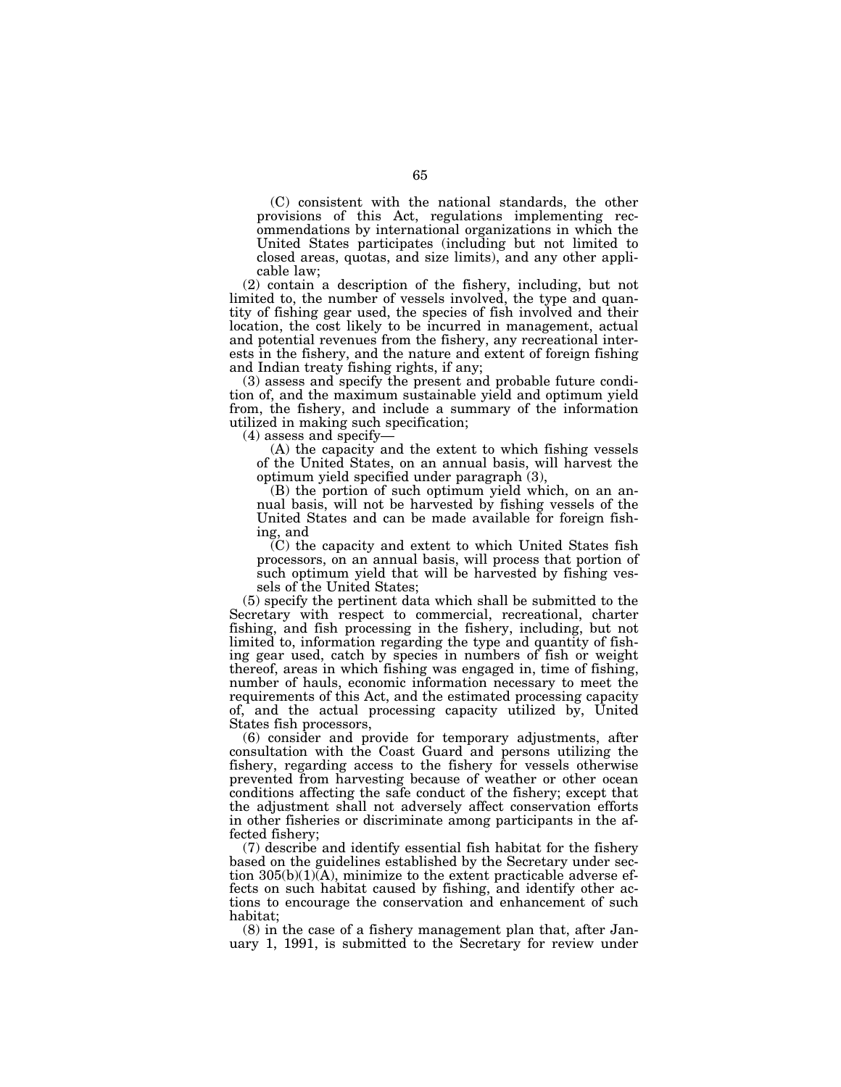(C) consistent with the national standards, the other provisions of this Act, regulations implementing recommendations by international organizations in which the United States participates (including but not limited to closed areas, quotas, and size limits), and any other applicable law;

(2) contain a description of the fishery, including, but not limited to, the number of vessels involved, the type and quantity of fishing gear used, the species of fish involved and their location, the cost likely to be incurred in management, actual and potential revenues from the fishery, any recreational interests in the fishery, and the nature and extent of foreign fishing and Indian treaty fishing rights, if any;

(3) assess and specify the present and probable future condition of, and the maximum sustainable yield and optimum yield from, the fishery, and include a summary of the information utilized in making such specification;

(4) assess and specify—

(A) the capacity and the extent to which fishing vessels of the United States, on an annual basis, will harvest the optimum yield specified under paragraph (3),

(B) the portion of such optimum yield which, on an annual basis, will not be harvested by fishing vessels of the United States and can be made available for foreign fishing, and

(C) the capacity and extent to which United States fish processors, on an annual basis, will process that portion of such optimum yield that will be harvested by fishing vessels of the United States;

(5) specify the pertinent data which shall be submitted to the Secretary with respect to commercial, recreational, charter fishing, and fish processing in the fishery, including, but not limited to, information regarding the type and quantity of fishing gear used, catch by species in numbers of fish or weight thereof, areas in which fishing was engaged in, time of fishing, number of hauls, economic information necessary to meet the requirements of this Act, and the estimated processing capacity of, and the actual processing capacity utilized by, United States fish processors,

(6) consider and provide for temporary adjustments, after consultation with the Coast Guard and persons utilizing the fishery, regarding access to the fishery for vessels otherwise prevented from harvesting because of weather or other ocean conditions affecting the safe conduct of the fishery; except that the adjustment shall not adversely affect conservation efforts in other fisheries or discriminate among participants in the affected fishery;

(7) describe and identify essential fish habitat for the fishery based on the guidelines established by the Secretary under section 305(b)(1)(A), minimize to the extent practicable adverse effects on such habitat caused by fishing, and identify other actions to encourage the conservation and enhancement of such habitat;

(8) in the case of a fishery management plan that, after January 1, 1991, is submitted to the Secretary for review under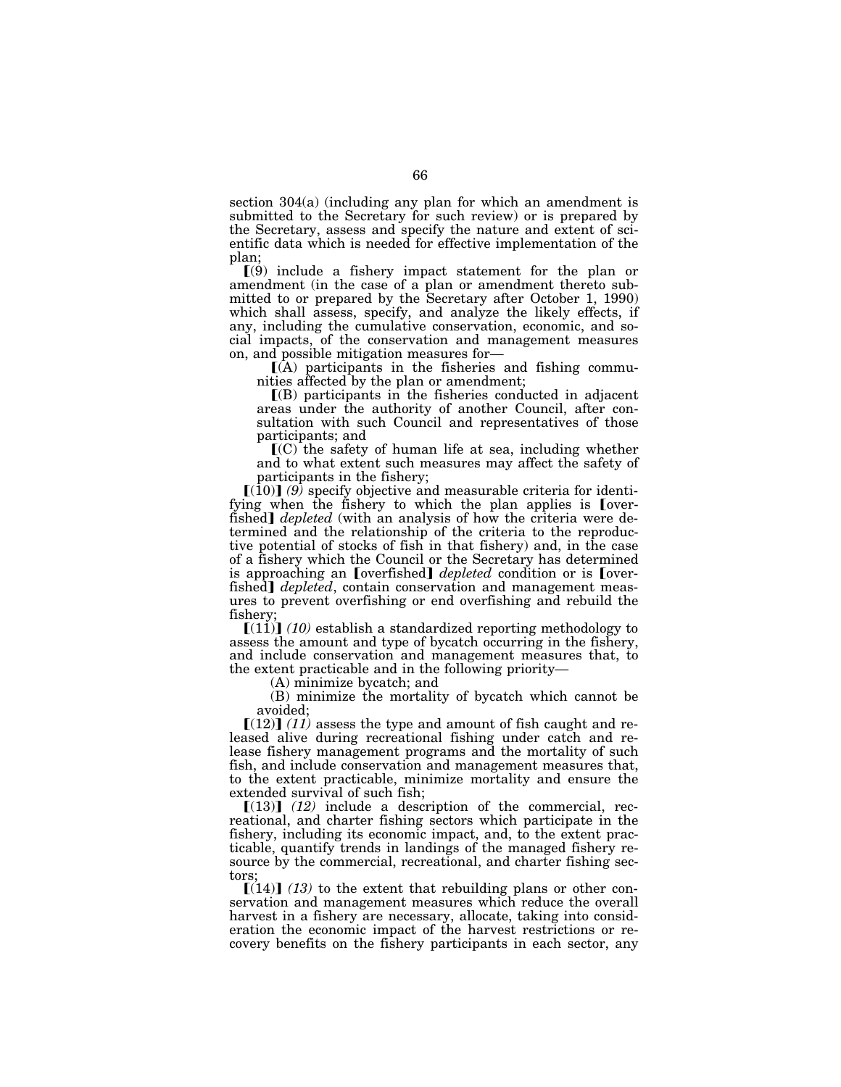section 304(a) (including any plan for which an amendment is submitted to the Secretary for such review) or is prepared by the Secretary, assess and specify the nature and extent of scientific data which is needed for effective implementation of the plan;

 $(9)$  include a fishery impact statement for the plan or amendment (in the case of a plan or amendment thereto submitted to or prepared by the Secretary after October 1, 1990) which shall assess, specify, and analyze the likely effects, if any, including the cumulative conservation, economic, and social impacts, of the conservation and management measures on, and possible mitigation measures for—

 $(A)$  participants in the fisheries and fishing communities affected by the plan or amendment;

 $\Gamma(B)$  participants in the fisheries conducted in adjacent areas under the authority of another Council, after consultation with such Council and representatives of those participants; and

 $\mathbf{C}(C)$  the safety of human life at sea, including whether and to what extent such measures may affect the safety of participants in the fishery;

 $[(10)]$  (9) specify objective and measurable criteria for identifying when the fishery to which the plan applies is [overfished] *depleted* (with an analysis of how the criteria were determined and the relationship of the criteria to the reproductive potential of stocks of fish in that fishery) and, in the case of a fishery which the Council or the Secretary has determined is approaching an [overfished] *depleted* condition or is [overfished] *depleted*, contain conservation and management measures to prevent overfishing or end overfishing and rebuild the fishery;

 $[(11)]$   $(10)$  establish a standardized reporting methodology to assess the amount and type of bycatch occurring in the fishery, and include conservation and management measures that, to the extent practicable and in the following priority—

(A) minimize bycatch; and

(B) minimize the mortality of bycatch which cannot be avoided;

 $[(12)]$   $(11)$  assess the type and amount of fish caught and released alive during recreational fishing under catch and release fishery management programs and the mortality of such fish, and include conservation and management measures that, to the extent practicable, minimize mortality and ensure the extended survival of such fish;

 $[(13)]$   $(12)$  include a description of the commercial, recreational, and charter fishing sectors which participate in the fishery, including its economic impact, and, to the extent practicable, quantify trends in landings of the managed fishery resource by the commercial, recreational, and charter fishing sectors;

 $[(14)]$   $(13)$  to the extent that rebuilding plans or other conservation and management measures which reduce the overall harvest in a fishery are necessary, allocate, taking into consideration the economic impact of the harvest restrictions or recovery benefits on the fishery participants in each sector, any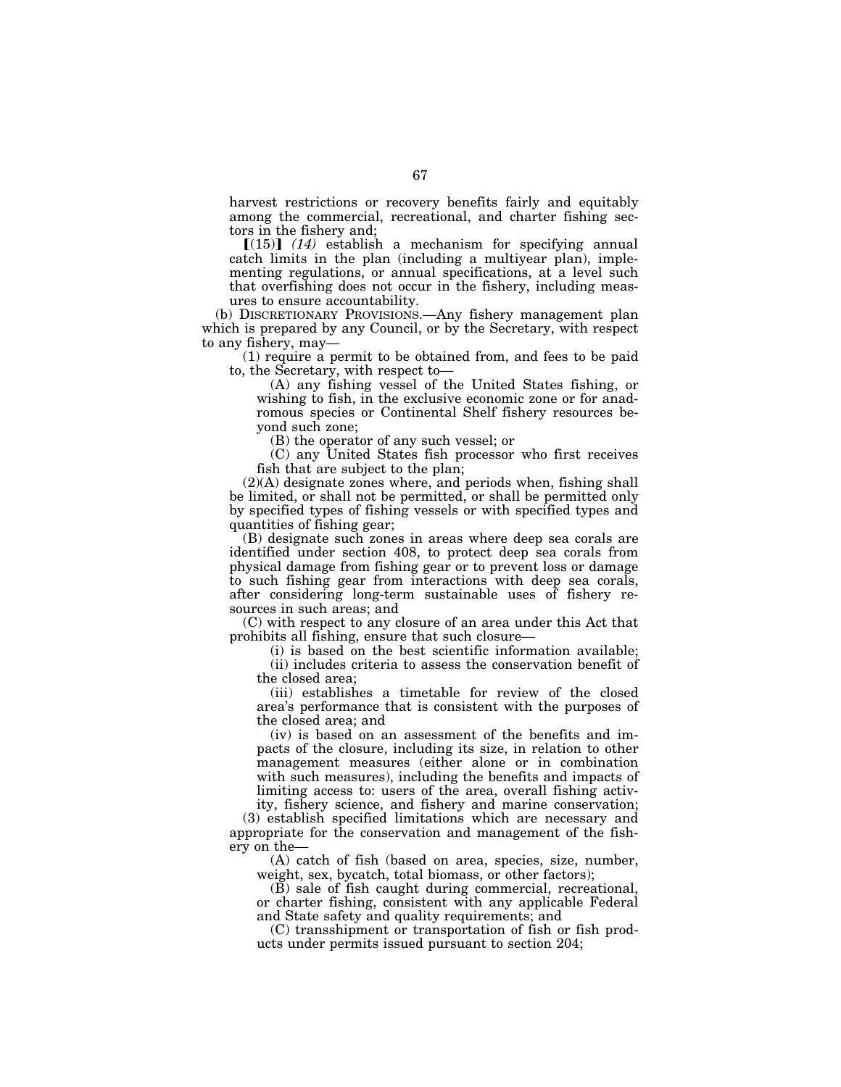harvest restrictions or recovery benefits fairly and equitably among the commercial, recreational, and charter fishing sectors in the fishery and;

 $[(15)]$   $(14)$  establish a mechanism for specifying annual catch limits in the plan (including a multiyear plan), implementing regulations, or annual specifications, at a level such that overfishing does not occur in the fishery, including measures to ensure accountability.

(b) DISCRETIONARY PROVISIONS.—Any fishery management plan which is prepared by any Council, or by the Secretary, with respect to any fishery, may—

(1) require a permit to be obtained from, and fees to be paid to, the Secretary, with respect to—

(A) any fishing vessel of the United States fishing, or wishing to fish, in the exclusive economic zone or for anadromous species or Continental Shelf fishery resources beyond such zone;

(B) the operator of any such vessel; or

(C) any United States fish processor who first receives fish that are subject to the plan;

(2)(A) designate zones where, and periods when, fishing shall be limited, or shall not be permitted, or shall be permitted only by specified types of fishing vessels or with specified types and quantities of fishing gear;

(B) designate such zones in areas where deep sea corals are identified under section 408, to protect deep sea corals from physical damage from fishing gear or to prevent loss or damage to such fishing gear from interactions with deep sea corals, after considering long-term sustainable uses of fishery resources in such areas; and

(C) with respect to any closure of an area under this Act that prohibits all fishing, ensure that such closure—

(i) is based on the best scientific information available;

(ii) includes criteria to assess the conservation benefit of the closed area;

(iii) establishes a timetable for review of the closed area's performance that is consistent with the purposes of the closed area; and

(iv) is based on an assessment of the benefits and impacts of the closure, including its size, in relation to other management measures (either alone or in combination with such measures), including the benefits and impacts of limiting access to: users of the area, overall fishing activ-

ity, fishery science, and fishery and marine conservation; (3) establish specified limitations which are necessary and appropriate for the conservation and management of the fishery on the—

(A) catch of fish (based on area, species, size, number, weight, sex, bycatch, total biomass, or other factors);

(B) sale of fish caught during commercial, recreational, or charter fishing, consistent with any applicable Federal and State safety and quality requirements; and

(C) transshipment or transportation of fish or fish products under permits issued pursuant to section 204;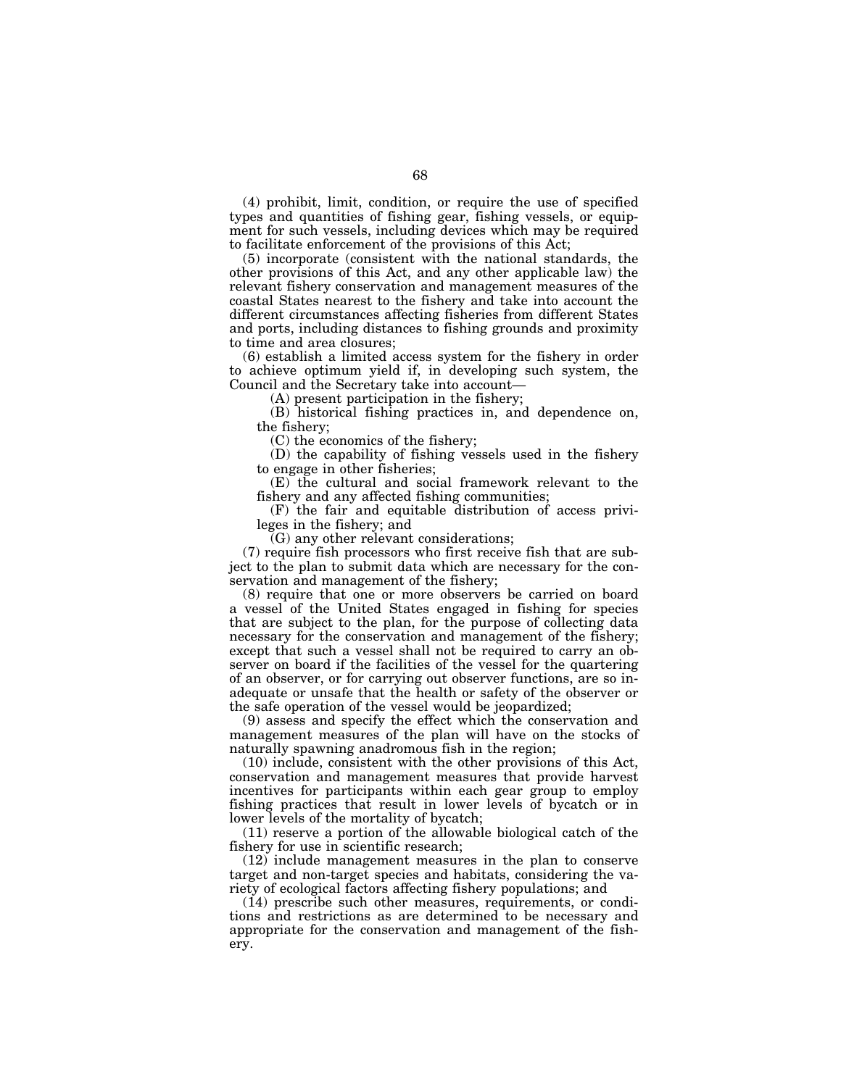(4) prohibit, limit, condition, or require the use of specified types and quantities of fishing gear, fishing vessels, or equipment for such vessels, including devices which may be required to facilitate enforcement of the provisions of this Act;

(5) incorporate (consistent with the national standards, the other provisions of this Act, and any other applicable law) the relevant fishery conservation and management measures of the coastal States nearest to the fishery and take into account the different circumstances affecting fisheries from different States and ports, including distances to fishing grounds and proximity to time and area closures;

(6) establish a limited access system for the fishery in order to achieve optimum yield if, in developing such system, the Council and the Secretary take into account—

(A) present participation in the fishery;

(B) historical fishing practices in, and dependence on, the fishery;

(C) the economics of the fishery;

(D) the capability of fishing vessels used in the fishery to engage in other fisheries;

(E) the cultural and social framework relevant to the fishery and any affected fishing communities;

(F) the fair and equitable distribution of access privileges in the fishery; and

(G) any other relevant considerations;

(7) require fish processors who first receive fish that are subject to the plan to submit data which are necessary for the conservation and management of the fishery;

(8) require that one or more observers be carried on board a vessel of the United States engaged in fishing for species that are subject to the plan, for the purpose of collecting data necessary for the conservation and management of the fishery; except that such a vessel shall not be required to carry an observer on board if the facilities of the vessel for the quartering of an observer, or for carrying out observer functions, are so inadequate or unsafe that the health or safety of the observer or the safe operation of the vessel would be jeopardized;

(9) assess and specify the effect which the conservation and management measures of the plan will have on the stocks of naturally spawning anadromous fish in the region;

(10) include, consistent with the other provisions of this Act, conservation and management measures that provide harvest incentives for participants within each gear group to employ fishing practices that result in lower levels of bycatch or in lower levels of the mortality of bycatch;

(11) reserve a portion of the allowable biological catch of the fishery for use in scientific research;

(12) include management measures in the plan to conserve target and non-target species and habitats, considering the variety of ecological factors affecting fishery populations; and

(14) prescribe such other measures, requirements, or conditions and restrictions as are determined to be necessary and appropriate for the conservation and management of the fishery.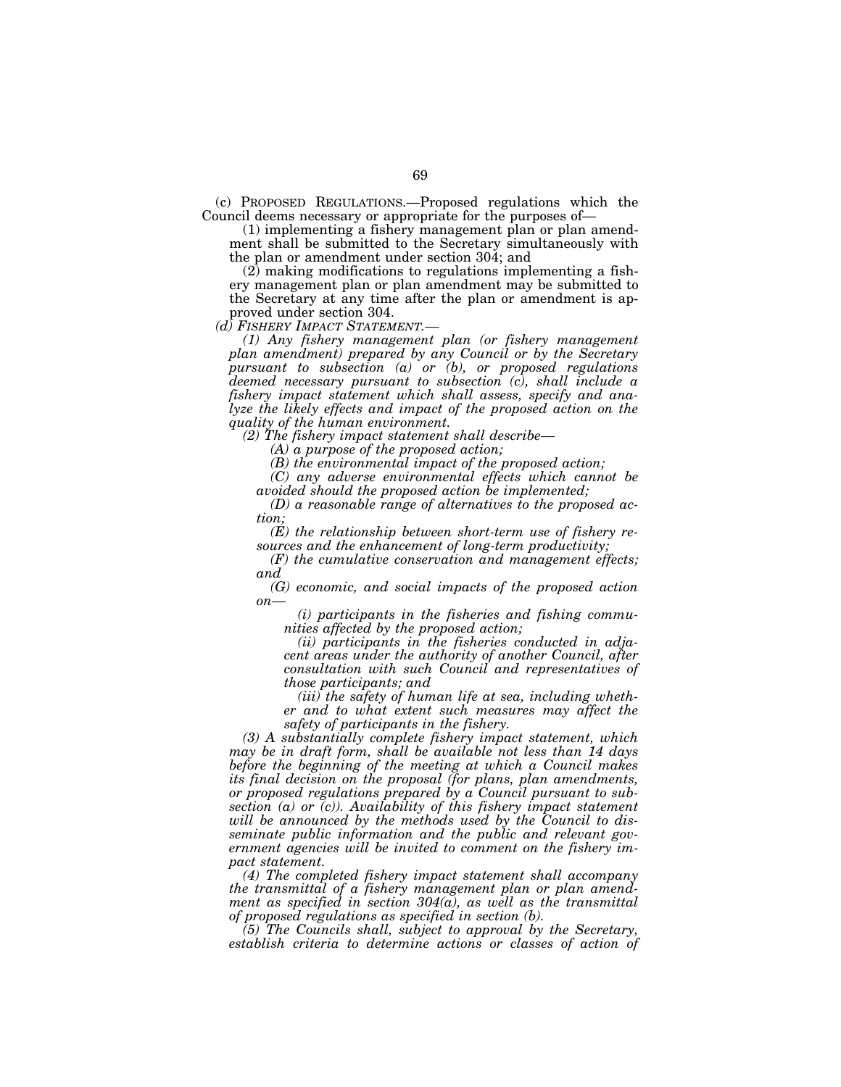(c) PROPOSED REGULATIONS.—Proposed regulations which the Council deems necessary or appropriate for the purposes of—

(1) implementing a fishery management plan or plan amendment shall be submitted to the Secretary simultaneously with the plan or amendment under section 304; and

 $(2)$  making modifications to regulations implementing a fishery management plan or plan amendment may be submitted to the Secretary at any time after the plan or amendment is approved under section 304.<br>(d) FISHERY IMPACT STATEMENT.

*(d) FISHERY IMPACT STATEMENT.— (1) Any fishery management plan (or fishery management plan amendment) prepared by any Council or by the Secretary pursuant to subsection (a) or (b), or proposed regulations deemed necessary pursuant to subsection (c), shall include a fishery impact statement which shall assess, specify and analyze the likely effects and impact of the proposed action on the quality of the human environment.* 

*(2) The fishery impact statement shall describe—* 

*(A) a purpose of the proposed action;* 

*(B) the environmental impact of the proposed action;* 

*(C) any adverse environmental effects which cannot be avoided should the proposed action be implemented;* 

*(D) a reasonable range of alternatives to the proposed action;* 

*(E) the relationship between short-term use of fishery resources and the enhancement of long-term productivity;* 

*(F) the cumulative conservation and management effects; and* 

*(G) economic, and social impacts of the proposed action on—* 

*(i) participants in the fisheries and fishing communities affected by the proposed action;* 

*(ii) participants in the fisheries conducted in adjacent areas under the authority of another Council, after consultation with such Council and representatives of those participants; and* 

*(iii) the safety of human life at sea, including whether and to what extent such measures may affect the safety of participants in the fishery.* 

*(3) A substantially complete fishery impact statement, which may be in draft form, shall be available not less than 14 days before the beginning of the meeting at which a Council makes its final decision on the proposal (for plans, plan amendments, or proposed regulations prepared by a Council pursuant to subsection (a) or (c)). Availability of this fishery impact statement will be announced by the methods used by the Council to disseminate public information and the public and relevant government agencies will be invited to comment on the fishery impact statement.* 

*(4) The completed fishery impact statement shall accompany the transmittal of a fishery management plan or plan amendment as specified in section 304(a), as well as the transmittal of proposed regulations as specified in section (b).* 

*(5) The Councils shall, subject to approval by the Secretary, establish criteria to determine actions or classes of action of*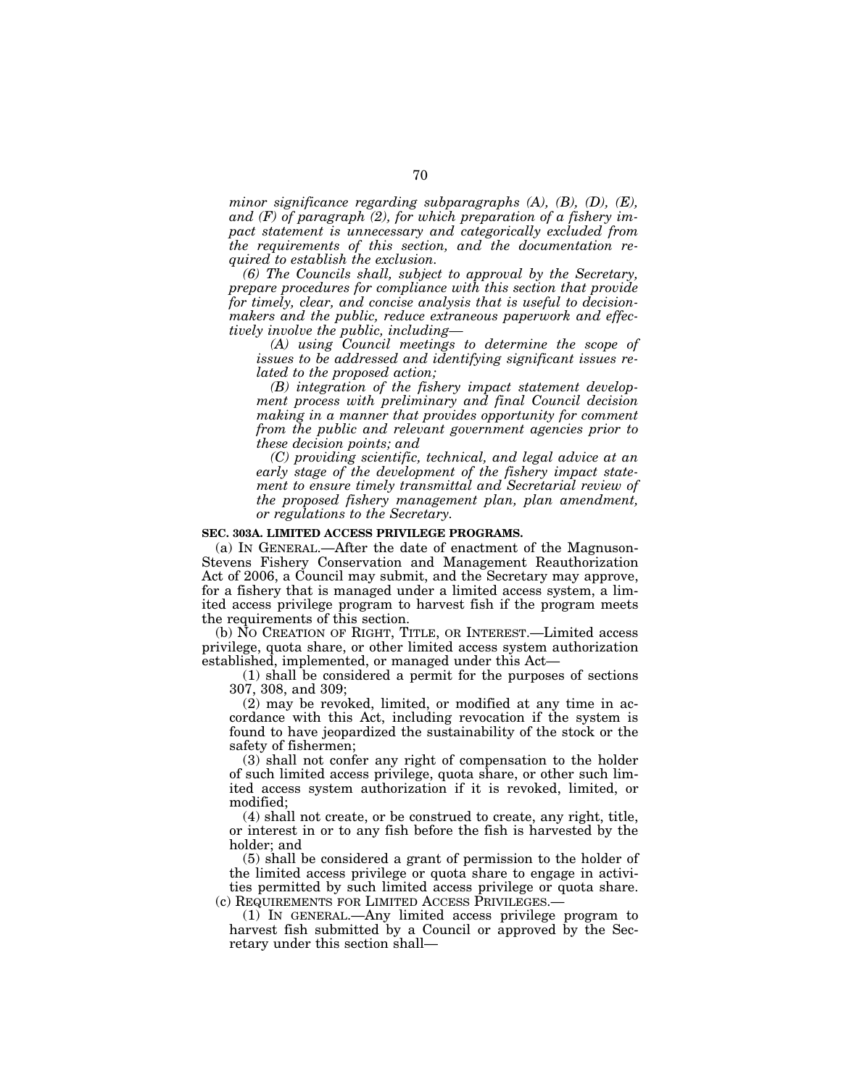*minor significance regarding subparagraphs (A), (B), (D), (E), and (F) of paragraph (2), for which preparation of a fishery impact statement is unnecessary and categorically excluded from the requirements of this section, and the documentation required to establish the exclusion.* 

*(6) The Councils shall, subject to approval by the Secretary, prepare procedures for compliance with this section that provide for timely, clear, and concise analysis that is useful to decisionmakers and the public, reduce extraneous paperwork and effectively involve the public, including—* 

*(A) using Council meetings to determine the scope of issues to be addressed and identifying significant issues related to the proposed action;* 

*(B) integration of the fishery impact statement development process with preliminary and final Council decision making in a manner that provides opportunity for comment from the public and relevant government agencies prior to these decision points; and* 

*(C) providing scientific, technical, and legal advice at an early stage of the development of the fishery impact statement to ensure timely transmittal and Secretarial review of the proposed fishery management plan, plan amendment, or regulations to the Secretary.* 

# **SEC. 303A. LIMITED ACCESS PRIVILEGE PROGRAMS.**

(a) IN GENERAL.—After the date of enactment of the Magnuson-Stevens Fishery Conservation and Management Reauthorization Act of 2006, a Council may submit, and the Secretary may approve, for a fishery that is managed under a limited access system, a limited access privilege program to harvest fish if the program meets the requirements of this section.

(b) NO CREATION OF RIGHT, TITLE, OR INTEREST.—Limited access privilege, quota share, or other limited access system authorization established, implemented, or managed under this Act—

(1) shall be considered a permit for the purposes of sections 307, 308, and 309;

(2) may be revoked, limited, or modified at any time in accordance with this Act, including revocation if the system is found to have jeopardized the sustainability of the stock or the safety of fishermen;

(3) shall not confer any right of compensation to the holder of such limited access privilege, quota share, or other such limited access system authorization if it is revoked, limited, or modified;

(4) shall not create, or be construed to create, any right, title, or interest in or to any fish before the fish is harvested by the holder; and

(5) shall be considered a grant of permission to the holder of the limited access privilege or quota share to engage in activities permitted by such limited access privilege or quota share. (c) REQUIREMENTS FOR LIMITED ACCESS PRIVILEGES.—

(1) IN GENERAL.—Any limited access privilege program to harvest fish submitted by a Council or approved by the Secretary under this section shall—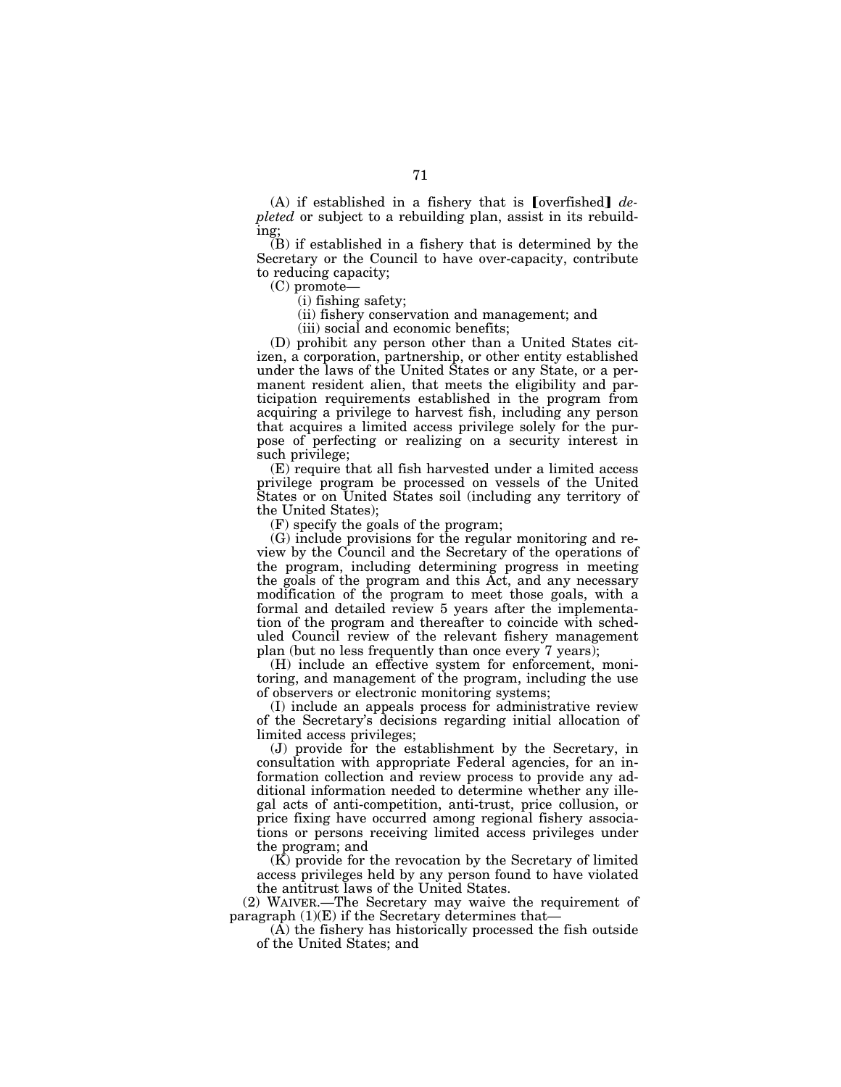(A) if established in a fishery that is  $\lceil \text{overfished} \rceil$  *depleted* or subject to a rebuilding plan, assist in its rebuilding;

(B) if established in a fishery that is determined by the Secretary or the Council to have over-capacity, contribute to reducing capacity;

(C) promote—

(i) fishing safety;

(ii) fishery conservation and management; and

(iii) social and economic benefits;

(D) prohibit any person other than a United States citizen, a corporation, partnership, or other entity established under the laws of the United States or any State, or a permanent resident alien, that meets the eligibility and participation requirements established in the program from acquiring a privilege to harvest fish, including any person that acquires a limited access privilege solely for the purpose of perfecting or realizing on a security interest in such privilege;

(E) require that all fish harvested under a limited access privilege program be processed on vessels of the United States or on United States soil (including any territory of the United States);

(F) specify the goals of the program;

(G) include provisions for the regular monitoring and review by the Council and the Secretary of the operations of the program, including determining progress in meeting the goals of the program and this Act, and any necessary modification of the program to meet those goals, with a formal and detailed review 5 years after the implementation of the program and thereafter to coincide with scheduled Council review of the relevant fishery management plan (but no less frequently than once every 7 years);

(H) include an effective system for enforcement, monitoring, and management of the program, including the use of observers or electronic monitoring systems;

(I) include an appeals process for administrative review of the Secretary's decisions regarding initial allocation of limited access privileges;

(J) provide for the establishment by the Secretary, in consultation with appropriate Federal agencies, for an information collection and review process to provide any additional information needed to determine whether any illegal acts of anti-competition, anti-trust, price collusion, or price fixing have occurred among regional fishery associations or persons receiving limited access privileges under the program; and

(K) provide for the revocation by the Secretary of limited access privileges held by any person found to have violated the antitrust laws of the United States.

(2) WAIVER.—The Secretary may waive the requirement of paragraph  $(1)(E)$  if the Secretary determines that-

(A) the fishery has historically processed the fish outside of the United States; and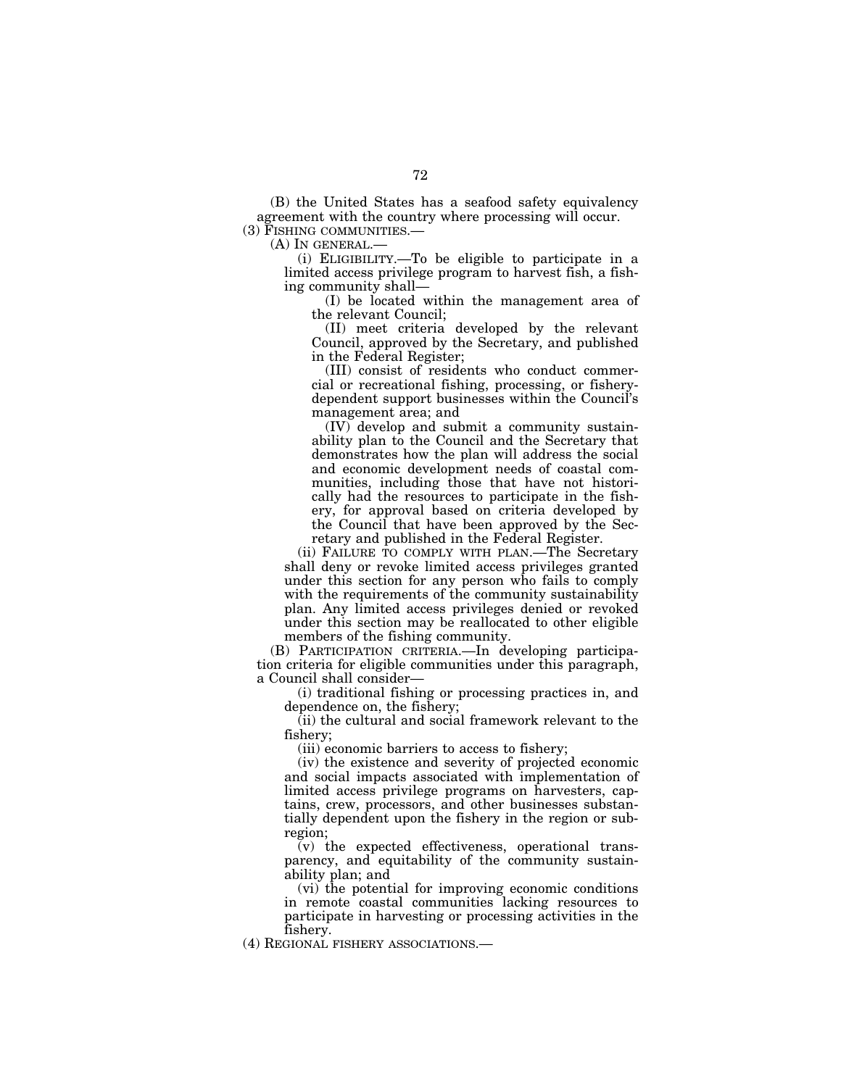(B) the United States has a seafood safety equivalency agreement with the country where processing will occur. (3) FISHING COMMUNITIES.—

(A) IN GENERAL.—

(i) ELIGIBILITY.—To be eligible to participate in a limited access privilege program to harvest fish, a fishing community shall—

(I) be located within the management area of the relevant Council;

(II) meet criteria developed by the relevant Council, approved by the Secretary, and published in the Federal Register;

(III) consist of residents who conduct commercial or recreational fishing, processing, or fisherydependent support businesses within the Council's management area; and

(IV) develop and submit a community sustainability plan to the Council and the Secretary that demonstrates how the plan will address the social and economic development needs of coastal communities, including those that have not historically had the resources to participate in the fishery, for approval based on criteria developed by the Council that have been approved by the Secretary and published in the Federal Register.

(ii) FAILURE TO COMPLY WITH PLAN.—The Secretary shall deny or revoke limited access privileges granted under this section for any person who fails to comply with the requirements of the community sustainability plan. Any limited access privileges denied or revoked under this section may be reallocated to other eligible members of the fishing community.

(B) PARTICIPATION CRITERIA.—In developing participation criteria for eligible communities under this paragraph, a Council shall consider—

(i) traditional fishing or processing practices in, and dependence on, the fishery;

(ii) the cultural and social framework relevant to the fishery;

(iii) economic barriers to access to fishery;

(iv) the existence and severity of projected economic and social impacts associated with implementation of limited access privilege programs on harvesters, captains, crew, processors, and other businesses substantially dependent upon the fishery in the region or subregion;

(v) the expected effectiveness, operational transparency, and equitability of the community sustainability plan; and

(vi) the potential for improving economic conditions in remote coastal communities lacking resources to participate in harvesting or processing activities in the fishery.

(4) REGIONAL FISHERY ASSOCIATIONS.—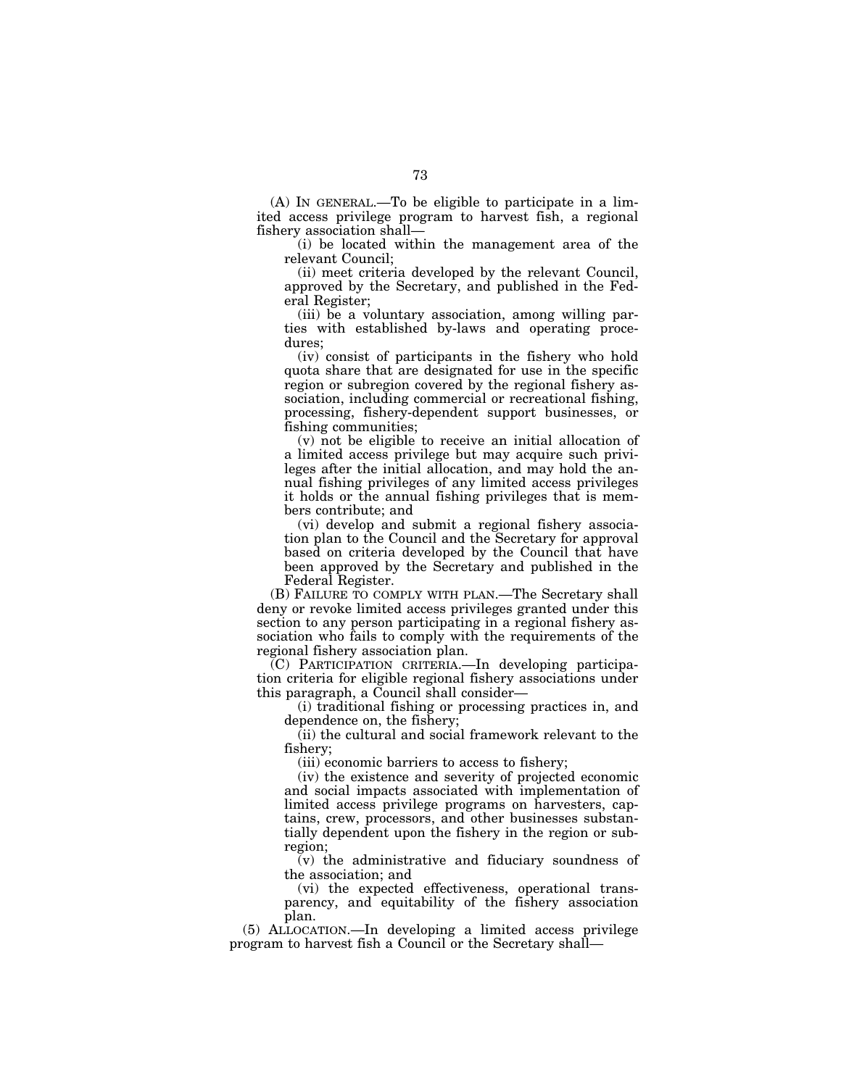(A) IN GENERAL.—To be eligible to participate in a limited access privilege program to harvest fish, a regional fishery association shall—

(i) be located within the management area of the relevant Council;

(ii) meet criteria developed by the relevant Council, approved by the Secretary, and published in the Federal Register;

(iii) be a voluntary association, among willing parties with established by-laws and operating procedures;

(iv) consist of participants in the fishery who hold quota share that are designated for use in the specific region or subregion covered by the regional fishery association, including commercial or recreational fishing, processing, fishery-dependent support businesses, or fishing communities;

(v) not be eligible to receive an initial allocation of a limited access privilege but may acquire such privileges after the initial allocation, and may hold the annual fishing privileges of any limited access privileges it holds or the annual fishing privileges that is members contribute; and

(vi) develop and submit a regional fishery association plan to the Council and the Secretary for approval based on criteria developed by the Council that have been approved by the Secretary and published in the Federal Register.

(B) FAILURE TO COMPLY WITH PLAN.—The Secretary shall deny or revoke limited access privileges granted under this section to any person participating in a regional fishery association who fails to comply with the requirements of the regional fishery association plan.

(C) PARTICIPATION CRITERIA.—In developing participation criteria for eligible regional fishery associations under this paragraph, a Council shall consider—

(i) traditional fishing or processing practices in, and dependence on, the fishery;

(ii) the cultural and social framework relevant to the fishery;

(iii) economic barriers to access to fishery;

(iv) the existence and severity of projected economic and social impacts associated with implementation of limited access privilege programs on harvesters, captains, crew, processors, and other businesses substantially dependent upon the fishery in the region or subregion;

(v) the administrative and fiduciary soundness of the association; and

(vi) the expected effectiveness, operational transparency, and equitability of the fishery association plan.

(5) ALLOCATION.—In developing a limited access privilege program to harvest fish a Council or the Secretary shall—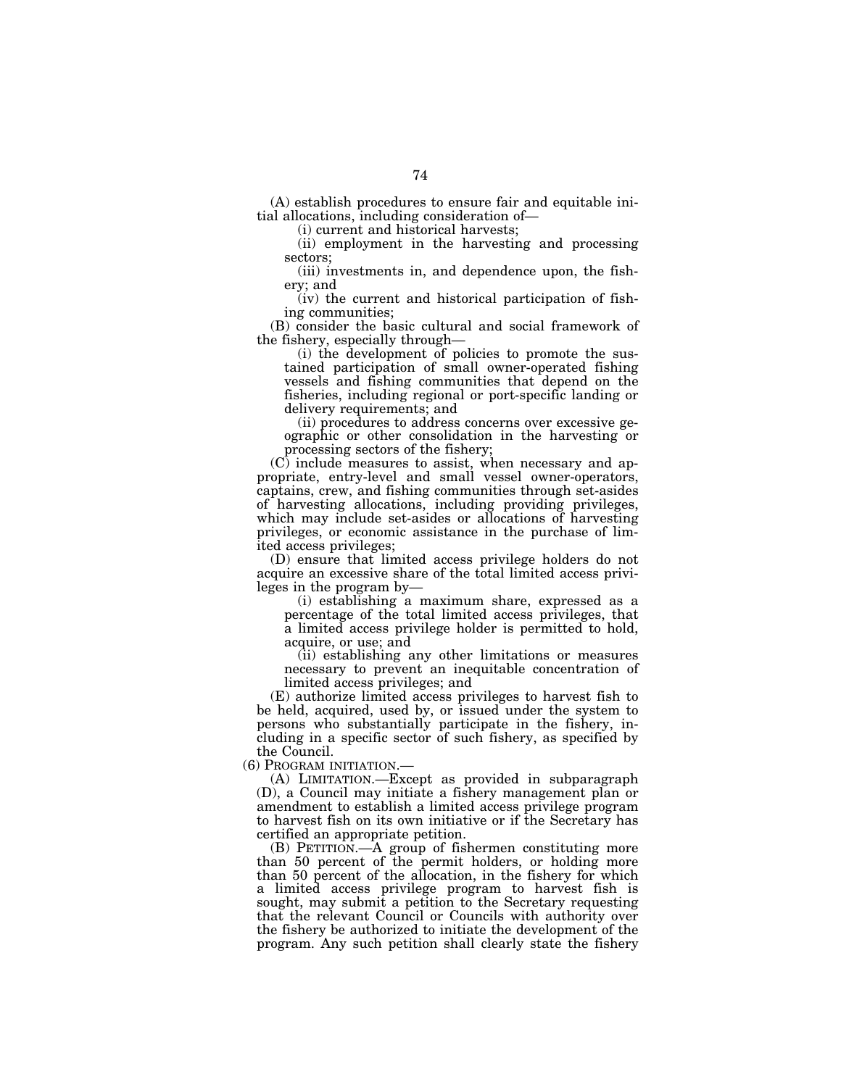(A) establish procedures to ensure fair and equitable initial allocations, including consideration of—

(i) current and historical harvests;

(ii) employment in the harvesting and processing sectors;

(iii) investments in, and dependence upon, the fishery; and

(iv) the current and historical participation of fishing communities;

(B) consider the basic cultural and social framework of the fishery, especially through—

(i) the development of policies to promote the sustained participation of small owner-operated fishing vessels and fishing communities that depend on the fisheries, including regional or port-specific landing or delivery requirements; and

(ii) procedures to address concerns over excessive geographic or other consolidation in the harvesting or processing sectors of the fishery;

(C) include measures to assist, when necessary and appropriate, entry-level and small vessel owner-operators, captains, crew, and fishing communities through set-asides of harvesting allocations, including providing privileges, which may include set-asides or allocations of harvesting privileges, or economic assistance in the purchase of limited access privileges;

(D) ensure that limited access privilege holders do not acquire an excessive share of the total limited access privileges in the program by—

(i) establishing a maximum share, expressed as a percentage of the total limited access privileges, that a limited access privilege holder is permitted to hold, acquire, or use; and

(ii) establishing any other limitations or measures necessary to prevent an inequitable concentration of limited access privileges; and

(E) authorize limited access privileges to harvest fish to be held, acquired, used by, or issued under the system to persons who substantially participate in the fishery, including in a specific sector of such fishery, as specified by the Council.

(6) PROGRAM INITIATION.—

(A) LIMITATION.—Except as provided in subparagraph (D), a Council may initiate a fishery management plan or amendment to establish a limited access privilege program to harvest fish on its own initiative or if the Secretary has certified an appropriate petition.

(B) PETITION.—A group of fishermen constituting more than 50 percent of the permit holders, or holding more than 50 percent of the allocation, in the fishery for which a limited access privilege program to harvest fish is sought, may submit a petition to the Secretary requesting that the relevant Council or Councils with authority over the fishery be authorized to initiate the development of the program. Any such petition shall clearly state the fishery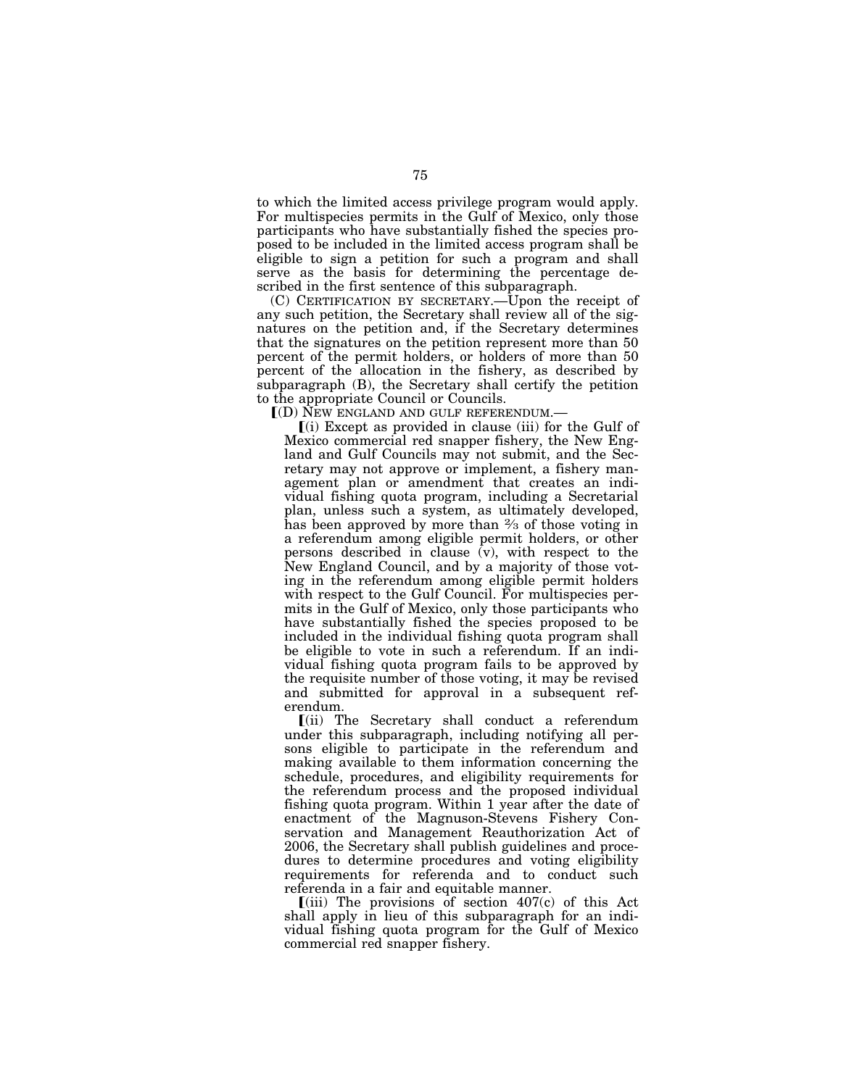to which the limited access privilege program would apply. For multispecies permits in the Gulf of Mexico, only those participants who have substantially fished the species proposed to be included in the limited access program shall be eligible to sign a petition for such a program and shall serve as the basis for determining the percentage described in the first sentence of this subparagraph.

(C) CERTIFICATION BY SECRETARY.—Upon the receipt of any such petition, the Secretary shall review all of the signatures on the petition and, if the Secretary determines that the signatures on the petition represent more than 50 percent of the permit holders, or holders of more than 50 percent of the allocation in the fishery, as described by subparagraph (B), the Secretary shall certify the petition to the appropriate Council or Councils.

ø(D) NEW ENGLAND AND GULF REFERENDUM.—

 $(i)$  Except as provided in clause (iii) for the Gulf of Mexico commercial red snapper fishery, the New England and Gulf Councils may not submit, and the Secretary may not approve or implement, a fishery management plan or amendment that creates an individual fishing quota program, including a Secretarial plan, unless such a system, as ultimately developed, has been approved by more than  $\frac{2}{3}$  of those voting in a referendum among eligible permit holders, or other persons described in clause  $\overline{(v)}$ , with respect to the New England Council, and by a majority of those voting in the referendum among eligible permit holders with respect to the Gulf Council. For multispecies permits in the Gulf of Mexico, only those participants who have substantially fished the species proposed to be included in the individual fishing quota program shall be eligible to vote in such a referendum. If an individual fishing quota program fails to be approved by the requisite number of those voting, it may be revised and submitted for approval in a subsequent referendum.

 $\lceil$ (ii) The Secretary shall conduct a referendum under this subparagraph, including notifying all persons eligible to participate in the referendum and making available to them information concerning the schedule, procedures, and eligibility requirements for the referendum process and the proposed individual fishing quota program. Within 1 year after the date of enactment of the Magnuson-Stevens Fishery Conservation and Management Reauthorization Act of 2006, the Secretary shall publish guidelines and procedures to determine procedures and voting eligibility requirements for referenda and to conduct such referenda in a fair and equitable manner.

 $\lceil$ (iii) The provisions of section 407(c) of this Act shall apply in lieu of this subparagraph for an individual fishing quota program for the Gulf of Mexico commercial red snapper fishery.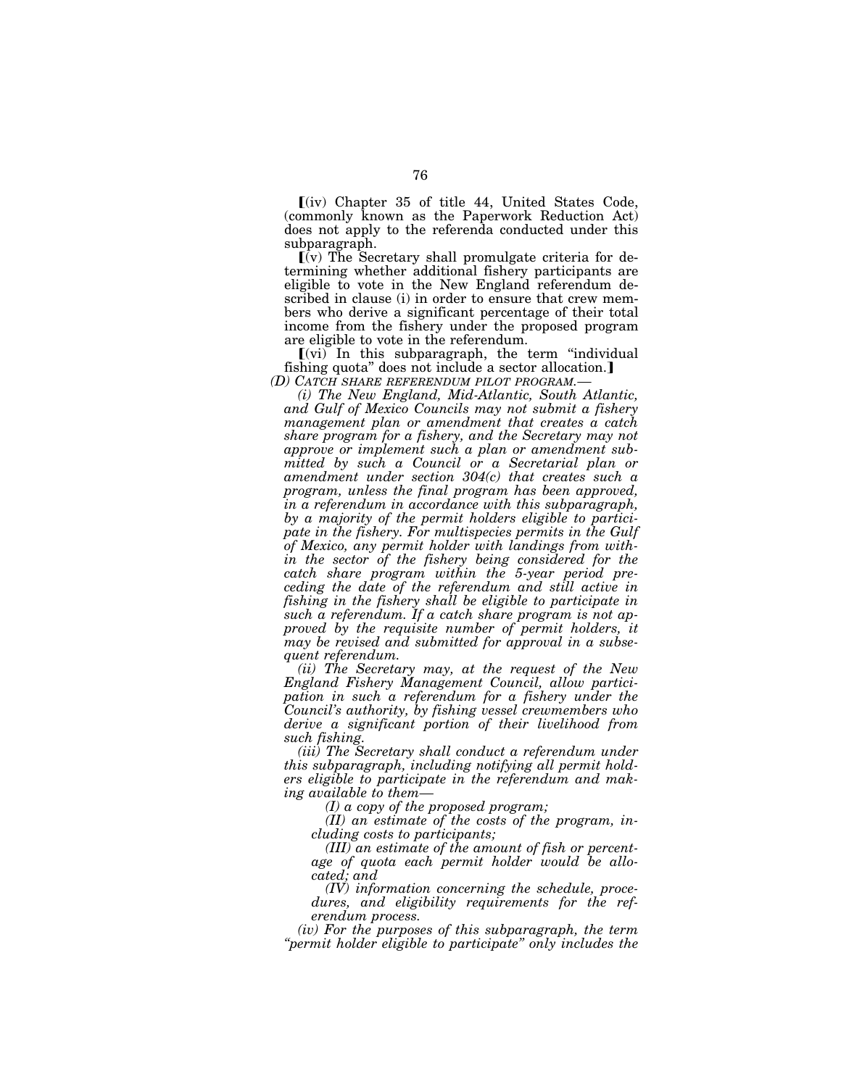$\lceil$ (iv) Chapter 35 of title 44, United States Code, (commonly known as the Paperwork Reduction Act) does not apply to the referenda conducted under this subparagraph.

 $\chi$  (v) The Secretary shall promulgate criteria for determining whether additional fishery participants are eligible to vote in the New England referendum described in clause (i) in order to ensure that crew members who derive a significant percentage of their total income from the fishery under the proposed program are eligible to vote in the referendum.

ø(vi) In this subparagraph, the term ''individual fishing quota" does not include a sector allocation.] *(D) CATCH SHARE REFERENDUM PILOT PROGRAM.—* 

*(i) The New England, Mid-Atlantic, South Atlantic, and Gulf of Mexico Councils may not submit a fishery management plan or amendment that creates a catch share program for a fishery, and the Secretary may not approve or implement such a plan or amendment submitted by such a Council or a Secretarial plan or amendment under section 304(c) that creates such a program, unless the final program has been approved, in a referendum in accordance with this subparagraph, by a majority of the permit holders eligible to participate in the fishery. For multispecies permits in the Gulf of Mexico, any permit holder with landings from within the sector of the fishery being considered for the catch share program within the 5-year period preceding the date of the referendum and still active in fishing in the fishery shall be eligible to participate in such a referendum. If a catch share program is not approved by the requisite number of permit holders, it may be revised and submitted for approval in a subsequent referendum.* 

*(ii) The Secretary may, at the request of the New England Fishery Management Council, allow participation in such a referendum for a fishery under the Council's authority, by fishing vessel crewmembers who derive a significant portion of their livelihood from such fishing.* 

*(iii) The Secretary shall conduct a referendum under this subparagraph, including notifying all permit holders eligible to participate in the referendum and making available to them—* 

*(I) a copy of the proposed program;* 

*(II) an estimate of the costs of the program, including costs to participants;* 

*(III) an estimate of the amount of fish or percentage of quota each permit holder would be allocated; and* 

*(IV) information concerning the schedule, procedures, and eligibility requirements for the referendum process.* 

*(iv) For the purposes of this subparagraph, the term ''permit holder eligible to participate'' only includes the*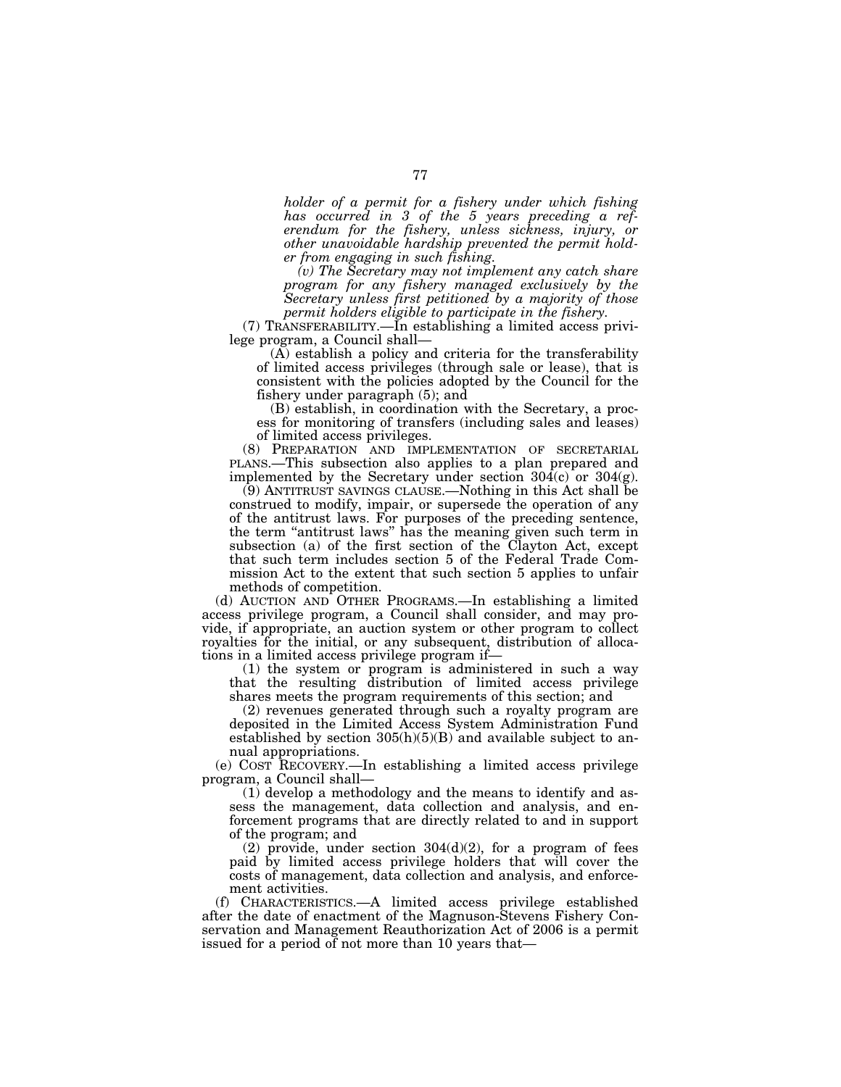*holder of a permit for a fishery under which fishing has occurred in 3 of the 5 years preceding a referendum for the fishery, unless sickness, injury, or other unavoidable hardship prevented the permit holder from engaging in such fishing.* 

*(v) The Secretary may not implement any catch share program for any fishery managed exclusively by the Secretary unless first petitioned by a majority of those permit holders eligible to participate in the fishery.* 

(7) TRANSFERABILITY.—In establishing a limited access privilege program, a Council shall—

(A) establish a policy and criteria for the transferability of limited access privileges (through sale or lease), that is consistent with the policies adopted by the Council for the fishery under paragraph (5); and

(B) establish, in coordination with the Secretary, a process for monitoring of transfers (including sales and leases) of limited access privileges.

(8) PREPARATION AND IMPLEMENTATION OF SECRETARIAL PLANS.—This subsection also applies to a plan prepared and implemented by the Secretary under section 304(c) or 304(g).

(9) ANTITRUST SAVINGS CLAUSE.—Nothing in this Act shall be construed to modify, impair, or supersede the operation of any of the antitrust laws. For purposes of the preceding sentence, the term "antitrust laws" has the meaning given such term in subsection (a) of the first section of the Clayton Act, except that such term includes section 5 of the Federal Trade Commission Act to the extent that such section 5 applies to unfair methods of competition.

(d) AUCTION AND OTHER PROGRAMS.—In establishing a limited access privilege program, a Council shall consider, and may provide, if appropriate, an auction system or other program to collect royalties for the initial, or any subsequent, distribution of allocations in a limited access privilege program if—

(1) the system or program is administered in such a way that the resulting distribution of limited access privilege shares meets the program requirements of this section; and

(2) revenues generated through such a royalty program are deposited in the Limited Access System Administration Fund established by section  $305(h)(5)(B)$  and available subject to annual appropriations.

(e) COST RECOVERY.—In establishing a limited access privilege program, a Council shall—

(1) develop a methodology and the means to identify and assess the management, data collection and analysis, and enforcement programs that are directly related to and in support of the program; and

(2) provide, under section 304(d)(2), for a program of fees paid by limited access privilege holders that will cover the costs of management, data collection and analysis, and enforcement activities.

(f) CHARACTERISTICS.—A limited access privilege established after the date of enactment of the Magnuson-Stevens Fishery Conservation and Management Reauthorization Act of 2006 is a permit issued for a period of not more than 10 years that—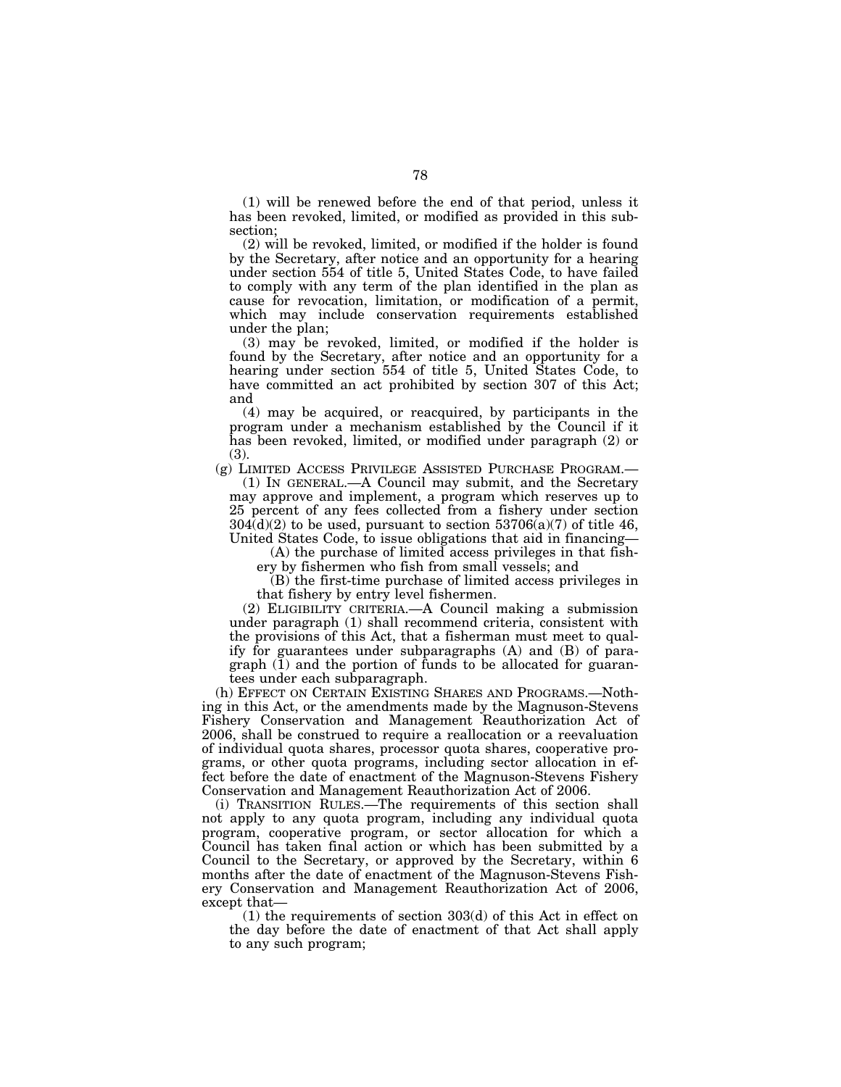(1) will be renewed before the end of that period, unless it has been revoked, limited, or modified as provided in this subsection;

(2) will be revoked, limited, or modified if the holder is found by the Secretary, after notice and an opportunity for a hearing under section 554 of title 5, United States Code, to have failed to comply with any term of the plan identified in the plan as cause for revocation, limitation, or modification of a permit, which may include conservation requirements established under the plan;

(3) may be revoked, limited, or modified if the holder is found by the Secretary, after notice and an opportunity for a hearing under section 554 of title 5, United States Code, to have committed an act prohibited by section 307 of this Act; and

(4) may be acquired, or reacquired, by participants in the program under a mechanism established by the Council if it has been revoked, limited, or modified under paragraph (2) or (3).

(g) LIMITED ACCESS PRIVILEGE ASSISTED PURCHASE PROGRAM.—

(1) IN GENERAL.—A Council may submit, and the Secretary may approve and implement, a program which reserves up to 25 percent of any fees collected from a fishery under section  $304(\text{d})(2)$  to be used, pursuant to section  $53706(\text{a})(7)$  of title 46, United States Code, to issue obligations that aid in financing—

(A) the purchase of limited access privileges in that fish-

ery by fishermen who fish from small vessels; and

(B) the first-time purchase of limited access privileges in that fishery by entry level fishermen.

(2) ELIGIBILITY CRITERIA.—A Council making a submission under paragraph (1) shall recommend criteria, consistent with the provisions of this Act, that a fisherman must meet to qualify for guarantees under subparagraphs (A) and (B) of paragraph  $(1)$  and the portion of funds to be allocated for guarantees under each subparagraph.

(h) EFFECT ON CERTAIN EXISTING SHARES AND PROGRAMS.—Nothing in this Act, or the amendments made by the Magnuson-Stevens Fishery Conservation and Management Reauthorization Act of 2006, shall be construed to require a reallocation or a reevaluation of individual quota shares, processor quota shares, cooperative programs, or other quota programs, including sector allocation in effect before the date of enactment of the Magnuson-Stevens Fishery Conservation and Management Reauthorization Act of 2006.

(i) TRANSITION RULES.—The requirements of this section shall not apply to any quota program, including any individual quota program, cooperative program, or sector allocation for which a Council has taken final action or which has been submitted by a Council to the Secretary, or approved by the Secretary, within 6 months after the date of enactment of the Magnuson-Stevens Fishery Conservation and Management Reauthorization Act of 2006, except that—

(1) the requirements of section 303(d) of this Act in effect on the day before the date of enactment of that Act shall apply to any such program;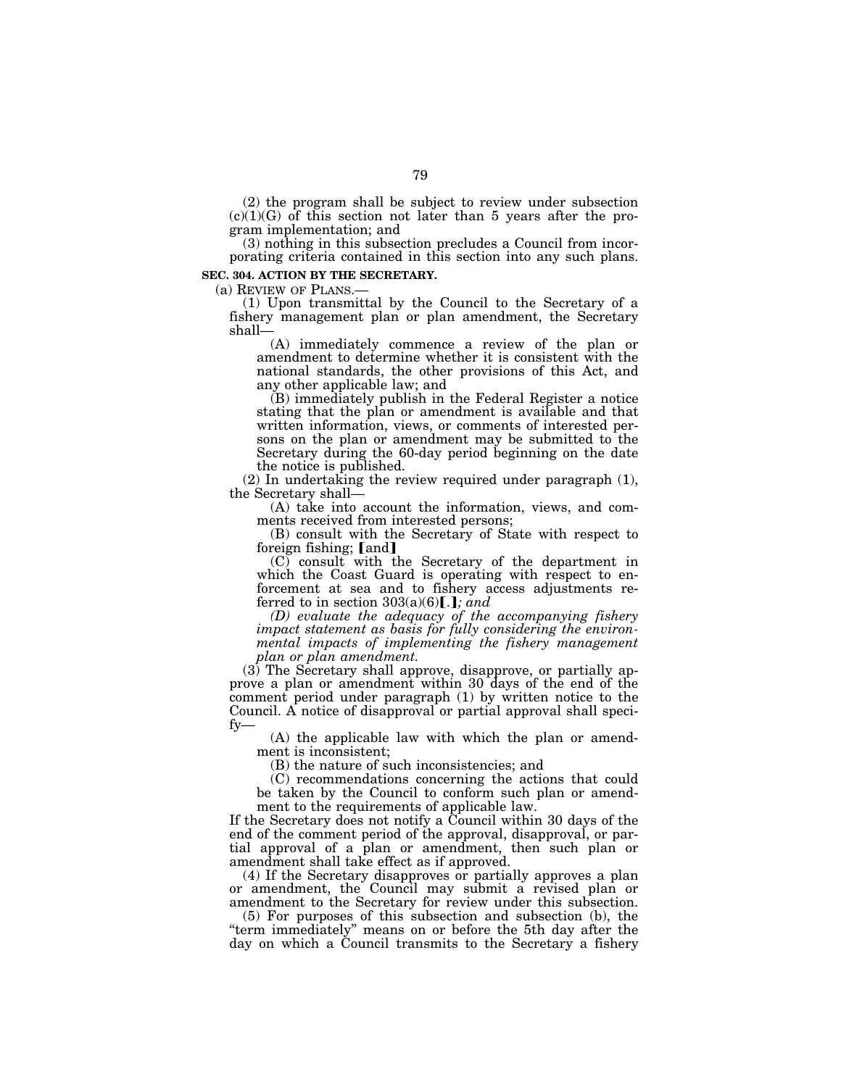(2) the program shall be subject to review under subsection  $(c)(1)(G)$  of this section not later than 5 years after the program implementation; and

(3) nothing in this subsection precludes a Council from incorporating criteria contained in this section into any such plans. **SEC. 304. ACTION BY THE SECRETARY.** 

(a) REVIEW OF PLANS.— (1) Upon transmittal by the Council to the Secretary of a fishery management plan or plan amendment, the Secretary shall—

(A) immediately commence a review of the plan or amendment to determine whether it is consistent with the national standards, the other provisions of this Act, and any other applicable law; and

(B) immediately publish in the Federal Register a notice stating that the plan or amendment is available and that written information, views, or comments of interested persons on the plan or amendment may be submitted to the Secretary during the 60-day period beginning on the date the notice is published.

(2) In undertaking the review required under paragraph (1), the Secretary shall—

(A) take into account the information, views, and comments received from interested persons;

(B) consult with the Secretary of State with respect to foreign fishing; [and]

(C) consult with the Secretary of the department in which the Coast Guard is operating with respect to enforcement at sea and to fishery access adjustments referred to in section  $303(a)(6)$ . *j, and* 

*(D) evaluate the adequacy of the accompanying fishery impact statement as basis for fully considering the environmental impacts of implementing the fishery management plan or plan amendment.* 

(3) The Secretary shall approve, disapprove, or partially approve a plan or amendment within 30 days of the end of the comment period under paragraph (1) by written notice to the Council. A notice of disapproval or partial approval shall specify—

(A) the applicable law with which the plan or amendment is inconsistent;

(B) the nature of such inconsistencies; and

(C) recommendations concerning the actions that could be taken by the Council to conform such plan or amendment to the requirements of applicable law.

If the Secretary does not notify a Council within 30 days of the end of the comment period of the approval, disapproval, or partial approval of a plan or amendment, then such plan or amendment shall take effect as if approved.

(4) If the Secretary disapproves or partially approves a plan or amendment, the Council may submit a revised plan or amendment to the Secretary for review under this subsection.

(5) For purposes of this subsection and subsection (b), the ''term immediately'' means on or before the 5th day after the day on which a Council transmits to the Secretary a fishery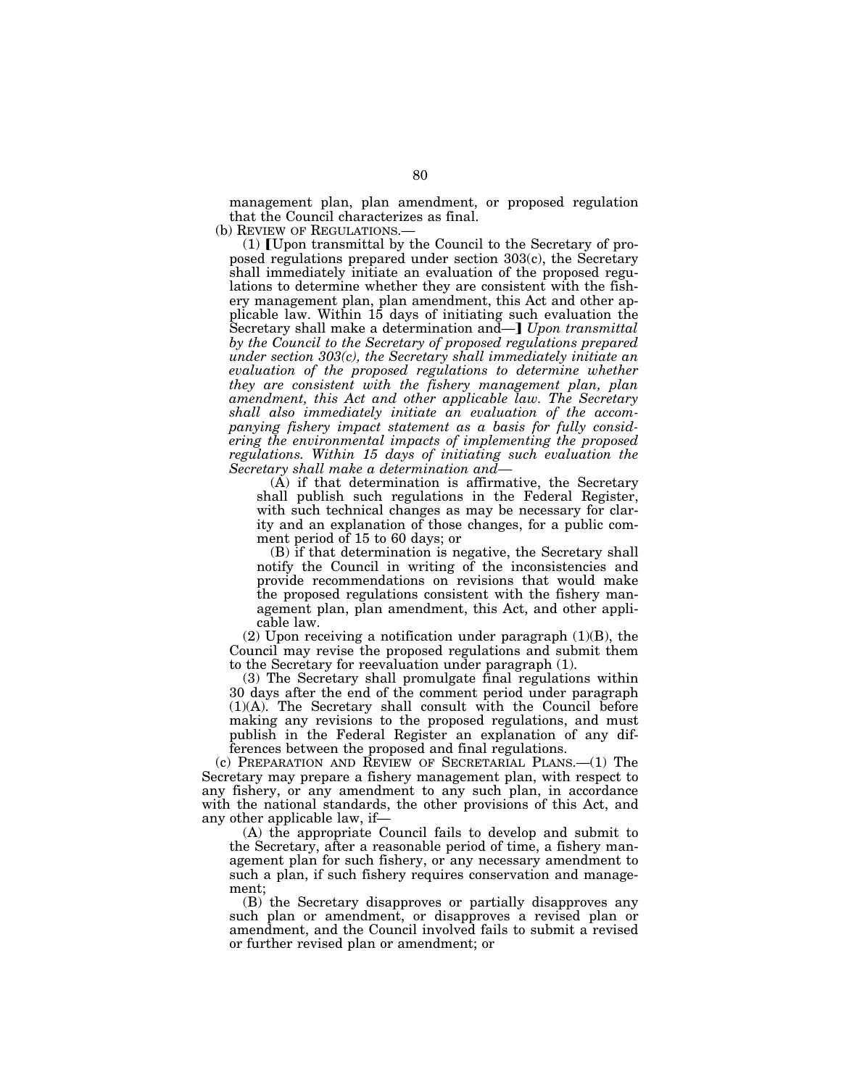management plan, plan amendment, or proposed regulation that the Council characterizes as final.

(b) REVIEW OF REGULATIONS.—

 $(1)$  [Upon transmittal by the Council to the Secretary of proposed regulations prepared under section 303(c), the Secretary shall immediately initiate an evaluation of the proposed regulations to determine whether they are consistent with the fishery management plan, plan amendment, this Act and other applicable law. Within 15 days of initiating such evaluation the Secretary shall make a determination and—*] Upon transmittal by the Council to the Secretary of proposed regulations prepared under section 303(c), the Secretary shall immediately initiate an evaluation of the proposed regulations to determine whether they are consistent with the fishery management plan, plan amendment, this Act and other applicable law. The Secretary shall also immediately initiate an evaluation of the accompanying fishery impact statement as a basis for fully considering the environmental impacts of implementing the proposed regulations. Within 15 days of initiating such evaluation the Secretary shall make a determination and—* 

(A) if that determination is affirmative, the Secretary shall publish such regulations in the Federal Register, with such technical changes as may be necessary for clarity and an explanation of those changes, for a public comment period of 15 to 60 days; or

(B) if that determination is negative, the Secretary shall notify the Council in writing of the inconsistencies and provide recommendations on revisions that would make the proposed regulations consistent with the fishery management plan, plan amendment, this Act, and other applicable law.

 $(2)$  Upon receiving a notification under paragraph  $(1)(B)$ , the Council may revise the proposed regulations and submit them to the Secretary for reevaluation under paragraph (1).

(3) The Secretary shall promulgate final regulations within 30 days after the end of the comment period under paragraph (1)(A). The Secretary shall consult with the Council before making any revisions to the proposed regulations, and must publish in the Federal Register an explanation of any differences between the proposed and final regulations.

(c) PREPARATION AND REVIEW OF SECRETARIAL PLANS.—(1) The Secretary may prepare a fishery management plan, with respect to any fishery, or any amendment to any such plan, in accordance with the national standards, the other provisions of this Act, and any other applicable law, if—

(A) the appropriate Council fails to develop and submit to the Secretary, after a reasonable period of time, a fishery management plan for such fishery, or any necessary amendment to such a plan, if such fishery requires conservation and management;

(B) the Secretary disapproves or partially disapproves any such plan or amendment, or disapproves a revised plan or amendment, and the Council involved fails to submit a revised or further revised plan or amendment; or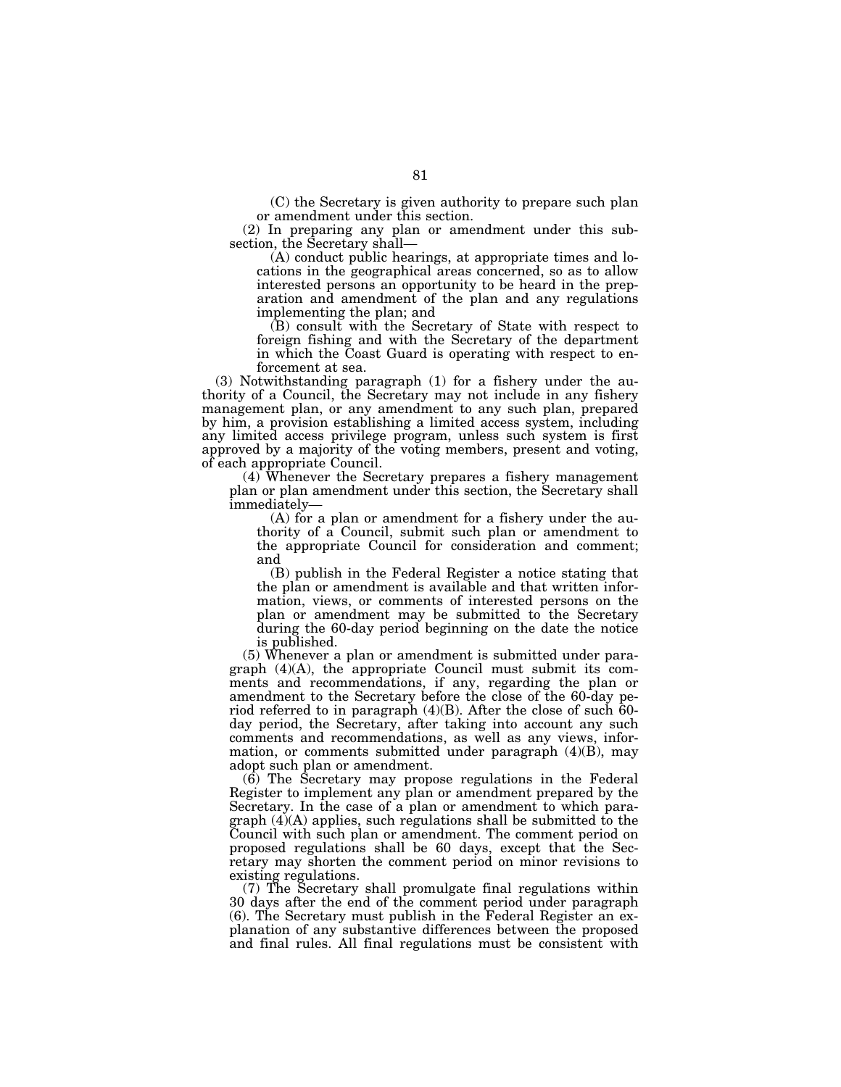(C) the Secretary is given authority to prepare such plan or amendment under this section.

(2) In preparing any plan or amendment under this subsection, the Secretary shall—

(A) conduct public hearings, at appropriate times and locations in the geographical areas concerned, so as to allow interested persons an opportunity to be heard in the preparation and amendment of the plan and any regulations implementing the plan; and

(B) consult with the Secretary of State with respect to foreign fishing and with the Secretary of the department in which the Coast Guard is operating with respect to enforcement at sea.

(3) Notwithstanding paragraph (1) for a fishery under the authority of a Council, the Secretary may not include in any fishery management plan, or any amendment to any such plan, prepared by him, a provision establishing a limited access system, including any limited access privilege program, unless such system is first approved by a majority of the voting members, present and voting, of each appropriate Council.

(4) Whenever the Secretary prepares a fishery management plan or plan amendment under this section, the Secretary shall immediately—

(A) for a plan or amendment for a fishery under the authority of a Council, submit such plan or amendment to the appropriate Council for consideration and comment; and

(B) publish in the Federal Register a notice stating that the plan or amendment is available and that written information, views, or comments of interested persons on the plan or amendment may be submitted to the Secretary during the 60-day period beginning on the date the notice is published.

(5) Whenever a plan or amendment is submitted under paragraph (4)(A), the appropriate Council must submit its comments and recommendations, if any, regarding the plan or amendment to the Secretary before the close of the 60-day period referred to in paragraph  $(4)(B)$ . After the close of such  $60$ day period, the Secretary, after taking into account any such comments and recommendations, as well as any views, information, or comments submitted under paragraph (4)(B), may adopt such plan or amendment.

(6) The Secretary may propose regulations in the Federal Register to implement any plan or amendment prepared by the Secretary. In the case of a plan or amendment to which paragraph  $(4)$ (A) applies, such regulations shall be submitted to the Council with such plan or amendment. The comment period on proposed regulations shall be 60 days, except that the Secretary may shorten the comment period on minor revisions to existing regulations.

(7) The Secretary shall promulgate final regulations within 30 days after the end of the comment period under paragraph (6). The Secretary must publish in the Federal Register an explanation of any substantive differences between the proposed and final rules. All final regulations must be consistent with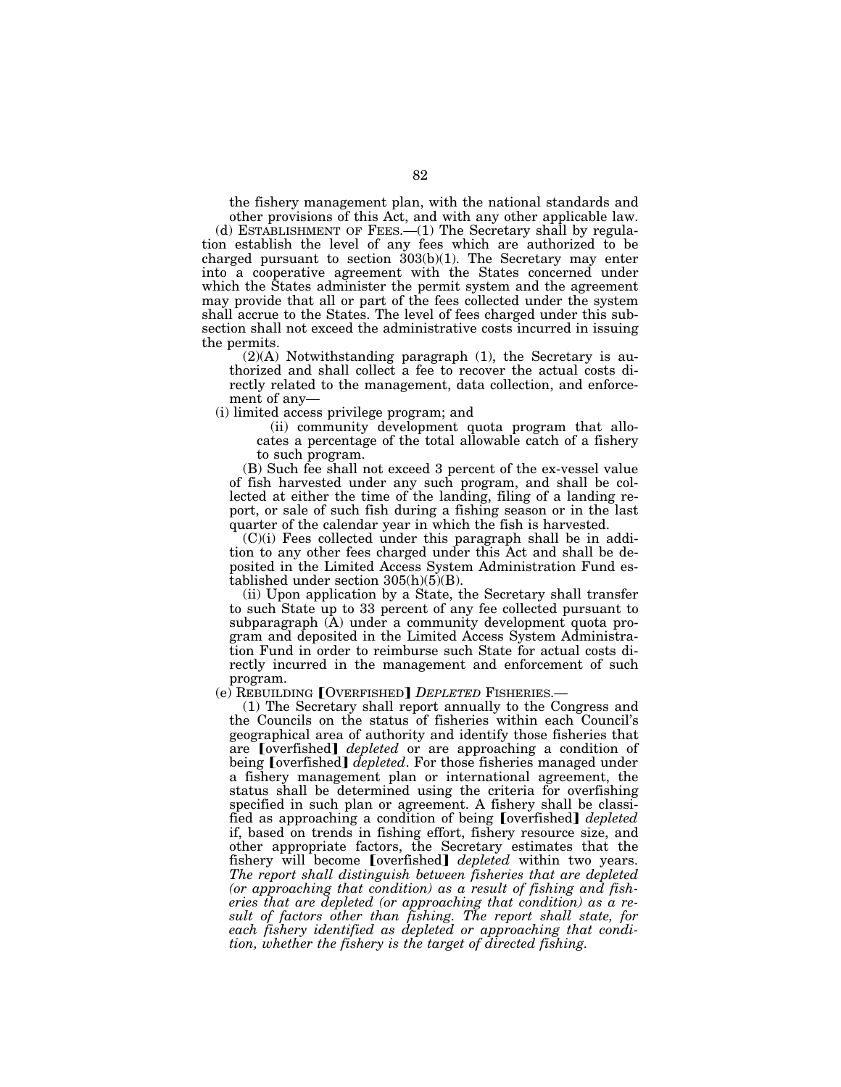the fishery management plan, with the national standards and other provisions of this Act, and with any other applicable law.

(d) ESTABLISHMENT OF FEES.—(1) The Secretary shall by regulation establish the level of any fees which are authorized to be charged pursuant to section  $303(b)(1)$ . The Secretary may enter into a cooperative agreement with the States concerned under which the States administer the permit system and the agreement may provide that all or part of the fees collected under the system shall accrue to the States. The level of fees charged under this subsection shall not exceed the administrative costs incurred in issuing the permits.

(2)(A) Notwithstanding paragraph (1), the Secretary is authorized and shall collect a fee to recover the actual costs directly related to the management, data collection, and enforcement of any—

(i) limited access privilege program; and

(ii) community development quota program that allocates a percentage of the total allowable catch of a fishery to such program.

(B) Such fee shall not exceed 3 percent of the ex-vessel value of fish harvested under any such program, and shall be collected at either the time of the landing, filing of a landing report, or sale of such fish during a fishing season or in the last quarter of the calendar year in which the fish is harvested.

(C)(i) Fees collected under this paragraph shall be in addition to any other fees charged under this Act and shall be deposited in the Limited Access System Administration Fund established under section 305(h)(5)(B).

(ii) Upon application by a State, the Secretary shall transfer to such State up to 33 percent of any fee collected pursuant to subparagraph (A) under a community development quota program and deposited in the Limited Access System Administration Fund in order to reimburse such State for actual costs directly incurred in the management and enforcement of such program.

(e) REBUILDING **[OVERFISHED]** *DEPLETED* FISHERIES.—

(1) The Secretary shall report annually to the Congress and the Councils on the status of fisheries within each Council's geographical area of authority and identify those fisheries that are **[overfished]** *depleted* or are approaching a condition of being [overfished] *depleted*. For those fisheries managed under a fishery management plan or international agreement, the status shall be determined using the criteria for overfishing specified in such plan or agreement. A fishery shall be classified as approaching a condition of being [overfished] *depleted* if, based on trends in fishing effort, fishery resource size, and other appropriate factors, the Secretary estimates that the fishery will become [overfished] *depleted* within two years. *The report shall distinguish between fisheries that are depleted (or approaching that condition) as a result of fishing and fisheries that are depleted (or approaching that condition) as a result of factors other than fishing. The report shall state, for each fishery identified as depleted or approaching that condition, whether the fishery is the target of directed fishing.*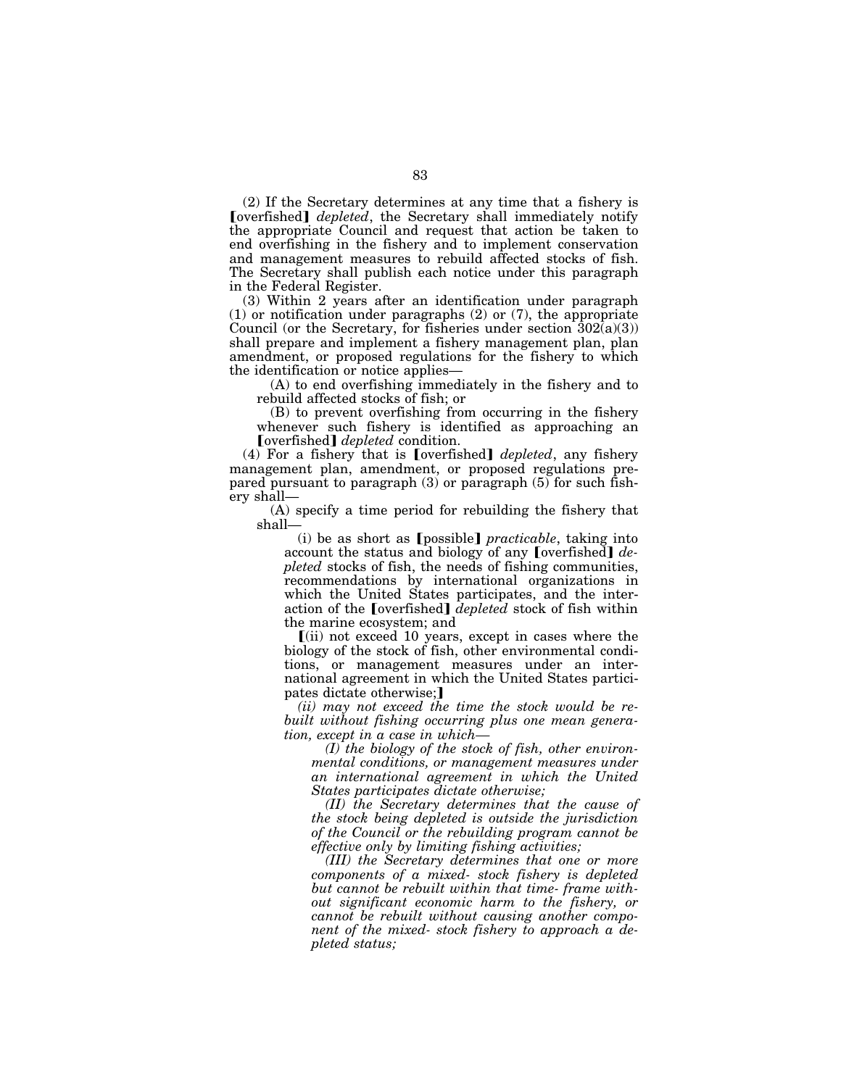(2) If the Secretary determines at any time that a fishery is **[overfished]** *depleted*, the Secretary shall immediately notify the appropriate Council and request that action be taken to end overfishing in the fishery and to implement conservation and management measures to rebuild affected stocks of fish. The Secretary shall publish each notice under this paragraph in the Federal Register.

(3) Within 2 years after an identification under paragraph (1) or notification under paragraphs (2) or (7), the appropriate Council (or the Secretary, for fisheries under section  $302(a)(3)$ ) shall prepare and implement a fishery management plan, plan amendment, or proposed regulations for the fishery to which the identification or notice applies—

(A) to end overfishing immediately in the fishery and to rebuild affected stocks of fish; or

(B) to prevent overfishing from occurring in the fishery whenever such fishery is identified as approaching an **[**overfished*] depleted* condition.

(4) For a fishery that is [overfished] *depleted*, any fishery management plan, amendment, or proposed regulations prepared pursuant to paragraph (3) or paragraph (5) for such fishery shall—

(A) specify a time period for rebuilding the fishery that shall—

(i) be as short as  $[possible]$  *practicable*, taking into account the status and biology of any [overfished] *depleted* stocks of fish, the needs of fishing communities, recommendations by international organizations in which the United States participates, and the interaction of the [overfished] *depleted* stock of fish within the marine ecosystem; and

 $(iii)$  not exceed 10 years, except in cases where the biology of the stock of fish, other environmental conditions, or management measures under an international agreement in which the United States participates dictate otherwise;

*(ii) may not exceed the time the stock would be rebuilt without fishing occurring plus one mean generation, except in a case in which—* 

*(I) the biology of the stock of fish, other environmental conditions, or management measures under an international agreement in which the United States participates dictate otherwise;* 

*(II) the Secretary determines that the cause of the stock being depleted is outside the jurisdiction of the Council or the rebuilding program cannot be effective only by limiting fishing activities;* 

*(III) the Secretary determines that one or more components of a mixed- stock fishery is depleted but cannot be rebuilt within that time- frame without significant economic harm to the fishery, or cannot be rebuilt without causing another component of the mixed- stock fishery to approach a depleted status;*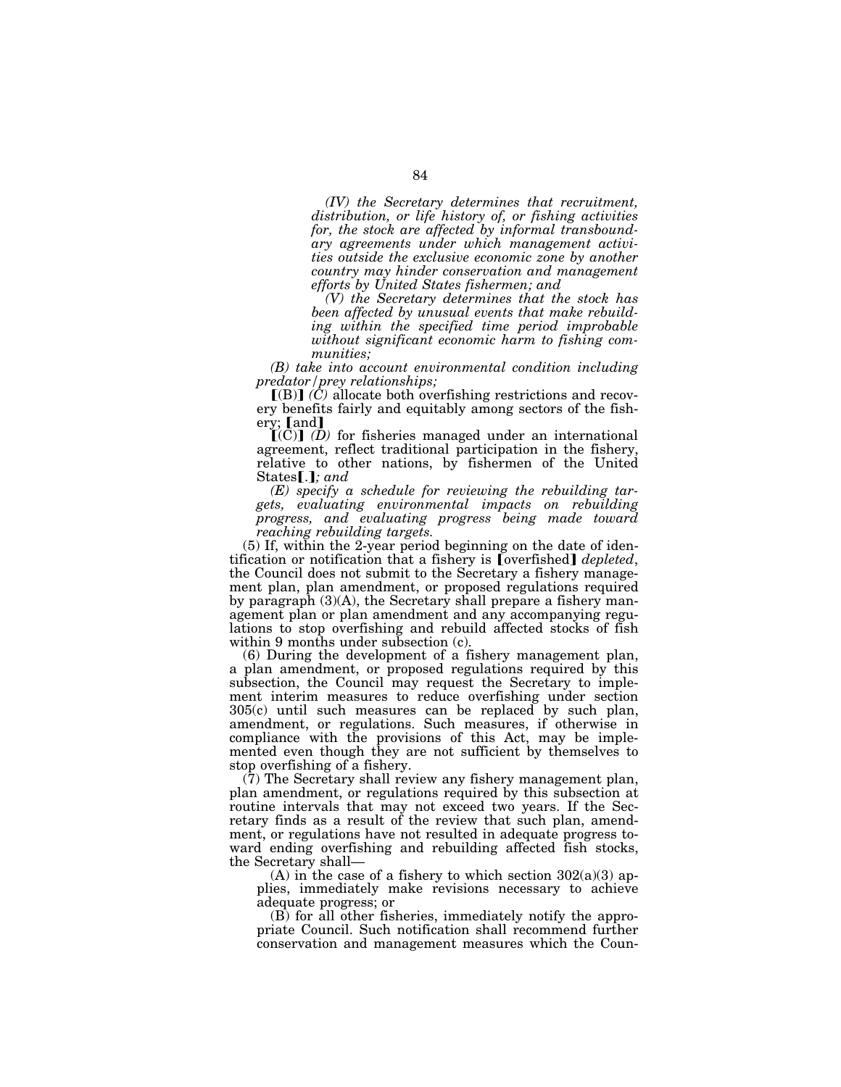*(IV) the Secretary determines that recruitment, distribution, or life history of, or fishing activities for, the stock are affected by informal transboundary agreements under which management activities outside the exclusive economic zone by another country may hinder conservation and management efforts by United States fishermen; and* 

*(V) the Secretary determines that the stock has been affected by unusual events that make rebuilding within the specified time period improbable without significant economic harm to fishing communities;* 

*(B) take into account environmental condition including predator/prey relationships;* 

 $\Gamma(B)$   $\Gamma(C)$  allocate both overfishing restrictions and recovery benefits fairly and equitably among sectors of the fishery; [and]

 $\left[\text{C}\right]$  (D) for fisheries managed under an international agreement, reflect traditional participation in the fishery, relative to other nations, by fishermen of the United States [.]; and

*(E) specify a schedule for reviewing the rebuilding targets, evaluating environmental impacts on rebuilding progress, and evaluating progress being made toward reaching rebuilding targets.* 

(5) If, within the 2-year period beginning on the date of identification or notification that a fishery is **[overfished]** *depleted*, the Council does not submit to the Secretary a fishery management plan, plan amendment, or proposed regulations required by paragraph (3)(A), the Secretary shall prepare a fishery management plan or plan amendment and any accompanying regulations to stop overfishing and rebuild affected stocks of fish within 9 months under subsection (c).

(6) During the development of a fishery management plan, a plan amendment, or proposed regulations required by this subsection, the Council may request the Secretary to implement interim measures to reduce overfishing under section 305(c) until such measures can be replaced by such plan, amendment, or regulations. Such measures, if otherwise in compliance with the provisions of this Act, may be implemented even though they are not sufficient by themselves to stop overfishing of a fishery.

(7) The Secretary shall review any fishery management plan, plan amendment, or regulations required by this subsection at routine intervals that may not exceed two years. If the Secretary finds as a result of the review that such plan, amendment, or regulations have not resulted in adequate progress toward ending overfishing and rebuilding affected fish stocks, the Secretary shall—

(A) in the case of a fishery to which section  $302(a)(3)$  applies, immediately make revisions necessary to achieve adequate progress; or

(B) for all other fisheries, immediately notify the appropriate Council. Such notification shall recommend further conservation and management measures which the Coun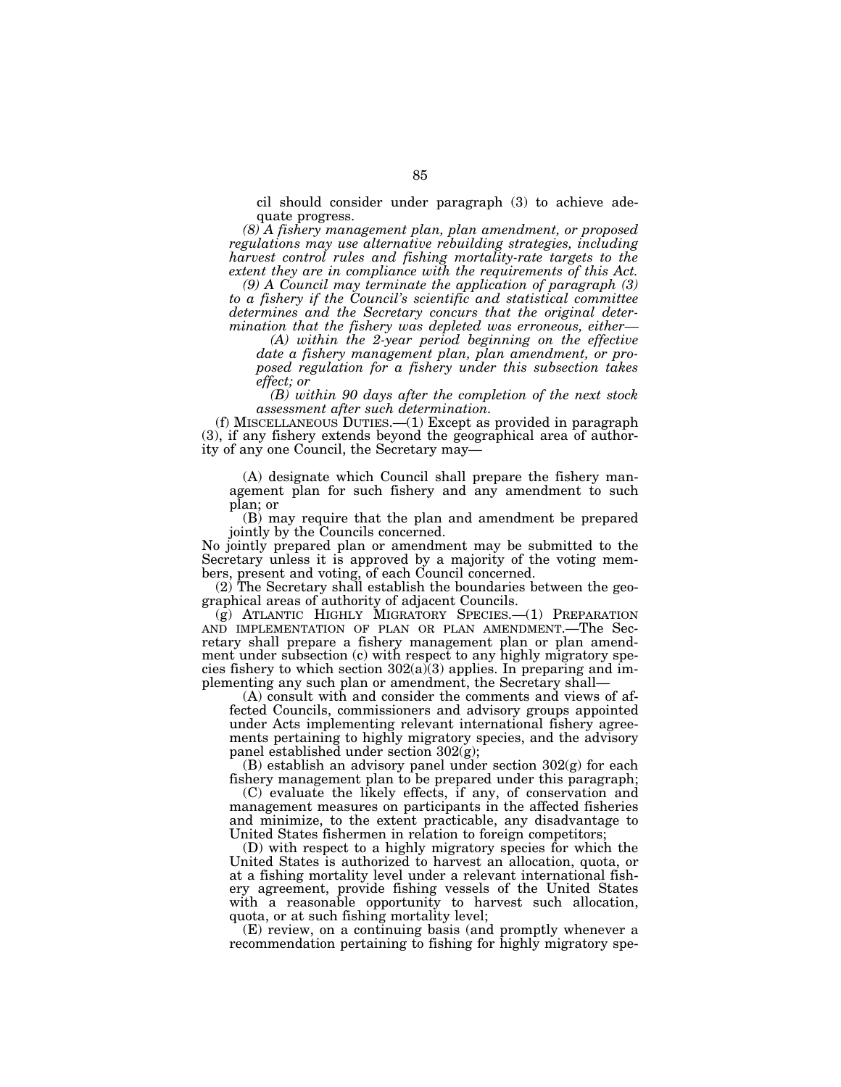cil should consider under paragraph (3) to achieve adequate progress.

*(8) A fishery management plan, plan amendment, or proposed regulations may use alternative rebuilding strategies, including harvest control rules and fishing mortality-rate targets to the extent they are in compliance with the requirements of this Act.* 

*(9) A Council may terminate the application of paragraph (3) to a fishery if the Council's scientific and statistical committee determines and the Secretary concurs that the original determination that the fishery was depleted was erroneous, either—* 

*(A) within the 2-year period beginning on the effective date a fishery management plan, plan amendment, or proposed regulation for a fishery under this subsection takes effect; or* 

*(B) within 90 days after the completion of the next stock assessment after such determination.* 

(f) MISCELLANEOUS DUTIES.—(1) Except as provided in paragraph (3), if any fishery extends beyond the geographical area of authority of any one Council, the Secretary may—

(A) designate which Council shall prepare the fishery management plan for such fishery and any amendment to such plan; or

(B) may require that the plan and amendment be prepared jointly by the Councils concerned.

No jointly prepared plan or amendment may be submitted to the Secretary unless it is approved by a majority of the voting members, present and voting, of each Council concerned.

(2) The Secretary shall establish the boundaries between the geographical areas of authority of adjacent Councils.

(g) ATLANTIC HIGHLY MIGRATORY SPECIES.—(1) PREPARATION AND IMPLEMENTATION OF PLAN OR PLAN AMENDMENT.—The Secretary shall prepare a fishery management plan or plan amendment under subsection (c) with respect to any highly migratory species fishery to which section  $302(a)(3)$  applies. In preparing and implementing any such plan or amendment, the Secretary shall—

(A) consult with and consider the comments and views of affected Councils, commissioners and advisory groups appointed under Acts implementing relevant international fishery agreements pertaining to highly migratory species, and the advisory panel established under section 302(g);

(B) establish an advisory panel under section 302(g) for each fishery management plan to be prepared under this paragraph;

(C) evaluate the likely effects, if any, of conservation and management measures on participants in the affected fisheries and minimize, to the extent practicable, any disadvantage to United States fishermen in relation to foreign competitors;

(D) with respect to a highly migratory species for which the United States is authorized to harvest an allocation, quota, or at a fishing mortality level under a relevant international fishery agreement, provide fishing vessels of the United States with a reasonable opportunity to harvest such allocation, quota, or at such fishing mortality level;

(E) review, on a continuing basis (and promptly whenever a recommendation pertaining to fishing for highly migratory spe-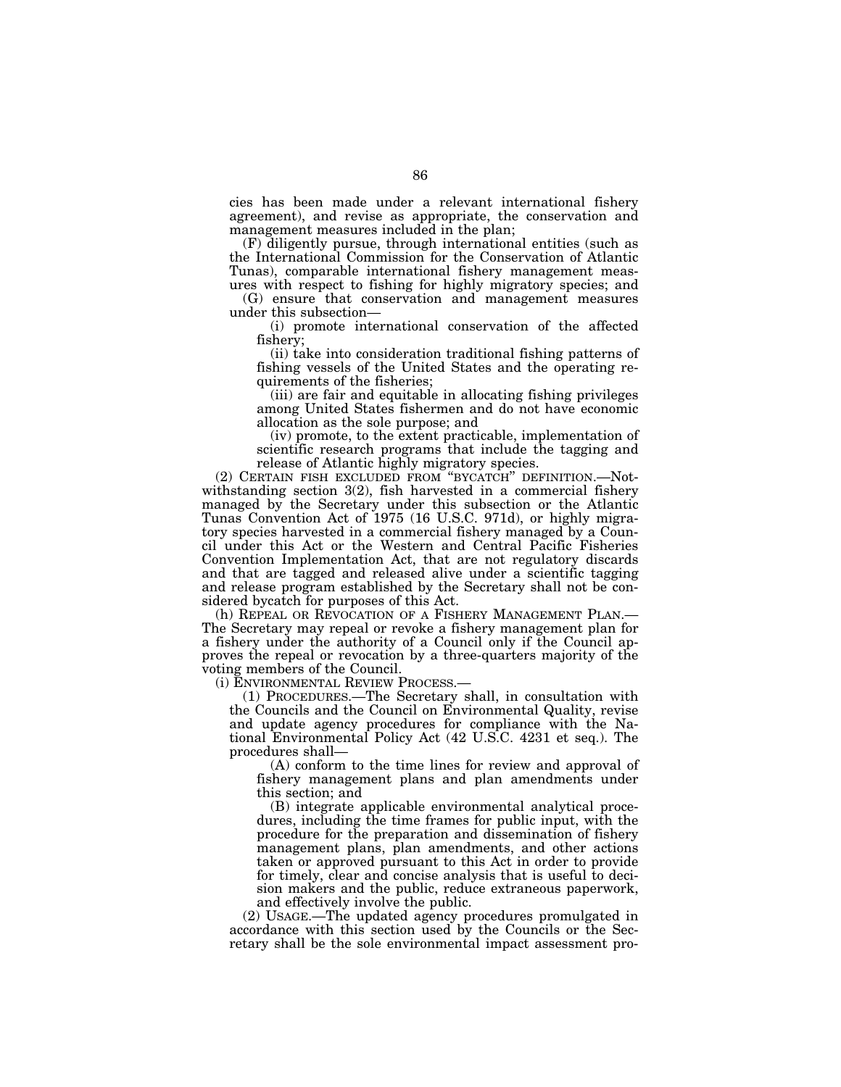cies has been made under a relevant international fishery agreement), and revise as appropriate, the conservation and management measures included in the plan;

(F) diligently pursue, through international entities (such as the International Commission for the Conservation of Atlantic Tunas), comparable international fishery management measures with respect to fishing for highly migratory species; and

(G) ensure that conservation and management measures under this subsection—

(i) promote international conservation of the affected fishery;

(ii) take into consideration traditional fishing patterns of fishing vessels of the United States and the operating requirements of the fisheries;

(iii) are fair and equitable in allocating fishing privileges among United States fishermen and do not have economic allocation as the sole purpose; and

(iv) promote, to the extent practicable, implementation of scientific research programs that include the tagging and release of Atlantic highly migratory species.

(2) CERTAIN FISH EXCLUDED FROM ''BYCATCH'' DEFINITION.—Notwithstanding section 3(2), fish harvested in a commercial fishery managed by the Secretary under this subsection or the Atlantic Tunas Convention Act of 1975 (16 U.S.C. 971d), or highly migratory species harvested in a commercial fishery managed by a Council under this Act or the Western and Central Pacific Fisheries Convention Implementation Act, that are not regulatory discards and that are tagged and released alive under a scientific tagging and release program established by the Secretary shall not be considered bycatch for purposes of this Act.<br>
(h) REPEAL OR REVOCATION OF A FISHERY MANAGEMENT PLAN.—

The Secretary may repeal or revoke a fishery management plan for a fishery under the authority of a Council only if the Council approves the repeal or revocation by a three-quarters majority of the voting members of the Council.<br>(i) ENVIRONMENTAL REVIEW PROCESS.—

(1) PROCEDURES.—The Secretary shall, in consultation with the Councils and the Council on Environmental Quality, revise and update agency procedures for compliance with the National Environmental Policy Act (42 U.S.C. 4231 et seq.). The procedures shall—

(A) conform to the time lines for review and approval of fishery management plans and plan amendments under this section; and

(B) integrate applicable environmental analytical procedures, including the time frames for public input, with the procedure for the preparation and dissemination of fishery management plans, plan amendments, and other actions taken or approved pursuant to this Act in order to provide for timely, clear and concise analysis that is useful to decision makers and the public, reduce extraneous paperwork, and effectively involve the public.

(2) USAGE.—The updated agency procedures promulgated in accordance with this section used by the Councils or the Secretary shall be the sole environmental impact assessment pro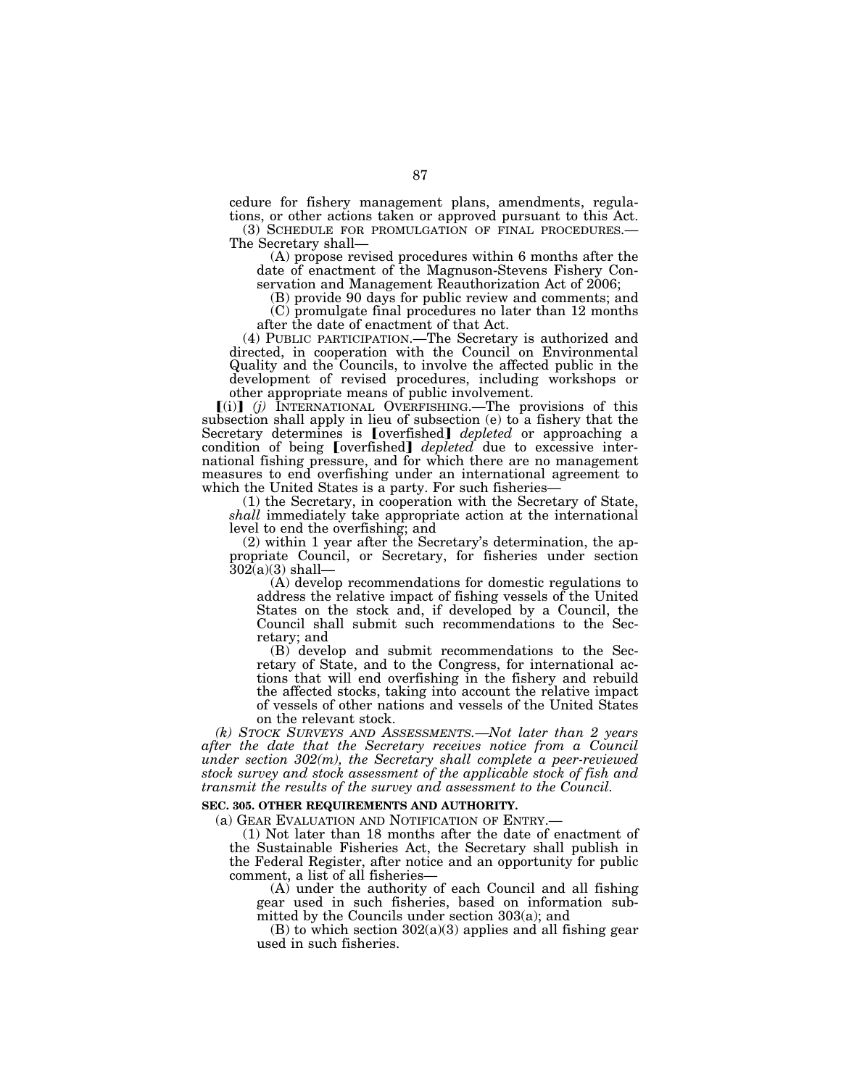cedure for fishery management plans, amendments, regulations, or other actions taken or approved pursuant to this Act. (3) SCHEDULE FOR PROMULGATION OF FINAL PROCEDURES.— The Secretary shall—

(A) propose revised procedures within 6 months after the date of enactment of the Magnuson-Stevens Fishery Conservation and Management Reauthorization Act of 2006;

(B) provide 90 days for public review and comments; and

(C) promulgate final procedures no later than 12 months after the date of enactment of that Act.

(4) PUBLIC PARTICIPATION.—The Secretary is authorized and directed, in cooperation with the Council on Environmental Quality and the Councils, to involve the affected public in the development of revised procedures, including workshops or other appropriate means of public involvement.

 $[(i)]$   $(j)$  INTERNATIONAL OVERFISHING.—The provisions of this subsection shall apply in lieu of subsection (e) to a fishery that the Secretary determines is *[overfished] depleted* or approaching a condition of being [overfished] *depleted* due to excessive international fishing pressure, and for which there are no management measures to end overfishing under an international agreement to which the United States is a party. For such fisheries-

(1) the Secretary, in cooperation with the Secretary of State, *shall* immediately take appropriate action at the international level to end the overfishing; and

(2) within 1 year after the Secretary's determination, the appropriate Council, or Secretary, for fisheries under section  $302(a)(3)$  shall—

(A) develop recommendations for domestic regulations to address the relative impact of fishing vessels of the United States on the stock and, if developed by a Council, the Council shall submit such recommendations to the Secretary; and

(B) develop and submit recommendations to the Secretary of State, and to the Congress, for international actions that will end overfishing in the fishery and rebuild the affected stocks, taking into account the relative impact of vessels of other nations and vessels of the United States on the relevant stock.

*(k) STOCK SURVEYS AND ASSESSMENTS.—Not later than 2 years after the date that the Secretary receives notice from a Council under section 302(m), the Secretary shall complete a peer-reviewed stock survey and stock assessment of the applicable stock of fish and transmit the results of the survey and assessment to the Council.* 

## **SEC. 305. OTHER REQUIREMENTS AND AUTHORITY.**

(a) GEAR EVALUATION AND NOTIFICATION OF ENTRY.—

(1) Not later than 18 months after the date of enactment of the Sustainable Fisheries Act, the Secretary shall publish in the Federal Register, after notice and an opportunity for public comment, a list of all fisheries—

(A) under the authority of each Council and all fishing gear used in such fisheries, based on information submitted by the Councils under section 303(a); and

 $(B)$  to which section  $302(a)(3)$  applies and all fishing gear used in such fisheries.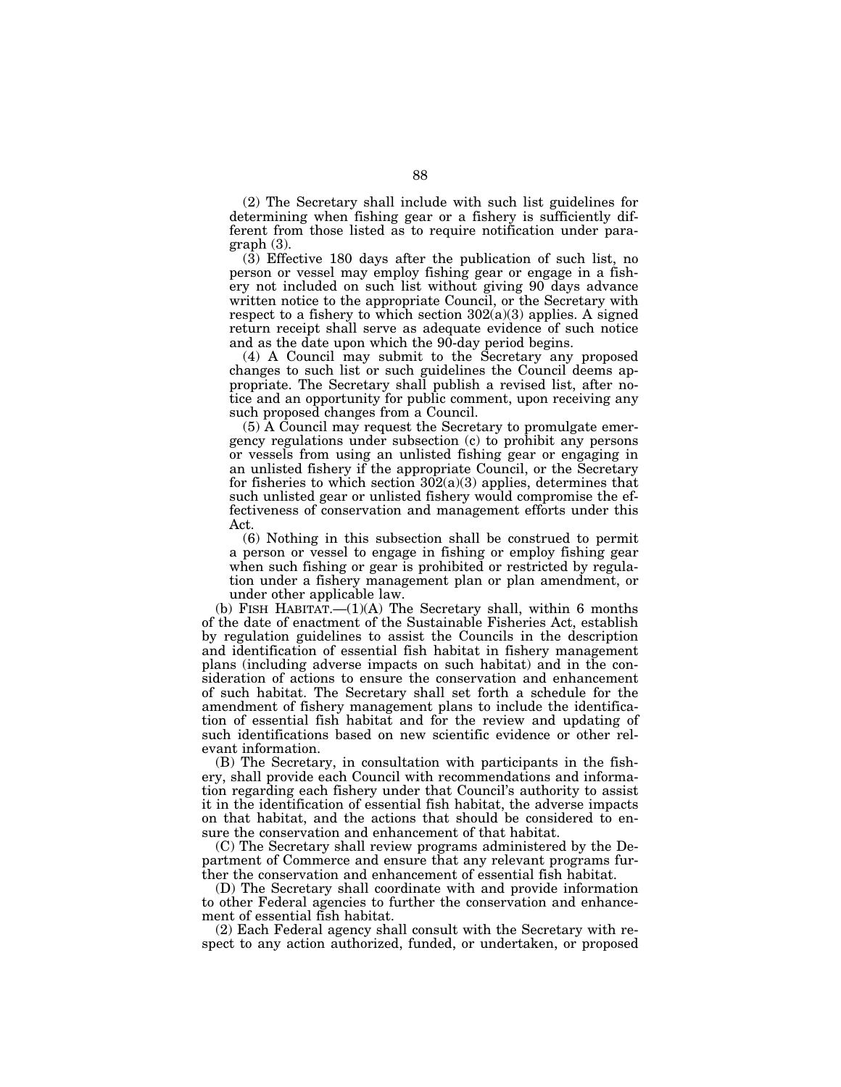(2) The Secretary shall include with such list guidelines for determining when fishing gear or a fishery is sufficiently different from those listed as to require notification under paragraph (3).

(3) Effective 180 days after the publication of such list, no person or vessel may employ fishing gear or engage in a fishery not included on such list without giving 90 days advance written notice to the appropriate Council, or the Secretary with respect to a fishery to which section  $302(a)(3)$  applies. A signed return receipt shall serve as adequate evidence of such notice and as the date upon which the 90-day period begins.

(4) A Council may submit to the Secretary any proposed changes to such list or such guidelines the Council deems appropriate. The Secretary shall publish a revised list, after notice and an opportunity for public comment, upon receiving any such proposed changes from a Council.

(5) A Council may request the Secretary to promulgate emergency regulations under subsection (c) to prohibit any persons or vessels from using an unlisted fishing gear or engaging in an unlisted fishery if the appropriate Council, or the Secretary for fisheries to which section  $302(a)(3)$  applies, determines that such unlisted gear or unlisted fishery would compromise the effectiveness of conservation and management efforts under this Act.

(6) Nothing in this subsection shall be construed to permit a person or vessel to engage in fishing or employ fishing gear when such fishing or gear is prohibited or restricted by regulation under a fishery management plan or plan amendment, or under other applicable law.

(b) FISH HABITAT.—(1)(A) The Secretary shall, within 6 months of the date of enactment of the Sustainable Fisheries Act, establish by regulation guidelines to assist the Councils in the description and identification of essential fish habitat in fishery management plans (including adverse impacts on such habitat) and in the consideration of actions to ensure the conservation and enhancement of such habitat. The Secretary shall set forth a schedule for the amendment of fishery management plans to include the identification of essential fish habitat and for the review and updating of such identifications based on new scientific evidence or other relevant information.

(B) The Secretary, in consultation with participants in the fishery, shall provide each Council with recommendations and information regarding each fishery under that Council's authority to assist it in the identification of essential fish habitat, the adverse impacts on that habitat, and the actions that should be considered to ensure the conservation and enhancement of that habitat.

(C) The Secretary shall review programs administered by the Department of Commerce and ensure that any relevant programs further the conservation and enhancement of essential fish habitat.

(D) The Secretary shall coordinate with and provide information to other Federal agencies to further the conservation and enhancement of essential fish habitat.

(2) Each Federal agency shall consult with the Secretary with respect to any action authorized, funded, or undertaken, or proposed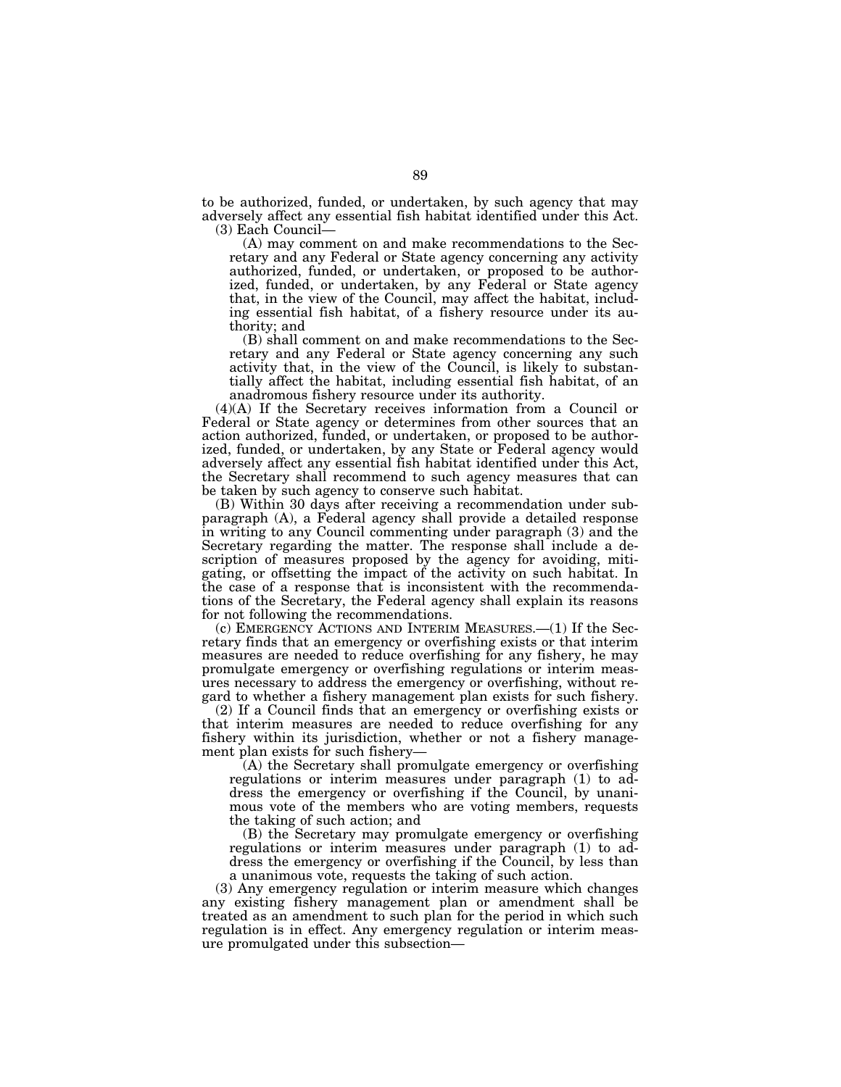to be authorized, funded, or undertaken, by such agency that may adversely affect any essential fish habitat identified under this Act. (3) Each Council—

(A) may comment on and make recommendations to the Secretary and any Federal or State agency concerning any activity authorized, funded, or undertaken, or proposed to be authorized, funded, or undertaken, by any Federal or State agency that, in the view of the Council, may affect the habitat, including essential fish habitat, of a fishery resource under its authority; and

(B) shall comment on and make recommendations to the Secretary and any Federal or State agency concerning any such activity that, in the view of the Council, is likely to substantially affect the habitat, including essential fish habitat, of an anadromous fishery resource under its authority.

(4)(A) If the Secretary receives information from a Council or Federal or State agency or determines from other sources that an action authorized, funded, or undertaken, or proposed to be authorized, funded, or undertaken, by any State or Federal agency would adversely affect any essential fish habitat identified under this Act, the Secretary shall recommend to such agency measures that can be taken by such agency to conserve such habitat.

(B) Within 30 days after receiving a recommendation under subparagraph (A), a Federal agency shall provide a detailed response in writing to any Council commenting under paragraph (3) and the Secretary regarding the matter. The response shall include a description of measures proposed by the agency for avoiding, mitigating, or offsetting the impact of the activity on such habitat. In the case of a response that is inconsistent with the recommendations of the Secretary, the Federal agency shall explain its reasons for not following the recommendations.

(c) EMERGENCY ACTIONS AND INTERIM MEASURES.—(1) If the Secretary finds that an emergency or overfishing exists or that interim measures are needed to reduce overfishing for any fishery, he may promulgate emergency or overfishing regulations or interim measures necessary to address the emergency or overfishing, without regard to whether a fishery management plan exists for such fishery.

(2) If a Council finds that an emergency or overfishing exists or that interim measures are needed to reduce overfishing for any fishery within its jurisdiction, whether or not a fishery management plan exists for such fishery—

(A) the Secretary shall promulgate emergency or overfishing regulations or interim measures under paragraph (1) to address the emergency or overfishing if the Council, by unanimous vote of the members who are voting members, requests the taking of such action; and

(B) the Secretary may promulgate emergency or overfishing regulations or interim measures under paragraph (1) to address the emergency or overfishing if the Council, by less than a unanimous vote, requests the taking of such action.

(3) Any emergency regulation or interim measure which changes any existing fishery management plan or amendment shall be treated as an amendment to such plan for the period in which such regulation is in effect. Any emergency regulation or interim measure promulgated under this subsection—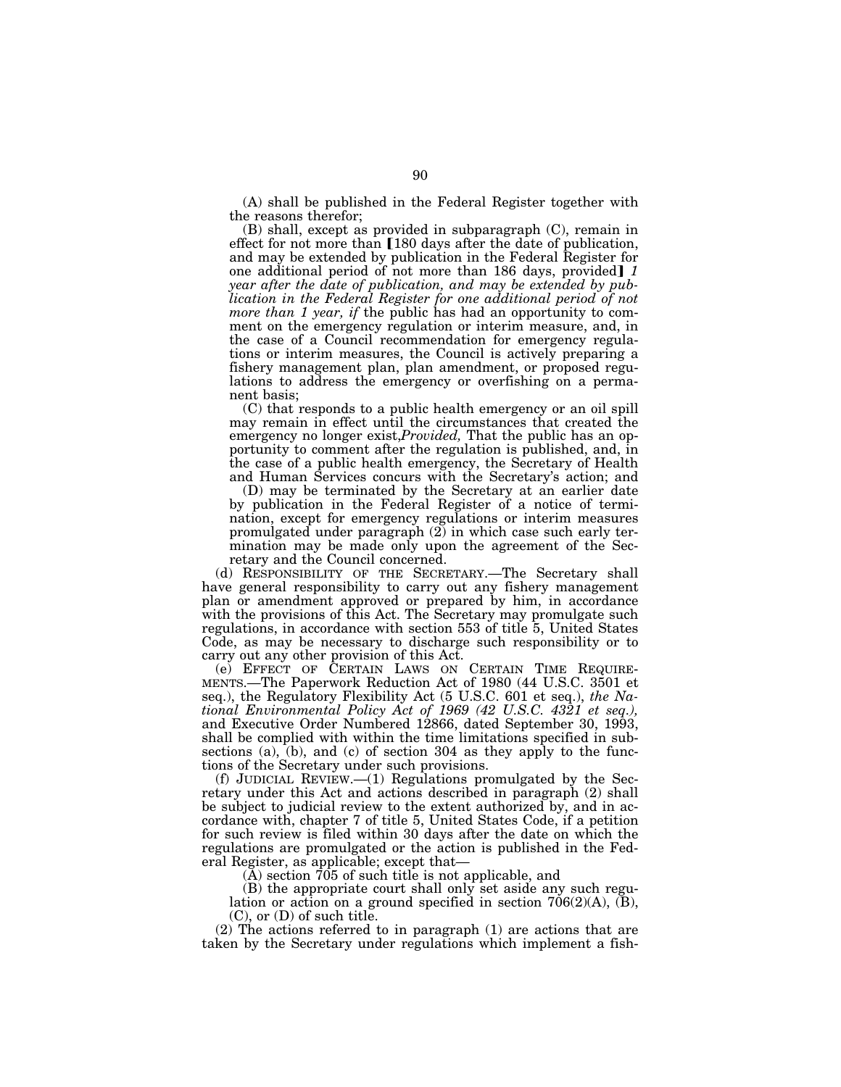(A) shall be published in the Federal Register together with the reasons therefor;

(B) shall, except as provided in subparagraph (C), remain in effect for not more than  $[180 \text{ days after the date of publication,}]$ and may be extended by publication in the Federal Register for one additional period of not more than 186 days, provided] 1 *year after the date of publication, and may be extended by publication in the Federal Register for one additional period of not more than 1 year, if the public has had an opportunity to com*ment on the emergency regulation or interim measure, and, in the case of a Council recommendation for emergency regulations or interim measures, the Council is actively preparing a fishery management plan, plan amendment, or proposed regulations to address the emergency or overfishing on a permanent basis;

(C) that responds to a public health emergency or an oil spill may remain in effect until the circumstances that created the emergency no longer exist,*Provided,* That the public has an opportunity to comment after the regulation is published, and, in the case of a public health emergency, the Secretary of Health and Human Services concurs with the Secretary's action; and

(D) may be terminated by the Secretary at an earlier date by publication in the Federal Register of a notice of termination, except for emergency regulations or interim measures promulgated under paragraph (2) in which case such early termination may be made only upon the agreement of the Secretary and the Council concerned.

(d) RESPONSIBILITY OF THE SECRETARY.—The Secretary shall have general responsibility to carry out any fishery management plan or amendment approved or prepared by him, in accordance with the provisions of this Act. The Secretary may promulgate such regulations, in accordance with section 553 of title 5, United States Code, as may be necessary to discharge such responsibility or to carry out any other provision of this Act.<br>
(e) EFFECT OF CERTAIN LAWS ON CERTAIN TIME REQUIRE-

MENTS.—The Paperwork Reduction Act of 1980 (44 U.S.C. 3501 et seq.), the Regulatory Flexibility Act (5 U.S.C. 601 et seq.), *the National Environmental Policy Act of 1969 (42 U.S.C. 4321 et seq.),*  and Executive Order Numbered 12866, dated September 30, 1993, shall be complied with within the time limitations specified in subsections (a), (b), and (c) of section 304 as they apply to the functions of the Secretary under such provisions.

(f) JUDICIAL REVIEW.—(1) Regulations promulgated by the Secretary under this Act and actions described in paragraph (2) shall be subject to judicial review to the extent authorized by, and in accordance with, chapter 7 of title 5, United States Code, if a petition for such review is filed within 30 days after the date on which the regulations are promulgated or the action is published in the Federal Register, as applicable; except that—

(A) section 705 of such title is not applicable, and

(B) the appropriate court shall only set aside any such regulation or action on a ground specified in section  $706(2)(A)$ ,  $(B)$ , (C), or (D) of such title.

(2) The actions referred to in paragraph (1) are actions that are taken by the Secretary under regulations which implement a fish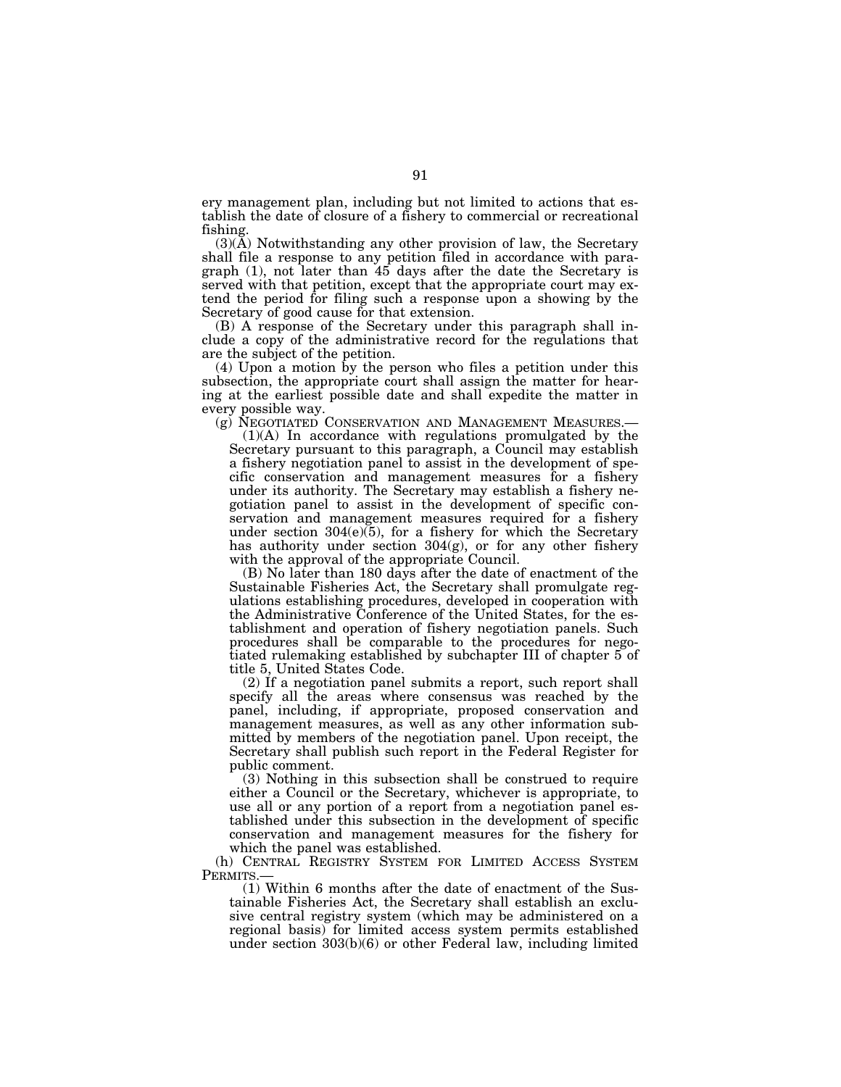ery management plan, including but not limited to actions that establish the date of closure of a fishery to commercial or recreational fishing.

 $(3)(\overline{A})$  Notwithstanding any other provision of law, the Secretary shall file a response to any petition filed in accordance with paragraph (1), not later than 45 days after the date the Secretary is served with that petition, except that the appropriate court may extend the period for filing such a response upon a showing by the Secretary of good cause for that extension.

(B) A response of the Secretary under this paragraph shall include a copy of the administrative record for the regulations that are the subject of the petition.

(4) Upon a motion by the person who files a petition under this subsection, the appropriate court shall assign the matter for hearing at the earliest possible date and shall expedite the matter in every possible way.

(g) NEGOTIATED CONSERVATION AND MANAGEMENT MEASURES.—

(1)(A) In accordance with regulations promulgated by the Secretary pursuant to this paragraph, a Council may establish a fishery negotiation panel to assist in the development of specific conservation and management measures for a fishery under its authority. The Secretary may establish a fishery negotiation panel to assist in the development of specific conservation and management measures required for a fishery under section  $304(e)(5)$ , for a fishery for which the Secretary has authority under section 304(g), or for any other fishery with the approval of the appropriate Council.

(B) No later than 180 days after the date of enactment of the Sustainable Fisheries Act, the Secretary shall promulgate regulations establishing procedures, developed in cooperation with the Administrative Conference of the United States, for the establishment and operation of fishery negotiation panels. Such procedures shall be comparable to the procedures for negotiated rulemaking established by subchapter III of chapter 5 of title 5, United States Code.

(2) If a negotiation panel submits a report, such report shall specify all the areas where consensus was reached by the panel, including, if appropriate, proposed conservation and management measures, as well as any other information submitted by members of the negotiation panel. Upon receipt, the Secretary shall publish such report in the Federal Register for public comment.

(3) Nothing in this subsection shall be construed to require either a Council or the Secretary, whichever is appropriate, to use all or any portion of a report from a negotiation panel established under this subsection in the development of specific conservation and management measures for the fishery for which the panel was established.

(h) CENTRAL REGISTRY SYSTEM FOR LIMITED ACCESS SYSTEM PERMITS.

(1) Within 6 months after the date of enactment of the Sustainable Fisheries Act, the Secretary shall establish an exclusive central registry system (which may be administered on a regional basis) for limited access system permits established under section 303(b)(6) or other Federal law, including limited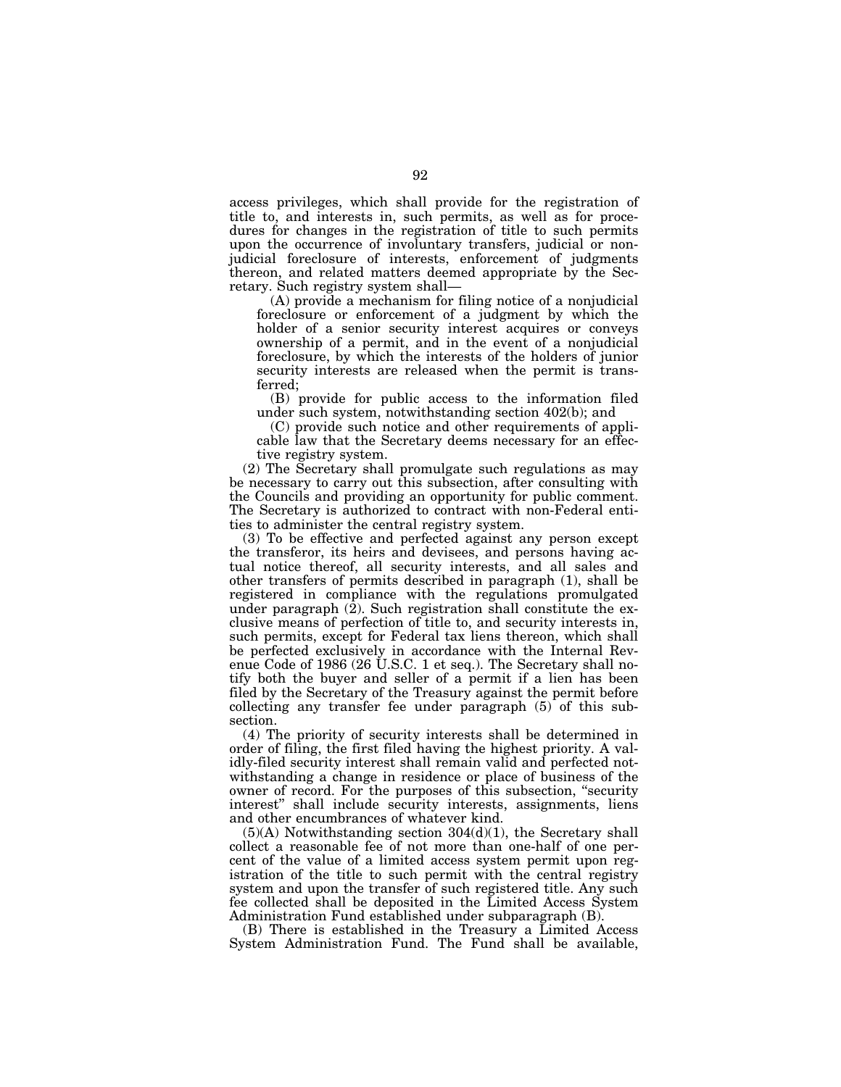access privileges, which shall provide for the registration of title to, and interests in, such permits, as well as for procedures for changes in the registration of title to such permits upon the occurrence of involuntary transfers, judicial or nonjudicial foreclosure of interests, enforcement of judgments thereon, and related matters deemed appropriate by the Secretary. Such registry system shall—

(A) provide a mechanism for filing notice of a nonjudicial foreclosure or enforcement of a judgment by which the holder of a senior security interest acquires or conveys ownership of a permit, and in the event of a nonjudicial foreclosure, by which the interests of the holders of junior security interests are released when the permit is transferred;

(B) provide for public access to the information filed under such system, notwithstanding section 402(b); and

(C) provide such notice and other requirements of applicable law that the Secretary deems necessary for an effective registry system.

(2) The Secretary shall promulgate such regulations as may be necessary to carry out this subsection, after consulting with the Councils and providing an opportunity for public comment. The Secretary is authorized to contract with non-Federal entities to administer the central registry system.

(3) To be effective and perfected against any person except the transferor, its heirs and devisees, and persons having actual notice thereof, all security interests, and all sales and other transfers of permits described in paragraph (1), shall be registered in compliance with the regulations promulgated under paragraph (2). Such registration shall constitute the exclusive means of perfection of title to, and security interests in, such permits, except for Federal tax liens thereon, which shall be perfected exclusively in accordance with the Internal Revenue Code of 1986 (26 U.S.C. 1 et seq.). The Secretary shall notify both the buyer and seller of a permit if a lien has been filed by the Secretary of the Treasury against the permit before collecting any transfer fee under paragraph (5) of this subsection.

(4) The priority of security interests shall be determined in order of filing, the first filed having the highest priority. A validly-filed security interest shall remain valid and perfected notwithstanding a change in residence or place of business of the owner of record. For the purposes of this subsection, "security interest'' shall include security interests, assignments, liens and other encumbrances of whatever kind.

 $(5)(A)$  Notwithstanding section  $304(d)(1)$ , the Secretary shall collect a reasonable fee of not more than one-half of one percent of the value of a limited access system permit upon registration of the title to such permit with the central registry system and upon the transfer of such registered title. Any such fee collected shall be deposited in the Limited Access System Administration Fund established under subparagraph (B).

(B) There is established in the Treasury a Limited Access System Administration Fund. The Fund shall be available,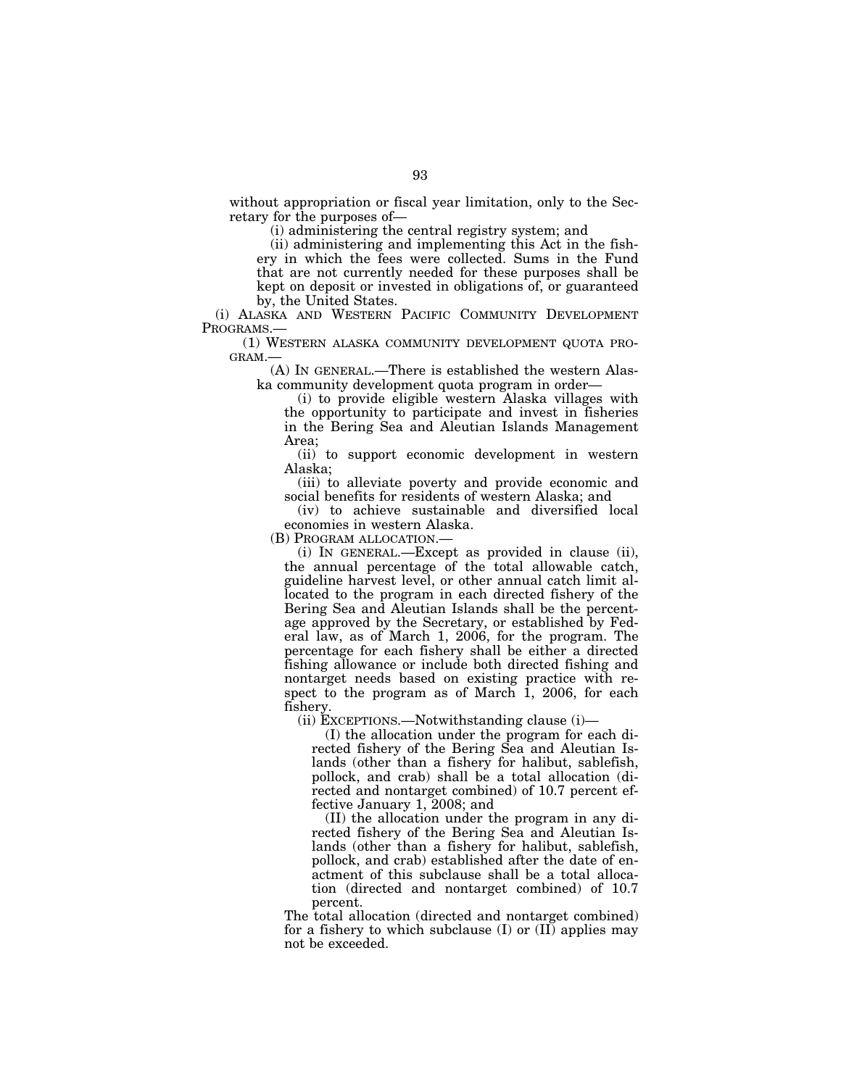without appropriation or fiscal year limitation, only to the Secretary for the purposes of—

(i) administering the central registry system; and

(ii) administering and implementing this Act in the fishery in which the fees were collected. Sums in the Fund that are not currently needed for these purposes shall be kept on deposit or invested in obligations of, or guaranteed by, the United States.

(i) ALASKA AND WESTERN PACIFIC COMMUNITY DEVELOPMENT PROGRAMS.—

(1) WESTERN ALASKA COMMUNITY DEVELOPMENT QUOTA PRO-GRAM.—

(A) IN GENERAL.—There is established the western Alaska community development quota program in order—

(i) to provide eligible western Alaska villages with the opportunity to participate and invest in fisheries in the Bering Sea and Aleutian Islands Management Area;

(ii) to support economic development in western Alaska;

(iii) to alleviate poverty and provide economic and social benefits for residents of western Alaska; and

(iv) to achieve sustainable and diversified local economies in western Alaska.

(B) PROGRAM ALLOCATION.—

(i) IN GENERAL.—Except as provided in clause (ii), the annual percentage of the total allowable catch, guideline harvest level, or other annual catch limit allocated to the program in each directed fishery of the Bering Sea and Aleutian Islands shall be the percentage approved by the Secretary, or established by Federal law, as of March 1, 2006, for the program. The percentage for each fishery shall be either a directed fishing allowance or include both directed fishing and nontarget needs based on existing practice with respect to the program as of March 1, 2006, for each fishery.

(ii) EXCEPTIONS.—Notwithstanding clause (i)—

(I) the allocation under the program for each directed fishery of the Bering Sea and Aleutian Islands (other than a fishery for halibut, sablefish, pollock, and crab) shall be a total allocation (directed and nontarget combined) of 10.7 percent effective January 1, 2008; and

(II) the allocation under the program in any directed fishery of the Bering Sea and Aleutian Islands (other than a fishery for halibut, sablefish, pollock, and crab) established after the date of enactment of this subclause shall be a total allocation (directed and nontarget combined) of 10.7 percent.

The total allocation (directed and nontarget combined) for a fishery to which subclause (I) or (II) applies may not be exceeded.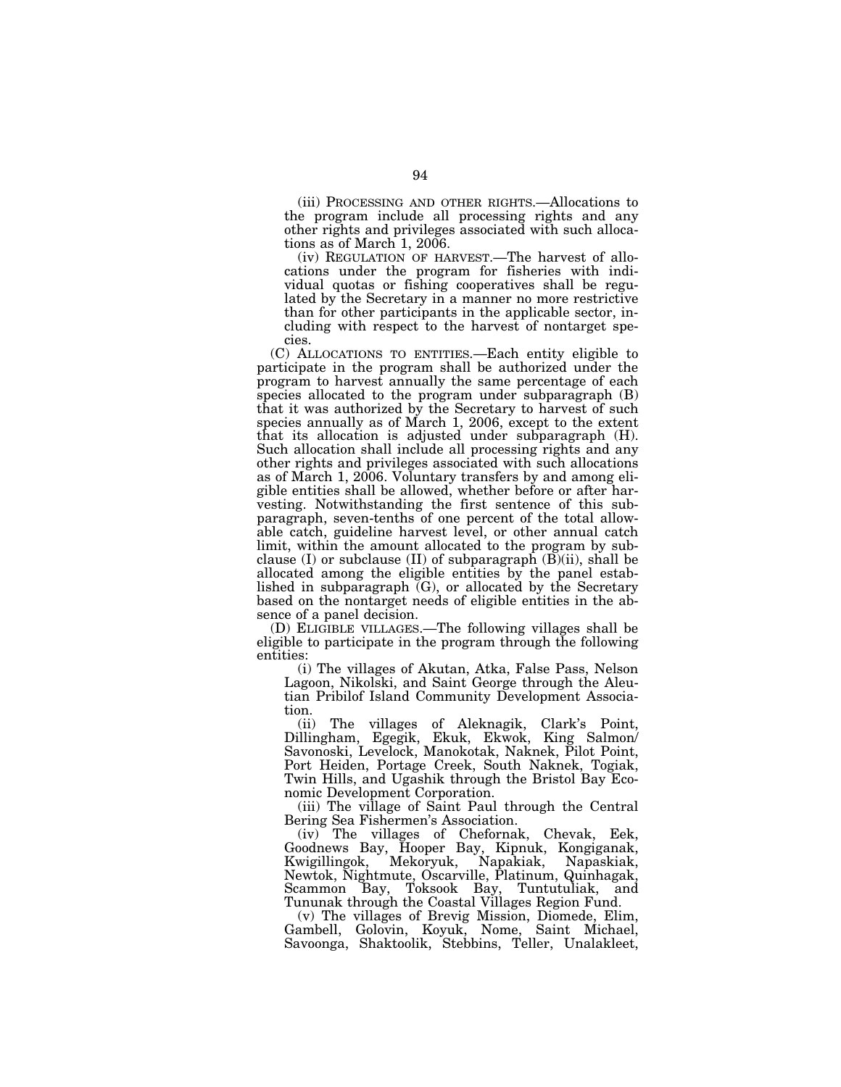(iii) PROCESSING AND OTHER RIGHTS.—Allocations to the program include all processing rights and any other rights and privileges associated with such allocations as of March 1, 2006.

(iv) REGULATION OF HARVEST.—The harvest of allocations under the program for fisheries with individual quotas or fishing cooperatives shall be regulated by the Secretary in a manner no more restrictive than for other participants in the applicable sector, including with respect to the harvest of nontarget species.

(C) ALLOCATIONS TO ENTITIES.—Each entity eligible to participate in the program shall be authorized under the program to harvest annually the same percentage of each species allocated to the program under subparagraph (B) that it was authorized by the Secretary to harvest of such species annually as of March 1, 2006, except to the extent that its allocation is adjusted under subparagraph (H). Such allocation shall include all processing rights and any other rights and privileges associated with such allocations as of March 1, 2006. Voluntary transfers by and among eligible entities shall be allowed, whether before or after harvesting. Notwithstanding the first sentence of this subparagraph, seven-tenths of one percent of the total allowable catch, guideline harvest level, or other annual catch limit, within the amount allocated to the program by subclause (I) or subclause (II) of subparagraph  $(B)(ii)$ , shall be allocated among the eligible entities by the panel established in subparagraph  $(G)$ , or allocated by the Secretary based on the nontarget needs of eligible entities in the absence of a panel decision.

(D) ELIGIBLE VILLAGES.—The following villages shall be eligible to participate in the program through the following entities:

(i) The villages of Akutan, Atka, False Pass, Nelson Lagoon, Nikolski, and Saint George through the Aleutian Pribilof Island Community Development Association.

(ii) The villages of Aleknagik, Clark's Point, Dillingham, Egegik, Ekuk, Ekwok, King Salmon/ Savonoski, Levelock, Manokotak, Naknek, Pilot Point, Port Heiden, Portage Creek, South Naknek, Togiak, Twin Hills, and Ugashik through the Bristol Bay Economic Development Corporation.

(iii) The village of Saint Paul through the Central Bering Sea Fishermen's Association.

(iv) The villages of Chefornak, Chevak, Eek, Goodnews Bay, Hooper Bay, Kipnuk, Kongiganak, Kwigillingok, Mekoryuk, Napakiak, Napaskiak, Newtok, Nightmute, Oscarville, Platinum, Quinhagak, Scammon Bay, Toksook Bay, Tuntutuliak, and Tununak through the Coastal Villages Region Fund.

(v) The villages of Brevig Mission, Diomede, Elim, Gambell, Golovin, Koyuk, Nome, Saint Michael, Savoonga, Shaktoolik, Stebbins, Teller, Unalakleet,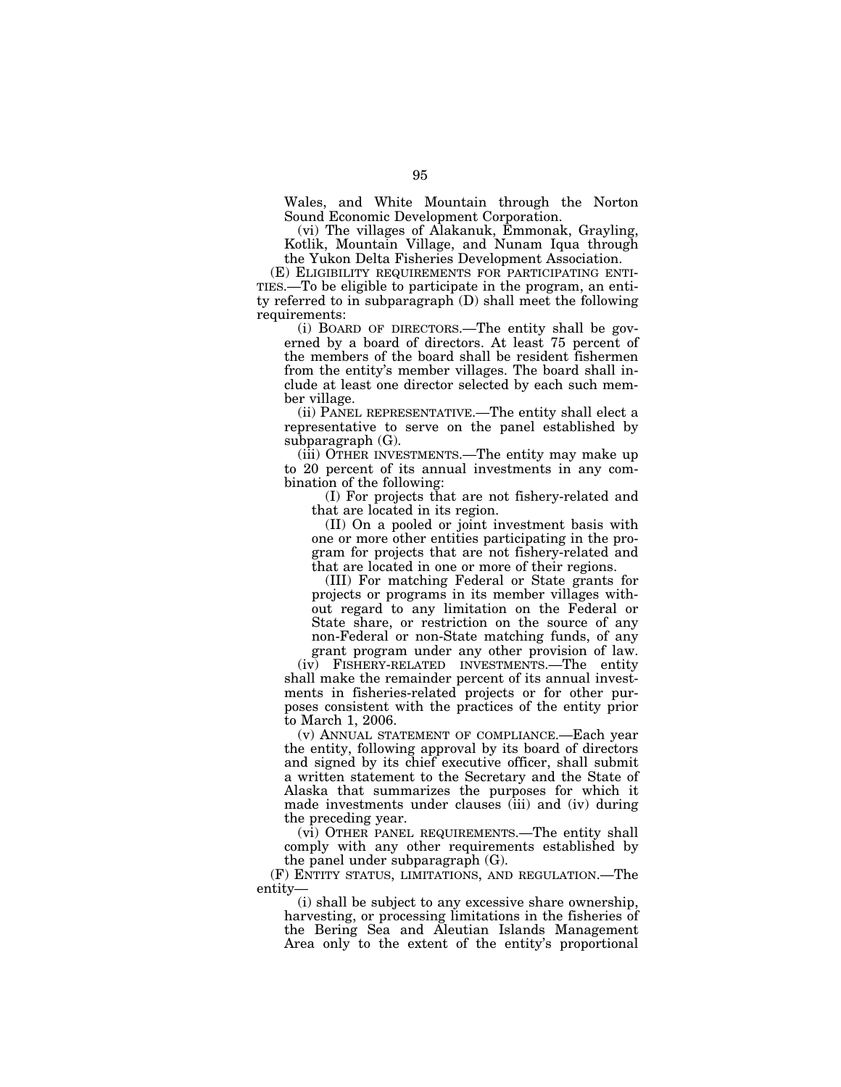Wales, and White Mountain through the Norton Sound Economic Development Corporation.

(vi) The villages of Alakanuk, Emmonak, Grayling, Kotlik, Mountain Village, and Nunam Iqua through the Yukon Delta Fisheries Development Association.

(E) ELIGIBILITY REQUIREMENTS FOR PARTICIPATING ENTI-TIES.—To be eligible to participate in the program, an entity referred to in subparagraph (D) shall meet the following requirements:

(i) BOARD OF DIRECTORS.—The entity shall be governed by a board of directors. At least 75 percent of the members of the board shall be resident fishermen from the entity's member villages. The board shall include at least one director selected by each such member village.

(ii) PANEL REPRESENTATIVE.—The entity shall elect a representative to serve on the panel established by subparagraph (G).

(iii) OTHER INVESTMENTS.—The entity may make up to 20 percent of its annual investments in any combination of the following:

(I) For projects that are not fishery-related and that are located in its region.

(II) On a pooled or joint investment basis with one or more other entities participating in the program for projects that are not fishery-related and that are located in one or more of their regions.

(III) For matching Federal or State grants for projects or programs in its member villages without regard to any limitation on the Federal or State share, or restriction on the source of any non-Federal or non-State matching funds, of any grant program under any other provision of law.

(iv) FISHERY-RELATED INVESTMENTS.—The entity shall make the remainder percent of its annual investments in fisheries-related projects or for other purposes consistent with the practices of the entity prior to March 1, 2006.

(v) ANNUAL STATEMENT OF COMPLIANCE.—Each year the entity, following approval by its board of directors and signed by its chief executive officer, shall submit a written statement to the Secretary and the State of Alaska that summarizes the purposes for which it made investments under clauses (iii) and (iv) during the preceding year.

(vi) OTHER PANEL REQUIREMENTS.—The entity shall comply with any other requirements established by the panel under subparagraph (G).

(F) ENTITY STATUS, LIMITATIONS, AND REGULATION.—The entity—

(i) shall be subject to any excessive share ownership, harvesting, or processing limitations in the fisheries of the Bering Sea and Aleutian Islands Management Area only to the extent of the entity's proportional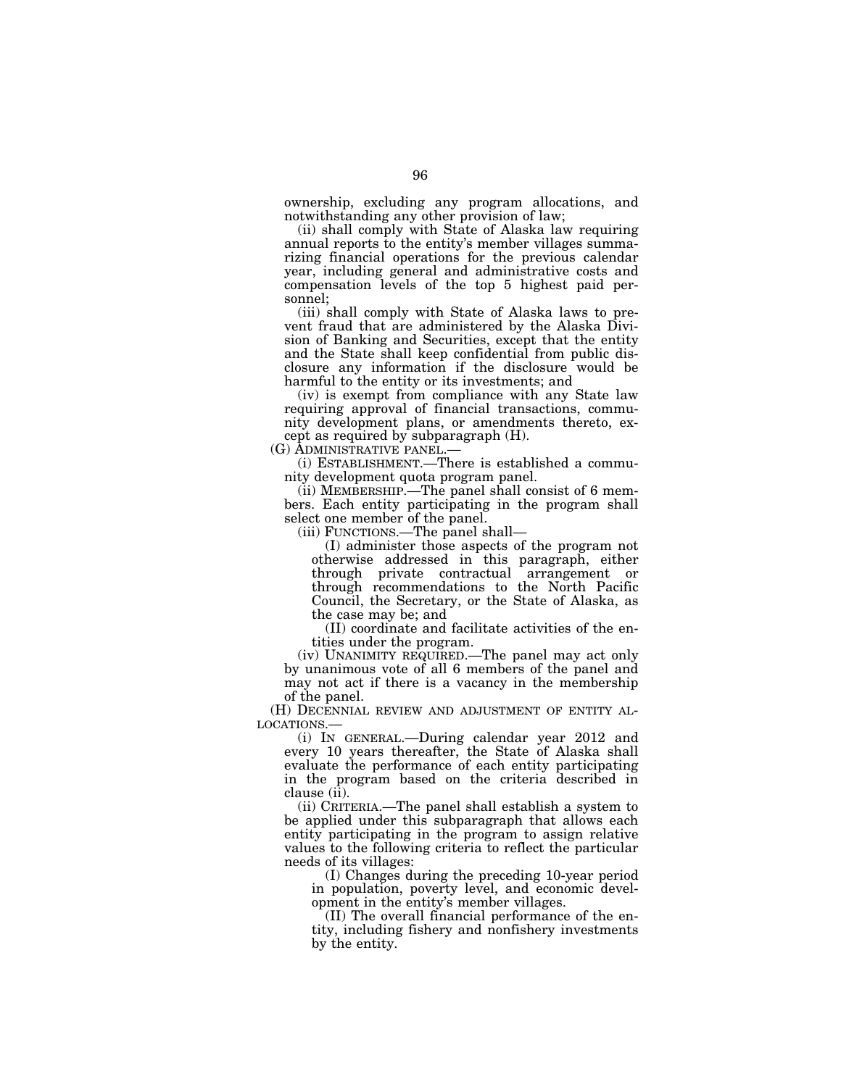ownership, excluding any program allocations, and notwithstanding any other provision of law;

(ii) shall comply with State of Alaska law requiring annual reports to the entity's member villages summarizing financial operations for the previous calendar year, including general and administrative costs and compensation levels of the top 5 highest paid personnel;

(iii) shall comply with State of Alaska laws to prevent fraud that are administered by the Alaska Division of Banking and Securities, except that the entity and the State shall keep confidential from public disclosure any information if the disclosure would be harmful to the entity or its investments; and

(iv) is exempt from compliance with any State law requiring approval of financial transactions, community development plans, or amendments thereto, except as required by subparagraph (H).

(G) ADMINISTRATIVE PANEL.—

(i) ESTABLISHMENT.—There is established a community development quota program panel.

(ii) MEMBERSHIP.—The panel shall consist of 6 members. Each entity participating in the program shall select one member of the panel.

(iii) FUNCTIONS.—The panel shall—

(I) administer those aspects of the program not otherwise addressed in this paragraph, either through private contractual arrangement or through recommendations to the North Pacific Council, the Secretary, or the State of Alaska, as the case may be; and

(II) coordinate and facilitate activities of the entities under the program.

(iv) UNANIMITY REQUIRED.—The panel may act only by unanimous vote of all 6 members of the panel and may not act if there is a vacancy in the membership of the panel.<br>(H) DECENNIAL REVIEW AND ADJUSTMENT OF ENTITY AL-

LOCATIONS.—<br>(i) IN GENERAL.—During calendar year 2012 and

every 10 years thereafter, the State of Alaska shall evaluate the performance of each entity participating in the program based on the criteria described in clause (ii).

(ii) CRITERIA.—The panel shall establish a system to be applied under this subparagraph that allows each entity participating in the program to assign relative values to the following criteria to reflect the particular needs of its villages:

(I) Changes during the preceding 10-year period in population, poverty level, and economic development in the entity's member villages.

(II) The overall financial performance of the entity, including fishery and nonfishery investments by the entity.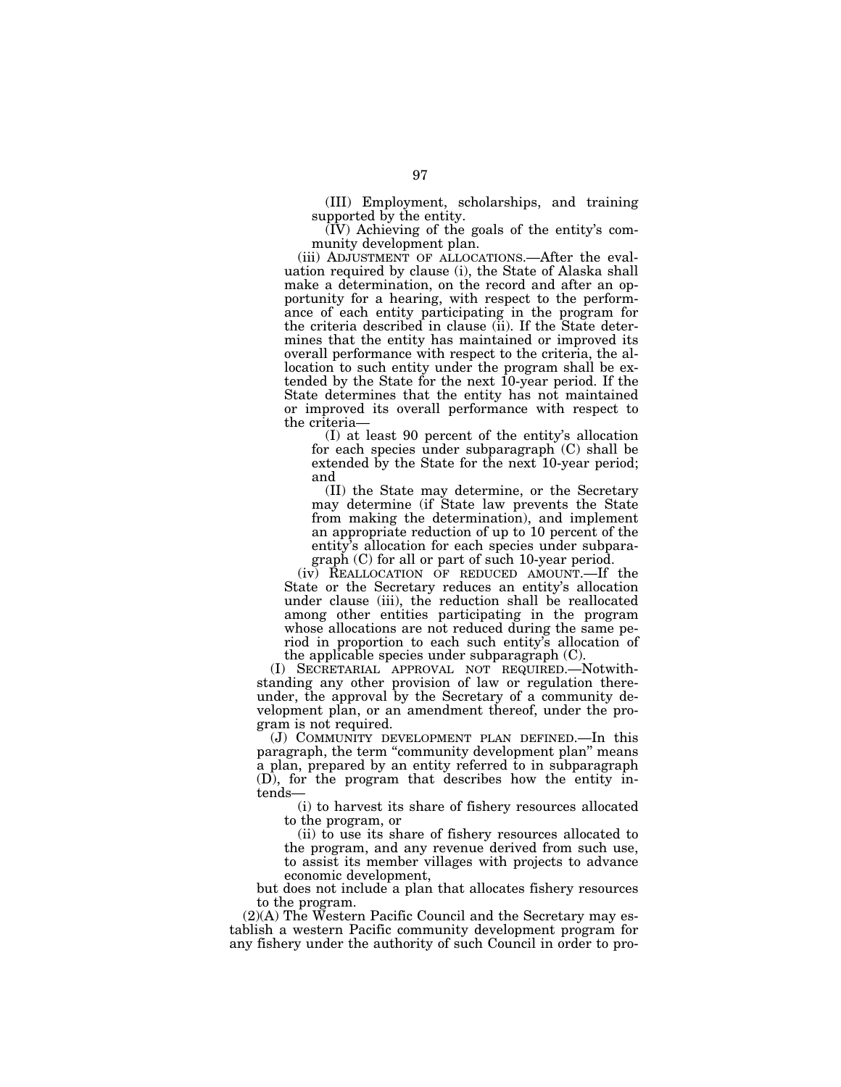(III) Employment, scholarships, and training supported by the entity.

 $\overline{(\text{IV})}$  Achieving of the goals of the entity's community development plan.

(iii) ADJUSTMENT OF ALLOCATIONS.—After the evaluation required by clause (i), the State of Alaska shall make a determination, on the record and after an opportunity for a hearing, with respect to the performance of each entity participating in the program for the criteria described in clause (ii). If the State determines that the entity has maintained or improved its overall performance with respect to the criteria, the allocation to such entity under the program shall be extended by the State for the next 10-year period. If the State determines that the entity has not maintained or improved its overall performance with respect to the criteria—

(I) at least 90 percent of the entity's allocation for each species under subparagraph (C) shall be extended by the State for the next 10-year period; and

(II) the State may determine, or the Secretary may determine (if State law prevents the State from making the determination), and implement an appropriate reduction of up to 10 percent of the entity's allocation for each species under subparagraph (C) for all or part of such 10-year period.

(iv) REALLOCATION OF REDUCED AMOUNT.—If the State or the Secretary reduces an entity's allocation under clause (iii), the reduction shall be reallocated among other entities participating in the program whose allocations are not reduced during the same period in proportion to each such entity's allocation of the applicable species under subparagraph (C).

(I) SECRETARIAL APPROVAL NOT REQUIRED.—Notwithstanding any other provision of law or regulation thereunder, the approval by the Secretary of a community development plan, or an amendment thereof, under the program is not required.

(J) COMMUNITY DEVELOPMENT PLAN DEFINED.—In this paragraph, the term "community development plan" means a plan, prepared by an entity referred to in subparagraph (D), for the program that describes how the entity intends—

(i) to harvest its share of fishery resources allocated to the program, or

(ii) to use its share of fishery resources allocated to the program, and any revenue derived from such use, to assist its member villages with projects to advance economic development,

but does not include a plan that allocates fishery resources to the program.

(2)(A) The Western Pacific Council and the Secretary may establish a western Pacific community development program for any fishery under the authority of such Council in order to pro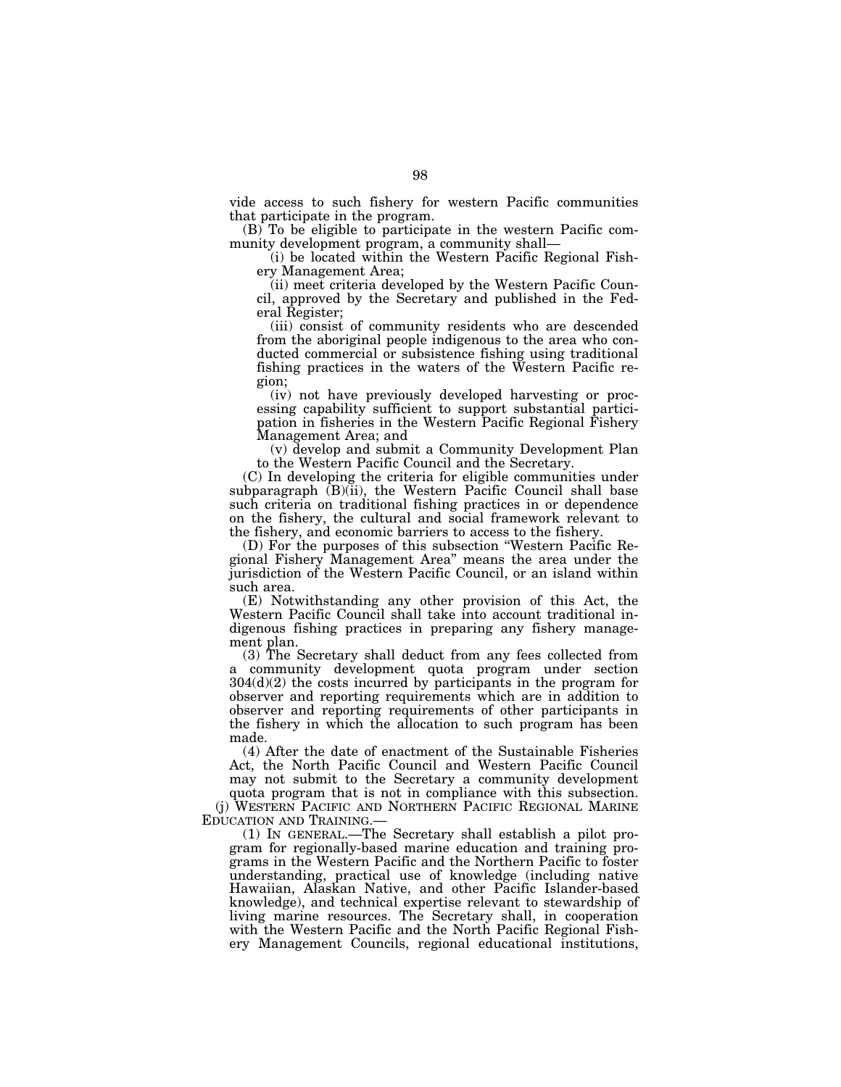vide access to such fishery for western Pacific communities that participate in the program.

(B) To be eligible to participate in the western Pacific community development program, a community shall—

(i) be located within the Western Pacific Regional Fishery Management Area;

(ii) meet criteria developed by the Western Pacific Council, approved by the Secretary and published in the Federal Register;

(iii) consist of community residents who are descended from the aboriginal people indigenous to the area who conducted commercial or subsistence fishing using traditional fishing practices in the waters of the Western Pacific region;

(iv) not have previously developed harvesting or processing capability sufficient to support substantial participation in fisheries in the Western Pacific Regional Fishery Management Area; and

(v) develop and submit a Community Development Plan to the Western Pacific Council and the Secretary.

(C) In developing the criteria for eligible communities under subparagraph (B)(ii), the Western Pacific Council shall base such criteria on traditional fishing practices in or dependence on the fishery, the cultural and social framework relevant to the fishery, and economic barriers to access to the fishery.

(D) For the purposes of this subsection ''Western Pacific Regional Fishery Management Area'' means the area under the jurisdiction of the Western Pacific Council, or an island within such area.

(E) Notwithstanding any other provision of this Act, the Western Pacific Council shall take into account traditional indigenous fishing practices in preparing any fishery management plan.

(3) The Secretary shall deduct from any fees collected from a community development quota program under section 304(d)(2) the costs incurred by participants in the program for observer and reporting requirements which are in addition to observer and reporting requirements of other participants in the fishery in which the allocation to such program has been made.

(4) After the date of enactment of the Sustainable Fisheries Act, the North Pacific Council and Western Pacific Council may not submit to the Secretary a community development quota program that is not in compliance with this subsection.

(j) WESTERN PACIFIC AND NORTHERN PACIFIC REGIONAL MARINE EDUCATION AND TRAINING.—

(1) IN GENERAL.—The Secretary shall establish a pilot program for regionally-based marine education and training programs in the Western Pacific and the Northern Pacific to foster understanding, practical use of knowledge (including native Hawaiian, Alaskan Native, and other Pacific Islander-based knowledge), and technical expertise relevant to stewardship of living marine resources. The Secretary shall, in cooperation with the Western Pacific and the North Pacific Regional Fishery Management Councils, regional educational institutions,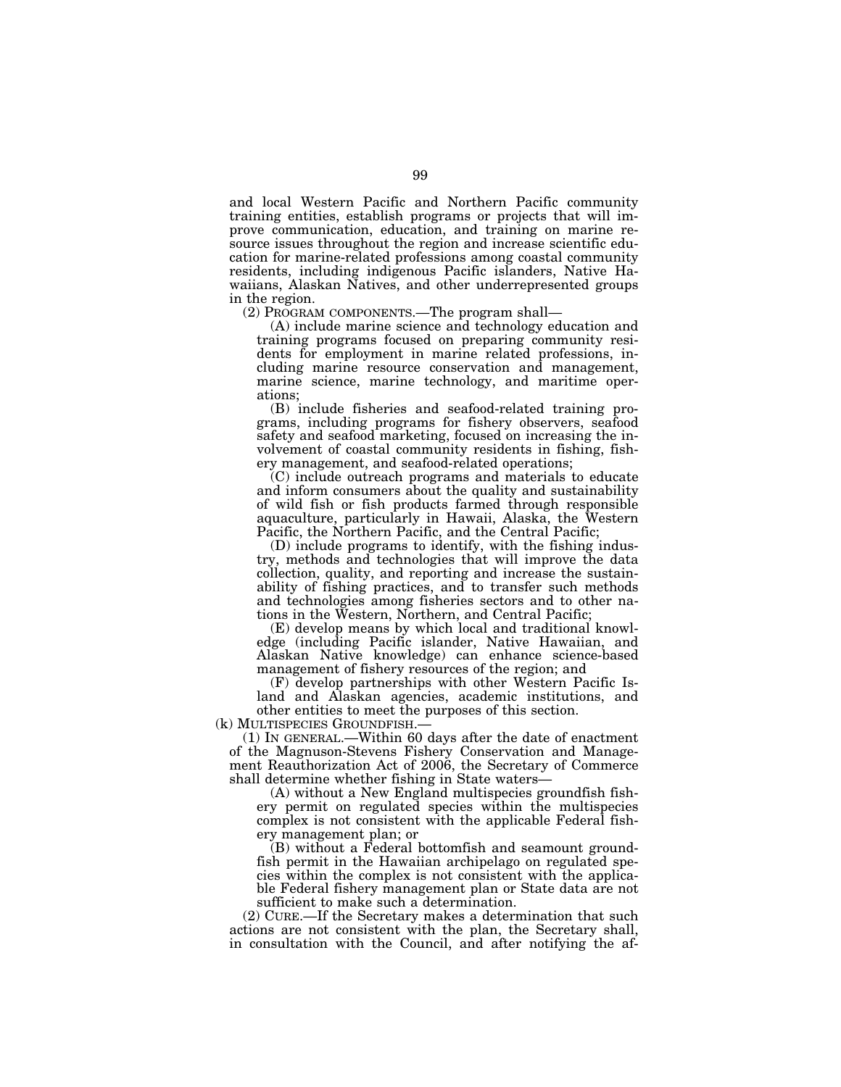and local Western Pacific and Northern Pacific community training entities, establish programs or projects that will improve communication, education, and training on marine resource issues throughout the region and increase scientific education for marine-related professions among coastal community residents, including indigenous Pacific islanders, Native Hawaiians, Alaskan Natives, and other underrepresented groups in the region.

(2) PROGRAM COMPONENTS.—The program shall—

(A) include marine science and technology education and training programs focused on preparing community residents for employment in marine related professions, including marine resource conservation and management, marine science, marine technology, and maritime operations;

(B) include fisheries and seafood-related training programs, including programs for fishery observers, seafood safety and seafood marketing, focused on increasing the involvement of coastal community residents in fishing, fishery management, and seafood-related operations;

(C) include outreach programs and materials to educate and inform consumers about the quality and sustainability of wild fish or fish products farmed through responsible aquaculture, particularly in Hawaii, Alaska, the Western Pacific, the Northern Pacific, and the Central Pacific;

(D) include programs to identify, with the fishing industry, methods and technologies that will improve the data collection, quality, and reporting and increase the sustainability of fishing practices, and to transfer such methods and technologies among fisheries sectors and to other nations in the Western, Northern, and Central Pacific;

(E) develop means by which local and traditional knowledge (including Pacific islander, Native Hawaiian, and Alaskan Native knowledge) can enhance science-based management of fishery resources of the region; and

(F) develop partnerships with other Western Pacific Island and Alaskan agencies, academic institutions, and other entities to meet the purposes of this section.<br>(k) MULTISPECIES GROUNDFISH.—

(1) IN GENERAL.—Within 60 days after the date of enactment of the Magnuson-Stevens Fishery Conservation and Management Reauthorization Act of 2006, the Secretary of Commerce shall determine whether fishing in State waters—

(A) without a New England multispecies groundfish fishery permit on regulated species within the multispecies complex is not consistent with the applicable Federal fishery management plan; or

(B) without a Federal bottomfish and seamount groundfish permit in the Hawaiian archipelago on regulated species within the complex is not consistent with the applicable Federal fishery management plan or State data are not sufficient to make such a determination.

(2) CURE.—If the Secretary makes a determination that such actions are not consistent with the plan, the Secretary shall, in consultation with the Council, and after notifying the af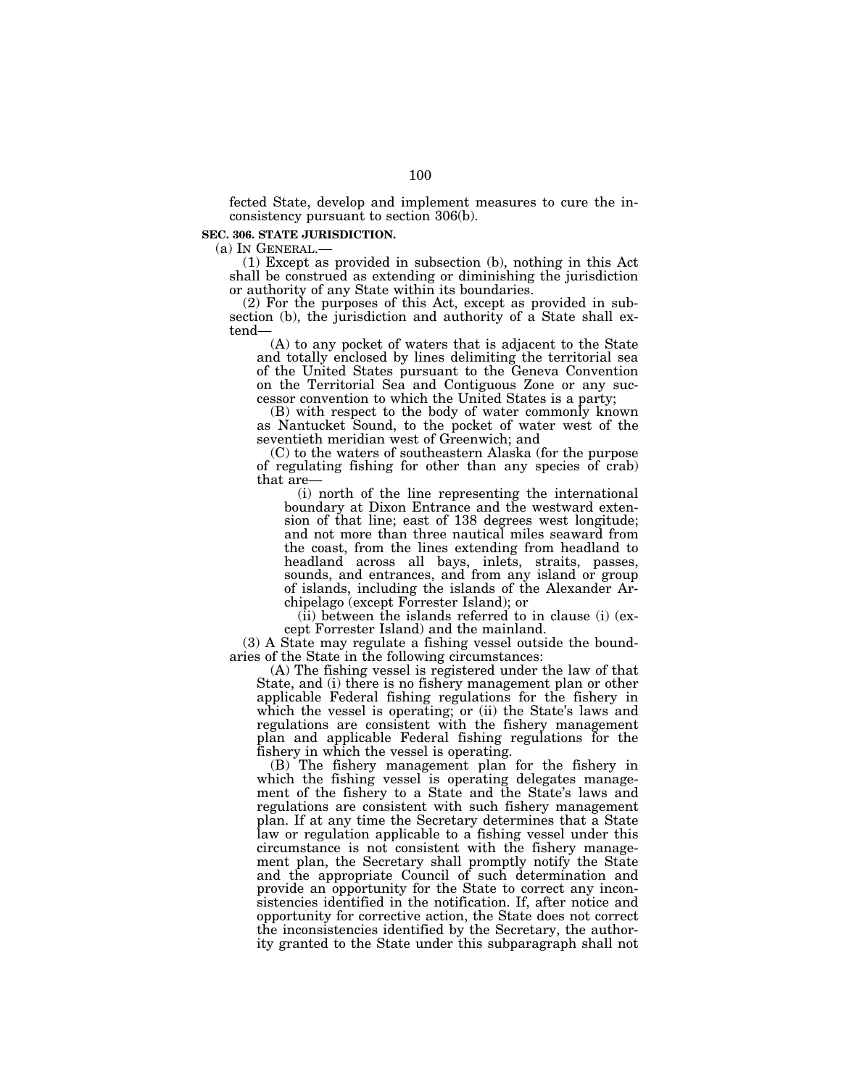fected State, develop and implement measures to cure the inconsistency pursuant to section 306(b).

## **SEC. 306. STATE JURISDICTION.**

(a) IN GENERAL.—<br>(1) Except as provided in subsection (b), nothing in this Act shall be construed as extending or diminishing the jurisdiction or authority of any State within its boundaries.

(2) For the purposes of this Act, except as provided in subsection (b), the jurisdiction and authority of a State shall extend—

(A) to any pocket of waters that is adjacent to the State and totally enclosed by lines delimiting the territorial sea of the United States pursuant to the Geneva Convention on the Territorial Sea and Contiguous Zone or any successor convention to which the United States is a party;

(B) with respect to the body of water commonly known as Nantucket Sound, to the pocket of water west of the seventieth meridian west of Greenwich; and

(C) to the waters of southeastern Alaska (for the purpose of regulating fishing for other than any species of crab) that are—

(i) north of the line representing the international boundary at Dixon Entrance and the westward extension of that line; east of 138 degrees west longitude; and not more than three nautical miles seaward from the coast, from the lines extending from headland to headland across all bays, inlets, straits, passes, sounds, and entrances, and from any island or group of islands, including the islands of the Alexander Archipelago (except Forrester Island); or

(ii) between the islands referred to in clause (i) (except Forrester Island) and the mainland.

(3) A State may regulate a fishing vessel outside the boundaries of the State in the following circumstances:

(A) The fishing vessel is registered under the law of that State, and (i) there is no fishery management plan or other applicable Federal fishing regulations for the fishery in which the vessel is operating; or (ii) the State's laws and regulations are consistent with the fishery management plan and applicable Federal fishing regulations for the fishery in which the vessel is operating.

(B) The fishery management plan for the fishery in which the fishing vessel is operating delegates management of the fishery to a State and the State's laws and regulations are consistent with such fishery management plan. If at any time the Secretary determines that a State law or regulation applicable to a fishing vessel under this circumstance is not consistent with the fishery management plan, the Secretary shall promptly notify the State and the appropriate Council of such determination and provide an opportunity for the State to correct any inconsistencies identified in the notification. If, after notice and opportunity for corrective action, the State does not correct the inconsistencies identified by the Secretary, the authority granted to the State under this subparagraph shall not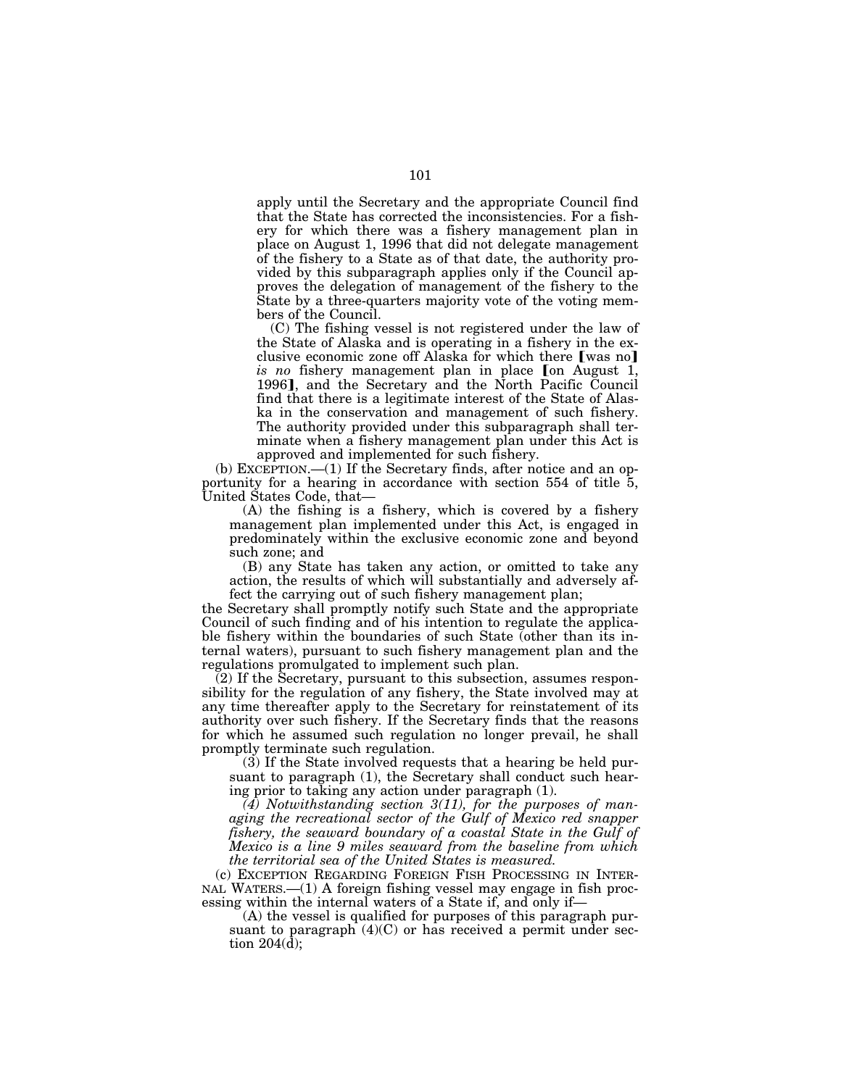apply until the Secretary and the appropriate Council find that the State has corrected the inconsistencies. For a fishery for which there was a fishery management plan in place on August 1, 1996 that did not delegate management of the fishery to a State as of that date, the authority provided by this subparagraph applies only if the Council approves the delegation of management of the fishery to the State by a three-quarters majority vote of the voting members of the Council.

(C) The fishing vessel is not registered under the law of the State of Alaska and is operating in a fishery in the exclusive economic zone off Alaska for which there [was no] *is no fishery management plan in place [on August 1,* 1996], and the Secretary and the North Pacific Council find that there is a legitimate interest of the State of Alaska in the conservation and management of such fishery. The authority provided under this subparagraph shall terminate when a fishery management plan under this Act is approved and implemented for such fishery.

(b) EXCEPTION.—(1) If the Secretary finds, after notice and an opportunity for a hearing in accordance with section 554 of title 5, United States Code, that—

(A) the fishing is a fishery, which is covered by a fishery management plan implemented under this Act, is engaged in predominately within the exclusive economic zone and beyond such zone; and

(B) any State has taken any action, or omitted to take any action, the results of which will substantially and adversely affect the carrying out of such fishery management plan;

the Secretary shall promptly notify such State and the appropriate Council of such finding and of his intention to regulate the applicable fishery within the boundaries of such State (other than its internal waters), pursuant to such fishery management plan and the regulations promulgated to implement such plan.

 $(2)$  If the Secretary, pursuant to this subsection, assumes responsibility for the regulation of any fishery, the State involved may at any time thereafter apply to the Secretary for reinstatement of its authority over such fishery. If the Secretary finds that the reasons for which he assumed such regulation no longer prevail, he shall promptly terminate such regulation.

(3) If the State involved requests that a hearing be held pursuant to paragraph (1), the Secretary shall conduct such hearing prior to taking any action under paragraph (1).

*(4) Notwithstanding section 3(11), for the purposes of managing the recreational sector of the Gulf of Mexico red snapper fishery, the seaward boundary of a coastal State in the Gulf of Mexico is a line 9 miles seaward from the baseline from which the territorial sea of the United States is measured.* 

(c) EXCEPTION REGARDING FOREIGN FISH PROCESSING IN INTER-NAL WATERS.—(1) A foreign fishing vessel may engage in fish processing within the internal waters of a State if, and only if—

(A) the vessel is qualified for purposes of this paragraph pursuant to paragraph  $(4)(C)$  or has received a permit under section  $204(\text{d})$ ;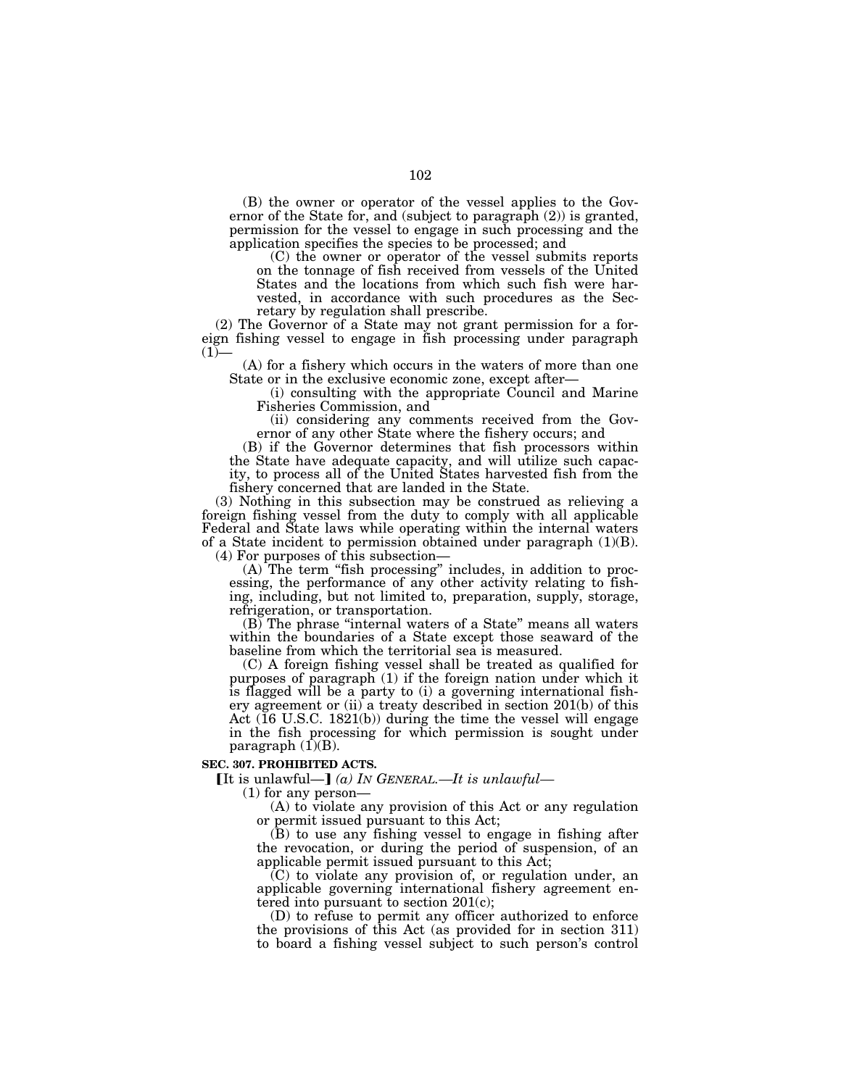(B) the owner or operator of the vessel applies to the Governor of the State for, and (subject to paragraph (2)) is granted, permission for the vessel to engage in such processing and the application specifies the species to be processed; and

(C) the owner or operator of the vessel submits reports on the tonnage of fish received from vessels of the United States and the locations from which such fish were harvested, in accordance with such procedures as the Secretary by regulation shall prescribe.

(2) The Governor of a State may not grant permission for a foreign fishing vessel to engage in fish processing under paragraph  $(1)$ 

(A) for a fishery which occurs in the waters of more than one State or in the exclusive economic zone, except after—

(i) consulting with the appropriate Council and Marine Fisheries Commission, and

(ii) considering any comments received from the Governor of any other State where the fishery occurs; and

(B) if the Governor determines that fish processors within the State have adequate capacity, and will utilize such capacity, to process all of the United States harvested fish from the fishery concerned that are landed in the State.

(3) Nothing in this subsection may be construed as relieving a foreign fishing vessel from the duty to comply with all applicable Federal and State laws while operating within the internal waters of a State incident to permission obtained under paragraph (1)(B).

(4) For purposes of this subsection—

(A) The term "fish processing" includes, in addition to processing, the performance of any other activity relating to fishing, including, but not limited to, preparation, supply, storage, refrigeration, or transportation.

(B) The phrase ''internal waters of a State'' means all waters within the boundaries of a State except those seaward of the baseline from which the territorial sea is measured.

(C) A foreign fishing vessel shall be treated as qualified for purposes of paragraph  $(1)$  if the foreign nation under which it is flagged will be a party to (i) a governing international fishery agreement or (ii) a treaty described in section 201(b) of this Act (16 U.S.C. 1821(b)) during the time the vessel will engage in the fish processing for which permission is sought under paragraph  $(\tilde{1})(B)$ .

## **SEC. 307. PROHIBITED ACTS.**

**IIt is unlawful—I** (a) IN GENERAL.—It is unlawful—

(1) for any person—

(A) to violate any provision of this Act or any regulation or permit issued pursuant to this Act;

(B) to use any fishing vessel to engage in fishing after the revocation, or during the period of suspension, of an applicable permit issued pursuant to this Act;

(C) to violate any provision of, or regulation under, an applicable governing international fishery agreement entered into pursuant to section 201(c);

(D) to refuse to permit any officer authorized to enforce the provisions of this Act (as provided for in section 311) to board a fishing vessel subject to such person's control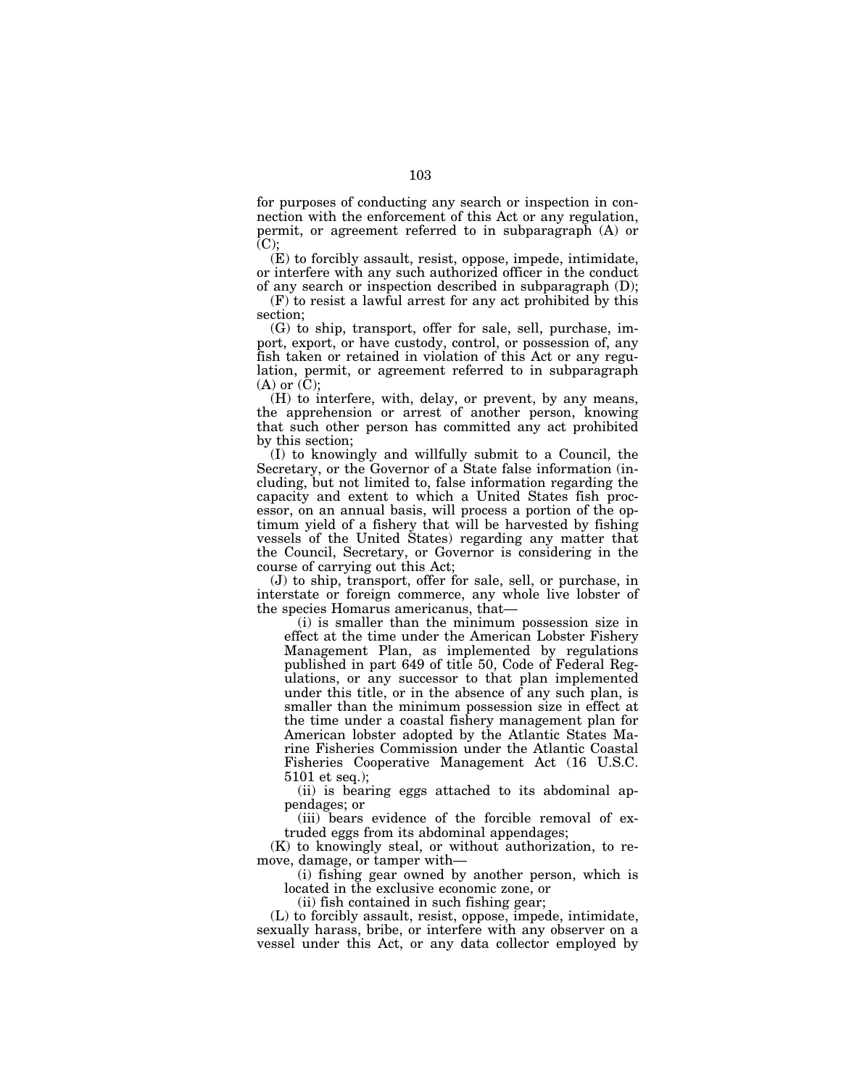for purposes of conducting any search or inspection in connection with the enforcement of this Act or any regulation, permit, or agreement referred to in subparagraph (A) or  $\overline{C}$ );

(E) to forcibly assault, resist, oppose, impede, intimidate, or interfere with any such authorized officer in the conduct of any search or inspection described in subparagraph (D);

(F) to resist a lawful arrest for any act prohibited by this section;

(G) to ship, transport, offer for sale, sell, purchase, import, export, or have custody, control, or possession of, any fish taken or retained in violation of this Act or any regulation, permit, or agreement referred to in subparagraph (A) or (C);

(H) to interfere, with, delay, or prevent, by any means, the apprehension or arrest of another person, knowing that such other person has committed any act prohibited by this section;

(I) to knowingly and willfully submit to a Council, the Secretary, or the Governor of a State false information (including, but not limited to, false information regarding the capacity and extent to which a United States fish processor, on an annual basis, will process a portion of the optimum yield of a fishery that will be harvested by fishing vessels of the United States) regarding any matter that the Council, Secretary, or Governor is considering in the course of carrying out this Act;

(J) to ship, transport, offer for sale, sell, or purchase, in interstate or foreign commerce, any whole live lobster of the species Homarus americanus, that—

(i) is smaller than the minimum possession size in effect at the time under the American Lobster Fishery Management Plan, as implemented by regulations published in part 649 of title 50, Code of Federal Regulations, or any successor to that plan implemented under this title, or in the absence of any such plan, is smaller than the minimum possession size in effect at the time under a coastal fishery management plan for American lobster adopted by the Atlantic States Marine Fisheries Commission under the Atlantic Coastal Fisheries Cooperative Management Act (16 U.S.C. 5101 et seq.);

(ii) is bearing eggs attached to its abdominal appendages; or

(iii) bears evidence of the forcible removal of extruded eggs from its abdominal appendages;

(K) to knowingly steal, or without authorization, to remove, damage, or tamper with—

(i) fishing gear owned by another person, which is located in the exclusive economic zone, or

(ii) fish contained in such fishing gear;

(L) to forcibly assault, resist, oppose, impede, intimidate, sexually harass, bribe, or interfere with any observer on a vessel under this Act, or any data collector employed by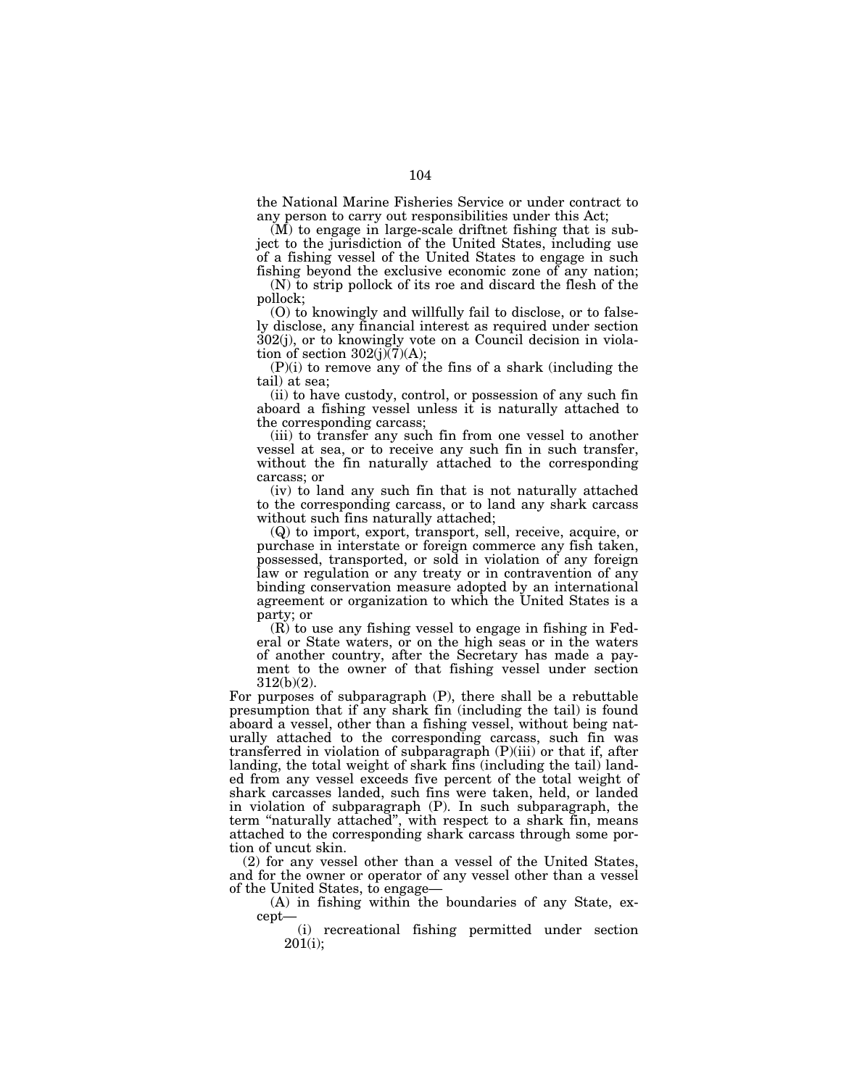the National Marine Fisheries Service or under contract to any person to carry out responsibilities under this Act;

(M) to engage in large-scale driftnet fishing that is subject to the jurisdiction of the United States, including use of a fishing vessel of the United States to engage in such fishing beyond the exclusive economic zone of any nation;

(N) to strip pollock of its roe and discard the flesh of the pollock;

(O) to knowingly and willfully fail to disclose, or to falsely disclose, any financial interest as required under section 302(j), or to knowingly vote on a Council decision in violation of section  $302(j)(7)(A);$ 

(P)(i) to remove any of the fins of a shark (including the tail) at sea;

(ii) to have custody, control, or possession of any such fin aboard a fishing vessel unless it is naturally attached to the corresponding carcass;

(iii) to transfer any such fin from one vessel to another vessel at sea, or to receive any such fin in such transfer, without the fin naturally attached to the corresponding carcass; or

(iv) to land any such fin that is not naturally attached to the corresponding carcass, or to land any shark carcass without such fins naturally attached;

(Q) to import, export, transport, sell, receive, acquire, or purchase in interstate or foreign commerce any fish taken, possessed, transported, or sold in violation of any foreign law or regulation or any treaty or in contravention of any binding conservation measure adopted by an international agreement or organization to which the United States is a party; or

(R) to use any fishing vessel to engage in fishing in Federal or State waters, or on the high seas or in the waters of another country, after the Secretary has made a payment to the owner of that fishing vessel under section  $312(b)(2)$ .

For purposes of subparagraph (P), there shall be a rebuttable presumption that if any shark fin (including the tail) is found aboard a vessel, other than a fishing vessel, without being naturally attached to the corresponding carcass, such fin was transferred in violation of subparagraph (P)(iii) or that if, after landing, the total weight of shark fins (including the tail) landed from any vessel exceeds five percent of the total weight of shark carcasses landed, such fins were taken, held, or landed in violation of subparagraph (P). In such subparagraph, the term ''naturally attached'', with respect to a shark fin, means attached to the corresponding shark carcass through some portion of uncut skin.

(2) for any vessel other than a vessel of the United States, and for the owner or operator of any vessel other than a vessel of the United States, to engage—

(A) in fishing within the boundaries of any State, except—

(i) recreational fishing permitted under section 201(i);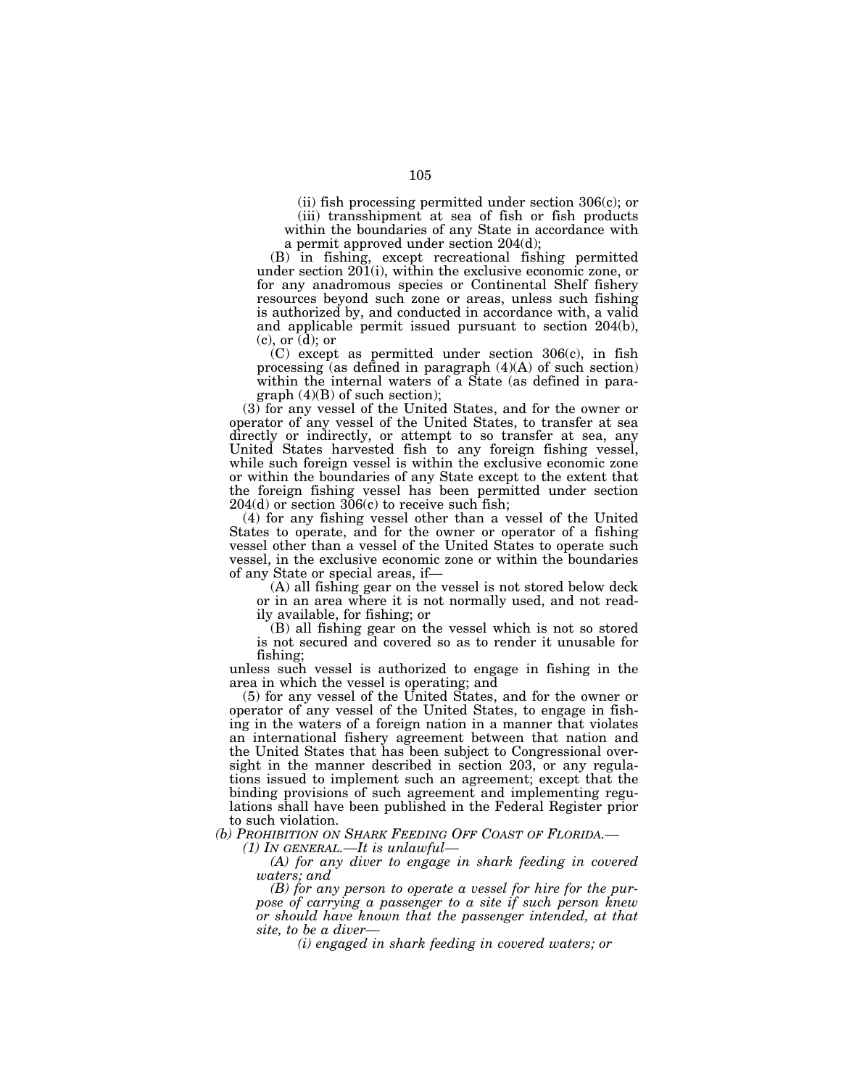(ii) fish processing permitted under section  $306(c)$ ; or (iii) transshipment at sea of fish or fish products within the boundaries of any State in accordance with a permit approved under section 204(d);

(B) in fishing, except recreational fishing permitted under section 201(i), within the exclusive economic zone, or for any anadromous species or Continental Shelf fishery resources beyond such zone or areas, unless such fishing is authorized by, and conducted in accordance with, a valid and applicable permit issued pursuant to section 204(b), (c), or (d); or

(C) except as permitted under section 306(c), in fish processing (as defined in paragraph  $(4)(A)$  of such section) within the internal waters of a State (as defined in paragraph  $(4)(B)$  of such section);

(3) for any vessel of the United States, and for the owner or operator of any vessel of the United States, to transfer at sea directly or indirectly, or attempt to so transfer at sea, any United States harvested fish to any foreign fishing vessel, while such foreign vessel is within the exclusive economic zone or within the boundaries of any State except to the extent that the foreign fishing vessel has been permitted under section  $204(d)$  or section  $306(c)$  to receive such fish;

(4) for any fishing vessel other than a vessel of the United States to operate, and for the owner or operator of a fishing vessel other than a vessel of the United States to operate such vessel, in the exclusive economic zone or within the boundaries of any State or special areas, if—

(A) all fishing gear on the vessel is not stored below deck or in an area where it is not normally used, and not readily available, for fishing; or

(B) all fishing gear on the vessel which is not so stored is not secured and covered so as to render it unusable for fishing;

unless such vessel is authorized to engage in fishing in the area in which the vessel is operating; and

(5) for any vessel of the United States, and for the owner or operator of any vessel of the United States, to engage in fishing in the waters of a foreign nation in a manner that violates an international fishery agreement between that nation and the United States that has been subject to Congressional oversight in the manner described in section 203, or any regulations issued to implement such an agreement; except that the binding provisions of such agreement and implementing regulations shall have been published in the Federal Register prior to such violation.

*(b) PROHIBITION ON SHARK FEEDING OFF COAST OF FLORIDA.—* 

*(1) IN GENERAL.—It is unlawful—* 

*(A) for any diver to engage in shark feeding in covered waters; and* 

*(B) for any person to operate a vessel for hire for the purpose of carrying a passenger to a site if such person knew or should have known that the passenger intended, at that site, to be a diver—* 

*(i) engaged in shark feeding in covered waters; or*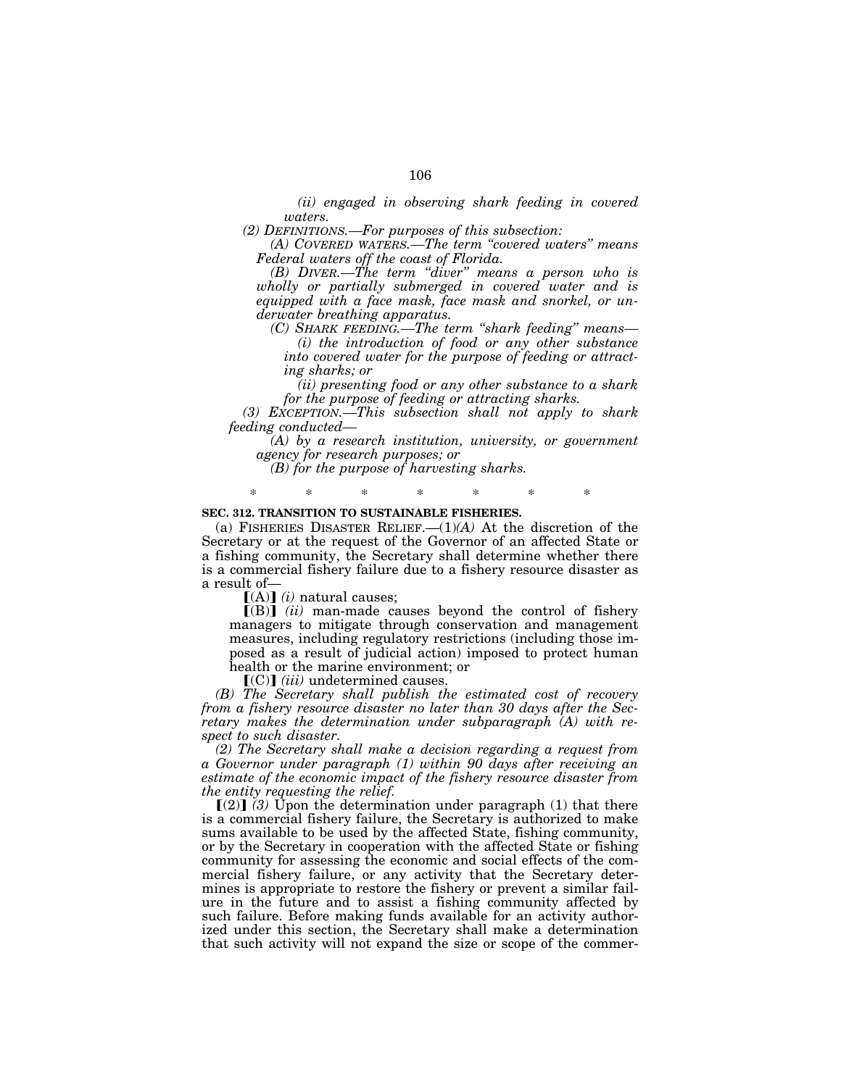*(ii) engaged in observing shark feeding in covered waters.* 

*(2) DEFINITIONS.—For purposes of this subsection:* 

*(A) COVERED WATERS.—The term ''covered waters'' means Federal waters off the coast of Florida.* 

*(B) DIVER.—The term ''diver'' means a person who is wholly or partially submerged in covered water and is equipped with a face mask, face mask and snorkel, or underwater breathing apparatus.* 

*(C) SHARK FEEDING.—The term ''shark feeding'' means—* 

*(i) the introduction of food or any other substance into covered water for the purpose of feeding or attracting sharks; or* 

*(ii) presenting food or any other substance to a shark for the purpose of feeding or attracting sharks.* 

*(3) EXCEPTION.—This subsection shall not apply to shark feeding conducted—* 

*(A) by a research institution, university, or government agency for research purposes; or* 

*(B) for the purpose of harvesting sharks.* 

\* \* \* \* \* \* \*

## **SEC. 312. TRANSITION TO SUSTAINABLE FISHERIES.**

(a) FISHERIES DISASTER RELIEF.—(1)*(A)* At the discretion of the Secretary or at the request of the Governor of an affected State or a fishing community, the Secretary shall determine whether there is a commercial fishery failure due to a fishery resource disaster as a result of—

 $[(A)]$   $(i)$  natural causes;

 $[(B)]$   $(ii)$  man-made causes beyond the control of fishery managers to mitigate through conservation and management measures, including regulatory restrictions (including those imposed as a result of judicial action) imposed to protect human health or the marine environment; or

 $\llbracket$ (C) $\rrbracket$  *(iii)* undetermined causes.

*(B) The Secretary shall publish the estimated cost of recovery from a fishery resource disaster no later than 30 days after the Secretary makes the determination under subparagraph (A) with respect to such disaster.* 

*(2) The Secretary shall make a decision regarding a request from a Governor under paragraph (1) within 90 days after receiving an estimate of the economic impact of the fishery resource disaster from the entity requesting the relief.* 

 $(2)$  (3) Upon the determination under paragraph (1) that there is a commercial fishery failure, the Secretary is authorized to make sums available to be used by the affected State, fishing community, or by the Secretary in cooperation with the affected State or fishing community for assessing the economic and social effects of the commercial fishery failure, or any activity that the Secretary determines is appropriate to restore the fishery or prevent a similar failure in the future and to assist a fishing community affected by such failure. Before making funds available for an activity authorized under this section, the Secretary shall make a determination that such activity will not expand the size or scope of the commer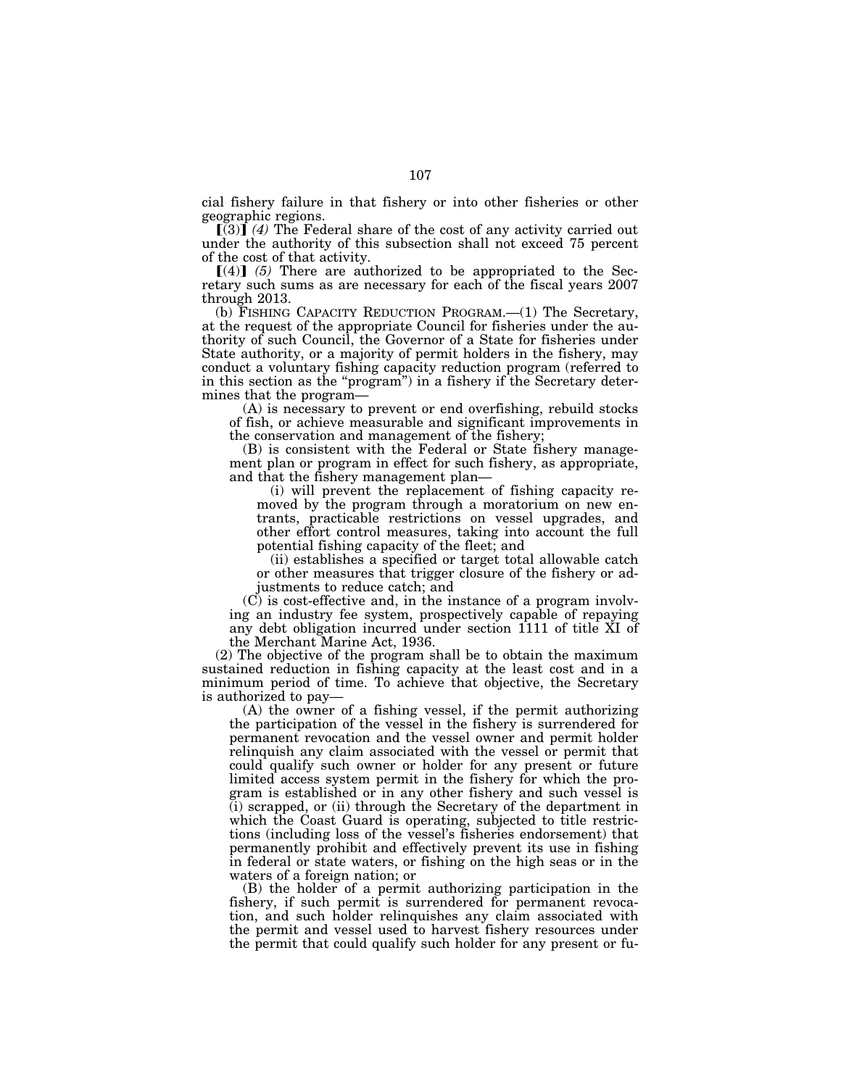cial fishery failure in that fishery or into other fisheries or other geographic regions.

 $\left[\left(3\right)\right]$  (4) The Federal share of the cost of any activity carried out under the authority of this subsection shall not exceed 75 percent of the cost of that activity.

 $\lceil (4) \rceil$  (5) There are authorized to be appropriated to the Secretary such sums as are necessary for each of the fiscal years 2007 through 2013.

(b) FISHING CAPACITY REDUCTION PROGRAM.—(1) The Secretary, at the request of the appropriate Council for fisheries under the authority of such Council, the Governor of a State for fisheries under State authority, or a majority of permit holders in the fishery, may conduct a voluntary fishing capacity reduction program (referred to in this section as the ''program'') in a fishery if the Secretary determines that the program—

(A) is necessary to prevent or end overfishing, rebuild stocks of fish, or achieve measurable and significant improvements in the conservation and management of the fishery;

(B) is consistent with the Federal or State fishery management plan or program in effect for such fishery, as appropriate, and that the fishery management plan—

(i) will prevent the replacement of fishing capacity removed by the program through a moratorium on new entrants, practicable restrictions on vessel upgrades, and other effort control measures, taking into account the full potential fishing capacity of the fleet; and

(ii) establishes a specified or target total allowable catch or other measures that trigger closure of the fishery or adjustments to reduce catch; and

(C) is cost-effective and, in the instance of a program involving an industry fee system, prospectively capable of repaying any debt obligation incurred under section 1111 of title XI of the Merchant Marine Act, 1936.

(2) The objective of the program shall be to obtain the maximum sustained reduction in fishing capacity at the least cost and in a minimum period of time. To achieve that objective, the Secretary is authorized to pay—

(A) the owner of a fishing vessel, if the permit authorizing the participation of the vessel in the fishery is surrendered for permanent revocation and the vessel owner and permit holder relinquish any claim associated with the vessel or permit that could qualify such owner or holder for any present or future limited access system permit in the fishery for which the program is established or in any other fishery and such vessel is (i) scrapped, or (ii) through the Secretary of the department in which the Coast Guard is operating, subjected to title restrictions (including loss of the vessel's fisheries endorsement) that permanently prohibit and effectively prevent its use in fishing in federal or state waters, or fishing on the high seas or in the waters of a foreign nation; or

(B) the holder of a permit authorizing participation in the fishery, if such permit is surrendered for permanent revocation, and such holder relinquishes any claim associated with the permit and vessel used to harvest fishery resources under the permit that could qualify such holder for any present or fu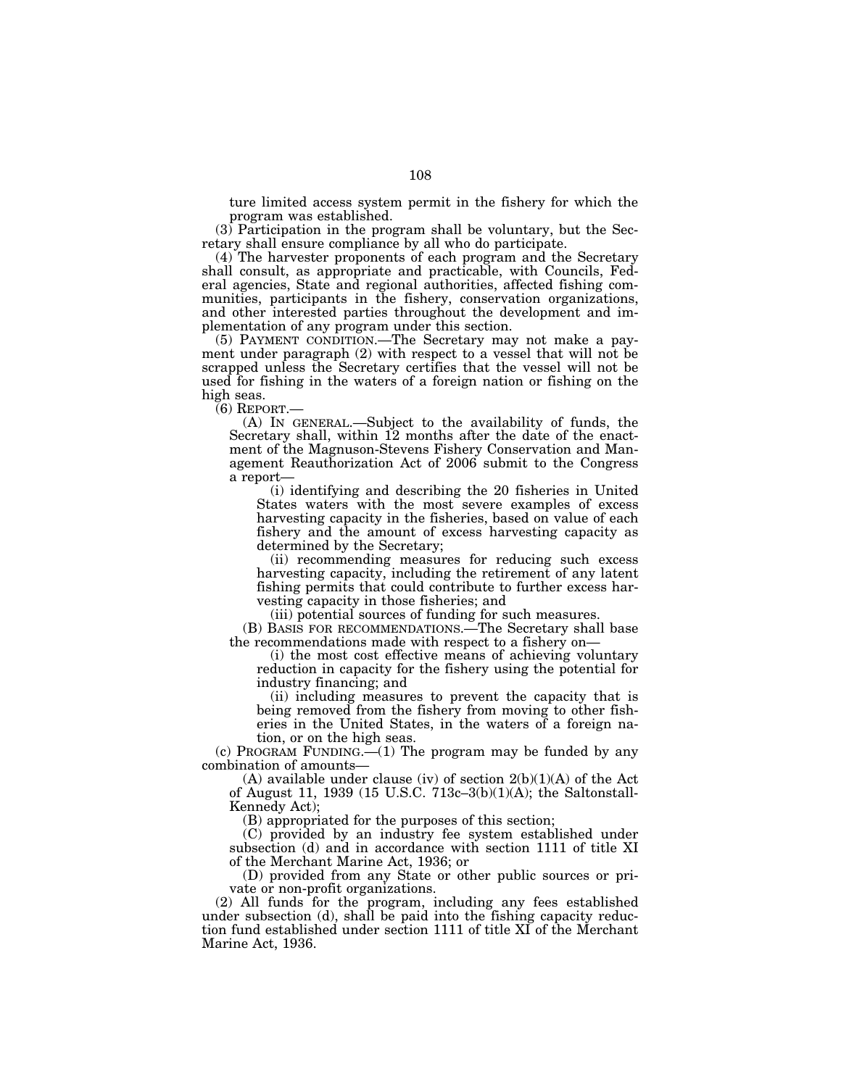ture limited access system permit in the fishery for which the program was established.

(3) Participation in the program shall be voluntary, but the Secretary shall ensure compliance by all who do participate.

(4) The harvester proponents of each program and the Secretary shall consult, as appropriate and practicable, with Councils, Federal agencies, State and regional authorities, affected fishing communities, participants in the fishery, conservation organizations, and other interested parties throughout the development and implementation of any program under this section.

(5) PAYMENT CONDITION.—The Secretary may not make a payment under paragraph (2) with respect to a vessel that will not be scrapped unless the Secretary certifies that the vessel will not be used for fishing in the waters of a foreign nation or fishing on the high seas.

(6) REPORT.—

(A) IN GENERAL.—Subject to the availability of funds, the Secretary shall, within 12 months after the date of the enactment of the Magnuson-Stevens Fishery Conservation and Management Reauthorization Act of 2006 submit to the Congress a report—

(i) identifying and describing the 20 fisheries in United States waters with the most severe examples of excess harvesting capacity in the fisheries, based on value of each fishery and the amount of excess harvesting capacity as determined by the Secretary;

(ii) recommending measures for reducing such excess harvesting capacity, including the retirement of any latent fishing permits that could contribute to further excess harvesting capacity in those fisheries; and

(iii) potential sources of funding for such measures.

(B) BASIS FOR RECOMMENDATIONS.—The Secretary shall base the recommendations made with respect to a fishery on—

(i) the most cost effective means of achieving voluntary reduction in capacity for the fishery using the potential for industry financing; and

(ii) including measures to prevent the capacity that is being removed from the fishery from moving to other fisheries in the United States, in the waters of a foreign nation, or on the high seas.

(c) PROGRAM FUNDING.—(1) The program may be funded by any combination of amounts—

(A) available under clause (iv) of section  $2(b)(1)(A)$  of the Act of August 11, 1939 (15 U.S.C. 713c–3(b)(1)(A); the Saltonstall-Kennedy Act);

(B) appropriated for the purposes of this section;

(C) provided by an industry fee system established under subsection (d) and in accordance with section 1111 of title XI of the Merchant Marine Act, 1936; or

(D) provided from any State or other public sources or private or non-profit organizations.

(2) All funds for the program, including any fees established under subsection (d), shall be paid into the fishing capacity reduction fund established under section 1111 of title XI of the Merchant Marine Act, 1936.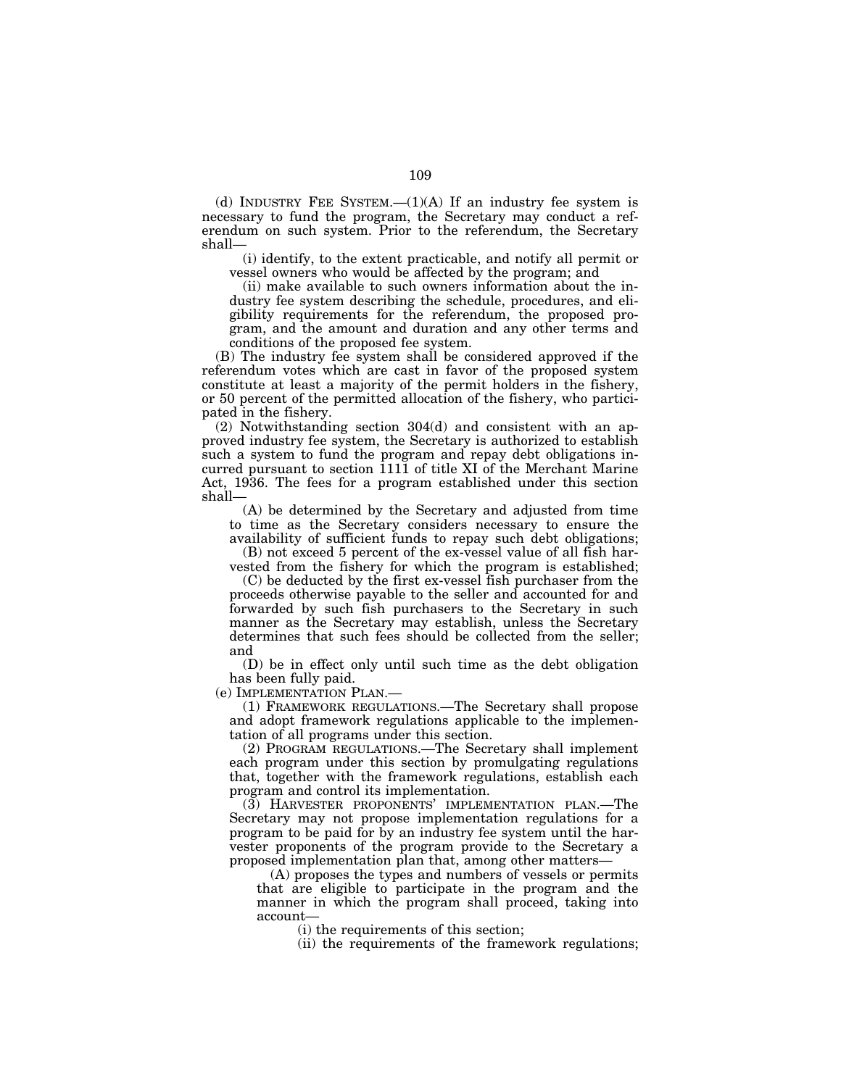(d) INDUSTRY FEE SYSTEM. $-(1)(A)$  If an industry fee system is necessary to fund the program, the Secretary may conduct a referendum on such system. Prior to the referendum, the Secretary shall—

(i) identify, to the extent practicable, and notify all permit or vessel owners who would be affected by the program; and

(ii) make available to such owners information about the industry fee system describing the schedule, procedures, and eligibility requirements for the referendum, the proposed program, and the amount and duration and any other terms and conditions of the proposed fee system.

(B) The industry fee system shall be considered approved if the referendum votes which are cast in favor of the proposed system constitute at least a majority of the permit holders in the fishery, or 50 percent of the permitted allocation of the fishery, who participated in the fishery.

(2) Notwithstanding section 304(d) and consistent with an approved industry fee system, the Secretary is authorized to establish such a system to fund the program and repay debt obligations incurred pursuant to section 1111 of title XI of the Merchant Marine Act, 1936. The fees for a program established under this section shall—

(A) be determined by the Secretary and adjusted from time to time as the Secretary considers necessary to ensure the availability of sufficient funds to repay such debt obligations;

(B) not exceed 5 percent of the ex-vessel value of all fish harvested from the fishery for which the program is established;

(C) be deducted by the first ex-vessel fish purchaser from the proceeds otherwise payable to the seller and accounted for and forwarded by such fish purchasers to the Secretary in such manner as the Secretary may establish, unless the Secretary determines that such fees should be collected from the seller; and

(D) be in effect only until such time as the debt obligation has been fully paid.

(e) IMPLEMENTATION PLAN.—

(1) FRAMEWORK REGULATIONS.—The Secretary shall propose and adopt framework regulations applicable to the implementation of all programs under this section.

(2) PROGRAM REGULATIONS.—The Secretary shall implement each program under this section by promulgating regulations that, together with the framework regulations, establish each program and control its implementation.

(3) HARVESTER PROPONENTS' IMPLEMENTATION PLAN.—The Secretary may not propose implementation regulations for a program to be paid for by an industry fee system until the harvester proponents of the program provide to the Secretary a proposed implementation plan that, among other matters—

(A) proposes the types and numbers of vessels or permits that are eligible to participate in the program and the manner in which the program shall proceed, taking into account—

(i) the requirements of this section;

(ii) the requirements of the framework regulations;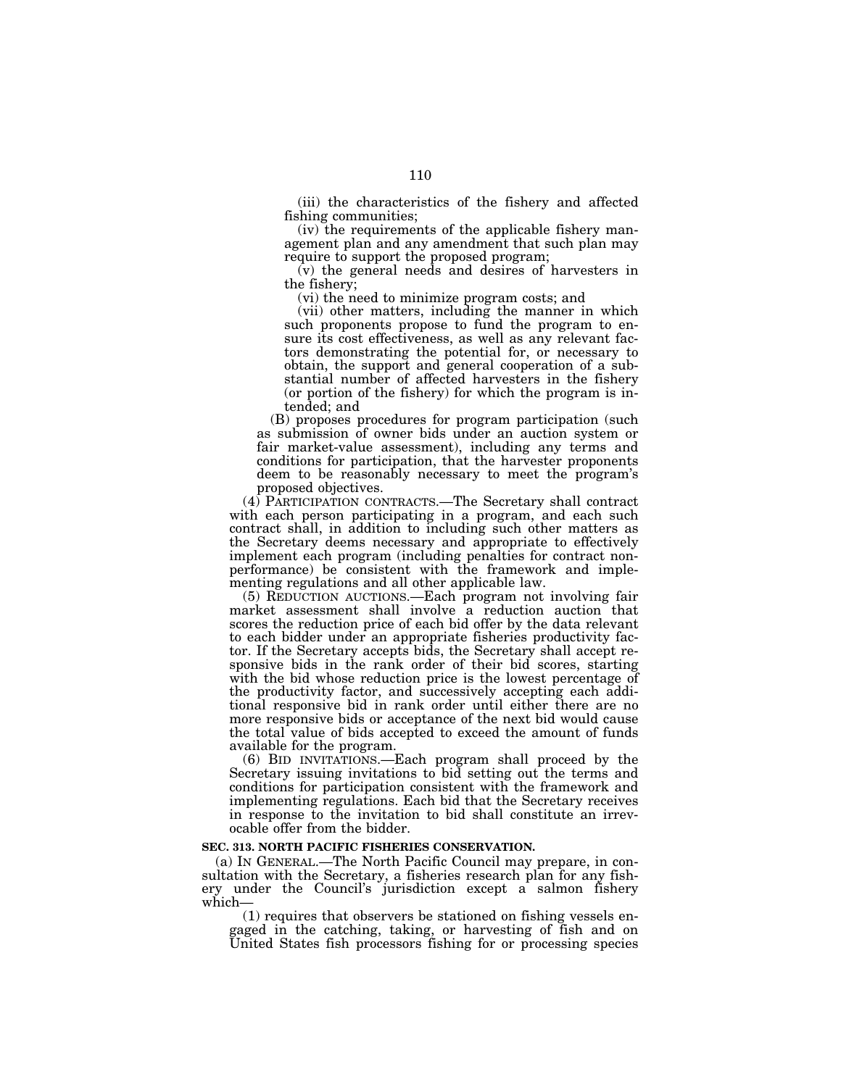(iii) the characteristics of the fishery and affected fishing communities;

(iv) the requirements of the applicable fishery management plan and any amendment that such plan may require to support the proposed program;

(v) the general needs and desires of harvesters in the fishery;

(vi) the need to minimize program costs; and

(vii) other matters, including the manner in which such proponents propose to fund the program to ensure its cost effectiveness, as well as any relevant factors demonstrating the potential for, or necessary to obtain, the support and general cooperation of a substantial number of affected harvesters in the fishery (or portion of the fishery) for which the program is intended; and

(B) proposes procedures for program participation (such as submission of owner bids under an auction system or fair market-value assessment), including any terms and conditions for participation, that the harvester proponents deem to be reasonably necessary to meet the program's proposed objectives.

(4) PARTICIPATION CONTRACTS.—The Secretary shall contract with each person participating in a program, and each such contract shall, in addition to including such other matters as the Secretary deems necessary and appropriate to effectively implement each program (including penalties for contract nonperformance) be consistent with the framework and implementing regulations and all other applicable law.

(5) REDUCTION AUCTIONS.—Each program not involving fair market assessment shall involve a reduction auction that scores the reduction price of each bid offer by the data relevant to each bidder under an appropriate fisheries productivity factor. If the Secretary accepts bids, the Secretary shall accept responsive bids in the rank order of their bid scores, starting with the bid whose reduction price is the lowest percentage of the productivity factor, and successively accepting each additional responsive bid in rank order until either there are no more responsive bids or acceptance of the next bid would cause the total value of bids accepted to exceed the amount of funds available for the program.

(6) BID INVITATIONS.—Each program shall proceed by the Secretary issuing invitations to bid setting out the terms and conditions for participation consistent with the framework and implementing regulations. Each bid that the Secretary receives in response to the invitation to bid shall constitute an irrevocable offer from the bidder.

### **SEC. 313. NORTH PACIFIC FISHERIES CONSERVATION.**

(a) IN GENERAL.—The North Pacific Council may prepare, in consultation with the Secretary, a fisheries research plan for any fishery under the Council's jurisdiction except a salmon fishery which—

(1) requires that observers be stationed on fishing vessels engaged in the catching, taking, or harvesting of fish and on United States fish processors fishing for or processing species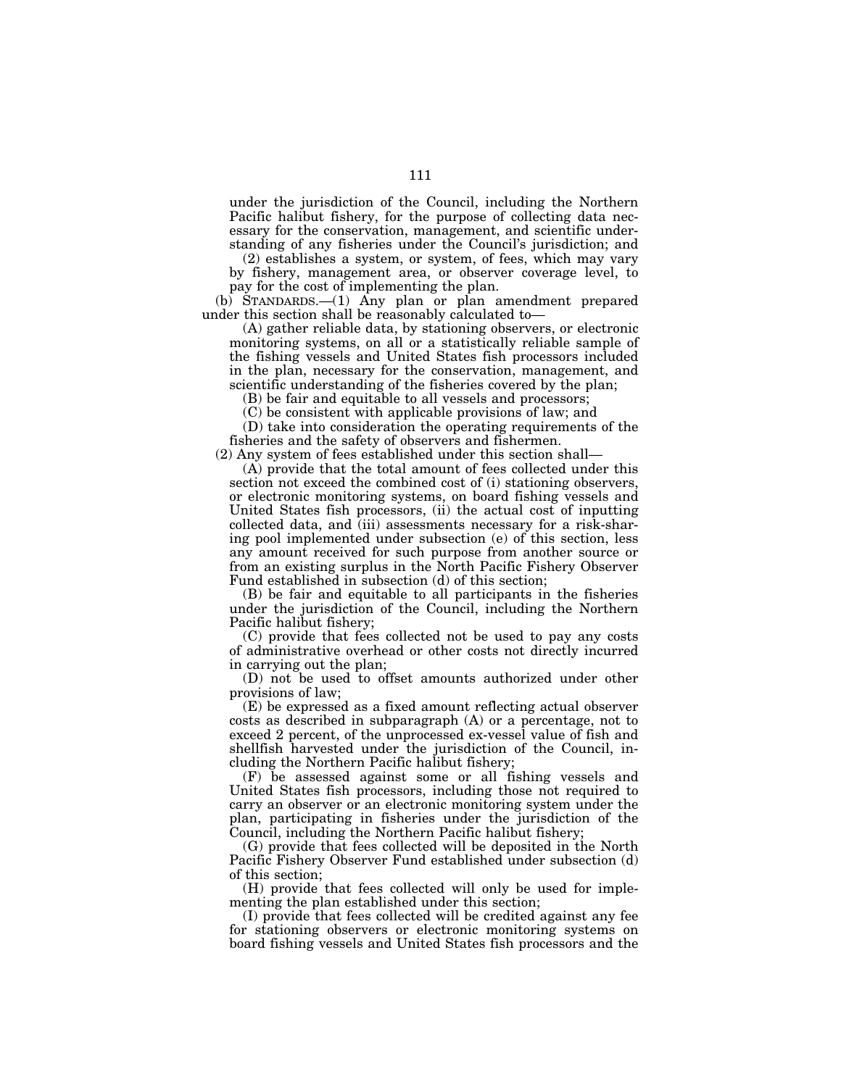under the jurisdiction of the Council, including the Northern Pacific halibut fishery, for the purpose of collecting data necessary for the conservation, management, and scientific understanding of any fisheries under the Council's jurisdiction; and

(2) establishes a system, or system, of fees, which may vary by fishery, management area, or observer coverage level, to pay for the cost of implementing the plan.

(b) STANDARDS.—(1) Any plan or plan amendment prepared under this section shall be reasonably calculated to—

(A) gather reliable data, by stationing observers, or electronic monitoring systems, on all or a statistically reliable sample of the fishing vessels and United States fish processors included in the plan, necessary for the conservation, management, and scientific understanding of the fisheries covered by the plan;

(B) be fair and equitable to all vessels and processors;

(C) be consistent with applicable provisions of law; and

(D) take into consideration the operating requirements of the fisheries and the safety of observers and fishermen.

(2) Any system of fees established under this section shall—

(A) provide that the total amount of fees collected under this section not exceed the combined cost of (i) stationing observers, or electronic monitoring systems, on board fishing vessels and United States fish processors, (ii) the actual cost of inputting collected data, and (iii) assessments necessary for a risk-sharing pool implemented under subsection (e) of this section, less any amount received for such purpose from another source or from an existing surplus in the North Pacific Fishery Observer Fund established in subsection (d) of this section;

(B) be fair and equitable to all participants in the fisheries under the jurisdiction of the Council, including the Northern Pacific halibut fishery;

(C) provide that fees collected not be used to pay any costs of administrative overhead or other costs not directly incurred in carrying out the plan;

(D) not be used to offset amounts authorized under other provisions of law;

(E) be expressed as a fixed amount reflecting actual observer costs as described in subparagraph (A) or a percentage, not to exceed 2 percent, of the unprocessed ex-vessel value of fish and shellfish harvested under the jurisdiction of the Council, including the Northern Pacific halibut fishery;

(F) be assessed against some or all fishing vessels and United States fish processors, including those not required to carry an observer or an electronic monitoring system under the plan, participating in fisheries under the jurisdiction of the Council, including the Northern Pacific halibut fishery;

(G) provide that fees collected will be deposited in the North Pacific Fishery Observer Fund established under subsection (d) of this section;

(H) provide that fees collected will only be used for implementing the plan established under this section;

(I) provide that fees collected will be credited against any fee for stationing observers or electronic monitoring systems on board fishing vessels and United States fish processors and the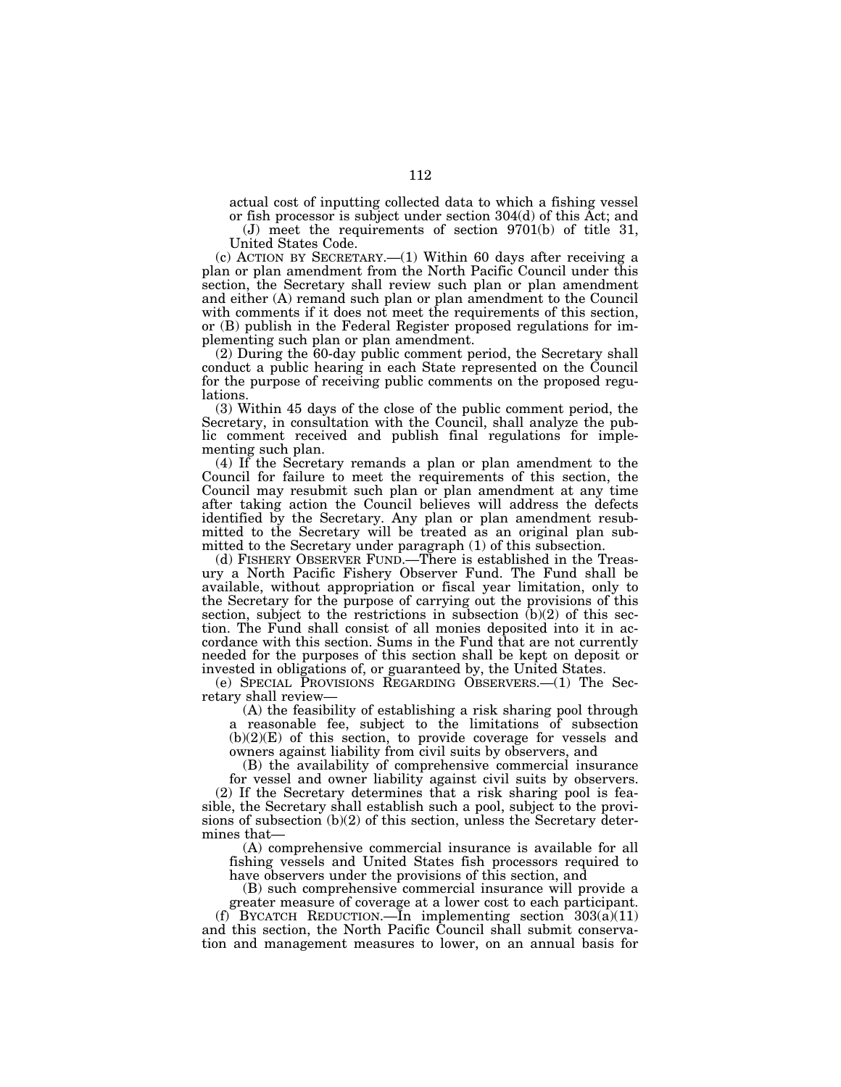actual cost of inputting collected data to which a fishing vessel or fish processor is subject under section 304(d) of this Act; and

(J) meet the requirements of section 9701(b) of title 31, United States Code.

(c) ACTION BY SECRETARY.—(1) Within 60 days after receiving a plan or plan amendment from the North Pacific Council under this section, the Secretary shall review such plan or plan amendment and either (A) remand such plan or plan amendment to the Council with comments if it does not meet the requirements of this section, or (B) publish in the Federal Register proposed regulations for implementing such plan or plan amendment.

(2) During the 60-day public comment period, the Secretary shall conduct a public hearing in each State represented on the Council for the purpose of receiving public comments on the proposed regulations.

(3) Within 45 days of the close of the public comment period, the Secretary, in consultation with the Council, shall analyze the public comment received and publish final regulations for implementing such plan.

(4) If the Secretary remands a plan or plan amendment to the Council for failure to meet the requirements of this section, the Council may resubmit such plan or plan amendment at any time after taking action the Council believes will address the defects identified by the Secretary. Any plan or plan amendment resubmitted to the Secretary will be treated as an original plan submitted to the Secretary under paragraph (1) of this subsection.

(d) FISHERY OBSERVER FUND.—There is established in the Treasury a North Pacific Fishery Observer Fund. The Fund shall be available, without appropriation or fiscal year limitation, only to the Secretary for the purpose of carrying out the provisions of this section, subject to the restrictions in subsection  $(b)(2)$  of this section. The Fund shall consist of all monies deposited into it in accordance with this section. Sums in the Fund that are not currently needed for the purposes of this section shall be kept on deposit or invested in obligations of, or guaranteed by, the United States.

(e) SPECIAL PROVISIONS REGARDING OBSERVERS.—(1) The Secretary shall review—

(A) the feasibility of establishing a risk sharing pool through a reasonable fee, subject to the limitations of subsection  $(b)(2)(E)$  of this section, to provide coverage for vessels and owners against liability from civil suits by observers, and

(B) the availability of comprehensive commercial insurance for vessel and owner liability against civil suits by observers.

(2) If the Secretary determines that a risk sharing pool is feasible, the Secretary shall establish such a pool, subject to the provisions of subsection (b)(2) of this section, unless the Secretary determines that—

(A) comprehensive commercial insurance is available for all fishing vessels and United States fish processors required to have observers under the provisions of this section, and

(B) such comprehensive commercial insurance will provide a greater measure of coverage at a lower cost to each participant.

(f) BYCATCH REDUCTION.—In implementing section  $303(a)(11)$ and this section, the North Pacific Council shall submit conservation and management measures to lower, on an annual basis for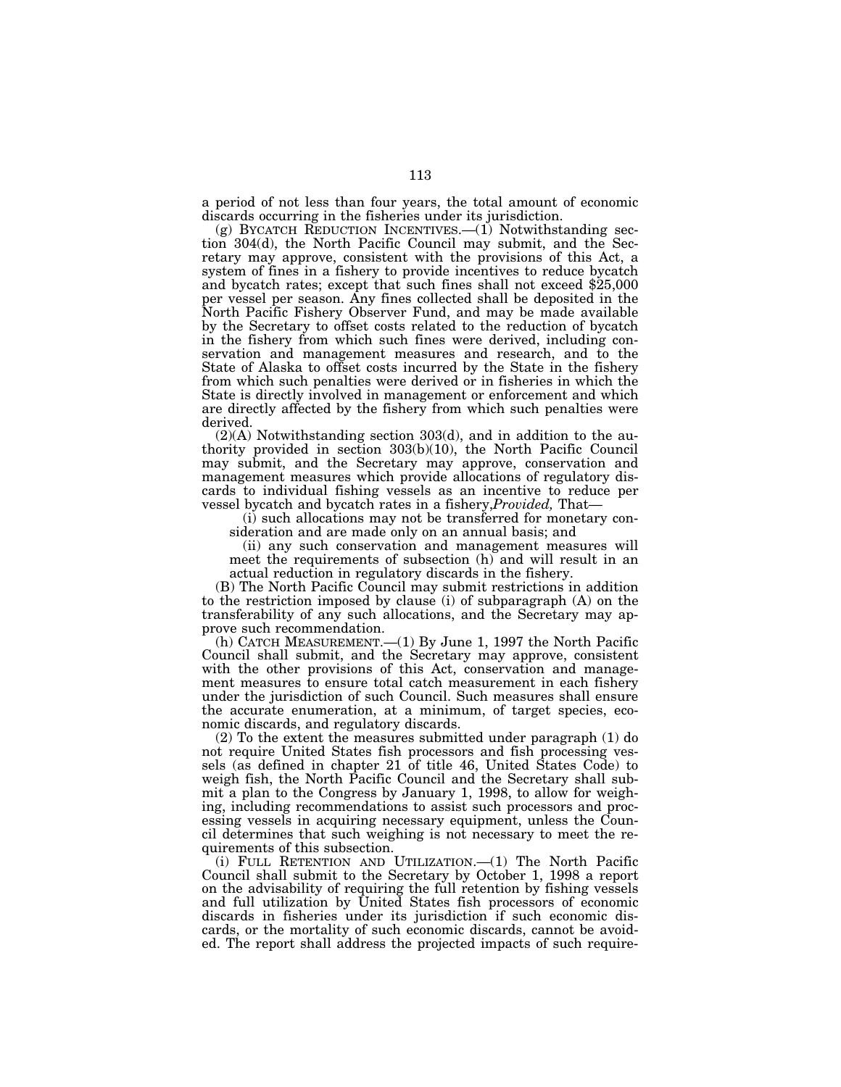a period of not less than four years, the total amount of economic discards occurring in the fisheries under its jurisdiction.

(g) BYCATCH REDUCTION INCENTIVES.—(1) Notwithstanding section 304(d), the North Pacific Council may submit, and the Secretary may approve, consistent with the provisions of this Act, a system of fines in a fishery to provide incentives to reduce bycatch and bycatch rates; except that such fines shall not exceed \$25,000 per vessel per season. Any fines collected shall be deposited in the North Pacific Fishery Observer Fund, and may be made available by the Secretary to offset costs related to the reduction of bycatch in the fishery from which such fines were derived, including conservation and management measures and research, and to the State of Alaska to offset costs incurred by the State in the fishery from which such penalties were derived or in fisheries in which the State is directly involved in management or enforcement and which are directly affected by the fishery from which such penalties were derived.

(2)(A) Notwithstanding section 303(d), and in addition to the authority provided in section 303(b)(10), the North Pacific Council may submit, and the Secretary may approve, conservation and management measures which provide allocations of regulatory discards to individual fishing vessels as an incentive to reduce per vessel bycatch and bycatch rates in a fishery,*Provided,* That—

(i) such allocations may not be transferred for monetary consideration and are made only on an annual basis; and

(ii) any such conservation and management measures will meet the requirements of subsection (h) and will result in an actual reduction in regulatory discards in the fishery.

(B) The North Pacific Council may submit restrictions in addition to the restriction imposed by clause (i) of subparagraph (A) on the transferability of any such allocations, and the Secretary may approve such recommendation.

(h) CATCH MEASUREMENT.—(1) By June 1, 1997 the North Pacific Council shall submit, and the Secretary may approve, consistent with the other provisions of this Act, conservation and management measures to ensure total catch measurement in each fishery under the jurisdiction of such Council. Such measures shall ensure the accurate enumeration, at a minimum, of target species, economic discards, and regulatory discards.

(2) To the extent the measures submitted under paragraph (1) do not require United States fish processors and fish processing vessels (as defined in chapter 21 of title 46, United States Code) to weigh fish, the North Pacific Council and the Secretary shall submit a plan to the Congress by January 1, 1998, to allow for weighing, including recommendations to assist such processors and processing vessels in acquiring necessary equipment, unless the Council determines that such weighing is not necessary to meet the requirements of this subsection.

(i) FULL RETENTION AND UTILIZATION.—(1) The North Pacific Council shall submit to the Secretary by October 1, 1998 a report on the advisability of requiring the full retention by fishing vessels and full utilization by United States fish processors of economic discards in fisheries under its jurisdiction if such economic discards, or the mortality of such economic discards, cannot be avoided. The report shall address the projected impacts of such require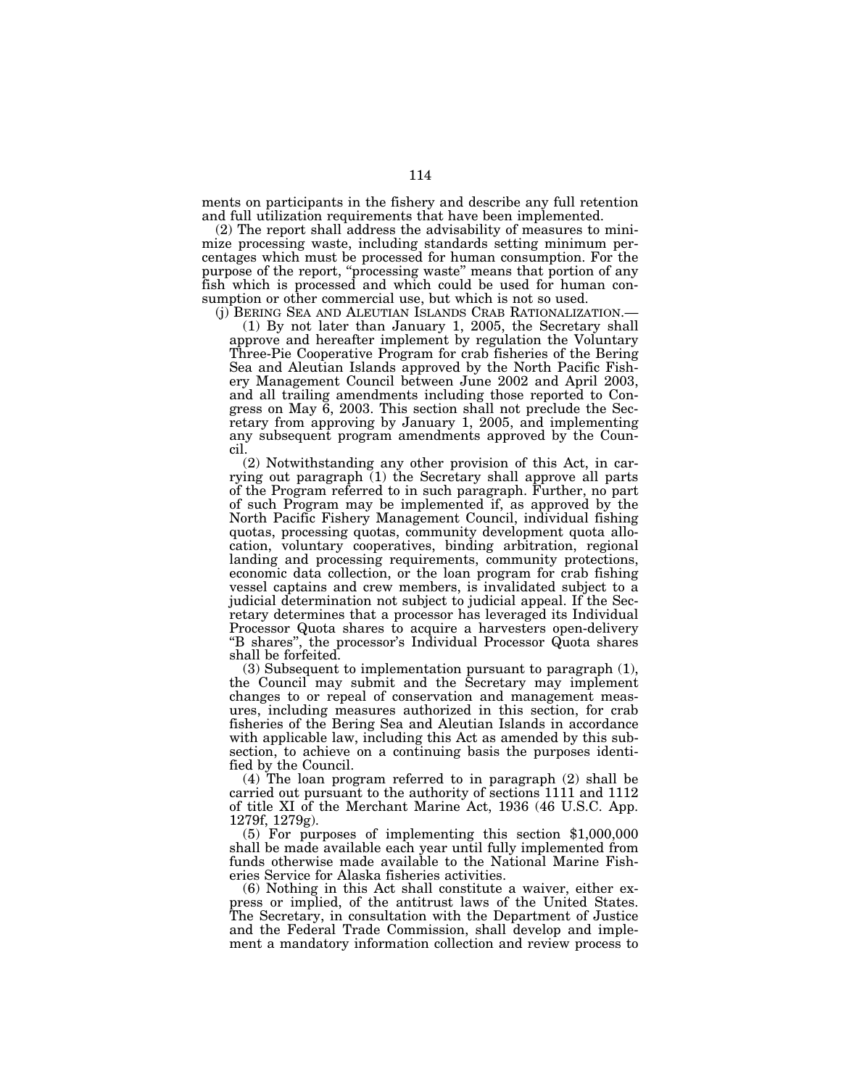ments on participants in the fishery and describe any full retention and full utilization requirements that have been implemented.

(2) The report shall address the advisability of measures to minimize processing waste, including standards setting minimum percentages which must be processed for human consumption. For the purpose of the report, "processing waste" means that portion of any fish which is processed and which could be used for human consumption or other commercial use, but which is not so used.<br>(i) BERING SEA AND ALEUTIAN ISLANDS CRAB RATIONALIZATION.

(1) By not later than January 1, 2005, the Secretary shall approve and hereafter implement by regulation the Voluntary Three-Pie Cooperative Program for crab fisheries of the Bering Sea and Aleutian Islands approved by the North Pacific Fishery Management Council between June 2002 and April 2003, and all trailing amendments including those reported to Congress on May 6, 2003. This section shall not preclude the Secretary from approving by January 1, 2005, and implementing any subsequent program amendments approved by the Council.

(2) Notwithstanding any other provision of this Act, in carrying out paragraph (1) the Secretary shall approve all parts of the Program referred to in such paragraph. Further, no part of such Program may be implemented if, as approved by the North Pacific Fishery Management Council, individual fishing quotas, processing quotas, community development quota allocation, voluntary cooperatives, binding arbitration, regional landing and processing requirements, community protections, economic data collection, or the loan program for crab fishing vessel captains and crew members, is invalidated subject to a judicial determination not subject to judicial appeal. If the Secretary determines that a processor has leveraged its Individual Processor Quota shares to acquire a harvesters open-delivery ''B shares'', the processor's Individual Processor Quota shares shall be forfeited.

(3) Subsequent to implementation pursuant to paragraph (1), the Council may submit and the Secretary may implement changes to or repeal of conservation and management measures, including measures authorized in this section, for crab fisheries of the Bering Sea and Aleutian Islands in accordance with applicable law, including this Act as amended by this subsection, to achieve on a continuing basis the purposes identified by the Council.

(4) The loan program referred to in paragraph (2) shall be carried out pursuant to the authority of sections 1111 and 1112 of title XI of the Merchant Marine Act, 1936 (46 U.S.C. App. 1279f, 1279g).

(5) For purposes of implementing this section \$1,000,000 shall be made available each year until fully implemented from funds otherwise made available to the National Marine Fisheries Service for Alaska fisheries activities.

(6) Nothing in this Act shall constitute a waiver, either express or implied, of the antitrust laws of the United States. The Secretary, in consultation with the Department of Justice and the Federal Trade Commission, shall develop and implement a mandatory information collection and review process to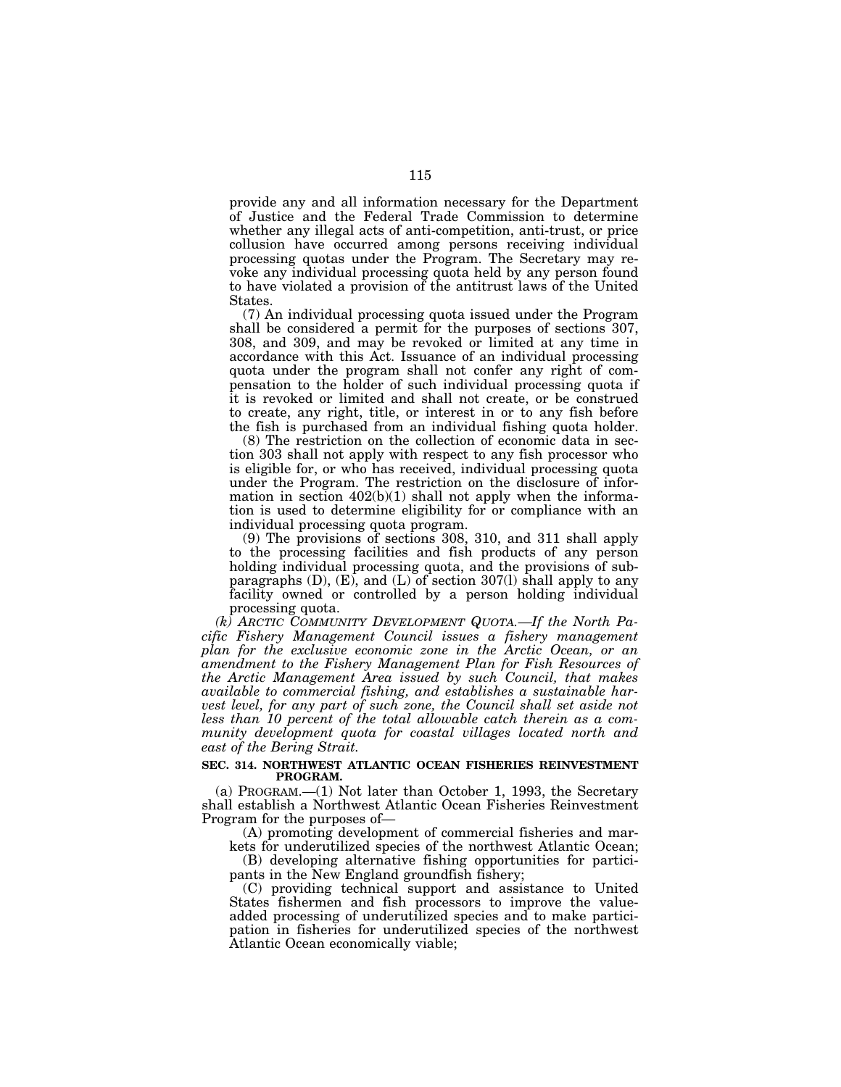provide any and all information necessary for the Department of Justice and the Federal Trade Commission to determine whether any illegal acts of anti-competition, anti-trust, or price collusion have occurred among persons receiving individual processing quotas under the Program. The Secretary may revoke any individual processing quota held by any person found to have violated a provision of the antitrust laws of the United States.

(7) An individual processing quota issued under the Program shall be considered a permit for the purposes of sections 307, 308, and 309, and may be revoked or limited at any time in accordance with this Act. Issuance of an individual processing quota under the program shall not confer any right of compensation to the holder of such individual processing quota if it is revoked or limited and shall not create, or be construed to create, any right, title, or interest in or to any fish before the fish is purchased from an individual fishing quota holder.

(8) The restriction on the collection of economic data in section 303 shall not apply with respect to any fish processor who is eligible for, or who has received, individual processing quota under the Program. The restriction on the disclosure of information in section  $402(b)(1)$  shall not apply when the information is used to determine eligibility for or compliance with an individual processing quota program.

(9) The provisions of sections 308, 310, and 311 shall apply to the processing facilities and fish products of any person holding individual processing quota, and the provisions of subparagraphs  $(D)$ ,  $(E)$ , and  $(L)$  of section 307(1) shall apply to any facility owned or controlled by a person holding individual processing quota.

*(k) ARCTIC COMMUNITY DEVELOPMENT QUOTA.—If the North Pacific Fishery Management Council issues a fishery management plan for the exclusive economic zone in the Arctic Ocean, or an amendment to the Fishery Management Plan for Fish Resources of the Arctic Management Area issued by such Council, that makes available to commercial fishing, and establishes a sustainable harvest level, for any part of such zone, the Council shall set aside not less than 10 percent of the total allowable catch therein as a community development quota for coastal villages located north and east of the Bering Strait.* 

#### **SEC. 314. NORTHWEST ATLANTIC OCEAN FISHERIES REINVESTMENT PROGRAM.**

(a) PROGRAM.—(1) Not later than October 1, 1993, the Secretary shall establish a Northwest Atlantic Ocean Fisheries Reinvestment Program for the purposes of—

(A) promoting development of commercial fisheries and mar-

kets for underutilized species of the northwest Atlantic Ocean; (B) developing alternative fishing opportunities for participants in the New England groundfish fishery;

(C) providing technical support and assistance to United States fishermen and fish processors to improve the valueadded processing of underutilized species and to make participation in fisheries for underutilized species of the northwest Atlantic Ocean economically viable;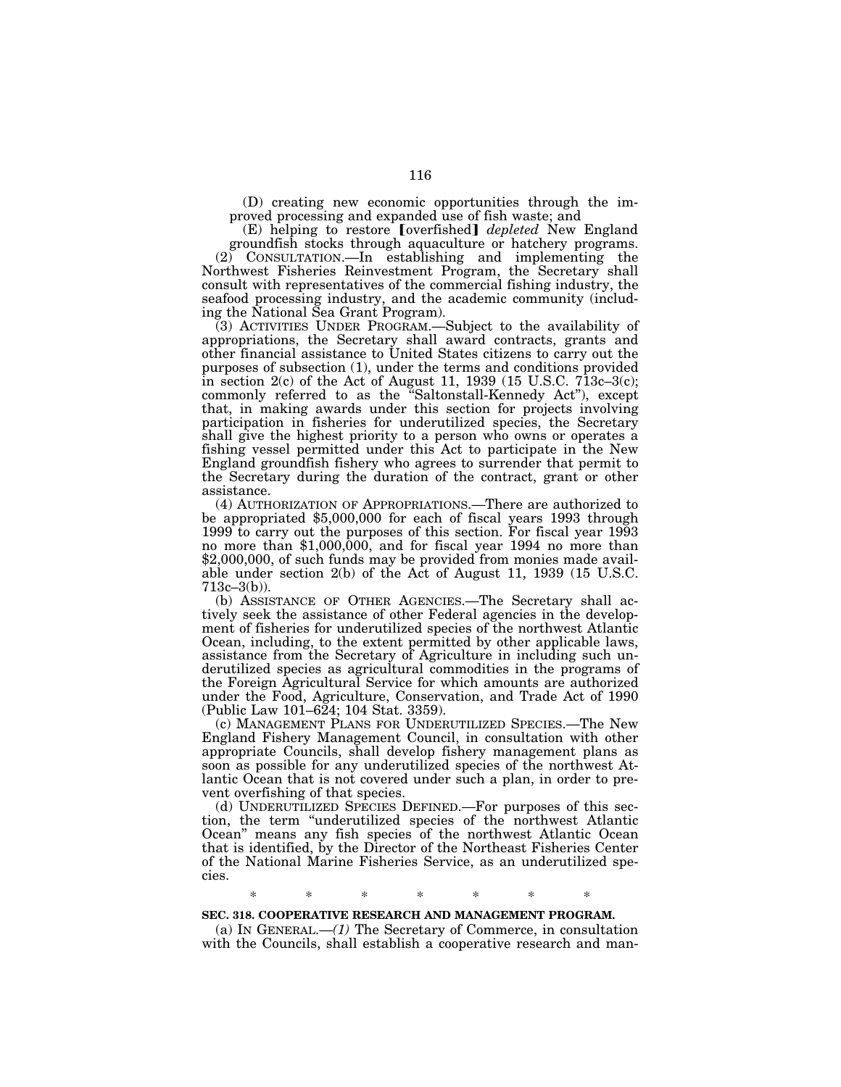(D) creating new economic opportunities through the improved processing and expanded use of fish waste; and

(E) helping to restore [overfished] *depleted* New England

groundfish stocks through aquaculture or hatchery programs. (2) CONSULTATION.—In establishing and implementing the Northwest Fisheries Reinvestment Program, the Secretary shall consult with representatives of the commercial fishing industry, the seafood processing industry, and the academic community (including the National Sea Grant Program).

(3) ACTIVITIES UNDER PROGRAM.—Subject to the availability of appropriations, the Secretary shall award contracts, grants and other financial assistance to United States citizens to carry out the purposes of subsection (1), under the terms and conditions provided in section  $2(c)$  of the Act of August 11, 1939 (15 U.S.C. 713c–3(c); commonly referred to as the ''Saltonstall-Kennedy Act''), except that, in making awards under this section for projects involving participation in fisheries for underutilized species, the Secretary shall give the highest priority to a person who owns or operates a fishing vessel permitted under this Act to participate in the New England groundfish fishery who agrees to surrender that permit to the Secretary during the duration of the contract, grant or other assistance.

(4) AUTHORIZATION OF APPROPRIATIONS.—There are authorized to be appropriated \$5,000,000 for each of fiscal years 1993 through 1999 to carry out the purposes of this section. For fiscal year 1993 no more than \$1,000,000, and for fiscal year 1994 no more than \$2,000,000, of such funds may be provided from monies made available under section 2(b) of the Act of August 11, 1939 (15 U.S.C.  $713c-3(b)$ ).

(b) ASSISTANCE OF OTHER AGENCIES.—The Secretary shall actively seek the assistance of other Federal agencies in the development of fisheries for underutilized species of the northwest Atlantic Ocean, including, to the extent permitted by other applicable laws, assistance from the Secretary of Agriculture in including such underutilized species as agricultural commodities in the programs of the Foreign Agricultural Service for which amounts are authorized under the Food, Agriculture, Conservation, and Trade Act of 1990 (Public Law 101–624; 104 Stat. 3359).

(c) MANAGEMENT PLANS FOR UNDERUTILIZED SPECIES.—The New England Fishery Management Council, in consultation with other appropriate Councils, shall develop fishery management plans as soon as possible for any underutilized species of the northwest Atlantic Ocean that is not covered under such a plan, in order to prevent overfishing of that species.

(d) UNDERUTILIZED SPECIES DEFINED.—For purposes of this section, the term ''underutilized species of the northwest Atlantic Ocean'' means any fish species of the northwest Atlantic Ocean that is identified, by the Director of the Northeast Fisheries Center of the National Marine Fisheries Service, as an underutilized species.

\* \* \* \* \* \* \*

# **SEC. 318. COOPERATIVE RESEARCH AND MANAGEMENT PROGRAM.**

(a) IN GENERAL.—*(1)* The Secretary of Commerce, in consultation with the Councils, shall establish a cooperative research and man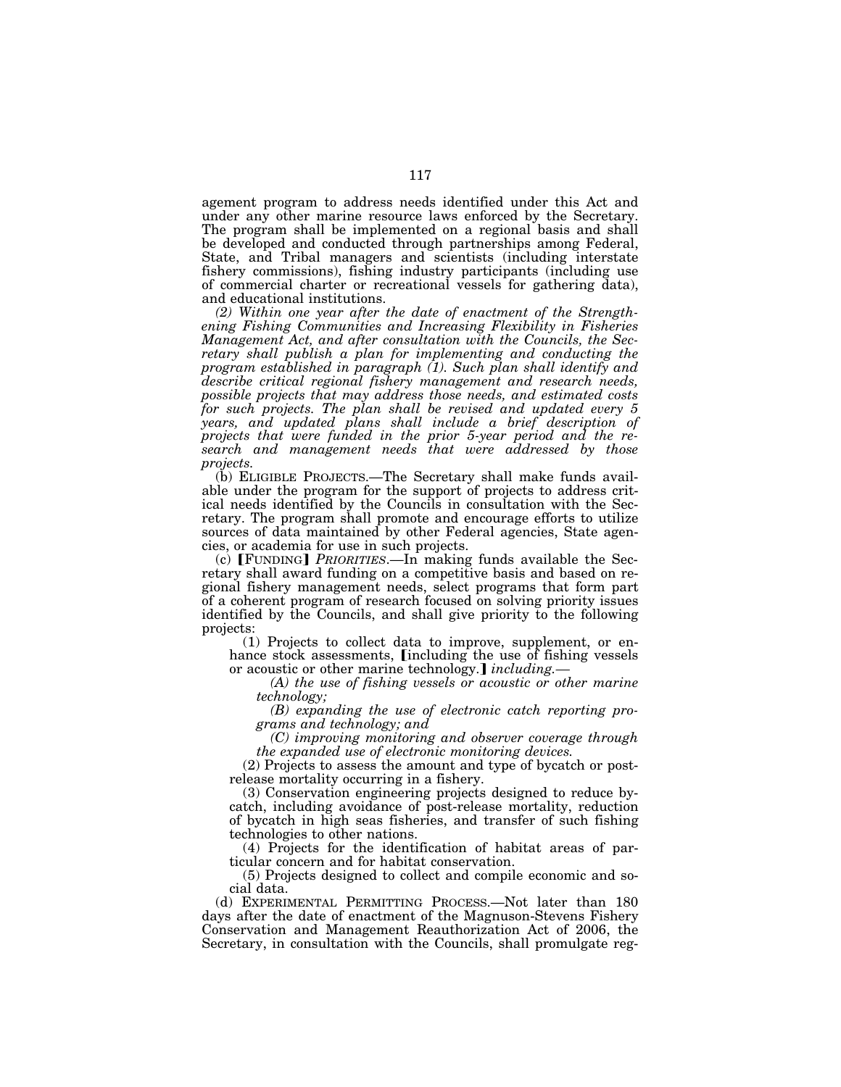agement program to address needs identified under this Act and under any other marine resource laws enforced by the Secretary. The program shall be implemented on a regional basis and shall be developed and conducted through partnerships among Federal, State, and Tribal managers and scientists (including interstate fishery commissions), fishing industry participants (including use of commercial charter or recreational vessels for gathering data), and educational institutions.

*(2) Within one year after the date of enactment of the Strengthening Fishing Communities and Increasing Flexibility in Fisheries Management Act, and after consultation with the Councils, the Secretary shall publish a plan for implementing and conducting the program established in paragraph (1). Such plan shall identify and describe critical regional fishery management and research needs, possible projects that may address those needs, and estimated costs for such projects. The plan shall be revised and updated every 5 years, and updated plans shall include a brief description of projects that were funded in the prior 5-year period and the research and management needs that were addressed by those projects.* 

(b) ELIGIBLE PROJECTS.—The Secretary shall make funds available under the program for the support of projects to address critical needs identified by the Councils in consultation with the Secretary. The program shall promote and encourage efforts to utilize sources of data maintained by other Federal agencies, State agencies, or academia for use in such projects.

(c) [FUNDING] *PRIORITIES*.—In making funds available the Secretary shall award funding on a competitive basis and based on regional fishery management needs, select programs that form part of a coherent program of research focused on solving priority issues identified by the Councils, and shall give priority to the following projects:

(1) Projects to collect data to improve, supplement, or enhance stock assessments, *[including the use of fishing vessels* or acoustic or other marine technology.] *including.*—

*(A) the use of fishing vessels or acoustic or other marine technology;* 

*(B) expanding the use of electronic catch reporting programs and technology; and* 

*(C) improving monitoring and observer coverage through the expanded use of electronic monitoring devices.* 

(2) Projects to assess the amount and type of bycatch or postrelease mortality occurring in a fishery.

(3) Conservation engineering projects designed to reduce bycatch, including avoidance of post-release mortality, reduction of bycatch in high seas fisheries, and transfer of such fishing technologies to other nations.

(4) Projects for the identification of habitat areas of particular concern and for habitat conservation.

(5) Projects designed to collect and compile economic and social data.

(d) EXPERIMENTAL PERMITTING PROCESS.—Not later than 180 days after the date of enactment of the Magnuson-Stevens Fishery Conservation and Management Reauthorization Act of 2006, the Secretary, in consultation with the Councils, shall promulgate reg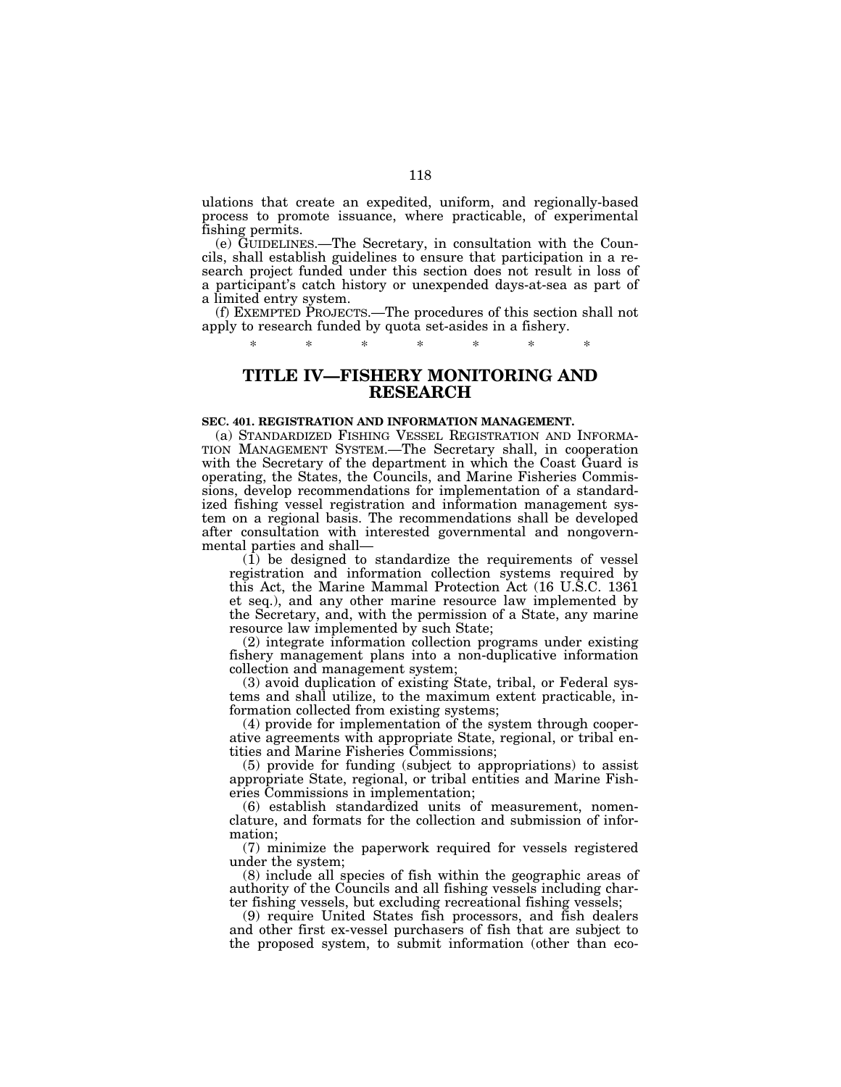ulations that create an expedited, uniform, and regionally-based process to promote issuance, where practicable, of experimental fishing permits.

(e) GUIDELINES.—The Secretary, in consultation with the Councils, shall establish guidelines to ensure that participation in a research project funded under this section does not result in loss of a participant's catch history or unexpended days-at-sea as part of a limited entry system.

(f) EXEMPTED PROJECTS.—The procedures of this section shall not apply to research funded by quota set-asides in a fishery.

\* \* \* \* \* \* \*

# **TITLE IV—FISHERY MONITORING AND RESEARCH**

# **SEC. 401. REGISTRATION AND INFORMATION MANAGEMENT.**

(a) STANDARDIZED FISHING VESSEL REGISTRATION AND INFORMA-TION MANAGEMENT SYSTEM.—The Secretary shall, in cooperation with the Secretary of the department in which the Coast Guard is operating, the States, the Councils, and Marine Fisheries Commissions, develop recommendations for implementation of a standardized fishing vessel registration and information management system on a regional basis. The recommendations shall be developed after consultation with interested governmental and nongovernmental parties and shall—

 $(1)$  be designed to standardize the requirements of vessel registration and information collection systems required by this Act, the Marine Mammal Protection Act (16 U.S.C. 1361 et seq.), and any other marine resource law implemented by the Secretary, and, with the permission of a State, any marine resource law implemented by such State;

(2) integrate information collection programs under existing fishery management plans into a non-duplicative information collection and management system;

(3) avoid duplication of existing State, tribal, or Federal systems and shall utilize, to the maximum extent practicable, information collected from existing systems;

(4) provide for implementation of the system through cooperative agreements with appropriate State, regional, or tribal entities and Marine Fisheries Commissions;

(5) provide for funding (subject to appropriations) to assist appropriate State, regional, or tribal entities and Marine Fisheries Commissions in implementation;

(6) establish standardized units of measurement, nomenclature, and formats for the collection and submission of information;

(7) minimize the paperwork required for vessels registered under the system;

(8) include all species of fish within the geographic areas of authority of the Councils and all fishing vessels including charter fishing vessels, but excluding recreational fishing vessels;

(9) require United States fish processors, and fish dealers and other first ex-vessel purchasers of fish that are subject to the proposed system, to submit information (other than eco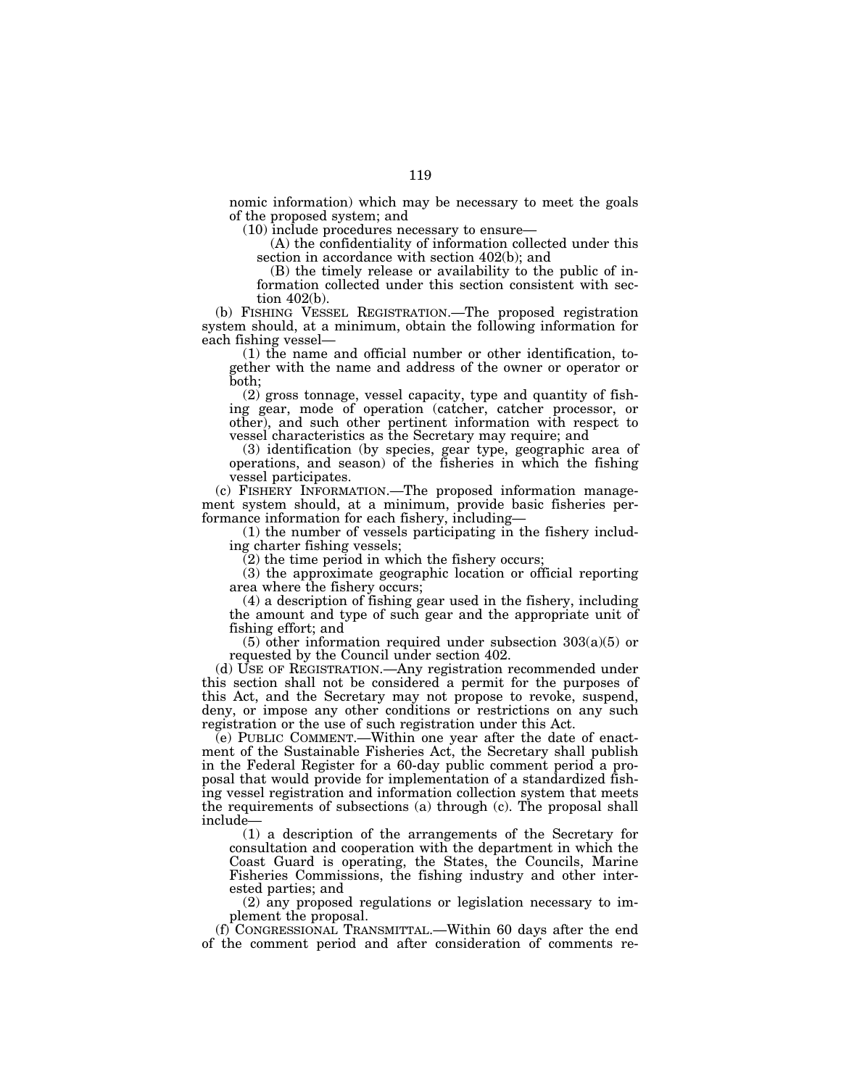nomic information) which may be necessary to meet the goals of the proposed system; and

(10) include procedures necessary to ensure—

(A) the confidentiality of information collected under this section in accordance with section 402(b); and

(B) the timely release or availability to the public of information collected under this section consistent with section 402(b).

(b) FISHING VESSEL REGISTRATION.—The proposed registration system should, at a minimum, obtain the following information for each fishing vessel—

(1) the name and official number or other identification, together with the name and address of the owner or operator or both;

(2) gross tonnage, vessel capacity, type and quantity of fishing gear, mode of operation (catcher, catcher processor, or other), and such other pertinent information with respect to vessel characteristics as the Secretary may require; and

(3) identification (by species, gear type, geographic area of operations, and season) of the fisheries in which the fishing vessel participates.

(c) FISHERY INFORMATION.—The proposed information management system should, at a minimum, provide basic fisheries performance information for each fishery, including—

(1) the number of vessels participating in the fishery including charter fishing vessels;

 $(2)$  the time period in which the fishery occurs;

(3) the approximate geographic location or official reporting area where the fishery occurs;

(4) a description of fishing gear used in the fishery, including the amount and type of such gear and the appropriate unit of fishing effort; and

(5) other information required under subsection  $303(a)(5)$  or requested by the Council under section 402.

(d) USE OF REGISTRATION.—Any registration recommended under this section shall not be considered a permit for the purposes of this Act, and the Secretary may not propose to revoke, suspend, deny, or impose any other conditions or restrictions on any such registration or the use of such registration under this Act.

(e) PUBLIC COMMENT.—Within one year after the date of enactment of the Sustainable Fisheries Act, the Secretary shall publish in the Federal Register for a 60-day public comment period a proposal that would provide for implementation of a standardized fishing vessel registration and information collection system that meets the requirements of subsections (a) through (c). The proposal shall include—

(1) a description of the arrangements of the Secretary for consultation and cooperation with the department in which the Coast Guard is operating, the States, the Councils, Marine Fisheries Commissions, the fishing industry and other interested parties; and

(2) any proposed regulations or legislation necessary to implement the proposal.

(f) CONGRESSIONAL TRANSMITTAL.—Within 60 days after the end of the comment period and after consideration of comments re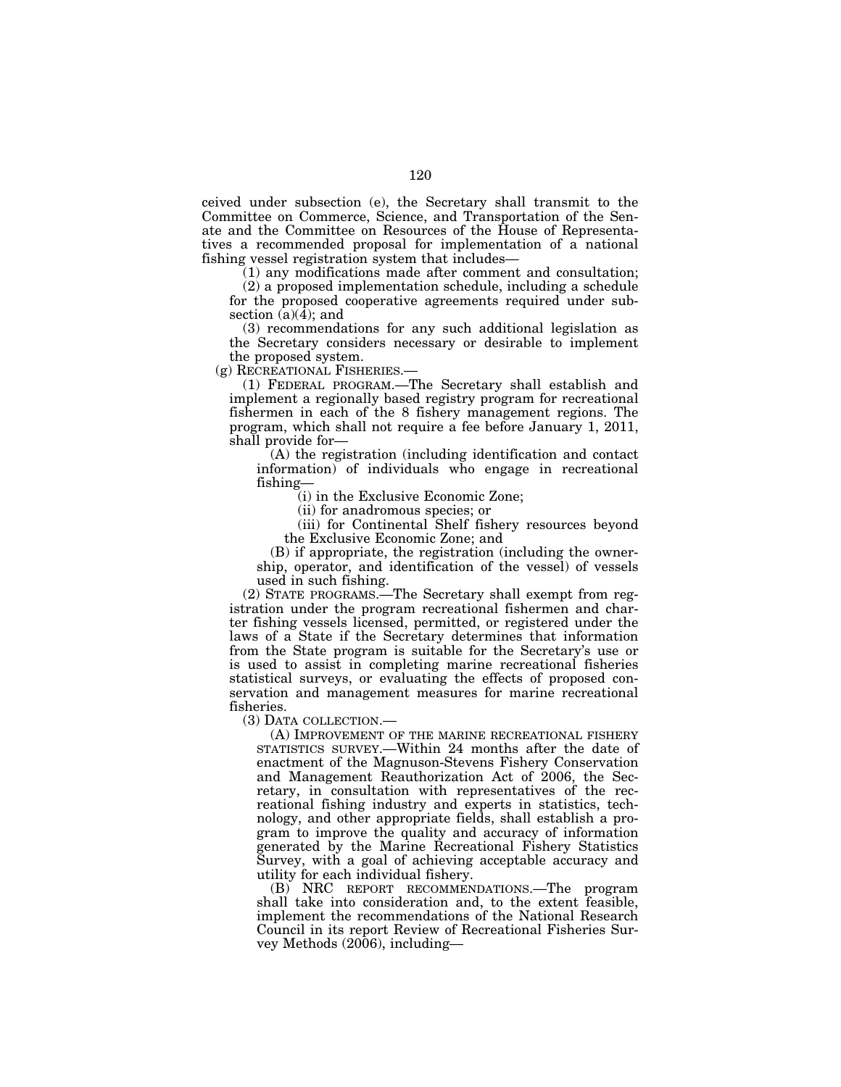ceived under subsection (e), the Secretary shall transmit to the Committee on Commerce, Science, and Transportation of the Senate and the Committee on Resources of the House of Representatives a recommended proposal for implementation of a national fishing vessel registration system that includes—

(1) any modifications made after comment and consultation;

(2) a proposed implementation schedule, including a schedule for the proposed cooperative agreements required under subsection  $(a)(\overline{4})$ ; and

(3) recommendations for any such additional legislation as the Secretary considers necessary or desirable to implement the proposed system.

(g) RECREATIONAL FISHERIES.—

(1) FEDERAL PROGRAM.—The Secretary shall establish and implement a regionally based registry program for recreational fishermen in each of the 8 fishery management regions. The program, which shall not require a fee before January 1, 2011, shall provide for—

(A) the registration (including identification and contact information) of individuals who engage in recreational fishing—

(i) in the Exclusive Economic Zone;

(ii) for anadromous species; or

(iii) for Continental Shelf fishery resources beyond the Exclusive Economic Zone; and

(B) if appropriate, the registration (including the ownership, operator, and identification of the vessel) of vessels used in such fishing.

(2) STATE PROGRAMS.—The Secretary shall exempt from registration under the program recreational fishermen and charter fishing vessels licensed, permitted, or registered under the laws of a State if the Secretary determines that information from the State program is suitable for the Secretary's use or is used to assist in completing marine recreational fisheries statistical surveys, or evaluating the effects of proposed conservation and management measures for marine recreational fisheries.

(3) DATA COLLECTION.—

(A) IMPROVEMENT OF THE MARINE RECREATIONAL FISHERY STATISTICS SURVEY.—Within 24 months after the date of enactment of the Magnuson-Stevens Fishery Conservation and Management Reauthorization Act of 2006, the Secretary, in consultation with representatives of the recreational fishing industry and experts in statistics, technology, and other appropriate fields, shall establish a program to improve the quality and accuracy of information generated by the Marine Recreational Fishery Statistics Survey, with a goal of achieving acceptable accuracy and utility for each individual fishery.

(B) NRC REPORT RECOMMENDATIONS.—The program shall take into consideration and, to the extent feasible, implement the recommendations of the National Research Council in its report Review of Recreational Fisheries Survey Methods (2006), including—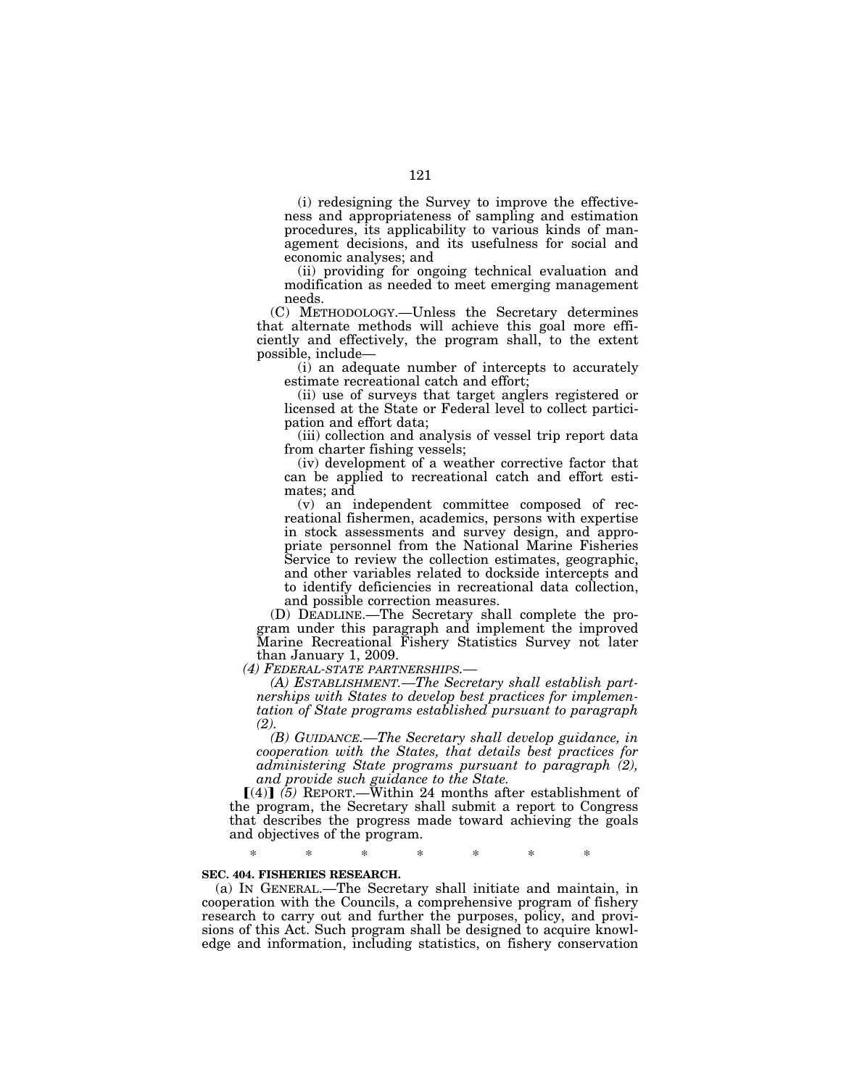(i) redesigning the Survey to improve the effectiveness and appropriateness of sampling and estimation procedures, its applicability to various kinds of management decisions, and its usefulness for social and economic analyses; and

(ii) providing for ongoing technical evaluation and modification as needed to meet emerging management needs.

(C) METHODOLOGY.—Unless the Secretary determines that alternate methods will achieve this goal more efficiently and effectively, the program shall, to the extent possible, include—

(i) an adequate number of intercepts to accurately estimate recreational catch and effort;

(ii) use of surveys that target anglers registered or licensed at the State or Federal level to collect participation and effort data;

(iii) collection and analysis of vessel trip report data from charter fishing vessels;

(iv) development of a weather corrective factor that can be applied to recreational catch and effort estimates; and

(v) an independent committee composed of recreational fishermen, academics, persons with expertise in stock assessments and survey design, and appropriate personnel from the National Marine Fisheries Service to review the collection estimates, geographic, and other variables related to dockside intercepts and to identify deficiencies in recreational data collection, and possible correction measures.

(D) DEADLINE.—The Secretary shall complete the program under this paragraph and implement the improved Marine Recreational Fishery Statistics Survey not later than January 1, 2009.<br>(4) FEDERAL-STATE PARTNERSHIPS.—

*(A) ESTABLISHMENT.*—The Secretary shall establish part*nerships with States to develop best practices for implementation of State programs established pursuant to paragraph (2).* 

*(B) GUIDANCE.—The Secretary shall develop guidance, in cooperation with the States, that details best practices for administering State programs pursuant to paragraph (2), and provide such guidance to the State.* 

 $(4)$  (5) REPORT.—Within 24 months after establishment of the program, the Secretary shall submit a report to Congress that describes the progress made toward achieving the goals and objectives of the program.

\* \* \* \* \* \* \*

# **SEC. 404. FISHERIES RESEARCH.**

(a) IN GENERAL.—The Secretary shall initiate and maintain, in cooperation with the Councils, a comprehensive program of fishery research to carry out and further the purposes, policy, and provisions of this Act. Such program shall be designed to acquire knowledge and information, including statistics, on fishery conservation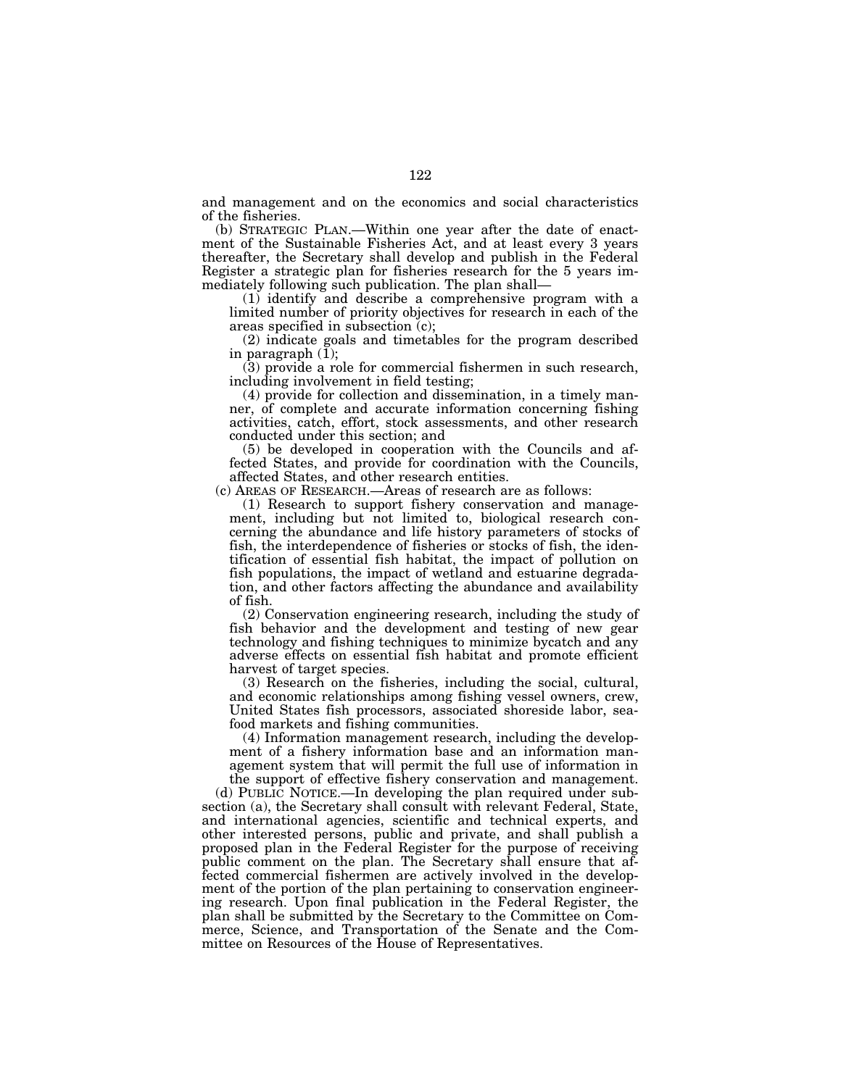and management and on the economics and social characteristics of the fisheries.

(b) STRATEGIC PLAN.—Within one year after the date of enactment of the Sustainable Fisheries Act, and at least every 3 years thereafter, the Secretary shall develop and publish in the Federal Register a strategic plan for fisheries research for the 5 years immediately following such publication. The plan shall—

(1) identify and describe a comprehensive program with a limited number of priority objectives for research in each of the areas specified in subsection (c);

(2) indicate goals and timetables for the program described in paragraph (1);

(3) provide a role for commercial fishermen in such research, including involvement in field testing;

(4) provide for collection and dissemination, in a timely manner, of complete and accurate information concerning fishing activities, catch, effort, stock assessments, and other research conducted under this section; and

(5) be developed in cooperation with the Councils and affected States, and provide for coordination with the Councils, affected States, and other research entities.

(c) AREAS OF RESEARCH.—Areas of research are as follows:

(1) Research to support fishery conservation and management, including but not limited to, biological research concerning the abundance and life history parameters of stocks of fish, the interdependence of fisheries or stocks of fish, the identification of essential fish habitat, the impact of pollution on fish populations, the impact of wetland and estuarine degradation, and other factors affecting the abundance and availability of fish.

(2) Conservation engineering research, including the study of fish behavior and the development and testing of new gear technology and fishing techniques to minimize bycatch and any adverse effects on essential fish habitat and promote efficient harvest of target species.

(3) Research on the fisheries, including the social, cultural, and economic relationships among fishing vessel owners, crew, United States fish processors, associated shoreside labor, seafood markets and fishing communities.

(4) Information management research, including the development of a fishery information base and an information management system that will permit the full use of information in the support of effective fishery conservation and management.

(d) PUBLIC NOTICE.—In developing the plan required under subsection (a), the Secretary shall consult with relevant Federal, State, and international agencies, scientific and technical experts, and other interested persons, public and private, and shall publish a proposed plan in the Federal Register for the purpose of receiving public comment on the plan. The Secretary shall ensure that affected commercial fishermen are actively involved in the development of the portion of the plan pertaining to conservation engineering research. Upon final publication in the Federal Register, the plan shall be submitted by the Secretary to the Committee on Commerce, Science, and Transportation of the Senate and the Committee on Resources of the House of Representatives.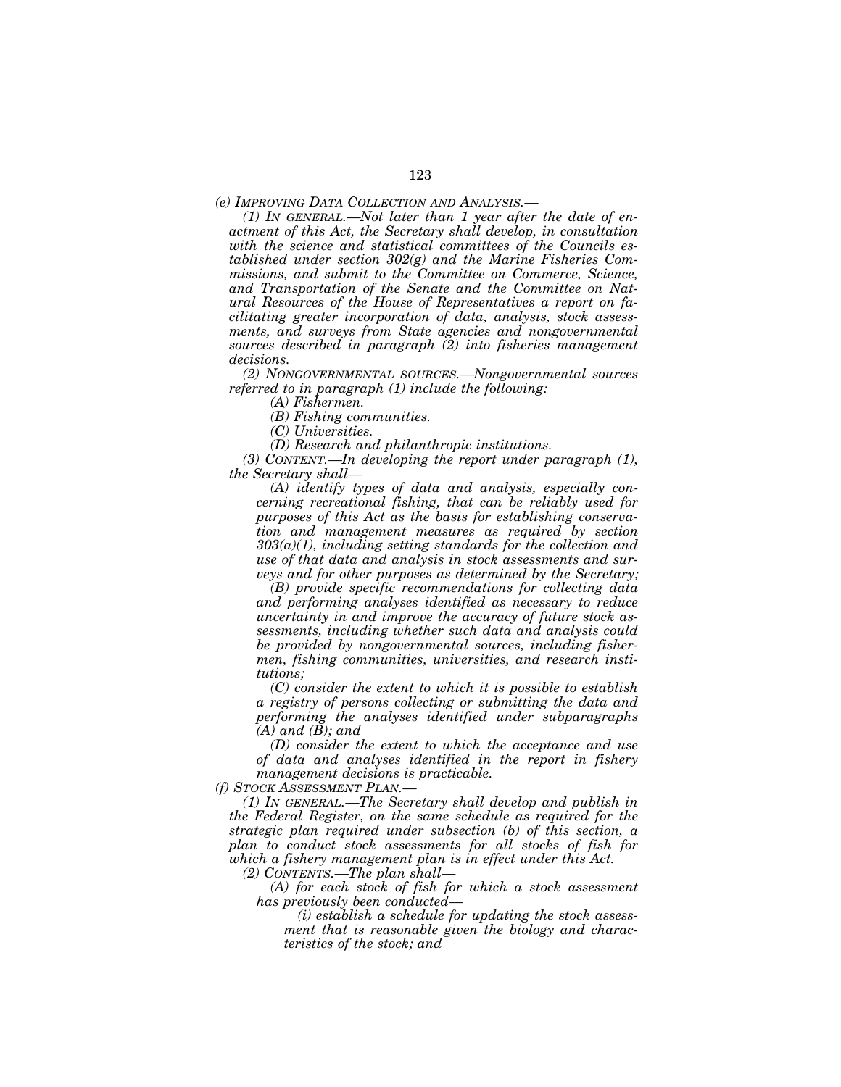123

*(e) IMPROVING DATA COLLECTION AND ANALYSIS.—* 

*(1) IN GENERAL.—Not later than 1 year after the date of enactment of this Act, the Secretary shall develop, in consultation with the science and statistical committees of the Councils established under section 302(g) and the Marine Fisheries Commissions, and submit to the Committee on Commerce, Science, and Transportation of the Senate and the Committee on Natural Resources of the House of Representatives a report on facilitating greater incorporation of data, analysis, stock assessments, and surveys from State agencies and nongovernmental sources described in paragraph (2) into fisheries management decisions.* 

*(2) NONGOVERNMENTAL SOURCES.—Nongovernmental sources referred to in paragraph (1) include the following:* 

*(A) Fishermen.* 

*(B) Fishing communities.* 

*(C) Universities.* 

*(D) Research and philanthropic institutions.* 

*(3) CONTENT.—In developing the report under paragraph (1), the Secretary shall—* 

*(A) identify types of data and analysis, especially concerning recreational fishing, that can be reliably used for purposes of this Act as the basis for establishing conservation and management measures as required by section 303(a)(1), including setting standards for the collection and use of that data and analysis in stock assessments and surveys and for other purposes as determined by the Secretary;* 

*(B) provide specific recommendations for collecting data and performing analyses identified as necessary to reduce uncertainty in and improve the accuracy of future stock assessments, including whether such data and analysis could be provided by nongovernmental sources, including fishermen, fishing communities, universities, and research institutions;* 

*(C) consider the extent to which it is possible to establish a registry of persons collecting or submitting the data and performing the analyses identified under subparagraphs (A) and (B); and* 

*(D) consider the extent to which the acceptance and use of data and analyses identified in the report in fishery management decisions is practicable.* 

*(f) STOCK ASSESSMENT PLAN.—* 

*(1) IN GENERAL.—The Secretary shall develop and publish in the Federal Register, on the same schedule as required for the strategic plan required under subsection (b) of this section, a plan to conduct stock assessments for all stocks of fish for which a fishery management plan is in effect under this Act.* 

*(2) CONTENTS.—The plan shall—* 

*(A) for each stock of fish for which a stock assessment has previously been conducted—* 

*(i) establish a schedule for updating the stock assessment that is reasonable given the biology and characteristics of the stock; and*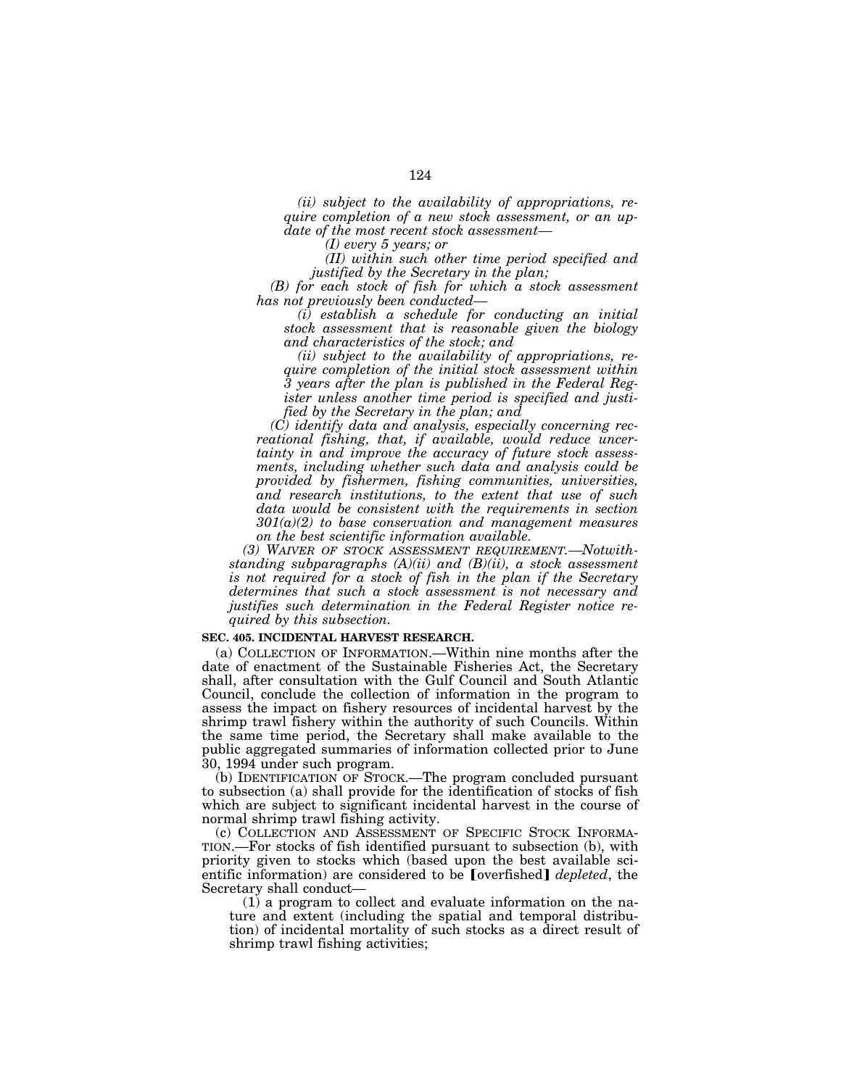*(ii) subject to the availability of appropriations, require completion of a new stock assessment, or an update of the most recent stock assessment—* 

*(I) every 5 years; or* 

*(II) within such other time period specified and justified by the Secretary in the plan;* 

*(B) for each stock of fish for which a stock assessment has not previously been conducted—* 

*(i) establish a schedule for conducting an initial stock assessment that is reasonable given the biology and characteristics of the stock; and* 

*(ii) subject to the availability of appropriations, require completion of the initial stock assessment within 3 years after the plan is published in the Federal Register unless another time period is specified and justified by the Secretary in the plan; and* 

*(C) identify data and analysis, especially concerning recreational fishing, that, if available, would reduce uncertainty in and improve the accuracy of future stock assessments, including whether such data and analysis could be provided by fishermen, fishing communities, universities, and research institutions, to the extent that use of such data would be consistent with the requirements in section 301(a)(2) to base conservation and management measures on the best scientific information available.* 

*(3) WAIVER OF STOCK ASSESSMENT REQUIREMENT.—Notwithstanding subparagraphs (A)(ii) and (B)(ii), a stock assessment is not required for a stock of fish in the plan if the Secretary determines that such a stock assessment is not necessary and justifies such determination in the Federal Register notice required by this subsection.* 

### **SEC. 405. INCIDENTAL HARVEST RESEARCH.**

(a) COLLECTION OF INFORMATION.—Within nine months after the date of enactment of the Sustainable Fisheries Act, the Secretary shall, after consultation with the Gulf Council and South Atlantic Council, conclude the collection of information in the program to assess the impact on fishery resources of incidental harvest by the shrimp trawl fishery within the authority of such Councils. Within the same time period, the Secretary shall make available to the public aggregated summaries of information collected prior to June 30, 1994 under such program.

(b) IDENTIFICATION OF STOCK.—The program concluded pursuant to subsection (a) shall provide for the identification of stocks of fish which are subject to significant incidental harvest in the course of normal shrimp trawl fishing activity.

(c) COLLECTION AND ASSESSMENT OF SPECIFIC STOCK INFORMA-TION.—For stocks of fish identified pursuant to subsection (b), with priority given to stocks which (based upon the best available scientific information) are considered to be [overfished] *depleted*, the Secretary shall conduct—

(1) a program to collect and evaluate information on the nature and extent (including the spatial and temporal distribution) of incidental mortality of such stocks as a direct result of shrimp trawl fishing activities;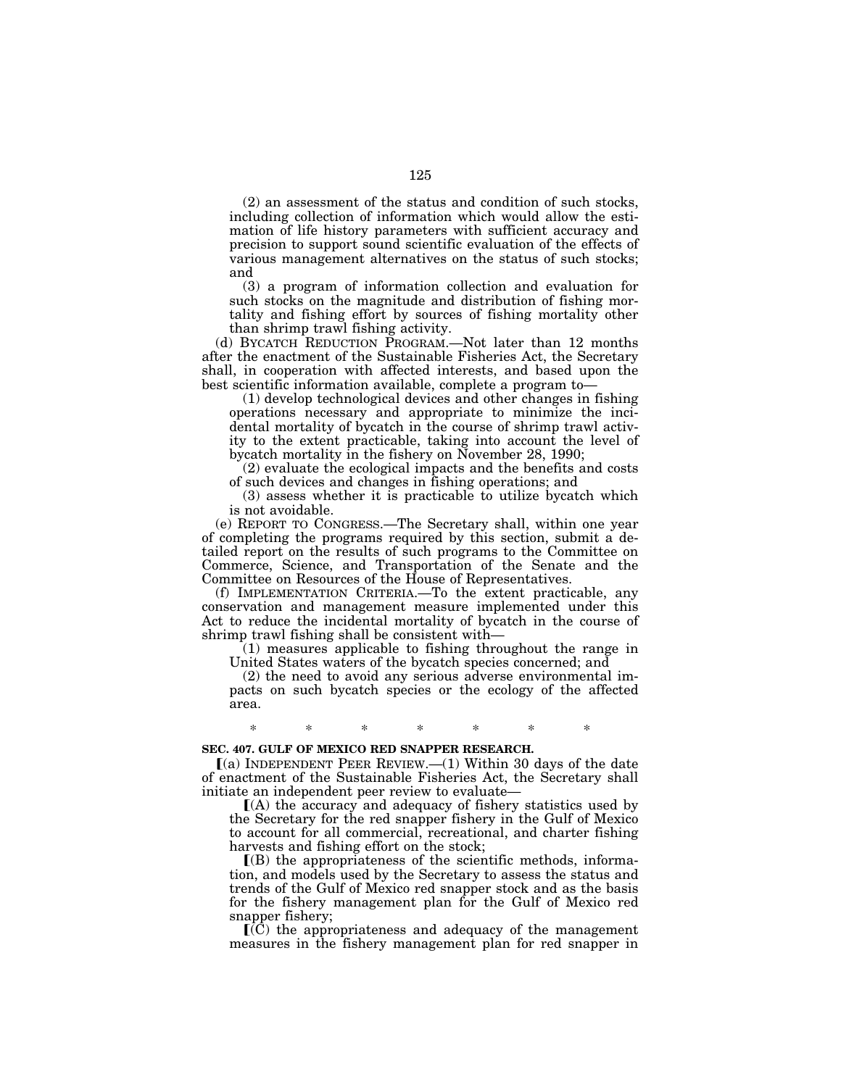(2) an assessment of the status and condition of such stocks, including collection of information which would allow the estimation of life history parameters with sufficient accuracy and precision to support sound scientific evaluation of the effects of various management alternatives on the status of such stocks; and

(3) a program of information collection and evaluation for such stocks on the magnitude and distribution of fishing mortality and fishing effort by sources of fishing mortality other than shrimp trawl fishing activity.

(d) BYCATCH REDUCTION PROGRAM.—Not later than 12 months after the enactment of the Sustainable Fisheries Act, the Secretary shall, in cooperation with affected interests, and based upon the best scientific information available, complete a program to—

(1) develop technological devices and other changes in fishing operations necessary and appropriate to minimize the incidental mortality of bycatch in the course of shrimp trawl activity to the extent practicable, taking into account the level of bycatch mortality in the fishery on November 28, 1990;

(2) evaluate the ecological impacts and the benefits and costs of such devices and changes in fishing operations; and

(3) assess whether it is practicable to utilize bycatch which is not avoidable.

(e) REPORT TO CONGRESS.—The Secretary shall, within one year of completing the programs required by this section, submit a detailed report on the results of such programs to the Committee on Commerce, Science, and Transportation of the Senate and the Committee on Resources of the House of Representatives.

(f) IMPLEMENTATION CRITERIA.—To the extent practicable, any conservation and management measure implemented under this Act to reduce the incidental mortality of bycatch in the course of shrimp trawl fishing shall be consistent with—

(1) measures applicable to fishing throughout the range in United States waters of the bycatch species concerned; and

(2) the need to avoid any serious adverse environmental impacts on such bycatch species or the ecology of the affected area.

# \* \* \* \* \* \* \* **SEC. 407. GULF OF MEXICO RED SNAPPER RESEARCH.**

 $(a)$  INDEPENDENT PEER REVIEW.—(1) Within 30 days of the date of enactment of the Sustainable Fisheries Act, the Secretary shall initiate an independent peer review to evaluate—

 $(A)$  the accuracy and adequacy of fishery statistics used by the Secretary for the red snapper fishery in the Gulf of Mexico to account for all commercial, recreational, and charter fishing harvests and fishing effort on the stock;

 $($ B) the appropriateness of the scientific methods, information, and models used by the Secretary to assess the status and trends of the Gulf of Mexico red snapper stock and as the basis for the fishery management plan for the Gulf of Mexico red snapper fishery;

 $\overline{C}(\overline{C})$  the appropriateness and adequacy of the management measures in the fishery management plan for red snapper in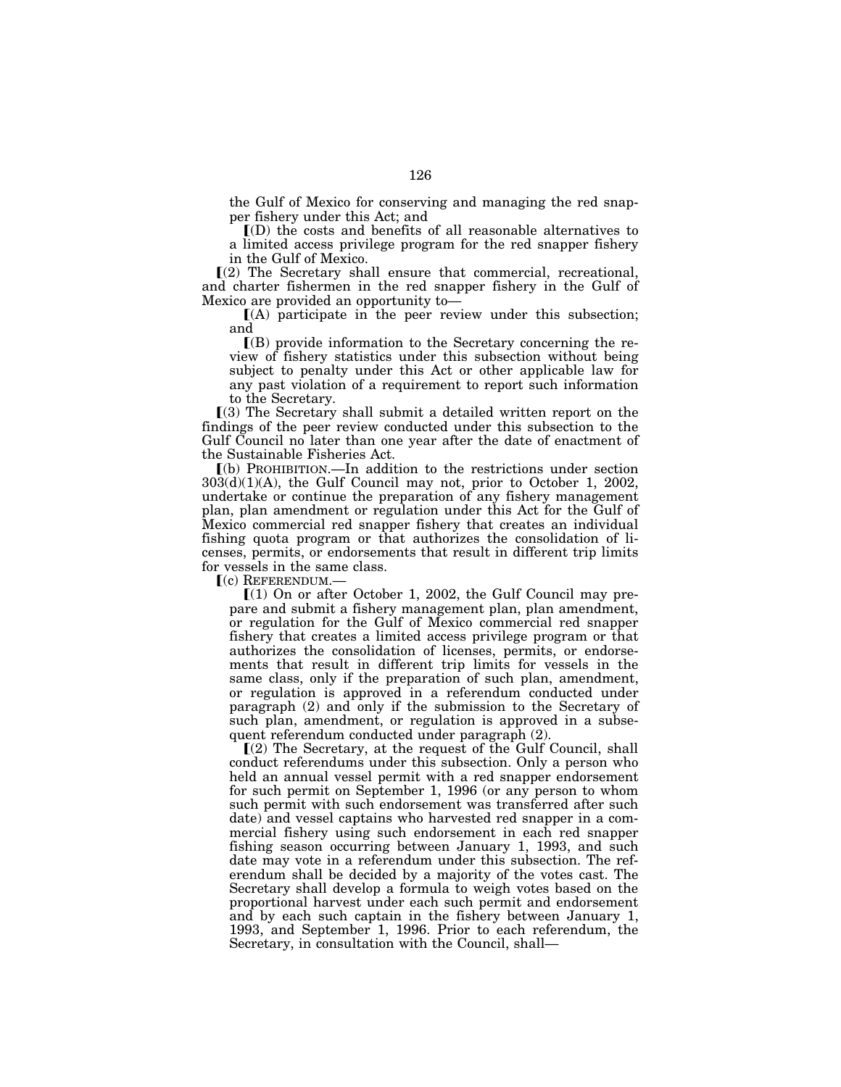the Gulf of Mexico for conserving and managing the red snapper fishery under this Act; and

 $\langle$ [(D) the costs and benefits of all reasonable alternatives to a limited access privilege program for the red snapper fishery in the Gulf of Mexico.

 $(2)$  The Secretary shall ensure that commercial, recreational, and charter fishermen in the red snapper fishery in the Gulf of Mexico are provided an opportunity to—

 $(A)$  participate in the peer review under this subsection; and

 $\Gamma(B)$  provide information to the Secretary concerning the review of fishery statistics under this subsection without being subject to penalty under this Act or other applicable law for any past violation of a requirement to report such information to the Secretary.

 $(3)$  The Secretary shall submit a detailed written report on the findings of the peer review conducted under this subsection to the Gulf Council no later than one year after the date of enactment of the Sustainable Fisheries Act.

ø(b) PROHIBITION.—In addition to the restrictions under section 303(d)(1)(A), the Gulf Council may not, prior to October 1, 2002, undertake or continue the preparation of any fishery management plan, plan amendment or regulation under this Act for the Gulf of Mexico commercial red snapper fishery that creates an individual fishing quota program or that authorizes the consolidation of licenses, permits, or endorsements that result in different trip limits for vessels in the same class.

 $(c)$  REFERENDUM.-

 $(1)$  On or after October 1, 2002, the Gulf Council may prepare and submit a fishery management plan, plan amendment, or regulation for the Gulf of Mexico commercial red snapper fishery that creates a limited access privilege program or that authorizes the consolidation of licenses, permits, or endorsements that result in different trip limits for vessels in the same class, only if the preparation of such plan, amendment, or regulation is approved in a referendum conducted under paragraph (2) and only if the submission to the Secretary of such plan, amendment, or regulation is approved in a subsequent referendum conducted under paragraph (2).

 $(2)$  The Secretary, at the request of the Gulf Council, shall conduct referendums under this subsection. Only a person who held an annual vessel permit with a red snapper endorsement for such permit on September 1, 1996 (or any person to whom such permit with such endorsement was transferred after such date) and vessel captains who harvested red snapper in a commercial fishery using such endorsement in each red snapper fishing season occurring between January 1, 1993, and such date may vote in a referendum under this subsection. The referendum shall be decided by a majority of the votes cast. The Secretary shall develop a formula to weigh votes based on the proportional harvest under each such permit and endorsement and by each such captain in the fishery between January 1, 1993, and September 1, 1996. Prior to each referendum, the Secretary, in consultation with the Council, shall—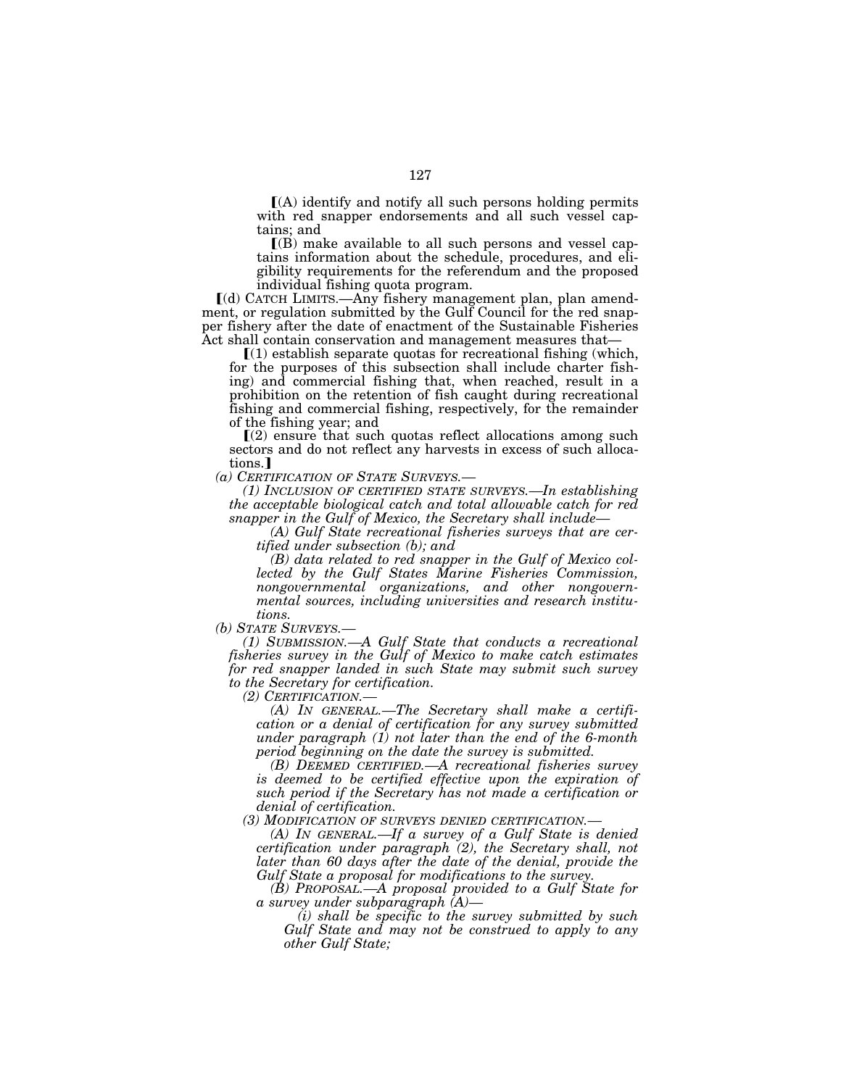$f(A)$  identify and notify all such persons holding permits with red snapper endorsements and all such vessel captains; and

 $($ B) make available to all such persons and vessel captains information about the schedule, procedures, and eligibility requirements for the referendum and the proposed individual fishing quota program.

ø(d) CATCH LIMITS.—Any fishery management plan, plan amendment, or regulation submitted by the Gulf Council for the red snapper fishery after the date of enactment of the Sustainable Fisheries Act shall contain conservation and management measures that—

 $(1)$  establish separate quotas for recreational fishing (which, for the purposes of this subsection shall include charter fishing) and commercial fishing that, when reached, result in a prohibition on the retention of fish caught during recreational fishing and commercial fishing, respectively, for the remainder of the fishing year; and

 $(2)$  ensure that such quotas reflect allocations among such sectors and do not reflect any harvests in excess of such allocations.]<br>(a) CERTIFICATION OF STATE SURVEYS.-

*(1) INCLUSION OF CERTIFIED STATE SURVEYS.—In establishing the acceptable biological catch and total allowable catch for red snapper in the Gulf of Mexico, the Secretary shall include—* 

*(A) Gulf State recreational fisheries surveys that are certified under subsection (b); and* 

*(B) data related to red snapper in the Gulf of Mexico collected by the Gulf States Marine Fisheries Commission, nongovernmental organizations, and other nongovernmental sources, including universities and research institutions.* 

*(b) STATE SURVEYS.—* 

*(1) SUBMISSION.—A Gulf State that conducts a recreational fisheries survey in the Gulf of Mexico to make catch estimates for red snapper landed in such State may submit such survey to the Secretary for certification.* 

*(2) CERTIFICATION.— (A) IN GENERAL.—The Secretary shall make a certification or a denial of certification for any survey submitted under paragraph (1) not later than the end of the 6-month period beginning on the date the survey is submitted.* 

*(B) DEEMED CERTIFIED.—A recreational fisheries survey is deemed to be certified effective upon the expiration of such period if the Secretary has not made a certification or denial of certification.* 

*(3) MODIFICATION OF SURVEYS DENIED CERTIFICATION.—* 

*(A) IN GENERAL.—If a survey of a Gulf State is denied certification under paragraph (2), the Secretary shall, not later than 60 days after the date of the denial, provide the Gulf State a proposal for modifications to the survey.* 

*(B) PROPOSAL.—A proposal provided to a Gulf State for a survey under subparagraph (A)—* 

*(i) shall be specific to the survey submitted by such Gulf State and may not be construed to apply to any other Gulf State;*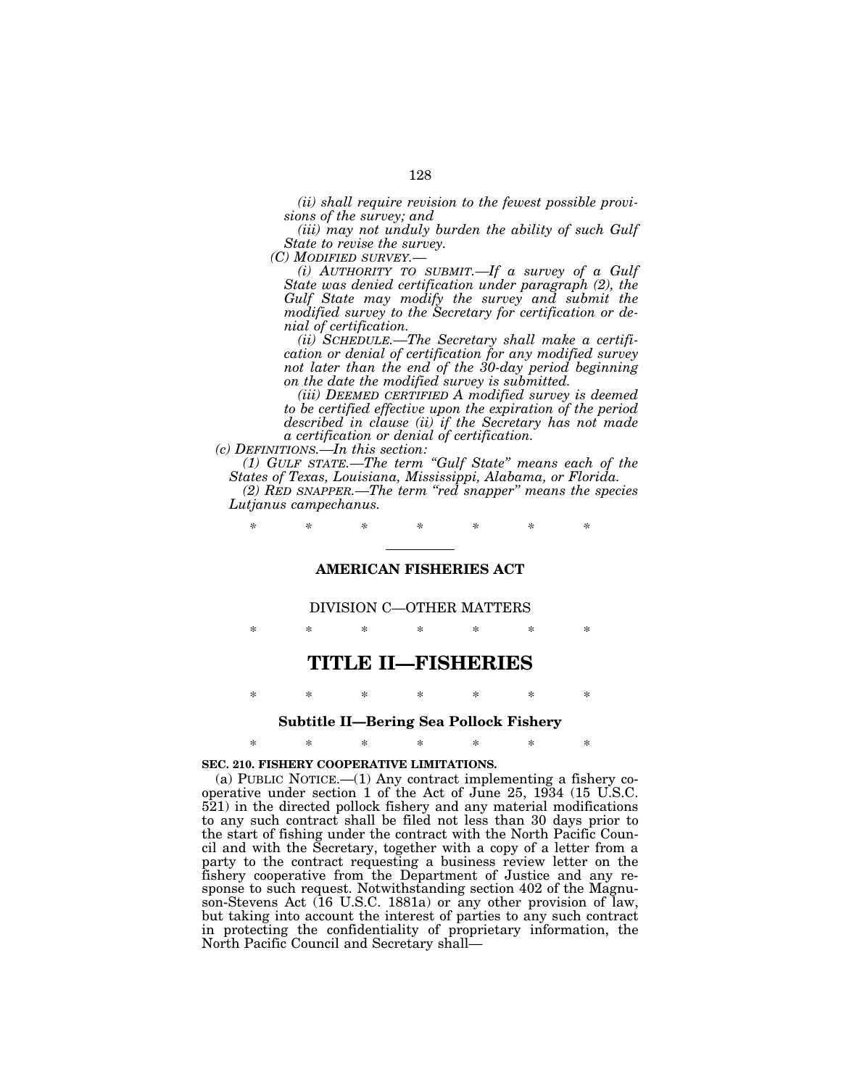*(ii) shall require revision to the fewest possible provisions of the survey; and* 

*(iii) may not unduly burden the ability of such Gulf State to revise the survey.*<br> *(C) MODIFIED SURVEY.*—

*(C) MODIFIED SURVEY.— (i) AUTHORITY TO SUBMIT.—If a survey of a Gulf State was denied certification under paragraph (2), the Gulf State may modify the survey and submit the modified survey to the Secretary for certification or denial of certification.* 

*(ii) SCHEDULE.—The Secretary shall make a certification or denial of certification for any modified survey not later than the end of the 30-day period beginning on the date the modified survey is submitted.* 

*(iii) DEEMED CERTIFIED A modified survey is deemed to be certified effective upon the expiration of the period described in clause (ii) if the Secretary has not made a certification or denial of certification.* 

*(c) DEFINITIONS.—In this section:* 

*(1) GULF STATE.—The term ''Gulf State'' means each of the States of Texas, Louisiana, Mississippi, Alabama, or Florida.* 

*(2) RED SNAPPER.—The term ''red snapper'' means the species Lutjanus campechanus.* 

*\* \* \* \* \* \* \** 

# **AMERICAN FISHERIES ACT**

## DIVISION C—OTHER MATTERS

\* \* \* \* \* \* \*

# **TITLE II—FISHERIES**

\* \* \* \* \* \* \*

# **Subtitle II—Bering Sea Pollock Fishery**

\* \* \* \* \* \* \*

### **SEC. 210. FISHERY COOPERATIVE LIMITATIONS.**

(a) PUBLIC NOTICE.—(1) Any contract implementing a fishery cooperative under section 1 of the Act of June 25, 1934 (15 U.S.C. 521) in the directed pollock fishery and any material modifications to any such contract shall be filed not less than 30 days prior to the start of fishing under the contract with the North Pacific Council and with the Secretary, together with a copy of a letter from a party to the contract requesting a business review letter on the fishery cooperative from the Department of Justice and any response to such request. Notwithstanding section 402 of the Magnuson-Stevens Act (16 U.S.C. 1881a) or any other provision of law, but taking into account the interest of parties to any such contract in protecting the confidentiality of proprietary information, the North Pacific Council and Secretary shall—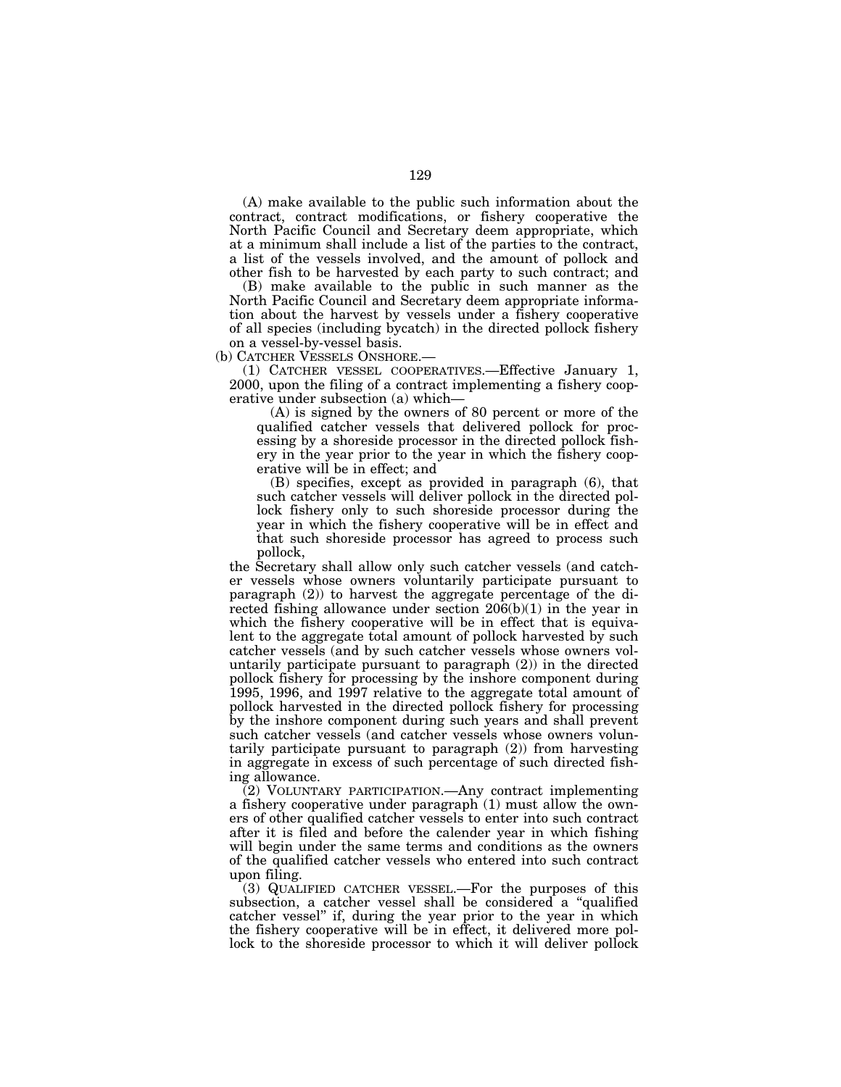(A) make available to the public such information about the contract, contract modifications, or fishery cooperative the North Pacific Council and Secretary deem appropriate, which at a minimum shall include a list of the parties to the contract, a list of the vessels involved, and the amount of pollock and other fish to be harvested by each party to such contract; and

(B) make available to the public in such manner as the North Pacific Council and Secretary deem appropriate information about the harvest by vessels under a fishery cooperative of all species (including bycatch) in the directed pollock fishery on a vessel-by-vessel basis.

(b) CATCHER VESSELS ONSHORE.—

(1) CATCHER VESSEL COOPERATIVES.—Effective January 1, 2000, upon the filing of a contract implementing a fishery cooperative under subsection (a) which—

(A) is signed by the owners of 80 percent or more of the qualified catcher vessels that delivered pollock for processing by a shoreside processor in the directed pollock fishery in the year prior to the year in which the fishery cooperative will be in effect; and

(B) specifies, except as provided in paragraph (6), that such catcher vessels will deliver pollock in the directed pollock fishery only to such shoreside processor during the year in which the fishery cooperative will be in effect and that such shoreside processor has agreed to process such pollock,

the Secretary shall allow only such catcher vessels (and catcher vessels whose owners voluntarily participate pursuant to paragraph (2)) to harvest the aggregate percentage of the directed fishing allowance under section 206(b)(1) in the year in which the fishery cooperative will be in effect that is equivalent to the aggregate total amount of pollock harvested by such catcher vessels (and by such catcher vessels whose owners voluntarily participate pursuant to paragraph (2)) in the directed pollock fishery for processing by the inshore component during 1995, 1996, and 1997 relative to the aggregate total amount of pollock harvested in the directed pollock fishery for processing by the inshore component during such years and shall prevent such catcher vessels (and catcher vessels whose owners voluntarily participate pursuant to paragraph (2)) from harvesting in aggregate in excess of such percentage of such directed fishing allowance.

(2) VOLUNTARY PARTICIPATION.—Any contract implementing a fishery cooperative under paragraph (1) must allow the owners of other qualified catcher vessels to enter into such contract after it is filed and before the calender year in which fishing will begin under the same terms and conditions as the owners of the qualified catcher vessels who entered into such contract upon filing.

(3) QUALIFIED CATCHER VESSEL.—For the purposes of this subsection, a catcher vessel shall be considered a ''qualified catcher vessel'' if, during the year prior to the year in which the fishery cooperative will be in effect, it delivered more pollock to the shoreside processor to which it will deliver pollock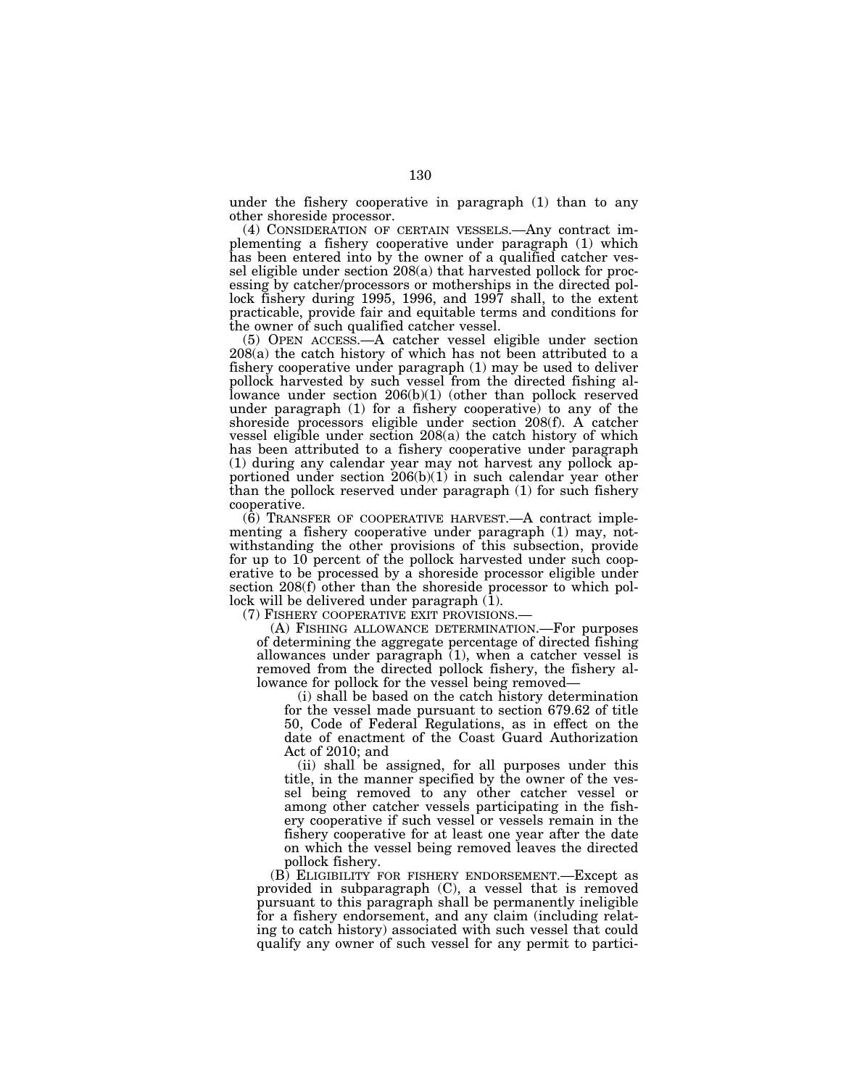under the fishery cooperative in paragraph (1) than to any other shoreside processor.

(4) CONSIDERATION OF CERTAIN VESSELS.—Any contract implementing a fishery cooperative under paragraph (1) which has been entered into by the owner of a qualified catcher vessel eligible under section 208(a) that harvested pollock for processing by catcher/processors or motherships in the directed pollock fishery during 1995, 1996, and 1997 shall, to the extent practicable, provide fair and equitable terms and conditions for the owner of such qualified catcher vessel.

(5) OPEN ACCESS.—A catcher vessel eligible under section 208(a) the catch history of which has not been attributed to a fishery cooperative under paragraph (1) may be used to deliver pollock harvested by such vessel from the directed fishing allowance under section 206(b)(1) (other than pollock reserved under paragraph (1) for a fishery cooperative) to any of the shoreside processors eligible under section 208(f). A catcher vessel eligible under section 208(a) the catch history of which has been attributed to a fishery cooperative under paragraph (1) during any calendar year may not harvest any pollock apportioned under section 206(b)(1) in such calendar year other than the pollock reserved under paragraph (1) for such fishery cooperative.

 $(6)$  TRANSFER OF COOPERATIVE HARVEST.—A contract implementing a fishery cooperative under paragraph (1) may, notwithstanding the other provisions of this subsection, provide for up to 10 percent of the pollock harvested under such cooperative to be processed by a shoreside processor eligible under section 208(f) other than the shoreside processor to which pollock will be delivered under paragraph (1).

(7) FISHERY COOPERATIVE EXIT PROVISIONS.— (A) FISHING ALLOWANCE DETERMINATION.—For purposes of determining the aggregate percentage of directed fishing allowances under paragraph  $(1)$ , when a catcher vessel is removed from the directed pollock fishery, the fishery allowance for pollock for the vessel being removed—

(i) shall be based on the catch history determination for the vessel made pursuant to section 679.62 of title 50, Code of Federal Regulations, as in effect on the date of enactment of the Coast Guard Authorization Act of 2010; and

(ii) shall be assigned, for all purposes under this title, in the manner specified by the owner of the vessel being removed to any other catcher vessel or among other catcher vessels participating in the fishery cooperative if such vessel or vessels remain in the fishery cooperative for at least one year after the date on which the vessel being removed leaves the directed pollock fishery.

(B) ELIGIBILITY FOR FISHERY ENDORSEMENT.—Except as provided in subparagraph (C), a vessel that is removed pursuant to this paragraph shall be permanently ineligible for a fishery endorsement, and any claim (including relating to catch history) associated with such vessel that could qualify any owner of such vessel for any permit to partici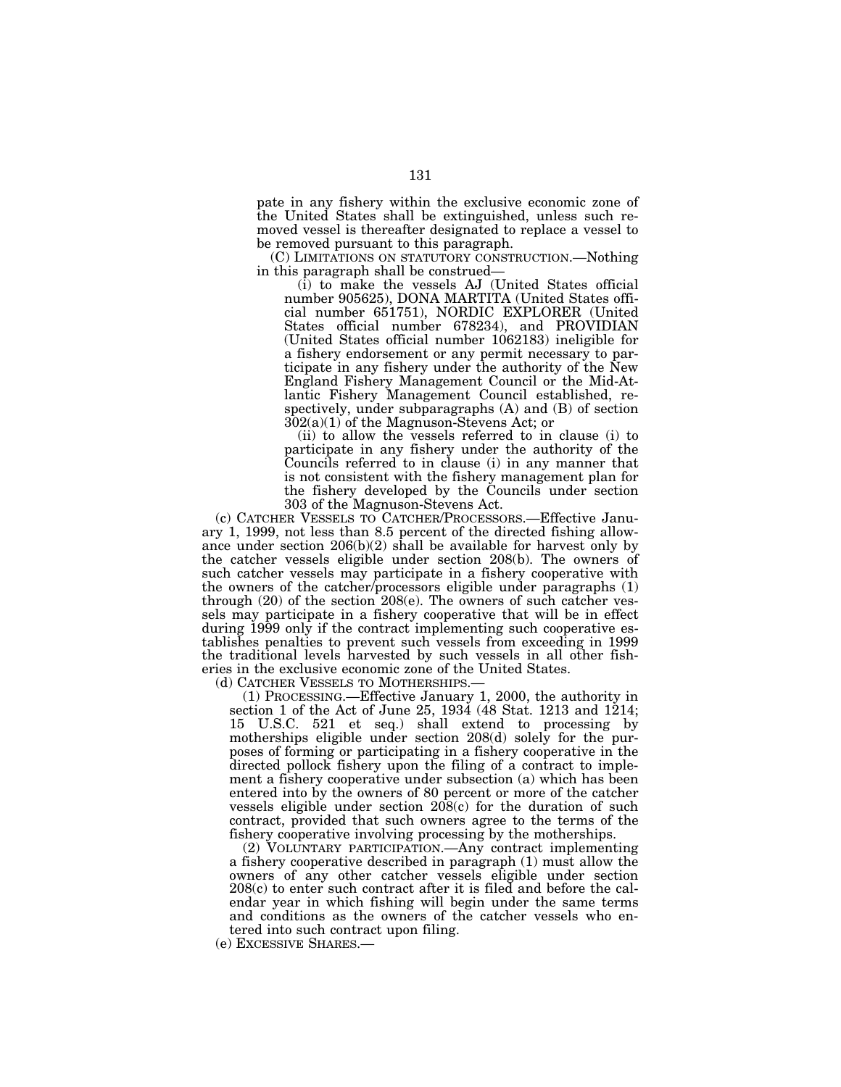pate in any fishery within the exclusive economic zone of the United States shall be extinguished, unless such removed vessel is thereafter designated to replace a vessel to be removed pursuant to this paragraph.

(C) LIMITATIONS ON STATUTORY CONSTRUCTION.—Nothing in this paragraph shall be construed—

(i) to make the vessels AJ (United States official number 905625), DONA MARTITA (United States official number 651751), NORDIC EXPLORER (United States official number 678234), and PROVIDIAN (United States official number 1062183) ineligible for a fishery endorsement or any permit necessary to participate in any fishery under the authority of the New England Fishery Management Council or the Mid-Atlantic Fishery Management Council established, respectively, under subparagraphs (A) and (B) of section 302(a)(1) of the Magnuson-Stevens Act; or

(ii) to allow the vessels referred to in clause (i) to participate in any fishery under the authority of the Councils referred to in clause (i) in any manner that is not consistent with the fishery management plan for the fishery developed by the Councils under section 303 of the Magnuson-Stevens Act.

(c) CATCHER VESSELS TO CATCHER/PROCESSORS.—Effective January 1, 1999, not less than 8.5 percent of the directed fishing allowance under section  $206(b)(2)$  shall be available for harvest only by the catcher vessels eligible under section 208(b). The owners of such catcher vessels may participate in a fishery cooperative with the owners of the catcher/processors eligible under paragraphs (1) through (20) of the section 208(e). The owners of such catcher vessels may participate in a fishery cooperative that will be in effect during 1999 only if the contract implementing such cooperative establishes penalties to prevent such vessels from exceeding in 1999 the traditional levels harvested by such vessels in all other fisheries in the exclusive economic zone of the United States.

(d) CATCHER VESSELS TO MOTHERSHIPS.— (1) PROCESSING.—Effective January 1, 2000, the authority in section 1 of the Act of June 25, 1934 (48 Stat. 1213 and 1214; 15 U.S.C. 521 et seq.) shall extend to processing by motherships eligible under section 208(d) solely for the purposes of forming or participating in a fishery cooperative in the directed pollock fishery upon the filing of a contract to implement a fishery cooperative under subsection (a) which has been entered into by the owners of 80 percent or more of the catcher vessels eligible under section 208(c) for the duration of such contract, provided that such owners agree to the terms of the fishery cooperative involving processing by the motherships.

(2) VOLUNTARY PARTICIPATION.—Any contract implementing a fishery cooperative described in paragraph (1) must allow the owners of any other catcher vessels eligible under section 208(c) to enter such contract after it is filed and before the calendar year in which fishing will begin under the same terms and conditions as the owners of the catcher vessels who entered into such contract upon filing.

(e) EXCESSIVE SHARES.—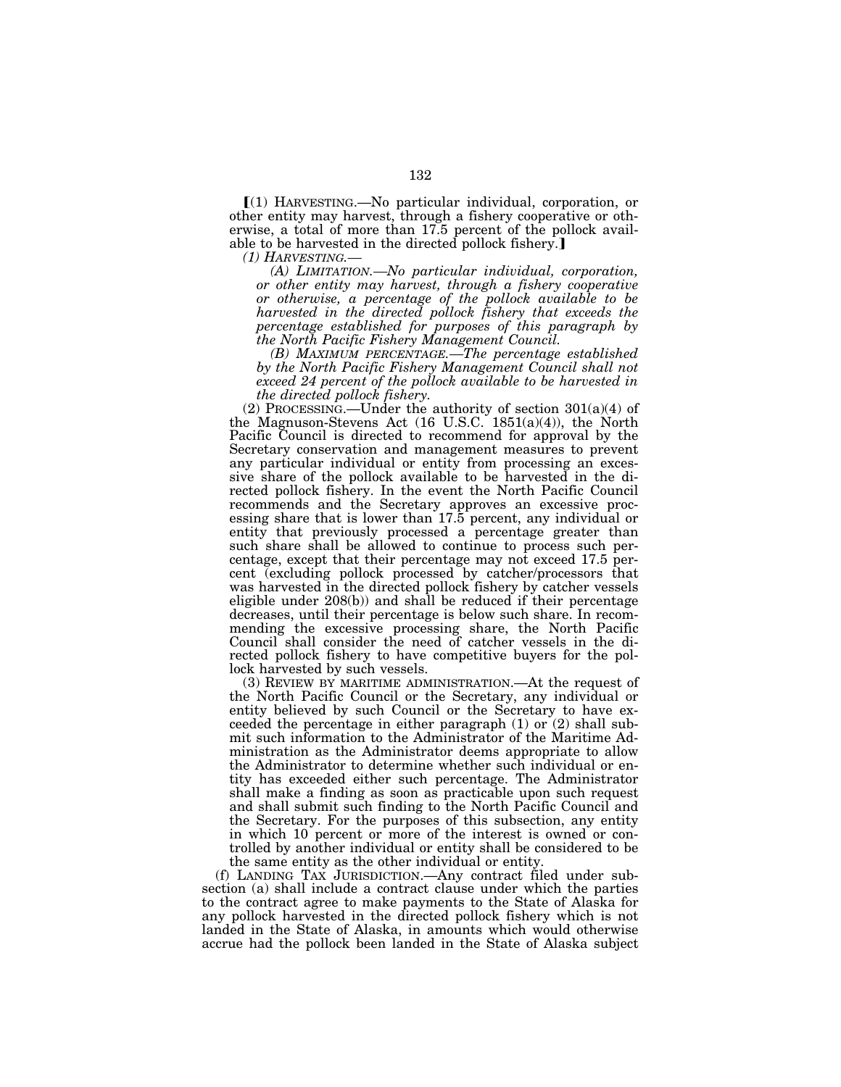ø(1) HARVESTING.—No particular individual, corporation, or other entity may harvest, through a fishery cooperative or otherwise, a total of more than 17.5 percent of the pollock available to be harvested in the directed pollock fishery.

*(1) HARVESTING.— (A) LIMITATION.—No particular individual, corporation, or other entity may harvest, through a fishery cooperative or otherwise, a percentage of the pollock available to be harvested in the directed pollock fishery that exceeds the percentage established for purposes of this paragraph by the North Pacific Fishery Management Council.* 

*(B) MAXIMUM PERCENTAGE.—The percentage established by the North Pacific Fishery Management Council shall not exceed 24 percent of the pollock available to be harvested in the directed pollock fishery.* 

(2) PROCESSING.—Under the authority of section  $301(a)(4)$  of the Magnuson-Stevens Act (16 U.S.C. 1851(a)(4)), the North Pacific Council is directed to recommend for approval by the Secretary conservation and management measures to prevent any particular individual or entity from processing an excessive share of the pollock available to be harvested in the directed pollock fishery. In the event the North Pacific Council recommends and the Secretary approves an excessive processing share that is lower than 17.5 percent, any individual or entity that previously processed a percentage greater than such share shall be allowed to continue to process such percentage, except that their percentage may not exceed 17.5 percent (excluding pollock processed by catcher/processors that was harvested in the directed pollock fishery by catcher vessels eligible under 208(b)) and shall be reduced if their percentage decreases, until their percentage is below such share. In recommending the excessive processing share, the North Pacific Council shall consider the need of catcher vessels in the directed pollock fishery to have competitive buyers for the pollock harvested by such vessels.

(3) REVIEW BY MARITIME ADMINISTRATION.—At the request of the North Pacific Council or the Secretary, any individual or entity believed by such Council or the Secretary to have exceeded the percentage in either paragraph (1) or (2) shall submit such information to the Administrator of the Maritime Administration as the Administrator deems appropriate to allow the Administrator to determine whether such individual or entity has exceeded either such percentage. The Administrator shall make a finding as soon as practicable upon such request and shall submit such finding to the North Pacific Council and the Secretary. For the purposes of this subsection, any entity in which 10 percent or more of the interest is owned or controlled by another individual or entity shall be considered to be the same entity as the other individual or entity.

(f) LANDING TAX JURISDICTION.—Any contract filed under subsection (a) shall include a contract clause under which the parties to the contract agree to make payments to the State of Alaska for any pollock harvested in the directed pollock fishery which is not landed in the State of Alaska, in amounts which would otherwise accrue had the pollock been landed in the State of Alaska subject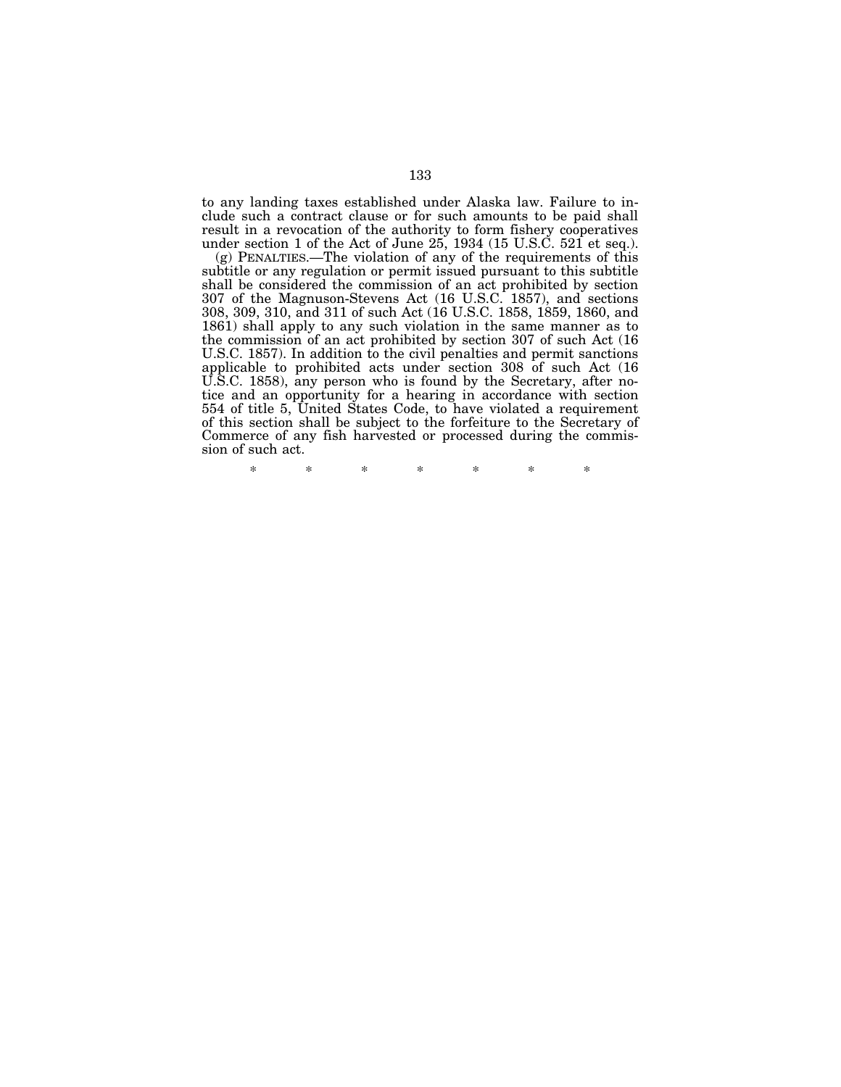to any landing taxes established under Alaska law. Failure to include such a contract clause or for such amounts to be paid shall result in a revocation of the authority to form fishery cooperatives under section 1 of the Act of June  $25, 1934$  (15 U.S.C.  $521$  et seq.).

(g) PENALTIES.—The violation of any of the requirements of this subtitle or any regulation or permit issued pursuant to this subtitle shall be considered the commission of an act prohibited by section 307 of the Magnuson-Stevens Act (16 U.S.C. 1857), and sections 308, 309, 310, and 311 of such Act (16 U.S.C. 1858, 1859, 1860, and 1861) shall apply to any such violation in the same manner as to the commission of an act prohibited by section 307 of such Act (16 U.S.C. 1857). In addition to the civil penalties and permit sanctions applicable to prohibited acts under section 308 of such Act (16 U.S.C. 1858), any person who is found by the Secretary, after notice and an opportunity for a hearing in accordance with section 554 of title 5, United States Code, to have violated a requirement of this section shall be subject to the forfeiture to the Secretary of Commerce of any fish harvested or processed during the commission of such act.

\* \* \* \* \* \* \*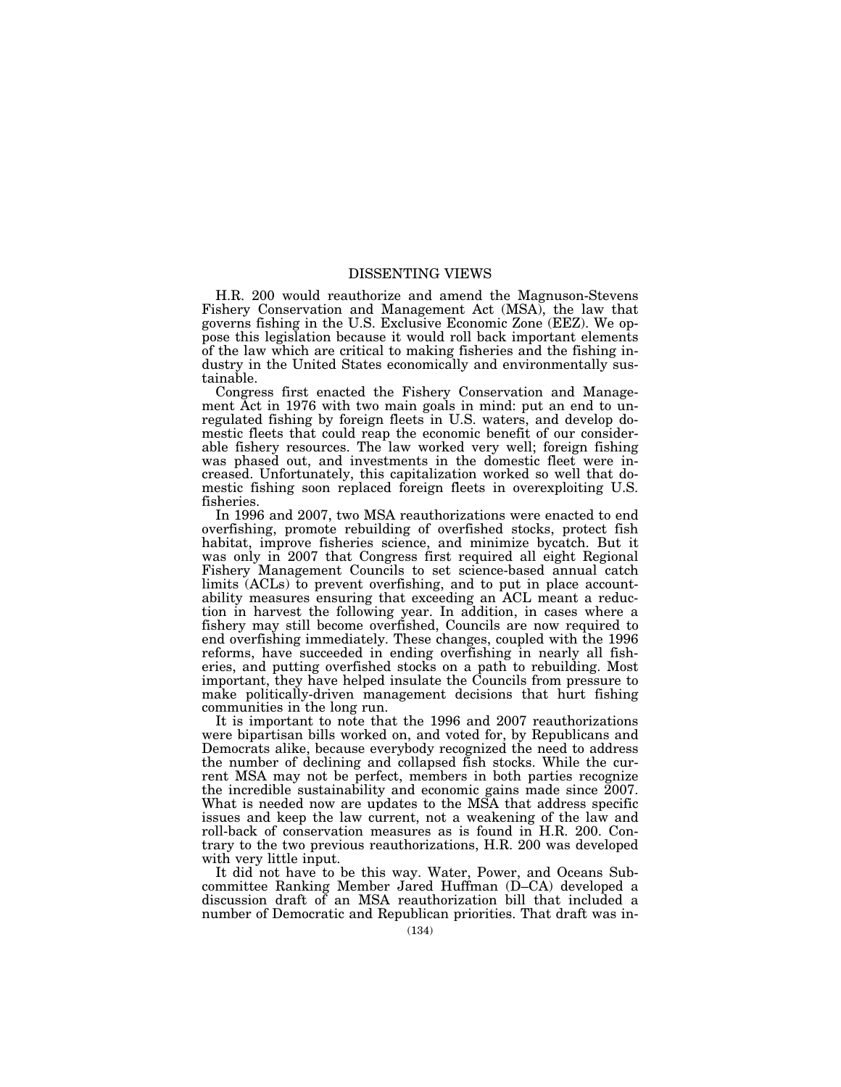## DISSENTING VIEWS

H.R. 200 would reauthorize and amend the Magnuson-Stevens Fishery Conservation and Management Act (MSA), the law that governs fishing in the U.S. Exclusive Economic Zone (EEZ). We oppose this legislation because it would roll back important elements of the law which are critical to making fisheries and the fishing industry in the United States economically and environmentally sustainable.

Congress first enacted the Fishery Conservation and Management Act in 1976 with two main goals in mind: put an end to unregulated fishing by foreign fleets in U.S. waters, and develop domestic fleets that could reap the economic benefit of our considerable fishery resources. The law worked very well; foreign fishing was phased out, and investments in the domestic fleet were increased. Unfortunately, this capitalization worked so well that domestic fishing soon replaced foreign fleets in overexploiting U.S. fisheries.

In 1996 and 2007, two MSA reauthorizations were enacted to end overfishing, promote rebuilding of overfished stocks, protect fish habitat, improve fisheries science, and minimize bycatch. But it was only in 2007 that Congress first required all eight Regional Fishery Management Councils to set science-based annual catch limits (ACLs) to prevent overfishing, and to put in place accountability measures ensuring that exceeding an ACL meant a reduction in harvest the following year. In addition, in cases where a fishery may still become overfished, Councils are now required to end overfishing immediately. These changes, coupled with the 1996 reforms, have succeeded in ending overfishing in nearly all fisheries, and putting overfished stocks on a path to rebuilding. Most important, they have helped insulate the Councils from pressure to make politically-driven management decisions that hurt fishing communities in the long run.

It is important to note that the 1996 and 2007 reauthorizations were bipartisan bills worked on, and voted for, by Republicans and Democrats alike, because everybody recognized the need to address the number of declining and collapsed fish stocks. While the current MSA may not be perfect, members in both parties recognize the incredible sustainability and economic gains made since 2007. What is needed now are updates to the MSA that address specific issues and keep the law current, not a weakening of the law and roll-back of conservation measures as is found in H.R. 200. Contrary to the two previous reauthorizations, H.R. 200 was developed with very little input.

It did not have to be this way. Water, Power, and Oceans Subcommittee Ranking Member Jared Huffman (D–CA) developed a discussion draft of an MSA reauthorization bill that included a number of Democratic and Republican priorities. That draft was in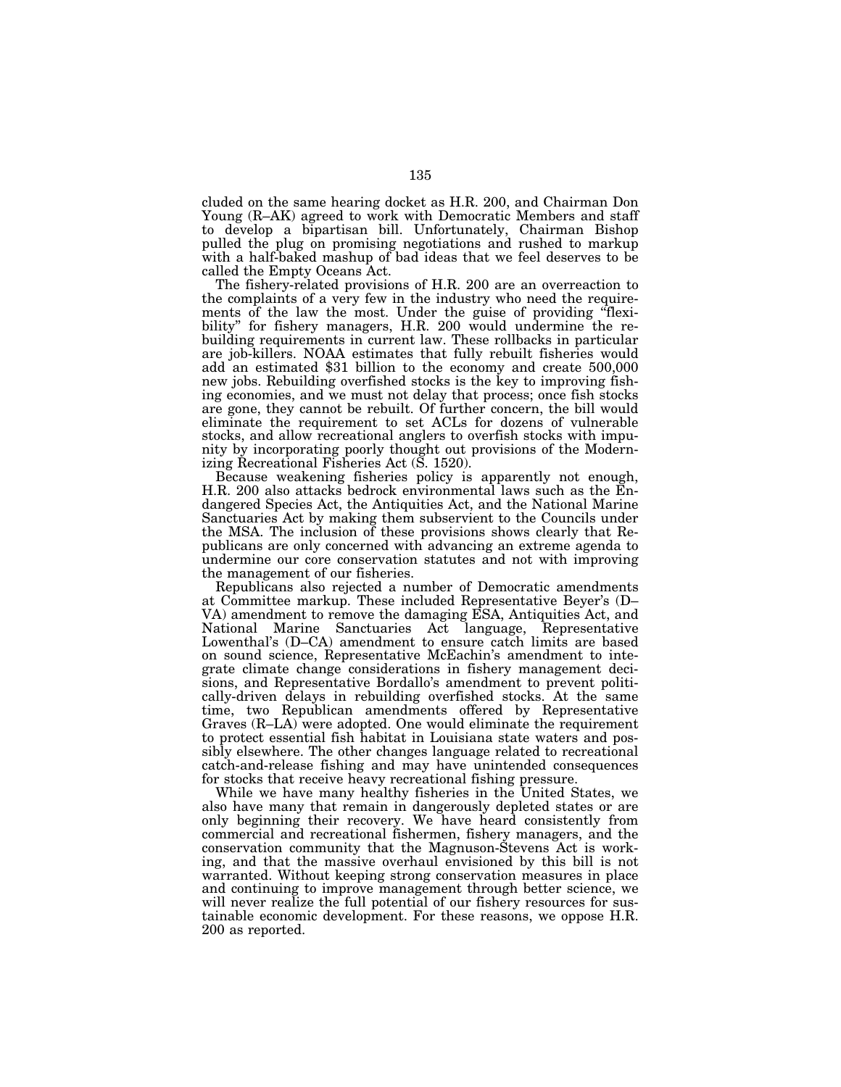cluded on the same hearing docket as H.R. 200, and Chairman Don Young (R–AK) agreed to work with Democratic Members and staff to develop a bipartisan bill. Unfortunately, Chairman Bishop pulled the plug on promising negotiations and rushed to markup with a half-baked mashup of bad ideas that we feel deserves to be called the Empty Oceans Act.

The fishery-related provisions of H.R. 200 are an overreaction to the complaints of a very few in the industry who need the requirements of the law the most. Under the guise of providing ''flexibility'' for fishery managers, H.R. 200 would undermine the rebuilding requirements in current law. These rollbacks in particular are job-killers. NOAA estimates that fully rebuilt fisheries would add an estimated \$31 billion to the economy and create 500,000 new jobs. Rebuilding overfished stocks is the key to improving fishing economies, and we must not delay that process; once fish stocks are gone, they cannot be rebuilt. Of further concern, the bill would eliminate the requirement to set ACLs for dozens of vulnerable stocks, and allow recreational anglers to overfish stocks with impunity by incorporating poorly thought out provisions of the Modernizing Recreational Fisheries Act (S. 1520).

Because weakening fisheries policy is apparently not enough, H.R. 200 also attacks bedrock environmental laws such as the Endangered Species Act, the Antiquities Act, and the National Marine Sanctuaries Act by making them subservient to the Councils under the MSA. The inclusion of these provisions shows clearly that Republicans are only concerned with advancing an extreme agenda to undermine our core conservation statutes and not with improving the management of our fisheries.

Republicans also rejected a number of Democratic amendments at Committee markup. These included Representative Beyer's (D– VA) amendment to remove the damaging ESA, Antiquities Act, and National Marine Sanctuaries Act language, Representative Lowenthal's (D–CA) amendment to ensure catch limits are based on sound science, Representative McEachin's amendment to integrate climate change considerations in fishery management decisions, and Representative Bordallo's amendment to prevent politically-driven delays in rebuilding overfished stocks. At the same time, two Republican amendments offered by Representative Graves (R–LA) were adopted. One would eliminate the requirement to protect essential fish habitat in Louisiana state waters and possibly elsewhere. The other changes language related to recreational catch-and-release fishing and may have unintended consequences for stocks that receive heavy recreational fishing pressure.

While we have many healthy fisheries in the United States, we also have many that remain in dangerously depleted states or are only beginning their recovery. We have heard consistently from commercial and recreational fishermen, fishery managers, and the conservation community that the Magnuson-Stevens Act is working, and that the massive overhaul envisioned by this bill is not warranted. Without keeping strong conservation measures in place and continuing to improve management through better science, we will never realize the full potential of our fishery resources for sustainable economic development. For these reasons, we oppose H.R. 200 as reported.